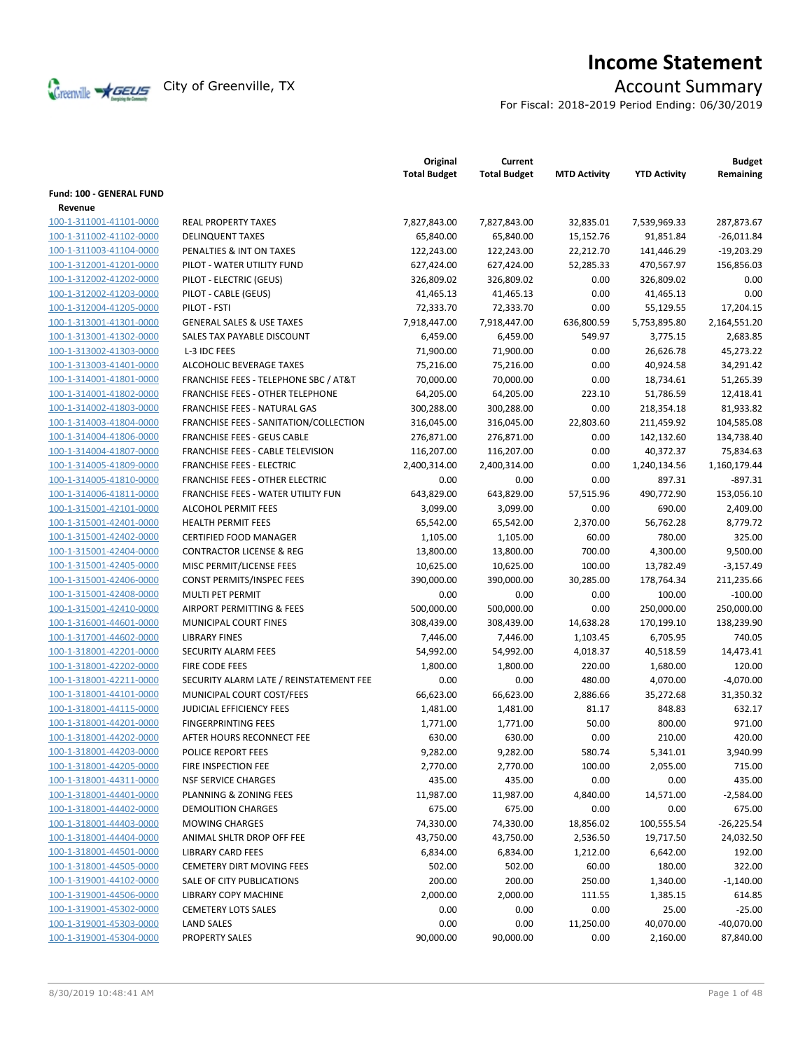

# **Income Statement**

For Fiscal: 2018-2019 Period Ending: 06/30/2019

|                                 |                                                  | Original<br><b>Total Budget</b> | Current<br><b>Total Budget</b> | <b>MTD Activity</b> | <b>YTD Activity</b> | <b>Budget</b><br>Remaining |
|---------------------------------|--------------------------------------------------|---------------------------------|--------------------------------|---------------------|---------------------|----------------------------|
| <b>Fund: 100 - GENERAL FUND</b> |                                                  |                                 |                                |                     |                     |                            |
| Revenue                         |                                                  |                                 |                                |                     |                     |                            |
| 100-1-311001-41101-0000         | <b>REAL PROPERTY TAXES</b>                       | 7,827,843.00                    | 7,827,843.00                   | 32,835.01           | 7,539,969.33        | 287,873.67                 |
| 100-1-311002-41102-0000         | <b>DELINQUENT TAXES</b>                          | 65,840.00                       | 65,840.00                      | 15,152.76           | 91,851.84           | $-26,011.84$               |
| 100-1-311003-41104-0000         | PENALTIES & INT ON TAXES                         | 122,243.00                      | 122,243.00                     | 22,212.70           | 141,446.29          | $-19,203.29$               |
| 100-1-312001-41201-0000         | PILOT - WATER UTILITY FUND                       | 627,424.00                      | 627,424.00                     | 52,285.33           | 470,567.97          | 156,856.03                 |
| 100-1-312002-41202-0000         | PILOT - ELECTRIC (GEUS)                          | 326,809.02                      | 326,809.02                     | 0.00                | 326,809.02          | 0.00                       |
| 100-1-312002-41203-0000         | PILOT - CABLE (GEUS)                             | 41,465.13                       | 41,465.13                      | 0.00                | 41,465.13           | 0.00                       |
| 100-1-312004-41205-0000         | PILOT - FSTI                                     | 72,333.70                       | 72,333.70                      | 0.00                | 55,129.55           | 17,204.15                  |
| 100-1-313001-41301-0000         | <b>GENERAL SALES &amp; USE TAXES</b>             | 7,918,447.00                    | 7,918,447.00                   | 636,800.59          | 5,753,895.80        | 2,164,551.20               |
| 100-1-313001-41302-0000         | SALES TAX PAYABLE DISCOUNT                       | 6,459.00                        | 6,459.00                       | 549.97              | 3,775.15            | 2,683.85                   |
| 100-1-313002-41303-0000         | L-3 IDC FEES                                     | 71,900.00                       | 71,900.00                      | 0.00                | 26,626.78           | 45,273.22                  |
| 100-1-313003-41401-0000         | ALCOHOLIC BEVERAGE TAXES                         | 75,216.00                       | 75,216.00                      | 0.00                | 40,924.58           | 34,291.42                  |
| 100-1-314001-41801-0000         | <b>FRANCHISE FEES - TELEPHONE SBC / AT&amp;T</b> | 70,000.00                       | 70,000.00                      | 0.00                | 18,734.61           | 51,265.39                  |
| 100-1-314001-41802-0000         | FRANCHISE FEES - OTHER TELEPHONE                 | 64,205.00                       | 64,205.00                      | 223.10              | 51,786.59           | 12,418.41                  |
| 100-1-314002-41803-0000         | <b>FRANCHISE FEES - NATURAL GAS</b>              | 300,288.00                      | 300,288.00                     | 0.00                | 218,354.18          | 81,933.82                  |
| 100-1-314003-41804-0000         | FRANCHISE FEES - SANITATION/COLLECTION           | 316,045.00                      | 316,045.00                     | 22,803.60           | 211,459.92          | 104,585.08                 |
| 100-1-314004-41806-0000         | <b>FRANCHISE FEES - GEUS CABLE</b>               | 276,871.00                      | 276,871.00                     | 0.00                | 142,132.60          | 134,738.40                 |
| 100-1-314004-41807-0000         | FRANCHISE FEES - CABLE TELEVISION                | 116,207.00                      | 116,207.00                     | 0.00                | 40,372.37           | 75,834.63                  |
| 100-1-314005-41809-0000         | <b>FRANCHISE FEES - ELECTRIC</b>                 | 2,400,314.00                    | 2,400,314.00                   | 0.00                | 1,240,134.56        | 1,160,179.44               |
| 100-1-314005-41810-0000         | <b>FRANCHISE FEES - OTHER ELECTRIC</b>           | 0.00                            | 0.00                           | 0.00                | 897.31              | $-897.31$                  |
| 100-1-314006-41811-0000         | FRANCHISE FEES - WATER UTILITY FUN               | 643,829.00                      | 643,829.00                     | 57,515.96           | 490,772.90          | 153,056.10                 |
| 100-1-315001-42101-0000         | <b>ALCOHOL PERMIT FEES</b>                       | 3,099.00                        | 3,099.00                       | 0.00                | 690.00              | 2,409.00                   |
| 100-1-315001-42401-0000         | <b>HEALTH PERMIT FEES</b>                        | 65,542.00                       | 65,542.00                      | 2,370.00            | 56,762.28           | 8,779.72                   |
| 100-1-315001-42402-0000         | <b>CERTIFIED FOOD MANAGER</b>                    | 1,105.00                        | 1,105.00                       | 60.00               | 780.00              | 325.00                     |
| 100-1-315001-42404-0000         | <b>CONTRACTOR LICENSE &amp; REG</b>              | 13,800.00                       | 13,800.00                      | 700.00              | 4,300.00            | 9,500.00                   |
| 100-1-315001-42405-0000         | MISC PERMIT/LICENSE FEES                         | 10,625.00                       | 10,625.00                      | 100.00              | 13,782.49           | $-3,157.49$                |
| 100-1-315001-42406-0000         | <b>CONST PERMITS/INSPEC FEES</b>                 | 390,000.00                      | 390,000.00                     | 30,285.00           | 178,764.34          | 211,235.66                 |
| 100-1-315001-42408-0000         | MULTI PET PERMIT                                 | 0.00                            | 0.00                           | 0.00                | 100.00              | $-100.00$                  |
| 100-1-315001-42410-0000         | AIRPORT PERMITTING & FEES                        | 500,000.00                      | 500,000.00                     | 0.00                | 250,000.00          | 250,000.00                 |
| 100-1-316001-44601-0000         | MUNICIPAL COURT FINES                            | 308,439.00                      | 308,439.00                     | 14,638.28           | 170,199.10          | 138,239.90                 |
| 100-1-317001-44602-0000         | <b>LIBRARY FINES</b>                             | 7,446.00                        | 7,446.00                       | 1,103.45            | 6,705.95            | 740.05                     |
| 100-1-318001-42201-0000         | SECURITY ALARM FEES                              | 54,992.00                       | 54,992.00                      | 4,018.37            | 40,518.59           | 14,473.41                  |
| 100-1-318001-42202-0000         | FIRE CODE FEES                                   | 1,800.00                        | 1,800.00                       | 220.00              | 1,680.00            | 120.00                     |
| 100-1-318001-42211-0000         | SECURITY ALARM LATE / REINSTATEMENT FEE          | 0.00                            | 0.00                           | 480.00              | 4,070.00            | $-4,070.00$                |
| 100-1-318001-44101-0000         | MUNICIPAL COURT COST/FEES                        | 66,623.00                       | 66,623.00                      | 2,886.66            | 35,272.68           | 31,350.32                  |
| 100-1-318001-44115-0000         | JUDICIAL EFFICIENCY FEES                         | 1,481.00                        | 1,481.00                       | 81.17               | 848.83              | 632.17                     |
| 100-1-318001-44201-0000         | <b>FINGERPRINTING FEES</b>                       | 1,771.00                        | 1,771.00                       | 50.00               | 800.00              | 971.00                     |
| 100-1-318001-44202-0000         | AFTER HOURS RECONNECT FEE                        | 630.00                          | 630.00                         | 0.00                | 210.00              | 420.00                     |
| 100-1-318001-44203-0000         | POLICE REPORT FEES                               | 9,282.00                        | 9,282.00                       | 580.74              | 5,341.01            | 3,940.99                   |
| 100-1-318001-44205-0000         | FIRE INSPECTION FEE                              | 2,770.00                        | 2,770.00                       | 100.00              | 2,055.00            | 715.00                     |
| 100-1-318001-44311-0000         | <b>NSF SERVICE CHARGES</b>                       | 435.00                          | 435.00                         | 0.00                | 0.00                | 435.00                     |
| 100-1-318001-44401-0000         | PLANNING & ZONING FEES                           | 11,987.00                       | 11,987.00                      | 4,840.00            | 14,571.00           | $-2,584.00$                |
| 100-1-318001-44402-0000         | DEMOLITION CHARGES                               | 675.00                          | 675.00                         | 0.00                | 0.00                | 675.00                     |
| 100-1-318001-44403-0000         | <b>MOWING CHARGES</b>                            | 74,330.00                       | 74,330.00                      | 18,856.02           | 100,555.54          | $-26,225.54$               |
| 100-1-318001-44404-0000         | ANIMAL SHLTR DROP OFF FEE                        | 43,750.00                       | 43,750.00                      | 2,536.50            | 19,717.50           | 24,032.50                  |
| 100-1-318001-44501-0000         | <b>LIBRARY CARD FEES</b>                         | 6,834.00                        | 6,834.00                       | 1,212.00            | 6,642.00            | 192.00                     |
| 100-1-318001-44505-0000         | <b>CEMETERY DIRT MOVING FEES</b>                 | 502.00                          | 502.00                         | 60.00               | 180.00              | 322.00                     |
| 100-1-319001-44102-0000         | SALE OF CITY PUBLICATIONS                        | 200.00                          | 200.00                         | 250.00              | 1,340.00            | $-1,140.00$                |
| 100-1-319001-44506-0000         | <b>LIBRARY COPY MACHINE</b>                      | 2,000.00                        | 2,000.00                       | 111.55              | 1,385.15            | 614.85                     |
| 100-1-319001-45302-0000         | <b>CEMETERY LOTS SALES</b>                       | 0.00                            | 0.00                           | 0.00                | 25.00               | $-25.00$                   |
| 100-1-319001-45303-0000         | <b>LAND SALES</b>                                | 0.00                            | 0.00                           | 11,250.00           | 40,070.00           | $-40,070.00$               |
| 100-1-319001-45304-0000         | <b>PROPERTY SALES</b>                            | 90,000.00                       | 90,000.00                      | 0.00                | 2,160.00            | 87,840.00                  |
|                                 |                                                  |                                 |                                |                     |                     |                            |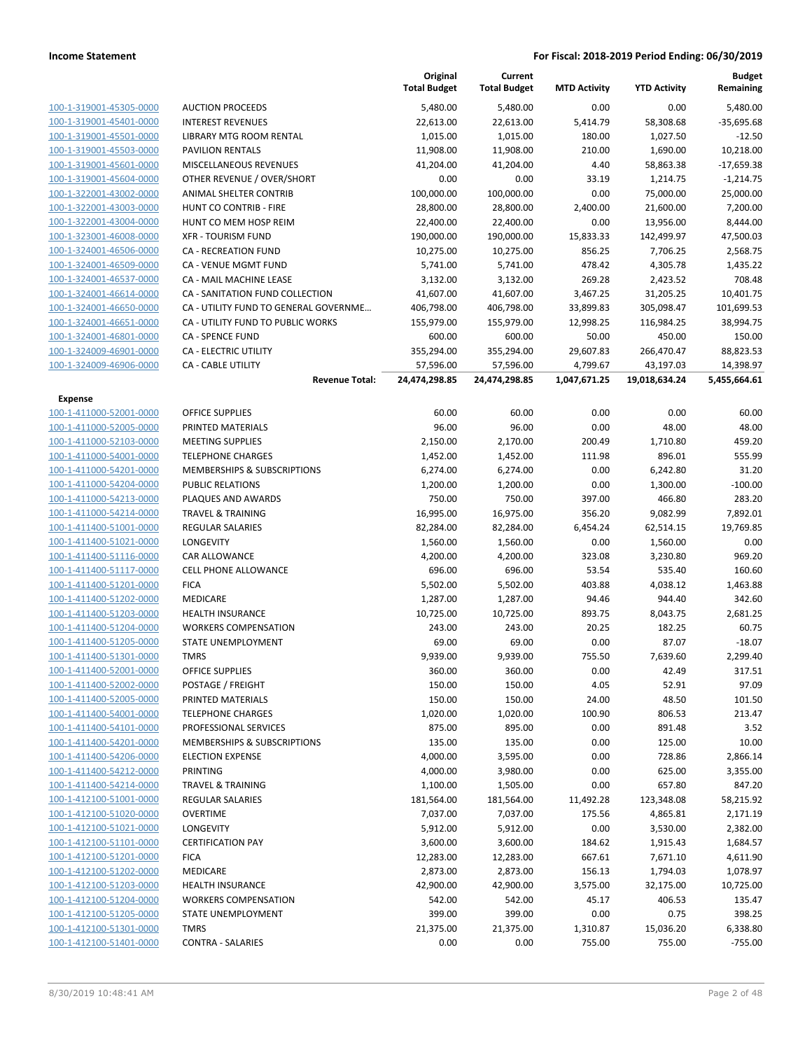|                                                    |                                                   | Original<br><b>Total Budget</b> | Current<br><b>Total Budget</b> | <b>MTD Activity</b> | <b>YTD Activity</b> | <b>Budget</b><br>Remaining |
|----------------------------------------------------|---------------------------------------------------|---------------------------------|--------------------------------|---------------------|---------------------|----------------------------|
| 100-1-319001-45305-0000                            | <b>AUCTION PROCEEDS</b>                           | 5,480.00                        | 5,480.00                       | 0.00                | 0.00                | 5,480.00                   |
| 100-1-319001-45401-0000                            | <b>INTEREST REVENUES</b>                          | 22,613.00                       | 22,613.00                      | 5,414.79            | 58,308.68           | $-35,695.68$               |
| 100-1-319001-45501-0000                            | LIBRARY MTG ROOM RENTAL                           | 1,015.00                        | 1,015.00                       | 180.00              | 1,027.50            | $-12.50$                   |
| 100-1-319001-45503-0000                            | <b>PAVILION RENTALS</b>                           | 11,908.00                       | 11,908.00                      | 210.00              | 1,690.00            | 10,218.00                  |
| 100-1-319001-45601-0000                            | MISCELLANEOUS REVENUES                            | 41,204.00                       | 41,204.00                      | 4.40                | 58,863.38           | $-17,659.38$               |
| 100-1-319001-45604-0000                            | OTHER REVENUE / OVER/SHORT                        | 0.00                            | 0.00                           | 33.19               | 1,214.75            | $-1,214.75$                |
| 100-1-322001-43002-0000                            | ANIMAL SHELTER CONTRIB                            | 100,000.00                      | 100,000.00                     | 0.00                | 75,000.00           | 25,000.00                  |
| 100-1-322001-43003-0000                            | <b>HUNT CO CONTRIB - FIRE</b>                     | 28,800.00                       | 28,800.00                      | 2,400.00            | 21,600.00           | 7,200.00                   |
| 100-1-322001-43004-0000                            | HUNT CO MEM HOSP REIM                             | 22,400.00                       | 22,400.00                      | 0.00                | 13,956.00           | 8,444.00                   |
| 100-1-323001-46008-0000                            | <b>XFR - TOURISM FUND</b>                         | 190,000.00                      | 190,000.00                     | 15,833.33           | 142,499.97          | 47,500.03                  |
| 100-1-324001-46506-0000                            | <b>CA - RECREATION FUND</b>                       | 10,275.00                       | 10,275.00                      | 856.25              | 7,706.25            | 2,568.75                   |
| 100-1-324001-46509-0000                            | <b>CA - VENUE MGMT FUND</b>                       | 5,741.00                        | 5,741.00                       | 478.42              | 4,305.78            | 1,435.22                   |
| 100-1-324001-46537-0000                            | CA - MAIL MACHINE LEASE                           | 3,132.00                        | 3,132.00                       | 269.28              | 2,423.52            | 708.48                     |
| 100-1-324001-46614-0000                            | CA - SANITATION FUND COLLECTION                   | 41,607.00                       | 41,607.00                      | 3,467.25            | 31,205.25           | 10,401.75                  |
| 100-1-324001-46650-0000                            | CA - UTILITY FUND TO GENERAL GOVERNME             | 406,798.00                      | 406,798.00                     | 33,899.83           | 305,098.47          | 101,699.53                 |
| 100-1-324001-46651-0000                            | CA - UTILITY FUND TO PUBLIC WORKS                 | 155,979.00                      | 155,979.00                     | 12,998.25           | 116,984.25          | 38,994.75                  |
| 100-1-324001-46801-0000                            | <b>CA - SPENCE FUND</b>                           | 600.00                          | 600.00                         | 50.00               | 450.00              | 150.00                     |
| 100-1-324009-46901-0000                            | <b>CA - ELECTRIC UTILITY</b>                      | 355,294.00                      | 355,294.00                     | 29,607.83           | 266,470.47          | 88,823.53                  |
| 100-1-324009-46906-0000                            | <b>CA - CABLE UTILITY</b>                         | 57,596.00                       | 57,596.00                      | 4,799.67            | 43,197.03           | 14,398.97                  |
|                                                    | <b>Revenue Total:</b>                             | 24,474,298.85                   | 24,474,298.85                  | 1,047,671.25        | 19,018,634.24       | 5,455,664.61               |
| <b>Expense</b>                                     |                                                   |                                 |                                |                     |                     |                            |
| 100-1-411000-52001-0000                            | <b>OFFICE SUPPLIES</b>                            | 60.00                           | 60.00                          | 0.00                | 0.00                | 60.00                      |
| 100-1-411000-52005-0000                            | PRINTED MATERIALS                                 | 96.00                           | 96.00                          | 0.00                | 48.00               | 48.00                      |
| 100-1-411000-52103-0000                            | <b>MEETING SUPPLIES</b>                           | 2,150.00                        | 2,170.00                       | 200.49              | 1,710.80            | 459.20                     |
| 100-1-411000-54001-0000                            | <b>TELEPHONE CHARGES</b>                          | 1,452.00                        | 1,452.00                       | 111.98              | 896.01              | 555.99                     |
| 100-1-411000-54201-0000                            | MEMBERSHIPS & SUBSCRIPTIONS                       | 6,274.00                        | 6,274.00                       | 0.00                | 6,242.80            | 31.20                      |
| 100-1-411000-54204-0000                            | <b>PUBLIC RELATIONS</b>                           | 1,200.00                        | 1,200.00                       | 0.00                | 1,300.00            | $-100.00$                  |
| 100-1-411000-54213-0000                            | PLAQUES AND AWARDS                                | 750.00                          | 750.00                         | 397.00              | 466.80              | 283.20                     |
| 100-1-411000-54214-0000                            | <b>TRAVEL &amp; TRAINING</b>                      | 16,995.00                       | 16,975.00                      | 356.20              | 9,082.99            | 7,892.01                   |
| 100-1-411400-51001-0000                            | <b>REGULAR SALARIES</b>                           | 82,284.00                       | 82,284.00                      | 6,454.24            | 62,514.15           | 19,769.85                  |
| 100-1-411400-51021-0000                            | LONGEVITY                                         | 1,560.00                        | 1,560.00                       | 0.00                | 1,560.00            | 0.00                       |
| 100-1-411400-51116-0000                            | CAR ALLOWANCE                                     | 4,200.00                        | 4,200.00                       | 323.08              | 3,230.80            | 969.20                     |
| 100-1-411400-51117-0000<br>100-1-411400-51201-0000 | <b>CELL PHONE ALLOWANCE</b>                       | 696.00                          | 696.00                         | 53.54               | 535.40              | 160.60                     |
|                                                    | <b>FICA</b>                                       | 5,502.00                        | 5,502.00                       | 403.88              | 4,038.12            | 1,463.88                   |
| 100-1-411400-51202-0000                            | <b>MEDICARE</b>                                   | 1,287.00                        | 1,287.00                       | 94.46               | 944.40              | 342.60                     |
| 100-1-411400-51203-0000                            | <b>HEALTH INSURANCE</b>                           | 10,725.00                       | 10,725.00                      | 893.75              | 8,043.75            | 2,681.25                   |
| 100-1-411400-51204-0000                            | <b>WORKERS COMPENSATION</b><br>STATE UNEMPLOYMENT | 243.00                          | 243.00                         | 20.25               | 182.25              | 60.75                      |
| 100-1-411400-51205-0000<br>100-1-411400-51301-0000 | <b>TMRS</b>                                       | 69.00<br>9.939.00               | 69.00<br>9,939.00              | 0.00<br>755.50      | 87.07<br>7,639.60   | $-18.07$<br>2,299.40       |
| 100-1-411400-52001-0000                            | <b>OFFICE SUPPLIES</b>                            | 360.00                          | 360.00                         | 0.00                | 42.49               | 317.51                     |
| 100-1-411400-52002-0000                            | POSTAGE / FREIGHT                                 | 150.00                          | 150.00                         | 4.05                | 52.91               | 97.09                      |
| 100-1-411400-52005-0000                            | PRINTED MATERIALS                                 | 150.00                          | 150.00                         | 24.00               | 48.50               | 101.50                     |
| 100-1-411400-54001-0000                            | <b>TELEPHONE CHARGES</b>                          | 1,020.00                        | 1,020.00                       | 100.90              | 806.53              | 213.47                     |
| 100-1-411400-54101-0000                            | PROFESSIONAL SERVICES                             | 875.00                          | 895.00                         | 0.00                | 891.48              | 3.52                       |
| 100-1-411400-54201-0000                            | MEMBERSHIPS & SUBSCRIPTIONS                       | 135.00                          | 135.00                         | 0.00                | 125.00              | 10.00                      |
| 100-1-411400-54206-0000                            | <b>ELECTION EXPENSE</b>                           | 4,000.00                        | 3,595.00                       | 0.00                | 728.86              | 2,866.14                   |
| 100-1-411400-54212-0000                            | <b>PRINTING</b>                                   | 4,000.00                        | 3,980.00                       | 0.00                | 625.00              | 3,355.00                   |
| 100-1-411400-54214-0000                            | <b>TRAVEL &amp; TRAINING</b>                      | 1,100.00                        | 1,505.00                       | 0.00                | 657.80              | 847.20                     |
| 100-1-412100-51001-0000                            | <b>REGULAR SALARIES</b>                           | 181,564.00                      | 181,564.00                     | 11,492.28           | 123,348.08          | 58,215.92                  |
| 100-1-412100-51020-0000                            | <b>OVERTIME</b>                                   | 7,037.00                        | 7,037.00                       | 175.56              | 4,865.81            | 2,171.19                   |
| 100-1-412100-51021-0000                            | LONGEVITY                                         | 5,912.00                        | 5,912.00                       | 0.00                | 3,530.00            | 2,382.00                   |
| 100-1-412100-51101-0000                            | <b>CERTIFICATION PAY</b>                          | 3,600.00                        | 3,600.00                       | 184.62              | 1,915.43            | 1,684.57                   |
| 100-1-412100-51201-0000                            | <b>FICA</b>                                       | 12,283.00                       | 12,283.00                      | 667.61              | 7,671.10            | 4,611.90                   |
| 100-1-412100-51202-0000                            | MEDICARE                                          | 2,873.00                        | 2,873.00                       | 156.13              | 1,794.03            | 1,078.97                   |
| 100-1-412100-51203-0000                            | <b>HEALTH INSURANCE</b>                           | 42,900.00                       | 42,900.00                      | 3,575.00            | 32,175.00           | 10,725.00                  |
| 100-1-412100-51204-0000                            | <b>WORKERS COMPENSATION</b>                       | 542.00                          | 542.00                         | 45.17               | 406.53              | 135.47                     |
| 100-1-412100-51205-0000                            | STATE UNEMPLOYMENT                                | 399.00                          | 399.00                         | 0.00                | 0.75                | 398.25                     |
| 100-1-412100-51301-0000                            | <b>TMRS</b>                                       | 21,375.00                       | 21,375.00                      | 1,310.87            | 15,036.20           | 6,338.80                   |
| 100-1-412100-51401-0000                            | <b>CONTRA - SALARIES</b>                          | 0.00                            | 0.00                           | 755.00              | 755.00              | $-755.00$                  |
|                                                    |                                                   |                                 |                                |                     |                     |                            |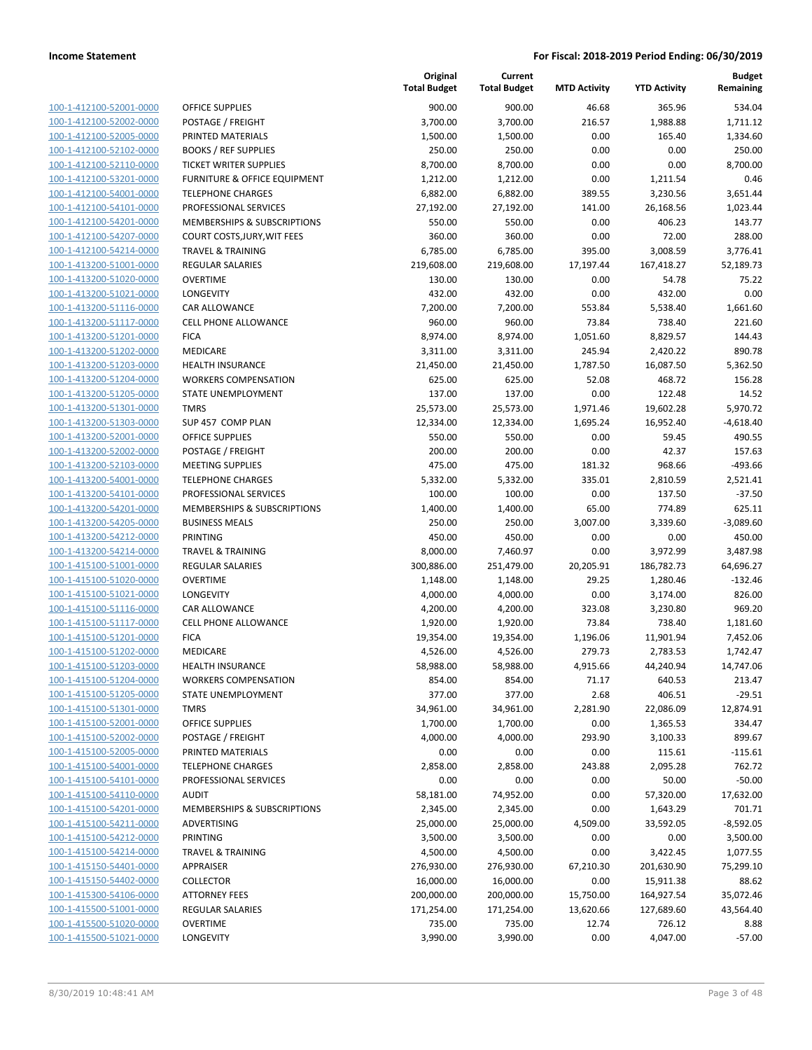| 100-1-412100-52001-0000             |
|-------------------------------------|
| 100-1-412100-52002-0000             |
| 100-1-412100-52005-0000             |
| 100-1-412100-52102-0000             |
| 100-1-412100-52110-0000             |
| 100-1-412100-53201-0000             |
| 100-1-412100-54001-0000             |
| 100-1-412100-54101-0000             |
| 100-1-412100-54201-0000             |
| 100-1-412100-54207-0000             |
| 100-1-412100-54214-0000             |
| 100-1-413200-51001-0000             |
| 100-1-413200-51020-0000             |
| 100-1-413200-51021-0000             |
| <u>100-1-413200-51116-0000</u>      |
| 100-1-413200-51117-0000             |
| 100-1-413200-51201-0000             |
|                                     |
| 100-1-413200-51202-0000             |
| 100-1-413200-51203-0000             |
| 100-1-413200-51204-0000             |
| 100-1-413200-51205-0000             |
| 100-1-413200-51301-0000             |
| 100-1-413200-51303-0000             |
| 100-1-413200-52001-0000             |
| <u>100-1-413200-52002-0000</u>      |
| 100-1-413200-52103-0000             |
| 100-1-413200-54001-0000             |
| 100-1-413200-54101-0000             |
| 100-1-413200-54201-0000             |
| 100-1-413200-54205-0000             |
| 100-1-413200-54212-0000             |
| 100-1-413200-54214-0000             |
| 100-1-415100-51001-0000             |
| 100-1-415100-51020-0000             |
| <u>100-1-415100-51021-0000</u>      |
| 100-1-415100-51116-0000             |
| 100-1-415100-51117-0000             |
| 100-1-415100-51201-0000             |
|                                     |
| 100-1-415100-51202-0000             |
| 100-1-415100-51203-0000             |
| 100-1-415100-51204-0000             |
| 1-415100-51205-0000<br><u> 100-</u> |
| 100-1-415100-51301-0000             |
| <u>100-1-415100-52001-0000</u>      |
| 100-1-415100-52002-0000             |
| 100-1-415100-52005-0000             |
| 1-415100-54001-0000<br>$100 -$      |
| 100-1-415100-54101-0000             |
| <u>100-1-415100-54110-0000</u>      |
| <u>100-1-415100-54201-0000</u>      |
| <u>100-1-415100-54211-0000</u>      |
| 1-415100-54212-0000<br>$100 -$      |
| 100-1-415100-54214-0000             |
| <u>100-1-415150-54401-0000</u>      |
| 100-1-415150-54402-0000             |
|                                     |
| <u>100-1-415300-54106-0000</u>      |
| 1-415500-51001-0000<br><u> 100-</u> |
| 100-1-415500-51020-0000             |
| 100-1-415500-51021-0000             |

|                                                    |                                                   | Original<br><b>Total Budget</b> | Current<br><b>Total Budget</b> | <b>MTD Activity</b>    | <b>YTD Activity</b>     | <b>Budget</b><br>Remaining |
|----------------------------------------------------|---------------------------------------------------|---------------------------------|--------------------------------|------------------------|-------------------------|----------------------------|
| 100-1-412100-52001-0000                            | <b>OFFICE SUPPLIES</b>                            | 900.00                          | 900.00                         | 46.68                  | 365.96                  | 534.04                     |
| 100-1-412100-52002-0000                            | POSTAGE / FREIGHT                                 | 3,700.00                        | 3,700.00                       | 216.57                 | 1,988.88                | 1,711.12                   |
| 100-1-412100-52005-0000                            | PRINTED MATERIALS                                 | 1,500.00                        | 1,500.00                       | 0.00                   | 165.40                  | 1,334.60                   |
| 100-1-412100-52102-0000                            | <b>BOOKS / REF SUPPLIES</b>                       | 250.00                          | 250.00                         | 0.00                   | 0.00                    | 250.00                     |
| 100-1-412100-52110-0000                            | <b>TICKET WRITER SUPPLIES</b>                     | 8,700.00                        | 8,700.00                       | 0.00                   | 0.00                    | 8,700.00                   |
| 100-1-412100-53201-0000                            | FURNITURE & OFFICE EQUIPMENT                      | 1,212.00                        | 1,212.00                       | 0.00                   | 1,211.54                | 0.46                       |
| 100-1-412100-54001-0000                            | <b>TELEPHONE CHARGES</b>                          | 6,882.00                        | 6,882.00                       | 389.55                 | 3,230.56                | 3,651.44                   |
| 100-1-412100-54101-0000                            | PROFESSIONAL SERVICES                             | 27,192.00                       | 27,192.00                      | 141.00                 | 26,168.56               | 1,023.44                   |
| 100-1-412100-54201-0000                            | MEMBERSHIPS & SUBSCRIPTIONS                       | 550.00                          | 550.00                         | 0.00                   | 406.23                  | 143.77                     |
| 100-1-412100-54207-0000                            | COURT COSTS, JURY, WIT FEES                       | 360.00                          | 360.00                         | 0.00                   | 72.00                   | 288.00                     |
| 100-1-412100-54214-0000                            | <b>TRAVEL &amp; TRAINING</b>                      | 6,785.00                        | 6,785.00                       | 395.00                 | 3,008.59                | 3,776.41                   |
| 100-1-413200-51001-0000                            | <b>REGULAR SALARIES</b>                           | 219,608.00                      | 219,608.00                     | 17,197.44              | 167,418.27              | 52,189.73                  |
| 100-1-413200-51020-0000                            | <b>OVERTIME</b>                                   | 130.00                          | 130.00                         | 0.00                   | 54.78                   | 75.22                      |
| 100-1-413200-51021-0000                            | LONGEVITY                                         | 432.00                          | 432.00                         | 0.00                   | 432.00                  | 0.00                       |
| 100-1-413200-51116-0000                            | CAR ALLOWANCE                                     | 7,200.00                        | 7,200.00                       | 553.84                 | 5,538.40                | 1,661.60                   |
| 100-1-413200-51117-0000                            | <b>CELL PHONE ALLOWANCE</b>                       | 960.00                          | 960.00                         | 73.84                  | 738.40                  | 221.60                     |
| 100-1-413200-51201-0000                            | <b>FICA</b>                                       | 8,974.00                        | 8,974.00                       | 1,051.60               | 8,829.57                | 144.43                     |
| 100-1-413200-51202-0000<br>100-1-413200-51203-0000 | <b>MEDICARE</b>                                   | 3,311.00                        | 3,311.00                       | 245.94                 | 2,420.22                | 890.78                     |
| 100-1-413200-51204-0000                            | <b>HEALTH INSURANCE</b>                           | 21,450.00<br>625.00             | 21,450.00<br>625.00            | 1,787.50<br>52.08      | 16,087.50<br>468.72     | 5,362.50<br>156.28         |
| 100-1-413200-51205-0000                            | <b>WORKERS COMPENSATION</b><br>STATE UNEMPLOYMENT | 137.00                          | 137.00                         | 0.00                   | 122.48                  | 14.52                      |
| 100-1-413200-51301-0000                            | <b>TMRS</b>                                       | 25,573.00                       | 25,573.00                      | 1,971.46               | 19,602.28               | 5,970.72                   |
| 100-1-413200-51303-0000                            | SUP 457 COMP PLAN                                 | 12,334.00                       | 12,334.00                      | 1,695.24               | 16,952.40               | $-4,618.40$                |
| 100-1-413200-52001-0000                            | OFFICE SUPPLIES                                   | 550.00                          | 550.00                         | 0.00                   | 59.45                   | 490.55                     |
| 100-1-413200-52002-0000                            | POSTAGE / FREIGHT                                 | 200.00                          | 200.00                         | 0.00                   | 42.37                   | 157.63                     |
| 100-1-413200-52103-0000                            | <b>MEETING SUPPLIES</b>                           | 475.00                          | 475.00                         | 181.32                 | 968.66                  | $-493.66$                  |
| 100-1-413200-54001-0000                            | <b>TELEPHONE CHARGES</b>                          | 5,332.00                        | 5,332.00                       | 335.01                 | 2,810.59                | 2,521.41                   |
| 100-1-413200-54101-0000                            | PROFESSIONAL SERVICES                             | 100.00                          | 100.00                         | 0.00                   | 137.50                  | $-37.50$                   |
| 100-1-413200-54201-0000                            | MEMBERSHIPS & SUBSCRIPTIONS                       | 1,400.00                        | 1,400.00                       | 65.00                  | 774.89                  | 625.11                     |
| 100-1-413200-54205-0000                            | <b>BUSINESS MEALS</b>                             | 250.00                          | 250.00                         | 3,007.00               | 3,339.60                | $-3,089.60$                |
| 100-1-413200-54212-0000                            | PRINTING                                          | 450.00                          | 450.00                         | 0.00                   | 0.00                    | 450.00                     |
| 100-1-413200-54214-0000                            | <b>TRAVEL &amp; TRAINING</b>                      | 8,000.00                        | 7,460.97                       | 0.00                   | 3,972.99                | 3,487.98                   |
| 100-1-415100-51001-0000                            | REGULAR SALARIES                                  | 300,886.00                      | 251,479.00                     | 20,205.91              | 186,782.73              | 64,696.27                  |
| 100-1-415100-51020-0000                            | <b>OVERTIME</b>                                   | 1,148.00                        | 1,148.00                       | 29.25                  | 1,280.46                | $-132.46$                  |
| 100-1-415100-51021-0000                            | LONGEVITY                                         | 4,000.00                        | 4,000.00                       | 0.00                   | 3,174.00                | 826.00                     |
| 100-1-415100-51116-0000                            | CAR ALLOWANCE                                     | 4,200.00                        | 4,200.00                       | 323.08                 | 3,230.80                | 969.20                     |
| 100-1-415100-51117-0000                            | <b>CELL PHONE ALLOWANCE</b>                       | 1,920.00                        | 1,920.00                       | 73.84                  | 738.40                  | 1,181.60                   |
| 100-1-415100-51201-0000                            | <b>FICA</b>                                       | 19,354.00                       | 19,354.00                      | 1,196.06               | 11,901.94               | 7,452.06                   |
| 100-1-415100-51202-0000                            | MEDICARE                                          | 4,526.00                        | 4,526.00                       | 279.73                 | 2,783.53                | 1,742.47                   |
| 100-1-415100-51203-0000                            | <b>HEALTH INSURANCE</b>                           | 58,988.00                       | 58,988.00                      | 4,915.66               | 44,240.94               | 14,747.06                  |
| 100-1-415100-51204-0000                            | <b>WORKERS COMPENSATION</b>                       | 854.00                          | 854.00                         | 71.17                  | 640.53                  | 213.47                     |
| 100-1-415100-51205-0000                            | STATE UNEMPLOYMENT                                | 377.00                          | 377.00                         | 2.68                   | 406.51                  | $-29.51$                   |
| 100-1-415100-51301-0000                            | <b>TMRS</b>                                       | 34,961.00                       | 34,961.00                      | 2,281.90               | 22,086.09               | 12,874.91                  |
| 100-1-415100-52001-0000                            | OFFICE SUPPLIES                                   | 1,700.00                        | 1,700.00                       | 0.00                   | 1,365.53                | 334.47                     |
| 100-1-415100-52002-0000                            | POSTAGE / FREIGHT                                 | 4,000.00                        | 4,000.00                       | 293.90                 | 3,100.33                | 899.67                     |
| 100-1-415100-52005-0000                            | PRINTED MATERIALS                                 | 0.00                            | 0.00                           | 0.00                   | 115.61                  | $-115.61$                  |
| 100-1-415100-54001-0000                            | <b>TELEPHONE CHARGES</b>                          | 2,858.00                        | 2,858.00                       | 243.88                 | 2,095.28                | 762.72                     |
| 100-1-415100-54101-0000                            | PROFESSIONAL SERVICES                             | 0.00                            | 0.00                           | 0.00                   | 50.00                   | $-50.00$                   |
| 100-1-415100-54110-0000                            | <b>AUDIT</b>                                      | 58,181.00                       | 74,952.00                      | 0.00                   | 57,320.00               | 17,632.00                  |
| 100-1-415100-54201-0000                            | MEMBERSHIPS & SUBSCRIPTIONS                       | 2,345.00                        | 2,345.00                       | 0.00                   | 1,643.29                | 701.71                     |
| 100-1-415100-54211-0000                            | ADVERTISING                                       | 25,000.00                       | 25,000.00                      | 4,509.00               | 33,592.05               | $-8,592.05$                |
| 100-1-415100-54212-0000                            | PRINTING                                          | 3,500.00                        | 3,500.00                       | 0.00                   | 0.00                    | 3,500.00                   |
| 100-1-415100-54214-0000                            | <b>TRAVEL &amp; TRAINING</b>                      | 4,500.00                        | 4,500.00                       | 0.00                   | 3,422.45                | 1,077.55                   |
| 100-1-415150-54401-0000                            | APPRAISER                                         | 276,930.00                      | 276,930.00                     | 67,210.30              | 201,630.90              | 75,299.10                  |
| 100-1-415150-54402-0000                            | <b>COLLECTOR</b>                                  | 16,000.00                       | 16,000.00                      | 0.00                   | 15,911.38<br>164,927.54 | 88.62                      |
| 100-1-415300-54106-0000<br>100-1-415500-51001-0000 | <b>ATTORNEY FEES</b><br><b>REGULAR SALARIES</b>   | 200,000.00<br>171,254.00        | 200,000.00                     | 15,750.00<br>13,620.66 |                         | 35,072.46<br>43,564.40     |
| 100-1-415500-51020-0000                            | <b>OVERTIME</b>                                   | 735.00                          | 171,254.00<br>735.00           | 12.74                  | 127,689.60<br>726.12    | 8.88                       |
| 100-1-415500-51021-0000                            | LONGEVITY                                         | 3,990.00                        | 3,990.00                       | 0.00                   | 4,047.00                | $-57.00$                   |
|                                                    |                                                   |                                 |                                |                        |                         |                            |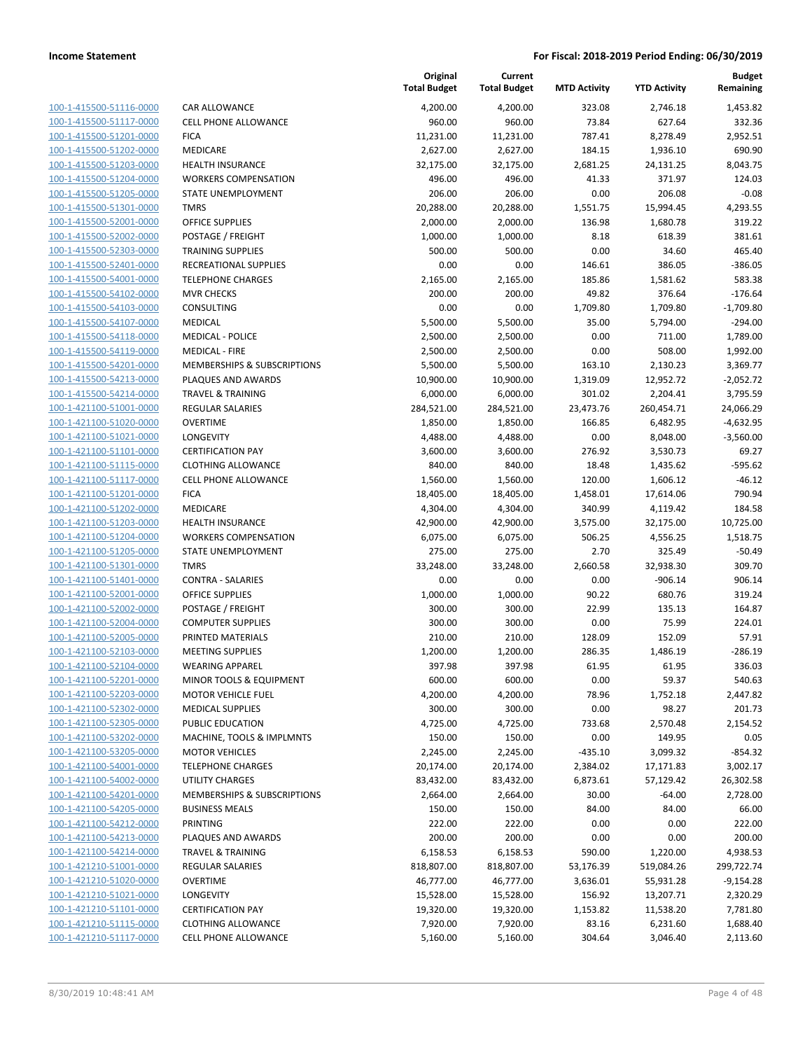| 100-1-415500-51116-0000        |
|--------------------------------|
| 100-1-415500-51117-0000        |
| 100-1-415500-51201-0000        |
| <u>100-1-415500-51202-0000</u> |
| 100-1-415500-51203-0000        |
| 100-1-415500-51204-0000        |
| 100-1-415500-51205-0000        |
| 100-1-415500-51301-0000        |
| 100-1-415500-52001-0000        |
| 100-1-415500-52002-0000        |
| 100-1-415500-52303-0000        |
| 100-1-415500-52401-0000        |
| 100-1-415500-54001-0000        |
| <u>100-1-415500-54102-0000</u> |
|                                |
| 100-1-415500-54103-0000        |
| 100-1-415500-54107-0000        |
| 100-1-415500-54118-0000        |
| 100-1-415500-54119-0000        |
| 100-1-415500-54201-0000        |
| 100-1-415500-54213-0000        |
| 100-1-415500-54214-0000        |
| 100-1-421100-51001-0000        |
| 100-1-421100-51020-0000        |
| <u>100-1-421100-51021-0000</u> |
| 100-1-421100-51101-0000        |
| 100-1-421100-51115-0000        |
| 100-1-421100-51117-0000        |
| 100-1-421100-51201-0000        |
| <u>100-1-421100-51202-0000</u> |
| 100-1-421100-51203-0000        |
| 100-1-421100-51204-0000        |
| 100-1-421100-51205-0000        |
| 100-1-421100-51301-0000        |
|                                |
| <u>100-1-421100-51401-0000</u> |
| 100-1-421100-52001-0000        |
| 100-1-421100-52002-0000        |
| 100-1-421100-52004-0000        |
| 100-1-421100-52005-0000        |
| 100-1-421100-52103-0000        |
| 100-1-421100-52104-0000        |
| 100-1-421100-52201-0000        |
| <u>100-1-421100-52203-0000</u> |
| 100-1-421100-52302-0000        |
| 100-1-421100-52305-0000        |
| 100-1-421100-53202-0000        |
| <u>100-1-421100-53205-0000</u> |
| 100-1-421100-54001-0000        |
| 100-1-421100-54002-0000        |
| 100-1-421100-54201-0000        |
| 100-1-421100-54205-0000        |
| 100-1-421100-54212-0000        |
| 100-1-421100-54213-0000        |
| 100-1-421100-54214-0000        |
|                                |
| 100-1-421210-51001-0000        |
| <u>100-1-421210-51020-0000</u> |
| <u>100-1-421210-51021-0000</u> |
| <u>100-1-421210-51101-0000</u> |
| 100-1-421210-51115-0000        |
| <u>100-1-421210-51117-0000</u> |
|                                |

|                         |                                        | Original<br><b>Total Budget</b> | Current<br><b>Total Budget</b> | <b>MTD Activity</b> | <b>YTD Activity</b> | <b>Budget</b><br>Remaining |
|-------------------------|----------------------------------------|---------------------------------|--------------------------------|---------------------|---------------------|----------------------------|
| 100-1-415500-51116-0000 | <b>CAR ALLOWANCE</b>                   | 4,200.00                        | 4,200.00                       | 323.08              | 2,746.18            | 1,453.82                   |
| 100-1-415500-51117-0000 | <b>CELL PHONE ALLOWANCE</b>            | 960.00                          | 960.00                         | 73.84               | 627.64              | 332.36                     |
| 100-1-415500-51201-0000 | <b>FICA</b>                            | 11,231.00                       | 11,231.00                      | 787.41              | 8,278.49            | 2,952.51                   |
| 100-1-415500-51202-0000 | MEDICARE                               | 2,627.00                        | 2,627.00                       | 184.15              | 1,936.10            | 690.90                     |
| 100-1-415500-51203-0000 | <b>HEALTH INSURANCE</b>                | 32,175.00                       | 32,175.00                      | 2,681.25            | 24,131.25           | 8,043.75                   |
| 100-1-415500-51204-0000 | <b>WORKERS COMPENSATION</b>            | 496.00                          | 496.00                         | 41.33               | 371.97              | 124.03                     |
| 100-1-415500-51205-0000 | <b>STATE UNEMPLOYMENT</b>              | 206.00                          | 206.00                         | 0.00                | 206.08              | $-0.08$                    |
| 100-1-415500-51301-0000 | <b>TMRS</b>                            | 20,288.00                       | 20,288.00                      | 1,551.75            | 15,994.45           | 4,293.55                   |
| 100-1-415500-52001-0000 | <b>OFFICE SUPPLIES</b>                 | 2,000.00                        | 2,000.00                       | 136.98              | 1,680.78            | 319.22                     |
| 100-1-415500-52002-0000 | POSTAGE / FREIGHT                      | 1,000.00                        | 1,000.00                       | 8.18                | 618.39              | 381.61                     |
| 100-1-415500-52303-0000 | <b>TRAINING SUPPLIES</b>               | 500.00                          | 500.00                         | 0.00                | 34.60               | 465.40                     |
| 100-1-415500-52401-0000 | RECREATIONAL SUPPLIES                  | 0.00                            | 0.00                           | 146.61              | 386.05              | $-386.05$                  |
| 100-1-415500-54001-0000 | <b>TELEPHONE CHARGES</b>               | 2,165.00                        | 2,165.00                       | 185.86              | 1,581.62            | 583.38                     |
| 100-1-415500-54102-0000 | <b>MVR CHECKS</b>                      | 200.00                          | 200.00                         | 49.82               | 376.64              | $-176.64$                  |
| 100-1-415500-54103-0000 | CONSULTING                             | 0.00                            | 0.00                           | 1,709.80            | 1,709.80            | $-1,709.80$                |
| 100-1-415500-54107-0000 | <b>MEDICAL</b>                         | 5,500.00                        | 5,500.00                       | 35.00               | 5,794.00            | $-294.00$                  |
| 100-1-415500-54118-0000 | <b>MEDICAL - POLICE</b>                | 2,500.00                        | 2,500.00                       | 0.00                | 711.00              | 1,789.00                   |
| 100-1-415500-54119-0000 | <b>MEDICAL - FIRE</b>                  | 2,500.00                        | 2,500.00                       | 0.00                | 508.00              | 1,992.00                   |
| 100-1-415500-54201-0000 | MEMBERSHIPS & SUBSCRIPTIONS            | 5,500.00                        | 5,500.00                       | 163.10              | 2,130.23            | 3,369.77                   |
| 100-1-415500-54213-0000 | PLAQUES AND AWARDS                     | 10,900.00                       | 10,900.00                      | 1,319.09            | 12,952.72           | $-2,052.72$                |
| 100-1-415500-54214-0000 | <b>TRAVEL &amp; TRAINING</b>           | 6,000.00                        | 6,000.00                       | 301.02              | 2,204.41            | 3,795.59                   |
| 100-1-421100-51001-0000 | <b>REGULAR SALARIES</b>                | 284,521.00                      | 284,521.00                     | 23,473.76           | 260,454.71          | 24,066.29                  |
| 100-1-421100-51020-0000 | <b>OVERTIME</b>                        | 1,850.00                        | 1,850.00                       | 166.85              | 6,482.95            | $-4,632.95$                |
| 100-1-421100-51021-0000 | LONGEVITY                              | 4,488.00                        | 4,488.00                       | 0.00                | 8,048.00            | $-3,560.00$                |
| 100-1-421100-51101-0000 | <b>CERTIFICATION PAY</b>               | 3,600.00                        | 3,600.00                       | 276.92              | 3,530.73            | 69.27                      |
| 100-1-421100-51115-0000 | <b>CLOTHING ALLOWANCE</b>              | 840.00                          | 840.00                         | 18.48               | 1,435.62            | $-595.62$                  |
| 100-1-421100-51117-0000 | <b>CELL PHONE ALLOWANCE</b>            | 1,560.00                        | 1,560.00                       | 120.00              | 1,606.12            | $-46.12$                   |
| 100-1-421100-51201-0000 | <b>FICA</b>                            | 18,405.00                       | 18,405.00                      | 1,458.01            | 17,614.06           | 790.94                     |
| 100-1-421100-51202-0000 | MEDICARE                               | 4,304.00                        | 4,304.00                       | 340.99              | 4,119.42            | 184.58                     |
| 100-1-421100-51203-0000 | <b>HEALTH INSURANCE</b>                | 42,900.00                       | 42,900.00                      | 3,575.00            | 32,175.00           | 10,725.00                  |
| 100-1-421100-51204-0000 | <b>WORKERS COMPENSATION</b>            | 6,075.00                        | 6,075.00                       | 506.25              | 4,556.25            | 1,518.75                   |
| 100-1-421100-51205-0000 | <b>STATE UNEMPLOYMENT</b>              | 275.00                          | 275.00                         | 2.70                | 325.49              | $-50.49$                   |
| 100-1-421100-51301-0000 | <b>TMRS</b>                            | 33,248.00                       | 33,248.00                      | 2,660.58            | 32,938.30           | 309.70                     |
| 100-1-421100-51401-0000 | <b>CONTRA - SALARIES</b>               | 0.00                            | 0.00                           | 0.00                | $-906.14$           | 906.14                     |
| 100-1-421100-52001-0000 | <b>OFFICE SUPPLIES</b>                 | 1,000.00                        | 1,000.00                       | 90.22               | 680.76              | 319.24                     |
| 100-1-421100-52002-0000 | POSTAGE / FREIGHT                      | 300.00                          | 300.00                         | 22.99               | 135.13              | 164.87                     |
| 100-1-421100-52004-0000 | <b>COMPUTER SUPPLIES</b>               | 300.00                          | 300.00                         | 0.00                | 75.99               | 224.01                     |
| 100-1-421100-52005-0000 | PRINTED MATERIALS                      | 210.00                          | 210.00                         | 128.09              | 152.09              | 57.91                      |
| 100-1-421100-52103-0000 | <b>MEETING SUPPLIES</b>                | 1,200.00                        | 1,200.00                       | 286.35              | 1,486.19            | $-286.19$                  |
| 100-1-421100-52104-0000 | <b>WEARING APPAREL</b>                 | 397.98                          | 397.98                         | 61.95               | 61.95               | 336.03                     |
| 100-1-421100-52201-0000 | MINOR TOOLS & EQUIPMENT                | 600.00                          | 600.00                         | 0.00                | 59.37               | 540.63                     |
| 100-1-421100-52203-0000 | <b>MOTOR VEHICLE FUEL</b>              | 4,200.00                        | 4,200.00                       | 78.96               | 1,752.18            | 2,447.82                   |
| 100-1-421100-52302-0000 | <b>MEDICAL SUPPLIES</b>                | 300.00                          | 300.00                         | 0.00                | 98.27               | 201.73                     |
| 100-1-421100-52305-0000 | PUBLIC EDUCATION                       | 4,725.00                        | 4,725.00                       | 733.68              | 2,570.48            | 2,154.52                   |
| 100-1-421100-53202-0000 | MACHINE, TOOLS & IMPLMNTS              | 150.00                          | 150.00                         | 0.00                | 149.95              | 0.05                       |
| 100-1-421100-53205-0000 | <b>MOTOR VEHICLES</b>                  | 2,245.00                        | 2,245.00                       | $-435.10$           | 3,099.32            | $-854.32$                  |
| 100-1-421100-54001-0000 | <b>TELEPHONE CHARGES</b>               | 20,174.00                       | 20,174.00                      | 2,384.02            | 17,171.83           | 3,002.17                   |
| 100-1-421100-54002-0000 | UTILITY CHARGES                        | 83,432.00                       | 83,432.00                      | 6,873.61            | 57,129.42           | 26,302.58                  |
| 100-1-421100-54201-0000 | <b>MEMBERSHIPS &amp; SUBSCRIPTIONS</b> | 2,664.00                        | 2,664.00                       | 30.00               | $-64.00$            | 2,728.00                   |
| 100-1-421100-54205-0000 | <b>BUSINESS MEALS</b>                  | 150.00                          | 150.00                         | 84.00               | 84.00               | 66.00                      |
| 100-1-421100-54212-0000 | <b>PRINTING</b>                        | 222.00                          | 222.00                         | 0.00                | 0.00                | 222.00                     |
| 100-1-421100-54213-0000 | PLAQUES AND AWARDS                     | 200.00                          | 200.00                         | 0.00                | 0.00                | 200.00                     |
| 100-1-421100-54214-0000 | <b>TRAVEL &amp; TRAINING</b>           | 6,158.53                        | 6,158.53                       | 590.00              | 1,220.00            | 4,938.53                   |
| 100-1-421210-51001-0000 | <b>REGULAR SALARIES</b>                | 818,807.00                      | 818,807.00                     | 53,176.39           | 519,084.26          | 299,722.74                 |
| 100-1-421210-51020-0000 | <b>OVERTIME</b>                        | 46,777.00                       | 46,777.00                      | 3,636.01            | 55,931.28           | $-9,154.28$                |
| 100-1-421210-51021-0000 | <b>LONGEVITY</b>                       | 15,528.00                       | 15,528.00                      | 156.92              | 13,207.71           | 2,320.29                   |
| 100-1-421210-51101-0000 | <b>CERTIFICATION PAY</b>               | 19,320.00                       | 19,320.00                      | 1,153.82            | 11,538.20           | 7,781.80                   |
| 100-1-421210-51115-0000 | <b>CLOTHING ALLOWANCE</b>              | 7,920.00                        | 7,920.00                       | 83.16               | 6,231.60            | 1,688.40                   |
| 100-1-421210-51117-0000 | <b>CELL PHONE ALLOWANCE</b>            | 5,160.00                        | 5,160.00                       | 304.64              | 3,046.40            | 2,113.60                   |
|                         |                                        |                                 |                                |                     |                     |                            |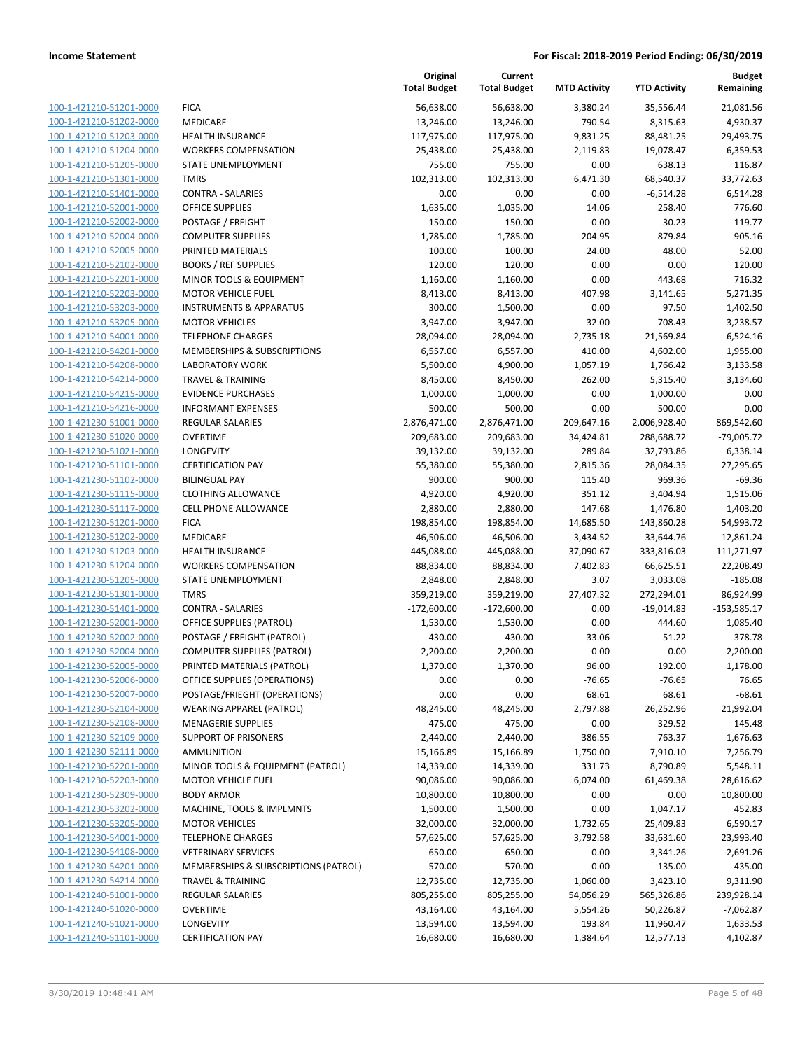| 100-1-421210-51201-0000                            |
|----------------------------------------------------|
| 100-1-421210-51202-0000                            |
| 100-1-421210-51203-0000                            |
| 100-1-421210-51204-0000                            |
| 100-1-421210-51205-0000                            |
| 100-1-421210-51301-0000                            |
| 100-1-421210-51401-0000                            |
| 100-1-421210-52001-0000                            |
| 100-1-421210-52002-0000                            |
| 100-1-421210-52004-0000                            |
| 100-1-421210-52005-0000                            |
| 100-1-421210-52102-0000                            |
| 100-1-421210-52201-0000                            |
| 100-1-421210-52203-0000                            |
| 100-1-421210-53203-0000                            |
| 100-1-421210-53205-0000                            |
| 100-1-421210-54001-0000                            |
| 100-1-421210-54201-0000                            |
| 100-1-421210-54208-0000                            |
| 100-1-421210-54214-0000                            |
| 100-1-421210-54215-0000                            |
| 100-1-421210-54216-0000                            |
| 100-1-421230-51001-0000                            |
| 100-1-421230-51020-0000                            |
|                                                    |
| 100-1-421230-51021-0000<br>100-1-421230-51101-0000 |
|                                                    |
| 100-1-421230-51102-0000                            |
| 100-1-421230-51115-0000                            |
| 100-1-421230-51117-0000                            |
| 100-1-421230-51201-0000                            |
| 100-1-421230-51202-0000                            |
| 100-1-421230-51203-0000                            |
| 100-1-421230-51204-0000                            |
| 100-1-421230-51205-0000                            |
| <u>100-1-421230-51301-0000</u>                     |
| 100-1-421230-51401-0000                            |
| 100-1-421230-52001-0000                            |
| 100-1-421230-52002-0000                            |
| 100-1-421230-52004-0000                            |
| 100-1-421230-52005-0000                            |
| 100-1-421230-52006-0000                            |
| <u>100-1-421230-52007-0000</u>                     |
| 100-1-421230-52104-0000                            |
| 100-1-421230-52108-0000                            |
| 100-1-421230-52109-0000                            |
| <u>100-1-421230-52111-0000</u>                     |
| <u>100-1-421230-52201-0000</u>                     |
| 100-1-421230-52203-0000                            |
| <u>100-1-421230-52309-0000</u>                     |
| 100-1-421230-53202-0000                            |
| <u>100-1-421230-53205-0000</u>                     |
| 100-1-421230-54001-0000                            |
| <u>100-1-421230-54108-0000</u>                     |
| 100-1-421230-54201-0000                            |
| 100-1-421230-54214-0000                            |
| <u>100-1-421240-51001-0000</u>                     |
| <u>100-1-421240-51020-0000</u>                     |
| <u>100-1-421240-51021-0000</u>                     |
| 100-1-421240-51101-0000                            |
|                                                    |

|                                                    |                                          | Original<br><b>Total Budget</b> | Current<br><b>Total Budget</b> | <b>MTD Activity</b> | <b>YTD Activity</b>        | Budget<br>Remaining        |
|----------------------------------------------------|------------------------------------------|---------------------------------|--------------------------------|---------------------|----------------------------|----------------------------|
| 100-1-421210-51201-0000                            | <b>FICA</b>                              | 56,638.00                       | 56,638.00                      | 3,380.24            | 35,556.44                  | 21,081.56                  |
| 100-1-421210-51202-0000                            | MEDICARE                                 | 13,246.00                       | 13,246.00                      | 790.54              | 8,315.63                   | 4,930.37                   |
| 100-1-421210-51203-0000                            | <b>HEALTH INSURANCE</b>                  | 117,975.00                      | 117,975.00                     | 9,831.25            | 88,481.25                  | 29,493.75                  |
| 100-1-421210-51204-0000                            | <b>WORKERS COMPENSATION</b>              | 25,438.00                       | 25,438.00                      | 2,119.83            | 19,078.47                  | 6,359.53                   |
| 100-1-421210-51205-0000                            | <b>STATE UNEMPLOYMENT</b>                | 755.00                          | 755.00                         | 0.00                | 638.13                     | 116.87                     |
| 100-1-421210-51301-0000                            | <b>TMRS</b>                              | 102,313.00                      | 102,313.00                     | 6,471.30            | 68,540.37                  | 33,772.63                  |
| 100-1-421210-51401-0000                            | <b>CONTRA - SALARIES</b>                 | 0.00                            | 0.00                           | 0.00                | $-6,514.28$                | 6,514.28                   |
| 100-1-421210-52001-0000                            | <b>OFFICE SUPPLIES</b>                   | 1,635.00                        | 1,035.00                       | 14.06               | 258.40                     | 776.60                     |
| 100-1-421210-52002-0000                            | POSTAGE / FREIGHT                        | 150.00                          | 150.00                         | 0.00                | 30.23                      | 119.77                     |
| 100-1-421210-52004-0000                            | <b>COMPUTER SUPPLIES</b>                 | 1,785.00                        | 1,785.00                       | 204.95              | 879.84                     | 905.16                     |
| 100-1-421210-52005-0000                            | PRINTED MATERIALS                        | 100.00                          | 100.00                         | 24.00               | 48.00                      | 52.00                      |
| 100-1-421210-52102-0000                            | <b>BOOKS / REF SUPPLIES</b>              | 120.00                          | 120.00                         | 0.00                | 0.00                       | 120.00                     |
| 100-1-421210-52201-0000                            | MINOR TOOLS & EQUIPMENT                  | 1,160.00                        | 1,160.00                       | 0.00                | 443.68                     | 716.32                     |
| 100-1-421210-52203-0000                            | <b>MOTOR VEHICLE FUEL</b>                | 8,413.00                        | 8,413.00                       | 407.98              | 3,141.65                   | 5,271.35                   |
| 100-1-421210-53203-0000                            | <b>INSTRUMENTS &amp; APPARATUS</b>       | 300.00                          | 1,500.00                       | 0.00                | 97.50                      | 1,402.50                   |
| 100-1-421210-53205-0000                            | <b>MOTOR VEHICLES</b>                    | 3,947.00                        | 3,947.00                       | 32.00               | 708.43                     | 3,238.57                   |
| 100-1-421210-54001-0000                            | <b>TELEPHONE CHARGES</b>                 | 28,094.00                       | 28,094.00                      | 2,735.18            | 21,569.84                  | 6,524.16                   |
| 100-1-421210-54201-0000                            | MEMBERSHIPS & SUBSCRIPTIONS              | 6,557.00                        | 6,557.00                       | 410.00              | 4,602.00                   | 1,955.00                   |
| 100-1-421210-54208-0000                            | <b>LABORATORY WORK</b>                   | 5,500.00                        | 4,900.00                       | 1,057.19            | 1,766.42                   | 3,133.58                   |
| 100-1-421210-54214-0000                            | <b>TRAVEL &amp; TRAINING</b>             | 8,450.00                        | 8,450.00                       | 262.00              | 5,315.40                   | 3,134.60                   |
| 100-1-421210-54215-0000                            | <b>EVIDENCE PURCHASES</b>                | 1,000.00                        | 1,000.00                       | 0.00                | 1,000.00                   | 0.00                       |
| 100-1-421210-54216-0000                            | <b>INFORMANT EXPENSES</b>                | 500.00                          | 500.00                         | 0.00                | 500.00                     | 0.00                       |
| 100-1-421230-51001-0000                            | <b>REGULAR SALARIES</b>                  | 2,876,471.00                    | 2,876,471.00                   | 209,647.16          | 2,006,928.40               | 869,542.60                 |
| 100-1-421230-51020-0000                            | <b>OVERTIME</b>                          | 209,683.00                      | 209,683.00                     | 34,424.81           | 288,688.72                 | $-79,005.72$               |
| 100-1-421230-51021-0000                            | <b>LONGEVITY</b>                         | 39,132.00                       | 39,132.00                      | 289.84              | 32,793.86                  | 6,338.14                   |
| 100-1-421230-51101-0000                            | <b>CERTIFICATION PAY</b>                 | 55,380.00                       | 55,380.00                      | 2,815.36            | 28,084.35                  | 27,295.65                  |
| 100-1-421230-51102-0000                            | <b>BILINGUAL PAY</b>                     | 900.00                          | 900.00                         | 115.40              | 969.36                     | $-69.36$                   |
| 100-1-421230-51115-0000                            | <b>CLOTHING ALLOWANCE</b>                | 4,920.00                        | 4,920.00                       | 351.12              | 3,404.94                   | 1,515.06                   |
| 100-1-421230-51117-0000                            | <b>CELL PHONE ALLOWANCE</b>              | 2,880.00                        | 2,880.00                       | 147.68              | 1,476.80                   | 1,403.20                   |
| 100-1-421230-51201-0000                            | <b>FICA</b>                              | 198,854.00                      | 198,854.00                     | 14,685.50           | 143,860.28                 | 54,993.72                  |
| 100-1-421230-51202-0000                            | MEDICARE                                 | 46,506.00                       | 46,506.00                      | 3,434.52            | 33,644.76                  | 12,861.24                  |
| 100-1-421230-51203-0000                            | <b>HEALTH INSURANCE</b>                  | 445,088.00                      | 445,088.00                     | 37,090.67           | 333,816.03                 | 111,271.97                 |
| 100-1-421230-51204-0000                            | <b>WORKERS COMPENSATION</b>              | 88,834.00                       | 88,834.00                      | 7,402.83            | 66,625.51                  | 22,208.49                  |
| 100-1-421230-51205-0000                            | <b>STATE UNEMPLOYMENT</b><br><b>TMRS</b> | 2,848.00                        | 2,848.00                       | 3.07                | 3,033.08                   | $-185.08$                  |
| 100-1-421230-51301-0000<br>100-1-421230-51401-0000 | <b>CONTRA - SALARIES</b>                 | 359,219.00<br>$-172,600.00$     | 359,219.00<br>$-172,600.00$    | 27,407.32<br>0.00   | 272,294.01<br>$-19,014.83$ | 86,924.99<br>$-153,585.17$ |
| 100-1-421230-52001-0000                            | <b>OFFICE SUPPLIES (PATROL)</b>          | 1,530.00                        | 1,530.00                       | 0.00                | 444.60                     | 1,085.40                   |
| 100-1-421230-52002-0000                            | POSTAGE / FREIGHT (PATROL)               | 430.00                          | 430.00                         | 33.06               | 51.22                      | 378.78                     |
| 100-1-421230-52004-0000                            | <b>COMPUTER SUPPLIES (PATROL)</b>        | 2,200.00                        | 2,200.00                       | 0.00                | 0.00                       | 2,200.00                   |
| 100-1-421230-52005-0000                            | PRINTED MATERIALS (PATROL)               | 1,370.00                        | 1,370.00                       | 96.00               | 192.00                     | 1,178.00                   |
| 100-1-421230-52006-0000                            | OFFICE SUPPLIES (OPERATIONS)             | 0.00                            | 0.00                           | $-76.65$            | $-76.65$                   | 76.65                      |
| 100-1-421230-52007-0000                            | POSTAGE/FRIEGHT (OPERATIONS)             | 0.00                            | 0.00                           | 68.61               | 68.61                      | $-68.61$                   |
| 100-1-421230-52104-0000                            | <b>WEARING APPAREL (PATROL)</b>          | 48,245.00                       | 48,245.00                      | 2,797.88            | 26,252.96                  | 21,992.04                  |
| 100-1-421230-52108-0000                            | <b>MENAGERIE SUPPLIES</b>                | 475.00                          | 475.00                         | 0.00                | 329.52                     | 145.48                     |
| 100-1-421230-52109-0000                            | <b>SUPPORT OF PRISONERS</b>              | 2,440.00                        | 2,440.00                       | 386.55              | 763.37                     | 1,676.63                   |
| 100-1-421230-52111-0000                            | <b>AMMUNITION</b>                        | 15,166.89                       | 15,166.89                      | 1,750.00            | 7,910.10                   | 7,256.79                   |
| 100-1-421230-52201-0000                            | MINOR TOOLS & EQUIPMENT (PATROL)         | 14,339.00                       | 14,339.00                      | 331.73              | 8,790.89                   | 5,548.11                   |
| 100-1-421230-52203-0000                            | <b>MOTOR VEHICLE FUEL</b>                | 90,086.00                       | 90,086.00                      | 6,074.00            | 61,469.38                  | 28,616.62                  |
| 100-1-421230-52309-0000                            | <b>BODY ARMOR</b>                        | 10,800.00                       | 10,800.00                      | 0.00                | 0.00                       | 10,800.00                  |
| 100-1-421230-53202-0000                            | MACHINE, TOOLS & IMPLMNTS                | 1,500.00                        | 1,500.00                       | 0.00                | 1,047.17                   | 452.83                     |
| 100-1-421230-53205-0000                            | <b>MOTOR VEHICLES</b>                    | 32,000.00                       | 32,000.00                      | 1,732.65            | 25,409.83                  | 6,590.17                   |
| 100-1-421230-54001-0000                            | <b>TELEPHONE CHARGES</b>                 | 57,625.00                       | 57,625.00                      | 3,792.58            | 33,631.60                  | 23,993.40                  |
| 100-1-421230-54108-0000                            | <b>VETERINARY SERVICES</b>               | 650.00                          | 650.00                         | 0.00                | 3,341.26                   | $-2,691.26$                |
| 100-1-421230-54201-0000                            | MEMBERSHIPS & SUBSCRIPTIONS (PATROL)     | 570.00                          | 570.00                         | 0.00                | 135.00                     | 435.00                     |
| 100-1-421230-54214-0000                            | <b>TRAVEL &amp; TRAINING</b>             | 12,735.00                       | 12,735.00                      | 1,060.00            | 3,423.10                   | 9,311.90                   |
| 100-1-421240-51001-0000                            | REGULAR SALARIES                         | 805,255.00                      | 805,255.00                     | 54,056.29           | 565,326.86                 | 239,928.14                 |
| 100-1-421240-51020-0000                            | <b>OVERTIME</b>                          | 43,164.00                       | 43,164.00                      | 5,554.26            | 50,226.87                  | $-7,062.87$                |
| 100-1-421240-51021-0000                            | LONGEVITY                                | 13,594.00                       | 13,594.00                      | 193.84              | 11,960.47                  | 1,633.53                   |
| 100-1-421240-51101-0000                            | <b>CERTIFICATION PAY</b>                 | 16,680.00                       | 16,680.00                      | 1,384.64            | 12,577.13                  | 4,102.87                   |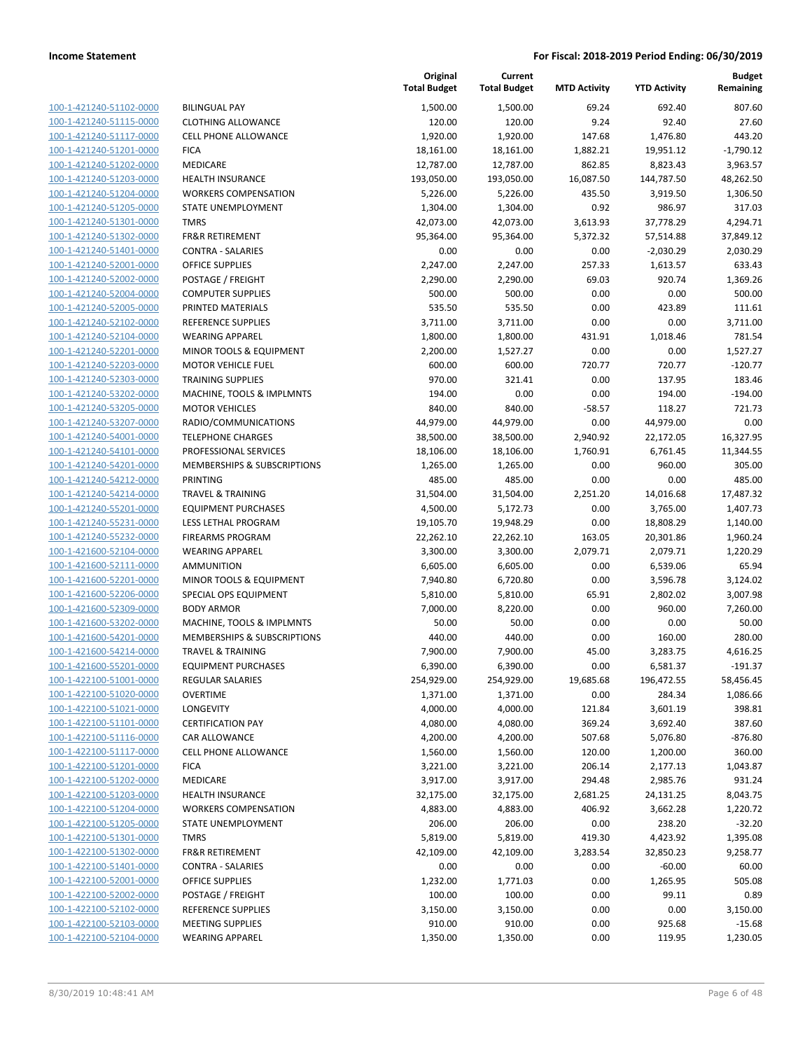| 100-1-421240-51102-0000        | E              |
|--------------------------------|----------------|
| 100-1-421240-51115-0000        | C              |
| 100-1-421240-51117-0000        | $\overline{a}$ |
| 100-1-421240-51201-0000        | F              |
|                                | ľ              |
| 100-1-421240-51202-0000        |                |
| 100-1-421240-51203-0000        | ŀ              |
| 100-1-421240-51204-0000        | ١              |
| 100-1-421240-51205-0000        | S              |
| 100-1-421240-51301-0000        | Ī              |
| 100-1-421240-51302-0000        | F              |
| 100-1-421240-51401-0000        | C              |
| 100-1-421240-52001-0000        | C              |
| 100-1-421240-52002-0000        | F              |
| 100-1-421240-52004-0000        | C              |
| 100-1-421240-52005-0000        | F              |
| 100-1-421240-52102-0000        | F              |
| 100-1-421240-52104-0000        | ١              |
| 100-1-421240-52201-0000        | ľ              |
| 100-1-421240-52203-0000        | ľ              |
| 100-1-421240-52303-0000        | ٦              |
| 100-1-421240-53202-0000        | ľ              |
| 100-1-421240-53205-0000        | ľ              |
| 100-1-421240-53207-0000        | F              |
| 100-1-421240-54001-0000        | I              |
| 100-1-421240-54101-0000        | F              |
| 100-1-421240-54201-0000        | ľ              |
|                                | F              |
| 100-1-421240-54212-0000        | Ī              |
| 100-1-421240-54214-0000        |                |
| 100-1-421240-55201-0000        | E              |
| 100-1-421240-55231-0000        | L              |
| 100-1-421240-55232-0000        | F              |
| 100-1-421600-52104-0000        | ١              |
| 100-1-421600-52111-0000        | ŀ              |
| 100-1-421600-52201-0000        | ľ              |
| 100-1-421600-52206-0000        | Ś              |
| 100-1-421600-52309-0000        | E              |
| 100-1-421600-53202-0000        | ľ              |
| 100-1-421600-54201-0000        | ľ              |
| 100-1-421600-54214-0000        | Ī              |
| 100-1-421600-55201-0000        | E              |
| 100-1-422100-51001-0000        | F              |
| <u>100-1-422100-51020-0000</u> | Ο              |
| 100-1-422100-51021-0000        | L              |
| 100-1-422100-51101-0000        | Ο              |
| 100-1-422100-51116-0000        | ι              |
| <u>100-1-422100-51117-0000</u> | ι              |
| 100-1-422100-51201-0000        | F              |
| 100-1-422100-51202-0000        | ľ              |
| 100-1-422100-51203-0000        | ŀ              |
| 100-1-422100-51204-0000        |                |
| 100-1-422100-51205-0000        | ς              |
|                                | ٦              |
| 100-1-422100-51301-0000        |                |
| 100-1-422100-51302-0000        | F              |
| 100-1-422100-51401-0000        | Ο              |
| 100-1-422100-52001-0000        | ι              |
| 100-1-422100-52002-0000        | F              |
| 100-1-422100-52102-0000        | F              |
| <u>100-1-422100-52103-0000</u> | ľ              |
| 100-1-422100-52104-0000        | Ι              |
|                                |                |

|                         |                              | Original<br><b>Total Budget</b> | Current<br><b>Total Budget</b> | <b>MTD Activity</b> | <b>YTD Activity</b> | <b>Budget</b><br>Remaining |
|-------------------------|------------------------------|---------------------------------|--------------------------------|---------------------|---------------------|----------------------------|
| 100-1-421240-51102-0000 | <b>BILINGUAL PAY</b>         | 1,500.00                        | 1,500.00                       | 69.24               | 692.40              | 807.60                     |
| 100-1-421240-51115-0000 | <b>CLOTHING ALLOWANCE</b>    | 120.00                          | 120.00                         | 9.24                | 92.40               | 27.60                      |
| 100-1-421240-51117-0000 | <b>CELL PHONE ALLOWANCE</b>  | 1,920.00                        | 1,920.00                       | 147.68              | 1,476.80            | 443.20                     |
| 100-1-421240-51201-0000 | <b>FICA</b>                  | 18,161.00                       | 18,161.00                      | 1,882.21            | 19,951.12           | $-1,790.12$                |
| 100-1-421240-51202-0000 | MEDICARE                     | 12,787.00                       | 12,787.00                      | 862.85              | 8,823.43            | 3,963.57                   |
| 100-1-421240-51203-0000 | <b>HEALTH INSURANCE</b>      | 193,050.00                      | 193,050.00                     | 16,087.50           | 144,787.50          | 48,262.50                  |
| 100-1-421240-51204-0000 | <b>WORKERS COMPENSATION</b>  | 5,226.00                        | 5,226.00                       | 435.50              | 3,919.50            | 1,306.50                   |
| 100-1-421240-51205-0000 | <b>STATE UNEMPLOYMENT</b>    | 1,304.00                        | 1,304.00                       | 0.92                | 986.97              | 317.03                     |
| 100-1-421240-51301-0000 | <b>TMRS</b>                  | 42,073.00                       | 42,073.00                      | 3,613.93            | 37,778.29           | 4,294.71                   |
| 100-1-421240-51302-0000 | <b>FR&amp;R RETIREMENT</b>   | 95,364.00                       | 95,364.00                      | 5,372.32            | 57,514.88           | 37,849.12                  |
| 100-1-421240-51401-0000 | <b>CONTRA - SALARIES</b>     | 0.00                            | 0.00                           | 0.00                | $-2,030.29$         | 2,030.29                   |
| 100-1-421240-52001-0000 | OFFICE SUPPLIES              | 2,247.00                        | 2,247.00                       | 257.33              | 1,613.57            | 633.43                     |
| 100-1-421240-52002-0000 | POSTAGE / FREIGHT            | 2,290.00                        | 2,290.00                       | 69.03               | 920.74              | 1,369.26                   |
| 100-1-421240-52004-0000 | <b>COMPUTER SUPPLIES</b>     | 500.00                          | 500.00                         | 0.00                | 0.00                | 500.00                     |
| 100-1-421240-52005-0000 | PRINTED MATERIALS            | 535.50                          | 535.50                         | 0.00                | 423.89              | 111.61                     |
| 100-1-421240-52102-0000 | <b>REFERENCE SUPPLIES</b>    | 3,711.00                        | 3,711.00                       | 0.00                | 0.00                | 3,711.00                   |
| 100-1-421240-52104-0000 | <b>WEARING APPAREL</b>       | 1,800.00                        | 1,800.00                       | 431.91              | 1,018.46            | 781.54                     |
| 100-1-421240-52201-0000 | MINOR TOOLS & EQUIPMENT      | 2,200.00                        | 1,527.27                       | 0.00                | 0.00                | 1,527.27                   |
| 100-1-421240-52203-0000 | <b>MOTOR VEHICLE FUEL</b>    | 600.00                          | 600.00                         | 720.77              | 720.77              | $-120.77$                  |
| 100-1-421240-52303-0000 | <b>TRAINING SUPPLIES</b>     | 970.00                          | 321.41                         | 0.00                | 137.95              | 183.46                     |
| 100-1-421240-53202-0000 | MACHINE, TOOLS & IMPLMNTS    | 194.00                          | 0.00                           | 0.00                | 194.00              | $-194.00$                  |
| 100-1-421240-53205-0000 | <b>MOTOR VEHICLES</b>        | 840.00                          | 840.00                         | $-58.57$            | 118.27              | 721.73                     |
| 100-1-421240-53207-0000 | RADIO/COMMUNICATIONS         | 44,979.00                       | 44,979.00                      | 0.00                | 44,979.00           | 0.00                       |
| 100-1-421240-54001-0000 | <b>TELEPHONE CHARGES</b>     | 38,500.00                       | 38,500.00                      | 2,940.92            | 22,172.05           | 16,327.95                  |
| 100-1-421240-54101-0000 | PROFESSIONAL SERVICES        | 18,106.00                       | 18,106.00                      | 1,760.91            | 6,761.45            | 11,344.55                  |
| 100-1-421240-54201-0000 | MEMBERSHIPS & SUBSCRIPTIONS  | 1,265.00                        | 1,265.00                       | 0.00                | 960.00              | 305.00                     |
| 100-1-421240-54212-0000 | PRINTING                     | 485.00                          | 485.00                         | 0.00                | 0.00                | 485.00                     |
| 100-1-421240-54214-0000 | <b>TRAVEL &amp; TRAINING</b> | 31,504.00                       | 31,504.00                      | 2,251.20            | 14,016.68           | 17,487.32                  |
| 100-1-421240-55201-0000 | <b>EQUIPMENT PURCHASES</b>   | 4,500.00                        | 5,172.73                       | 0.00                | 3,765.00            | 1,407.73                   |
| 100-1-421240-55231-0000 | LESS LETHAL PROGRAM          | 19,105.70                       | 19,948.29                      | 0.00                | 18,808.29           | 1,140.00                   |
| 100-1-421240-55232-0000 | <b>FIREARMS PROGRAM</b>      | 22,262.10                       | 22,262.10                      | 163.05              | 20,301.86           | 1,960.24                   |
| 100-1-421600-52104-0000 | <b>WEARING APPAREL</b>       | 3,300.00                        | 3,300.00                       | 2,079.71            | 2,079.71            | 1,220.29                   |
| 100-1-421600-52111-0000 | <b>AMMUNITION</b>            | 6,605.00                        | 6,605.00                       | 0.00                | 6,539.06            | 65.94                      |
| 100-1-421600-52201-0000 | MINOR TOOLS & EQUIPMENT      | 7,940.80                        | 6,720.80                       | 0.00                | 3,596.78            | 3,124.02                   |
| 100-1-421600-52206-0000 | SPECIAL OPS EQUIPMENT        | 5,810.00                        | 5,810.00                       | 65.91               | 2,802.02            | 3,007.98                   |
| 100-1-421600-52309-0000 | <b>BODY ARMOR</b>            | 7,000.00                        | 8,220.00                       | 0.00                | 960.00              | 7,260.00                   |
| 100-1-421600-53202-0000 | MACHINE, TOOLS & IMPLMNTS    | 50.00                           | 50.00                          | 0.00                | 0.00                | 50.00                      |
| 100-1-421600-54201-0000 | MEMBERSHIPS & SUBSCRIPTIONS  | 440.00                          | 440.00                         | 0.00                | 160.00              | 280.00                     |
| 100-1-421600-54214-0000 | <b>TRAVEL &amp; TRAINING</b> | 7,900.00                        | 7,900.00                       | 45.00               | 3,283.75            | 4,616.25                   |
| 100-1-421600-55201-0000 | <b>EQUIPMENT PURCHASES</b>   | 6,390.00                        | 6,390.00                       | 0.00                | 6,581.37            | $-191.37$                  |
| 100-1-422100-51001-0000 | REGULAR SALARIES             | 254,929.00                      | 254,929.00                     | 19,685.68           | 196,472.55          | 58,456.45                  |
| 100-1-422100-51020-0000 | <b>OVERTIME</b>              | 1,371.00                        | 1,371.00                       | 0.00                | 284.34              | 1,086.66                   |
| 100-1-422100-51021-0000 | LONGEVITY                    | 4,000.00                        | 4,000.00                       | 121.84              | 3,601.19            | 398.81                     |
| 100-1-422100-51101-0000 | <b>CERTIFICATION PAY</b>     | 4,080.00                        | 4,080.00                       | 369.24              | 3,692.40            | 387.60                     |
| 100-1-422100-51116-0000 | CAR ALLOWANCE                | 4,200.00                        | 4,200.00                       | 507.68              | 5,076.80            | $-876.80$                  |
| 100-1-422100-51117-0000 | <b>CELL PHONE ALLOWANCE</b>  | 1,560.00                        | 1,560.00                       | 120.00              | 1,200.00            | 360.00                     |
| 100-1-422100-51201-0000 | <b>FICA</b>                  | 3,221.00                        | 3,221.00                       | 206.14              | 2,177.13            | 1,043.87                   |
| 100-1-422100-51202-0000 | MEDICARE                     | 3,917.00                        | 3,917.00                       | 294.48              | 2,985.76            | 931.24                     |
| 100-1-422100-51203-0000 | HEALTH INSURANCE             | 32,175.00                       | 32,175.00                      | 2,681.25            | 24,131.25           | 8,043.75                   |
| 100-1-422100-51204-0000 | <b>WORKERS COMPENSATION</b>  | 4,883.00                        | 4,883.00                       | 406.92              | 3,662.28            | 1,220.72                   |
| 100-1-422100-51205-0000 | STATE UNEMPLOYMENT           | 206.00                          | 206.00                         | 0.00                | 238.20              | $-32.20$                   |
| 100-1-422100-51301-0000 | <b>TMRS</b>                  | 5,819.00                        | 5,819.00                       | 419.30              | 4,423.92            | 1,395.08                   |
| 100-1-422100-51302-0000 | FR&R RETIREMENT              | 42,109.00                       | 42,109.00                      | 3,283.54            | 32,850.23           | 9,258.77                   |
| 100-1-422100-51401-0000 | CONTRA - SALARIES            | 0.00                            | 0.00                           | 0.00                | $-60.00$            | 60.00                      |
| 100-1-422100-52001-0000 | <b>OFFICE SUPPLIES</b>       | 1,232.00                        | 1,771.03                       | 0.00                | 1,265.95            | 505.08                     |
| 100-1-422100-52002-0000 | POSTAGE / FREIGHT            | 100.00                          | 100.00                         | 0.00                | 99.11               | 0.89                       |
| 100-1-422100-52102-0000 | REFERENCE SUPPLIES           | 3,150.00                        | 3,150.00                       | 0.00                | 0.00                | 3,150.00                   |
| 100-1-422100-52103-0000 | <b>MEETING SUPPLIES</b>      | 910.00                          | 910.00                         | 0.00                | 925.68              | $-15.68$                   |
| 100-1-422100-52104-0000 | <b>WEARING APPAREL</b>       | 1,350.00                        | 1,350.00                       | 0.00                | 119.95              | 1,230.05                   |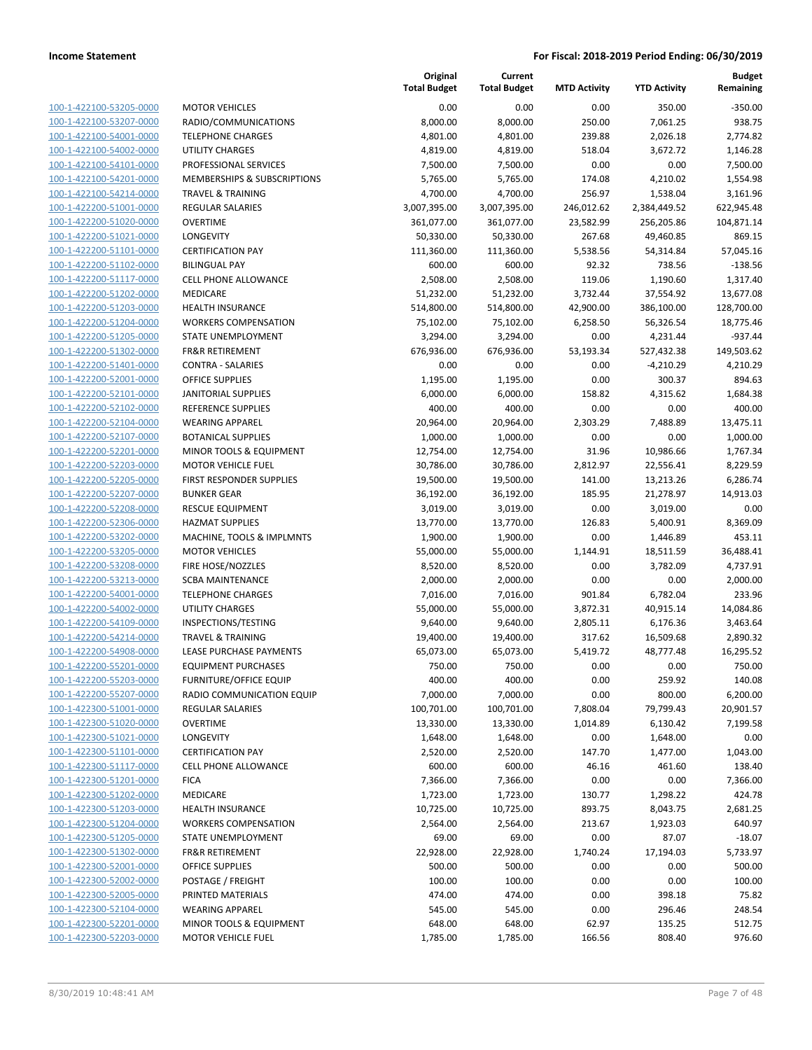| 100-1-422100-53205-0000        |
|--------------------------------|
| 100-1-422100-53207-0000        |
| 100-1-422100-54001-0000        |
| 100-1-422100-54002-0000        |
| 100-1-422100-54101-0000        |
| 100-1-422100-54201-0000        |
| 100-1-422100-54214-0000        |
| 100-1-422200-51001-0000        |
| 100-1-422200-51020-0000        |
| 100-1-422200-51021-0000        |
| 100-1-422200-51101-0000        |
| 100-1-422200-51102-0000        |
| 100-1-422200-51117-0000        |
| 100-1-422200-51202-0000        |
| 100-1-422200-51203-0000        |
| 100-1-422200-51204-0000        |
| 100-1-422200-51205-0000        |
| 100-1-422200-51302-0000        |
| 100-1-422200-51401-0000        |
| 100-1-422200-52001-0000        |
| 100-1-422200-52101-0000        |
| 100-1-422200-52102-0000        |
| 100-1-422200-52104-0000        |
| 100-1-422200-52107-0000        |
| 100-1-422200-52201-0000        |
| 100-1-422200-52203-0000        |
| 100-1-422200-52205-0000        |
| <u>100-1-422200-52207-0000</u> |
| 100-1-422200-52208-0000        |
| 100-1-422200-52306-0000        |
| 100-1-422200-53202-0000        |
| 100-1-422200-53205-0000        |
| 100-1-422200-53208-0000        |
| 100-1-422200-53213-0000        |
| 100-1-422200-54001-0000        |
| 100-1-422200-54002-0000        |
| 100-1-422200-54109-0000        |
| 100-1-422200-54214-0000        |
| 100-1-422200-54908-0000        |
| 100-1-422200-55201-0000        |
| 100-1-422200-55203-0000        |
| 100-1-422200-55207-0000        |
|                                |
| <u>100-1-422300-51001-0000</u> |
| <u>100-1-422300-51020-0000</u> |
| <u>100-1-422300-51021-0000</u> |
| 100-1-422300-51101-0000        |
| 100-1-422300-51117-0000        |
| <u>100-1-422300-51201-0000</u> |
| <u>100-1-422300-51202-0000</u> |
| <u>100-1-422300-51203-0000</u> |
| 100-1-422300-51204-0000        |
| 100-1-422300-51205-0000        |
| 100-1-422300-51302-0000        |
| <u>100-1-422300-52001-0000</u> |
| <u>100-1-422300-52002-0000</u> |
| <u>100-1-422300-52005-0000</u> |
| 100-1-422300-52104-0000        |
| <u>100-1-422300-52201-0000</u> |
| <u>100-1-422300-52203-0000</u> |
|                                |

| 1OTOR VEHICLES                         |
|----------------------------------------|
| ADIO/COMMUNICATIONS                    |
| <b>ELEPHONE CHARGES</b>                |
| <b>ITILITY CHARGES</b>                 |
| ROFESSIONAL SERVICES                   |
| <b>IEMBERSHIPS &amp; SUBSCRIPTIONS</b> |
| RAVEL & TRAINING                       |
| <b>EGULAR SALARIES</b>                 |
| <b>VERTIME</b>                         |
| ONGEVITY                               |
| <b>ERTIFICATION PAY</b>                |
| ILINGUAL PAY                           |
| ELL PHONE ALLOWANCE                    |
| <i><b>IEDICARE</b></i>                 |
| IEALTH INSURANCE                       |
| VORKERS COMPENSATION                   |
| TATE UNEMPLOYMENT                      |
| R&R RETIREMENT                         |
| ONTRA - SALARIES                       |
| <b>FFICE SUPPLIES</b>                  |
| ANITORIAL SUPPLIES                     |
| <b>EFERENCE SUPPLIES</b>               |
| VEARING APPAREL                        |
| <b>OTANICAL SUPPLIES</b>               |
| 1INOR TOOLS & EQUIPMENT                |
| <b>1OTOR VEHICLE FUEL</b>              |
| IRST RESPONDER SUPPLIES                |
| UNKER GEAR                             |
| <b>ESCUE EQUIPMENT</b>                 |
| <b>AZMAT SUPPLIES</b>                  |
| 1ACHINE, TOOLS & IMPLMNTS              |
| 1OTOR VEHICLES                         |
| IRE HOSE/NOZZLES                       |
| CBA MAINTENANCE                        |
| ELEPHONE CHARGES                       |
| <b>ITILITY CHARGES</b>                 |
| NSPECTIONS/TESTING                     |
| RAVEL & TRAINING                       |
| EASE PURCHASE PAYMENTS                 |
| <b>QUIPMENT PURCHASES</b>              |
| URNITURE/OFFICE EQUIP                  |
| ADIO COMMUNICATION EQUIP               |
| <b>EGULAR SALARIES</b>                 |
| <b>VERTIME</b>                         |
| ONGEVITY                               |
| <b>ERTIFICATION PAY</b>                |
| <b>ELL PHONE ALLOWANCE</b>             |
| <b>ICA</b>                             |
| <b><i>IEDICARE</i></b>                 |
| <b>EALTH INSURANCE</b>                 |
| VORKERS COMPENSATION                   |
| TATE UNEMPLOYMENT                      |
| R&R RETIREMENT                         |
| <b>FFICE SUPPLIES</b>                  |
| OSTAGE / FREIGHT                       |
| RINTED MATERIALS                       |
| VEARING APPAREL                        |
| <b>IINOR TOOLS &amp; EQUIPMENT</b>     |

|                         |                               | Original<br><b>Total Budget</b> | Current<br><b>Total Budget</b> | <b>MTD Activity</b> | <b>YTD Activity</b> | <b>Budget</b><br>Remaining |
|-------------------------|-------------------------------|---------------------------------|--------------------------------|---------------------|---------------------|----------------------------|
| 100-1-422100-53205-0000 | <b>MOTOR VEHICLES</b>         | 0.00                            | 0.00                           | 0.00                | 350.00              | $-350.00$                  |
| 100-1-422100-53207-0000 | RADIO/COMMUNICATIONS          | 8,000.00                        | 8,000.00                       | 250.00              | 7,061.25            | 938.75                     |
| 100-1-422100-54001-0000 | <b>TELEPHONE CHARGES</b>      | 4,801.00                        | 4,801.00                       | 239.88              | 2,026.18            | 2,774.82                   |
| 100-1-422100-54002-0000 | <b>UTILITY CHARGES</b>        | 4,819.00                        | 4,819.00                       | 518.04              | 3,672.72            | 1,146.28                   |
| 100-1-422100-54101-0000 | PROFESSIONAL SERVICES         | 7,500.00                        | 7,500.00                       | 0.00                | 0.00                | 7,500.00                   |
| 100-1-422100-54201-0000 | MEMBERSHIPS & SUBSCRIPTIONS   | 5,765.00                        | 5,765.00                       | 174.08              | 4,210.02            | 1,554.98                   |
| 100-1-422100-54214-0000 | <b>TRAVEL &amp; TRAINING</b>  | 4,700.00                        | 4,700.00                       | 256.97              | 1,538.04            | 3,161.96                   |
| 100-1-422200-51001-0000 | REGULAR SALARIES              | 3,007,395.00                    | 3,007,395.00                   | 246,012.62          | 2,384,449.52        | 622,945.48                 |
| 100-1-422200-51020-0000 | <b>OVERTIME</b>               | 361,077.00                      | 361,077.00                     | 23,582.99           | 256,205.86          | 104,871.14                 |
| 100-1-422200-51021-0000 | <b>LONGEVITY</b>              | 50,330.00                       | 50,330.00                      | 267.68              | 49,460.85           | 869.15                     |
| 100-1-422200-51101-0000 | <b>CERTIFICATION PAY</b>      | 111,360.00                      | 111,360.00                     | 5,538.56            | 54,314.84           | 57,045.16                  |
| 100-1-422200-51102-0000 | <b>BILINGUAL PAY</b>          | 600.00                          | 600.00                         | 92.32               | 738.56              | $-138.56$                  |
| 100-1-422200-51117-0000 | CELL PHONE ALLOWANCE          | 2,508.00                        | 2,508.00                       | 119.06              | 1,190.60            | 1,317.40                   |
| 100-1-422200-51202-0000 | MEDICARE                      | 51,232.00                       | 51,232.00                      | 3,732.44            | 37,554.92           | 13,677.08                  |
| 100-1-422200-51203-0000 | <b>HEALTH INSURANCE</b>       | 514,800.00                      | 514,800.00                     | 42,900.00           | 386,100.00          | 128,700.00                 |
| 100-1-422200-51204-0000 | <b>WORKERS COMPENSATION</b>   | 75,102.00                       | 75,102.00                      | 6,258.50            | 56,326.54           | 18,775.46                  |
| 100-1-422200-51205-0000 | STATE UNEMPLOYMENT            | 3,294.00                        | 3,294.00                       | 0.00                | 4,231.44            | $-937.44$                  |
| 100-1-422200-51302-0000 | <b>FR&amp;R RETIREMENT</b>    | 676,936.00                      | 676,936.00                     | 53,193.34           | 527,432.38          | 149,503.62                 |
| 100-1-422200-51401-0000 | <b>CONTRA - SALARIES</b>      | 0.00                            | 0.00                           | 0.00                | $-4,210.29$         | 4,210.29                   |
| 100-1-422200-52001-0000 | <b>OFFICE SUPPLIES</b>        | 1,195.00                        | 1,195.00                       | 0.00                | 300.37              | 894.63                     |
| 100-1-422200-52101-0000 | <b>JANITORIAL SUPPLIES</b>    | 6,000.00                        | 6,000.00                       | 158.82              | 4,315.62            | 1,684.38                   |
| 100-1-422200-52102-0000 | REFERENCE SUPPLIES            | 400.00                          | 400.00                         | 0.00                | 0.00                | 400.00                     |
| 100-1-422200-52104-0000 | <b>WEARING APPAREL</b>        | 20,964.00                       | 20,964.00                      | 2,303.29            | 7,488.89            | 13,475.11                  |
| 100-1-422200-52107-0000 | <b>BOTANICAL SUPPLIES</b>     | 1,000.00                        | 1,000.00                       | 0.00                | 0.00                | 1,000.00                   |
| 100-1-422200-52201-0000 | MINOR TOOLS & EQUIPMENT       | 12,754.00                       | 12,754.00                      | 31.96               | 10,986.66           | 1,767.34                   |
| 100-1-422200-52203-0000 | <b>MOTOR VEHICLE FUEL</b>     | 30,786.00                       | 30,786.00                      | 2,812.97            | 22,556.41           | 8,229.59                   |
| 100-1-422200-52205-0000 | FIRST RESPONDER SUPPLIES      | 19,500.00                       | 19,500.00                      | 141.00              | 13,213.26           | 6,286.74                   |
| 100-1-422200-52207-0000 | <b>BUNKER GEAR</b>            | 36,192.00                       | 36,192.00                      | 185.95              | 21,278.97           | 14,913.03                  |
| 100-1-422200-52208-0000 | <b>RESCUE EQUIPMENT</b>       | 3,019.00                        | 3,019.00                       | 0.00                | 3,019.00            | 0.00                       |
| 100-1-422200-52306-0000 | <b>HAZMAT SUPPLIES</b>        | 13,770.00                       | 13,770.00                      | 126.83              | 5,400.91            | 8,369.09                   |
| 100-1-422200-53202-0000 | MACHINE, TOOLS & IMPLMNTS     | 1,900.00                        | 1,900.00                       | 0.00                | 1,446.89            | 453.11                     |
| 100-1-422200-53205-0000 | <b>MOTOR VEHICLES</b>         | 55,000.00                       | 55,000.00                      | 1,144.91            | 18,511.59           | 36,488.41                  |
| 100-1-422200-53208-0000 | FIRE HOSE/NOZZLES             | 8,520.00                        | 8,520.00                       | 0.00                | 3,782.09            | 4,737.91                   |
| 100-1-422200-53213-0000 | <b>SCBA MAINTENANCE</b>       | 2,000.00                        | 2,000.00                       | 0.00                | 0.00                | 2,000.00                   |
| 100-1-422200-54001-0000 | <b>TELEPHONE CHARGES</b>      | 7,016.00                        | 7,016.00                       | 901.84              | 6,782.04            | 233.96                     |
| 100-1-422200-54002-0000 | UTILITY CHARGES               | 55,000.00                       | 55,000.00                      | 3,872.31            | 40,915.14           | 14,084.86                  |
| 100-1-422200-54109-0000 | INSPECTIONS/TESTING           | 9,640.00                        | 9,640.00                       | 2,805.11            | 6,176.36            | 3,463.64                   |
| 100-1-422200-54214-0000 | <b>TRAVEL &amp; TRAINING</b>  | 19,400.00                       | 19,400.00                      | 317.62              | 16,509.68           | 2,890.32                   |
| 100-1-422200-54908-0000 | LEASE PURCHASE PAYMENTS       | 65,073.00                       | 65,073.00                      | 5,419.72            | 48,777.48           | 16,295.52                  |
| 100-1-422200-55201-0000 | <b>EQUIPMENT PURCHASES</b>    | 750.00                          | 750.00                         | 0.00                | 0.00                | 750.00                     |
| 100-1-422200-55203-0000 | <b>FURNITURE/OFFICE EQUIP</b> | 400.00                          | 400.00                         | 0.00                | 259.92              | 140.08                     |
| 100-1-422200-55207-0000 | RADIO COMMUNICATION EQUIP     | 7,000.00                        | 7,000.00                       | 0.00                | 800.00              | 6,200.00                   |
| 100-1-422300-51001-0000 | REGULAR SALARIES              | 100,701.00                      | 100,701.00                     | 7,808.04            | 79,799.43           | 20,901.57                  |
| 100-1-422300-51020-0000 | <b>OVERTIME</b>               | 13,330.00                       | 13,330.00                      | 1,014.89            | 6,130.42            | 7,199.58                   |
| 100-1-422300-51021-0000 | LONGEVITY                     | 1,648.00                        | 1,648.00                       | 0.00                | 1,648.00            | 0.00                       |
| 100-1-422300-51101-0000 | <b>CERTIFICATION PAY</b>      | 2,520.00                        | 2,520.00                       | 147.70              | 1,477.00            | 1,043.00                   |
| 100-1-422300-51117-0000 | CELL PHONE ALLOWANCE          | 600.00                          | 600.00                         | 46.16               | 461.60              | 138.40                     |
| 100-1-422300-51201-0000 | <b>FICA</b>                   | 7,366.00                        | 7,366.00                       | 0.00                | 0.00                | 7,366.00                   |
| 100-1-422300-51202-0000 | MEDICARE                      | 1,723.00                        | 1,723.00                       | 130.77              | 1,298.22            | 424.78                     |
| 100-1-422300-51203-0000 | <b>HEALTH INSURANCE</b>       | 10,725.00                       | 10,725.00                      | 893.75              | 8,043.75            | 2,681.25                   |
| 100-1-422300-51204-0000 | <b>WORKERS COMPENSATION</b>   | 2,564.00                        | 2,564.00                       | 213.67              | 1,923.03            | 640.97                     |
| 100-1-422300-51205-0000 | STATE UNEMPLOYMENT            | 69.00                           | 69.00                          | 0.00                | 87.07               | $-18.07$                   |
| 100-1-422300-51302-0000 | <b>FR&amp;R RETIREMENT</b>    | 22,928.00                       | 22,928.00                      | 1,740.24            | 17,194.03           | 5,733.97                   |
| 100-1-422300-52001-0000 | <b>OFFICE SUPPLIES</b>        | 500.00                          | 500.00                         | 0.00                | 0.00                | 500.00                     |
| 100-1-422300-52002-0000 | POSTAGE / FREIGHT             | 100.00                          | 100.00                         | 0.00                | 0.00                | 100.00                     |
| 100-1-422300-52005-0000 | PRINTED MATERIALS             | 474.00                          | 474.00                         | 0.00                | 398.18              | 75.82                      |
| 100-1-422300-52104-0000 | <b>WEARING APPAREL</b>        | 545.00                          | 545.00                         | 0.00                | 296.46              | 248.54                     |
| 100-1-422300-52201-0000 | MINOR TOOLS & EQUIPMENT       | 648.00                          | 648.00                         | 62.97               | 135.25              | 512.75                     |
| 100-1-422300-52203-0000 | <b>MOTOR VEHICLE FUEL</b>     | 1,785.00                        | 1,785.00                       | 166.56              | 808.40              | 976.60                     |
|                         |                               |                                 |                                |                     |                     |                            |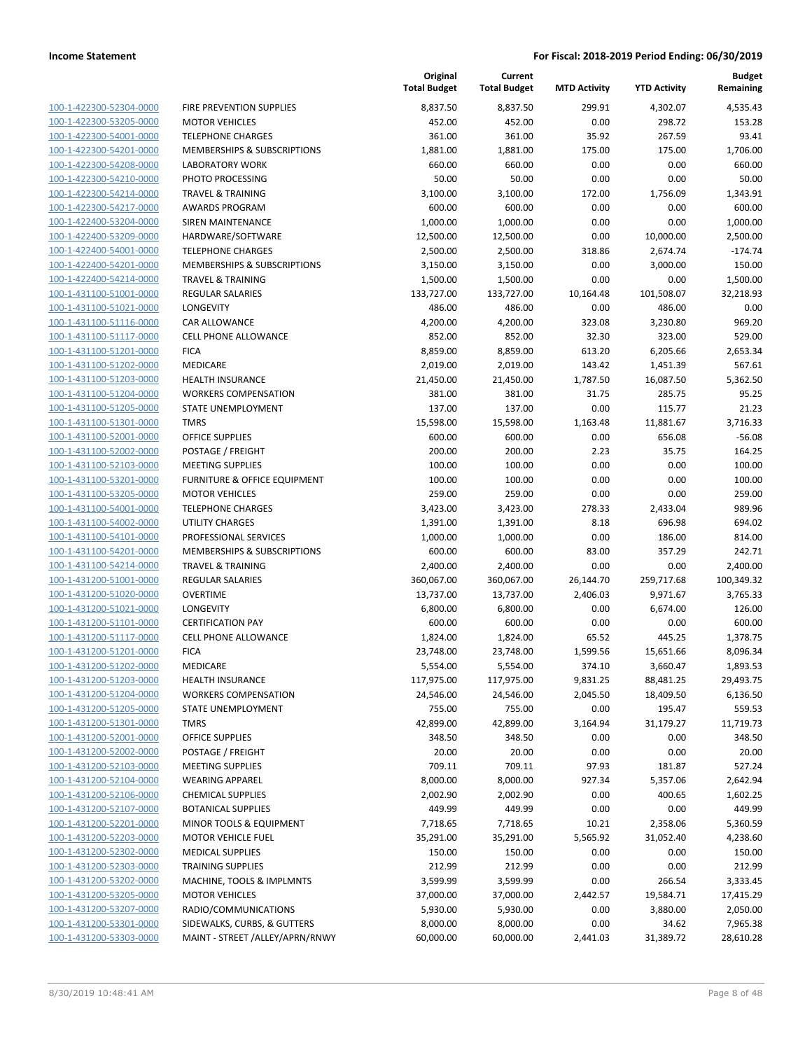| 100-1-422300-52304-0000                                          |
|------------------------------------------------------------------|
|                                                                  |
| 100-1-422300-53205-0000                                          |
| 100-1-422300-54001-0000                                          |
| 100-1-422300-54201-0000                                          |
| 100-1-422300-54208-0000                                          |
| 100-1-422300-54210-0000                                          |
| 100-1-422300-54214-0000                                          |
| 100-1-422300-54217-0000                                          |
| 100-1-422400-53204-0000                                          |
|                                                                  |
| 100-1-422400-53209-0000                                          |
| 100-1-422400-54001-0000                                          |
| 100-1-422400-54201-0000                                          |
| 100-1-422400-54214-0000                                          |
| 100-1-431100-51001-0000                                          |
| 100-1-431100-51021-0000                                          |
| 100-1-431100-51116-0000                                          |
| 100-1-431100-51117-0000                                          |
| 100-1-431100-51201-0000                                          |
| 100-1-431100-51202-0000                                          |
| 100-1-431100-51203-0000                                          |
| 100-1-431100-51204-0000                                          |
| 100-1-431100-51205-0000                                          |
| 100-1-431100-51301-0000                                          |
|                                                                  |
| 100-1-431100-52001-0000                                          |
| 100-1-431100-52002-0000                                          |
| 100-1-431100-52103-0000                                          |
| 100-1-431100-53201-0000                                          |
| 100-1-431100-53205-0000                                          |
| 100-1-431100-54001-0000                                          |
| 100-1-431100-54002-0000                                          |
| 100-1-431100-54101-0000                                          |
| 100-1-431100-54201-0000                                          |
| 100-1-431100-54214-0000                                          |
| 100-1-431200-51001-0000                                          |
|                                                                  |
|                                                                  |
| 100-1-431200-51020-0000                                          |
| 100-1-431200-51021-0000                                          |
| 100-1-431200-51101-0000                                          |
| 100-1-431200-51117-0000                                          |
| 100-1-431200-51201-0000                                          |
| 100-1-431200-51202-0000                                          |
| 100-1-431200-51203-0000                                          |
| 100-1-431200-51204-0000                                          |
| <u>100-1-431200-51205-0000</u>                                   |
| 100-1-431200-51301-0000                                          |
| 100-1-431200-52001-0000                                          |
| 100-1-431200-52002-0000                                          |
| 100-1-431200-52103-0000                                          |
| 100-1-431200-52104-0000                                          |
| 100-1-431200-52106-0000                                          |
|                                                                  |
| 100-1-431200-52107-0000                                          |
| 100-1-431200-52201-0000                                          |
| 100-1-431200-52203-0000                                          |
| 100-1-431200-52302-0000                                          |
| 100-1-431200-52303-0000                                          |
| 100-1-431200-53202-0000                                          |
| 100-1-431200-53205-0000                                          |
| 100-1-431200-53207-0000                                          |
| <u>100-1-431200-53301-0000</u><br><u>100-1-431200-53303-0000</u> |

|                                                    |                                                        | Original<br><b>Total Budget</b> | Current<br><b>Total Budget</b> | <b>MTD Activity</b> | <b>YTD Activity</b>   | <b>Budget</b><br>Remaining |
|----------------------------------------------------|--------------------------------------------------------|---------------------------------|--------------------------------|---------------------|-----------------------|----------------------------|
| 100-1-422300-52304-0000                            | FIRE PREVENTION SUPPLIES                               | 8,837.50                        | 8,837.50                       | 299.91              | 4,302.07              | 4,535.43                   |
| 100-1-422300-53205-0000                            | <b>MOTOR VEHICLES</b>                                  | 452.00                          | 452.00                         | 0.00                | 298.72                | 153.28                     |
| 100-1-422300-54001-0000                            | <b>TELEPHONE CHARGES</b>                               | 361.00                          | 361.00                         | 35.92               | 267.59                | 93.41                      |
| 100-1-422300-54201-0000                            | MEMBERSHIPS & SUBSCRIPTIONS                            | 1,881.00                        | 1,881.00                       | 175.00              | 175.00                | 1,706.00                   |
| 100-1-422300-54208-0000                            | <b>LABORATORY WORK</b>                                 | 660.00                          | 660.00                         | 0.00                | 0.00                  | 660.00                     |
| 100-1-422300-54210-0000                            | PHOTO PROCESSING                                       | 50.00                           | 50.00                          | 0.00                | 0.00                  | 50.00                      |
| 100-1-422300-54214-0000                            | <b>TRAVEL &amp; TRAINING</b>                           | 3,100.00                        | 3,100.00                       | 172.00              | 1,756.09              | 1,343.91                   |
| 100-1-422300-54217-0000                            | <b>AWARDS PROGRAM</b>                                  | 600.00                          | 600.00                         | 0.00                | 0.00                  | 600.00                     |
| 100-1-422400-53204-0000                            | <b>SIREN MAINTENANCE</b>                               | 1,000.00                        | 1,000.00                       | 0.00                | 0.00                  | 1,000.00                   |
| 100-1-422400-53209-0000                            | HARDWARE/SOFTWARE                                      | 12,500.00                       | 12,500.00                      | 0.00                | 10,000.00             | 2,500.00                   |
| 100-1-422400-54001-0000                            | <b>TELEPHONE CHARGES</b>                               | 2,500.00                        | 2,500.00                       | 318.86              | 2,674.74              | $-174.74$                  |
| 100-1-422400-54201-0000                            | MEMBERSHIPS & SUBSCRIPTIONS                            | 3,150.00                        | 3,150.00                       | 0.00                | 3,000.00              | 150.00                     |
| 100-1-422400-54214-0000                            | <b>TRAVEL &amp; TRAINING</b>                           | 1,500.00                        | 1,500.00                       | 0.00                | 0.00                  | 1,500.00                   |
| 100-1-431100-51001-0000                            | <b>REGULAR SALARIES</b>                                | 133,727.00                      | 133,727.00                     | 10,164.48           | 101,508.07            | 32,218.93                  |
| 100-1-431100-51021-0000                            | LONGEVITY                                              | 486.00                          | 486.00                         | 0.00                | 486.00                | 0.00                       |
| 100-1-431100-51116-0000                            | <b>CAR ALLOWANCE</b>                                   | 4,200.00                        | 4,200.00                       | 323.08              | 3,230.80              | 969.20                     |
| 100-1-431100-51117-0000                            | <b>CELL PHONE ALLOWANCE</b>                            | 852.00                          | 852.00                         | 32.30               | 323.00                | 529.00                     |
| 100-1-431100-51201-0000                            | <b>FICA</b>                                            | 8,859.00                        | 8,859.00                       | 613.20              | 6,205.66              | 2,653.34                   |
| 100-1-431100-51202-0000                            | MEDICARE                                               | 2,019.00                        | 2,019.00                       | 143.42              | 1,451.39              | 567.61                     |
| 100-1-431100-51203-0000                            | <b>HEALTH INSURANCE</b>                                | 21,450.00                       | 21,450.00                      | 1,787.50            | 16,087.50             | 5,362.50                   |
| 100-1-431100-51204-0000                            | <b>WORKERS COMPENSATION</b>                            | 381.00                          | 381.00                         | 31.75               | 285.75                | 95.25                      |
| 100-1-431100-51205-0000                            | <b>STATE UNEMPLOYMENT</b>                              | 137.00                          | 137.00                         | 0.00                | 115.77                | 21.23                      |
| 100-1-431100-51301-0000                            | <b>TMRS</b>                                            | 15,598.00                       | 15,598.00                      | 1,163.48            | 11,881.67             | 3,716.33                   |
| 100-1-431100-52001-0000                            | <b>OFFICE SUPPLIES</b>                                 | 600.00                          | 600.00                         | 0.00                | 656.08                | $-56.08$                   |
| 100-1-431100-52002-0000                            | POSTAGE / FREIGHT                                      | 200.00                          | 200.00                         | 2.23                | 35.75                 | 164.25                     |
| 100-1-431100-52103-0000                            | <b>MEETING SUPPLIES</b>                                | 100.00                          | 100.00                         | 0.00                | 0.00                  | 100.00                     |
| 100-1-431100-53201-0000                            | FURNITURE & OFFICE EQUIPMENT                           | 100.00                          | 100.00                         | 0.00                | 0.00                  | 100.00                     |
| 100-1-431100-53205-0000                            | <b>MOTOR VEHICLES</b>                                  | 259.00                          | 259.00                         | 0.00                | 0.00                  | 259.00                     |
| 100-1-431100-54001-0000                            | <b>TELEPHONE CHARGES</b>                               | 3,423.00                        | 3,423.00                       | 278.33              | 2,433.04              | 989.96                     |
| 100-1-431100-54002-0000                            | <b>UTILITY CHARGES</b>                                 | 1,391.00                        | 1,391.00                       | 8.18                | 696.98                | 694.02                     |
| 100-1-431100-54101-0000                            | PROFESSIONAL SERVICES                                  | 1,000.00                        | 1,000.00                       | 0.00                | 186.00                | 814.00                     |
| 100-1-431100-54201-0000                            | MEMBERSHIPS & SUBSCRIPTIONS                            | 600.00                          | 600.00                         | 83.00               | 357.29                | 242.71                     |
| 100-1-431100-54214-0000                            | <b>TRAVEL &amp; TRAINING</b>                           | 2,400.00                        | 2,400.00                       | 0.00                | 0.00                  | 2,400.00                   |
| 100-1-431200-51001-0000                            | <b>REGULAR SALARIES</b>                                | 360,067.00                      | 360,067.00                     | 26,144.70           | 259,717.68            | 100,349.32                 |
| 100-1-431200-51020-0000                            | <b>OVERTIME</b>                                        | 13,737.00                       | 13,737.00                      | 2,406.03            | 9,971.67              | 3,765.33                   |
| 100-1-431200-51021-0000                            | LONGEVITY                                              | 6,800.00                        | 6,800.00                       | 0.00                | 6,674.00              | 126.00                     |
| 100-1-431200-51101-0000                            | <b>CERTIFICATION PAY</b>                               | 600.00                          | 600.00                         | 0.00                | 0.00                  | 600.00                     |
| 100-1-431200-51117-0000                            | <b>CELL PHONE ALLOWANCE</b>                            | 1,824.00                        | 1,824.00                       | 65.52               | 445.25                | 1,378.75                   |
| 100-1-431200-51201-0000<br>100-1-431200-51202-0000 | <b>FICA</b><br>MEDICARE                                | 23,748.00<br>5,554.00           | 23,748.00                      | 1,599.56            | 15,651.66<br>3,660.47 | 8,096.34<br>1,893.53       |
| 100-1-431200-51203-0000                            |                                                        | 117,975.00                      | 5,554.00<br>117,975.00         | 374.10<br>9,831.25  | 88,481.25             | 29,493.75                  |
| 100-1-431200-51204-0000                            | <b>HEALTH INSURANCE</b><br><b>WORKERS COMPENSATION</b> | 24,546.00                       |                                | 2,045.50            |                       | 6,136.50                   |
| 100-1-431200-51205-0000                            | STATE UNEMPLOYMENT                                     | 755.00                          | 24,546.00<br>755.00            | 0.00                | 18,409.50<br>195.47   | 559.53                     |
| 100-1-431200-51301-0000                            | <b>TMRS</b>                                            | 42,899.00                       | 42,899.00                      | 3,164.94            | 31,179.27             | 11,719.73                  |
| 100-1-431200-52001-0000                            | <b>OFFICE SUPPLIES</b>                                 | 348.50                          | 348.50                         | 0.00                | 0.00                  | 348.50                     |
| 100-1-431200-52002-0000                            | POSTAGE / FREIGHT                                      | 20.00                           | 20.00                          | 0.00                | 0.00                  | 20.00                      |
| 100-1-431200-52103-0000                            | <b>MEETING SUPPLIES</b>                                | 709.11                          | 709.11                         | 97.93               | 181.87                | 527.24                     |
| 100-1-431200-52104-0000                            | <b>WEARING APPAREL</b>                                 | 8,000.00                        | 8,000.00                       | 927.34              | 5,357.06              | 2,642.94                   |
| 100-1-431200-52106-0000                            | <b>CHEMICAL SUPPLIES</b>                               | 2,002.90                        | 2,002.90                       | 0.00                | 400.65                | 1,602.25                   |
| 100-1-431200-52107-0000                            | <b>BOTANICAL SUPPLIES</b>                              | 449.99                          | 449.99                         | 0.00                | 0.00                  | 449.99                     |
| 100-1-431200-52201-0000                            | MINOR TOOLS & EQUIPMENT                                | 7,718.65                        | 7,718.65                       | 10.21               | 2,358.06              | 5,360.59                   |
| 100-1-431200-52203-0000                            | <b>MOTOR VEHICLE FUEL</b>                              | 35,291.00                       | 35,291.00                      | 5,565.92            | 31,052.40             | 4,238.60                   |
| 100-1-431200-52302-0000                            | <b>MEDICAL SUPPLIES</b>                                | 150.00                          | 150.00                         | 0.00                | 0.00                  | 150.00                     |
| 100-1-431200-52303-0000                            | <b>TRAINING SUPPLIES</b>                               | 212.99                          | 212.99                         | 0.00                | 0.00                  | 212.99                     |
| 100-1-431200-53202-0000                            | MACHINE, TOOLS & IMPLMNTS                              | 3,599.99                        | 3,599.99                       | 0.00                | 266.54                | 3,333.45                   |
| 100-1-431200-53205-0000                            | <b>MOTOR VEHICLES</b>                                  | 37,000.00                       | 37,000.00                      | 2,442.57            | 19,584.71             | 17,415.29                  |
| 100-1-431200-53207-0000                            | RADIO/COMMUNICATIONS                                   | 5,930.00                        | 5,930.00                       | 0.00                | 3,880.00              | 2,050.00                   |
| 100-1-431200-53301-0000                            | SIDEWALKS, CURBS, & GUTTERS                            | 8,000.00                        | 8,000.00                       | 0.00                | 34.62                 | 7,965.38                   |
| 100-1-431200-53303-0000                            | MAINT - STREET /ALLEY/APRN/RNWY                        | 60,000.00                       | 60,000.00                      | 2,441.03            | 31,389.72             | 28,610.28                  |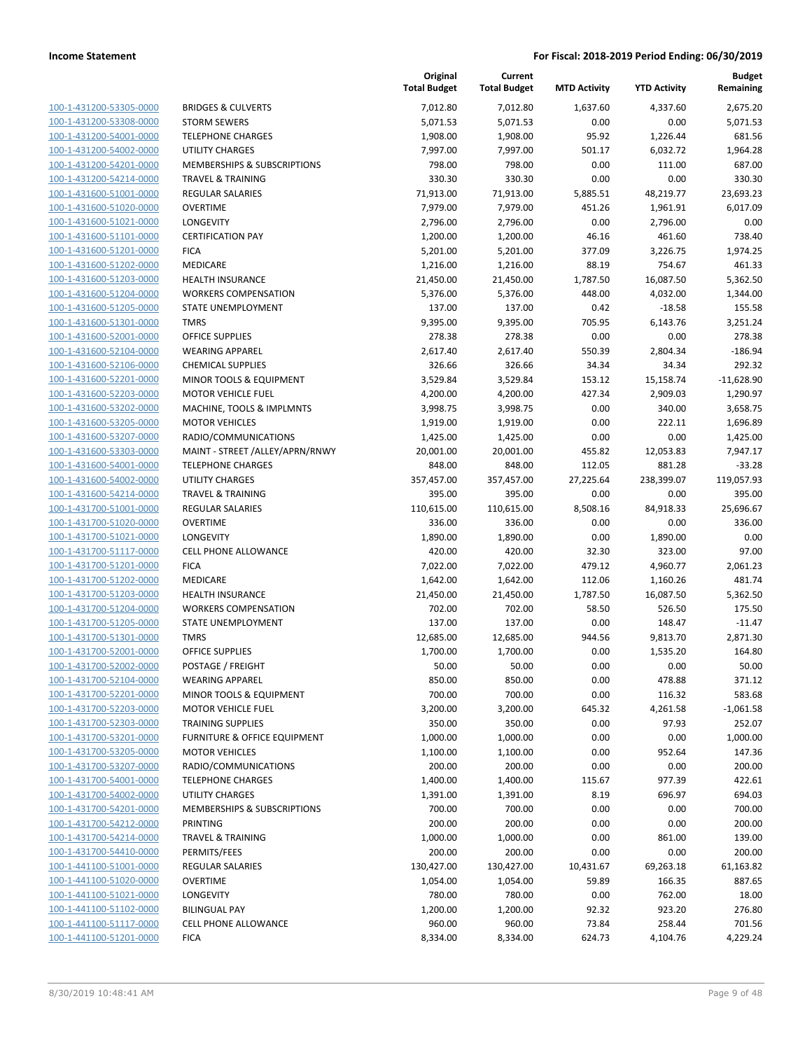| 100-1-431200-53305-0000                            |
|----------------------------------------------------|
| 100-1-431200-53308-0000                            |
| 100-1-431200-54001-0000                            |
| <u>100-1-431200-54002-0000</u>                     |
| 100-1-431200-54201-0000                            |
| 100-1-431200-54214-0000                            |
| 100-1-431600-51001-0000                            |
| <u>100-1-431600-51020-0000</u>                     |
| <u>100-1-431600-51021-0000</u>                     |
| 100-1-431600-51101-0000                            |
| 100-1-431600-51201-0000                            |
| 100-1-431600-51202-0000                            |
| <u>100-1-431600-51203-0000</u>                     |
| <u>100-1-431600-51204-0000</u>                     |
| 100-1-431600-51205-0000                            |
| 100-1-431600-51301-0000                            |
| 100-1-431600-52001-0000                            |
| 100-1-431600-52104-0000                            |
| <u>100-1-431600-52106-0000</u>                     |
| 100-1-431600-52201-0000                            |
| 100-1-431600-52203-0000                            |
| 100-1-431600-53202-0000                            |
| <u>100-1-431600-53205-0000</u>                     |
| <u>100-1-431600-53207-0000</u>                     |
| <u>100-1-431600-53303-0000</u>                     |
| 100-1-431600-54001-0000                            |
| 100-1-431600-54002-0000                            |
| <u>100-1-431600-54214-0000</u>                     |
| <u>100-1-431700-51001-0000</u>                     |
| 100-1-431700-51020-0000                            |
| 100-1-431700-51021-0000<br>100-1-431700-51117-0000 |
| <u>100-1-431700-51201-0000</u>                     |
| <u>100-1-431700-51202-0000</u>                     |
| 100-1-431700-51203-0000                            |
| 100-1-431700-51204-0000                            |
| 100-1-431700-51205-0000                            |
| 100-1-431700-51301-0000                            |
| <u>100-1-431700-52001-0000</u>                     |
| 100-1-431700-52002-0000                            |
| 100-1-431700-52104-0000                            |
| 100-1-431700-52201-0000                            |
| 100-1-431700-52203-0000                            |
| 100-1-431700-52303-0000                            |
| 100-1-431700-53201-0000                            |
| 100-1-431700-53205-0000                            |
| 100-1-431700-53207-0000                            |
| 100-1-431700-54001-0000                            |
| <u>100-1-431700-54002-0000</u>                     |
| 100-1-431700-54201-0000                            |
| 100-1-431700-54212-0000                            |
| 100-1-431700-54214-0000                            |
| 100-1-431700-54410-0000                            |
| 100-1-441100-51001-0000                            |
| 100-1-441100-51020-0000                            |
| 100-1-441100-51021-0000                            |
| 100-1-441100-51102-0000                            |
| 100-1-441100-51117-0000                            |
| <u>100-1-441100-51201-0000</u>                     |
|                                                    |

|                         |                                 | Original<br><b>Total Budget</b> | Current<br><b>Total Budget</b> | <b>MTD Activity</b> | <b>YTD Activity</b> | <b>Budget</b><br>Remaining |
|-------------------------|---------------------------------|---------------------------------|--------------------------------|---------------------|---------------------|----------------------------|
| 100-1-431200-53305-0000 | <b>BRIDGES &amp; CULVERTS</b>   | 7,012.80                        | 7,012.80                       | 1,637.60            | 4,337.60            | 2,675.20                   |
| 100-1-431200-53308-0000 | <b>STORM SEWERS</b>             | 5,071.53                        | 5,071.53                       | 0.00                | 0.00                | 5,071.53                   |
| 100-1-431200-54001-0000 | <b>TELEPHONE CHARGES</b>        | 1,908.00                        | 1,908.00                       | 95.92               | 1,226.44            | 681.56                     |
| 100-1-431200-54002-0000 | <b>UTILITY CHARGES</b>          | 7,997.00                        | 7,997.00                       | 501.17              | 6,032.72            | 1,964.28                   |
| 100-1-431200-54201-0000 | MEMBERSHIPS & SUBSCRIPTIONS     | 798.00                          | 798.00                         | 0.00                | 111.00              | 687.00                     |
| 100-1-431200-54214-0000 | <b>TRAVEL &amp; TRAINING</b>    | 330.30                          | 330.30                         | 0.00                | 0.00                | 330.30                     |
| 100-1-431600-51001-0000 | REGULAR SALARIES                | 71,913.00                       | 71,913.00                      | 5,885.51            | 48,219.77           | 23,693.23                  |
| 100-1-431600-51020-0000 | <b>OVERTIME</b>                 | 7,979.00                        | 7,979.00                       | 451.26              | 1,961.91            | 6,017.09                   |
| 100-1-431600-51021-0000 | LONGEVITY                       | 2,796.00                        | 2,796.00                       | 0.00                | 2,796.00            | 0.00                       |
| 100-1-431600-51101-0000 | <b>CERTIFICATION PAY</b>        | 1,200.00                        | 1,200.00                       | 46.16               | 461.60              | 738.40                     |
| 100-1-431600-51201-0000 | <b>FICA</b>                     | 5,201.00                        | 5,201.00                       | 377.09              | 3,226.75            | 1,974.25                   |
| 100-1-431600-51202-0000 | MEDICARE                        | 1,216.00                        | 1,216.00                       | 88.19               | 754.67              | 461.33                     |
| 100-1-431600-51203-0000 | <b>HEALTH INSURANCE</b>         | 21,450.00                       | 21,450.00                      | 1,787.50            | 16,087.50           | 5,362.50                   |
| 100-1-431600-51204-0000 | <b>WORKERS COMPENSATION</b>     | 5,376.00                        | 5,376.00                       | 448.00              | 4,032.00            | 1,344.00                   |
| 100-1-431600-51205-0000 | STATE UNEMPLOYMENT              | 137.00                          | 137.00                         | 0.42                | $-18.58$            | 155.58                     |
| 100-1-431600-51301-0000 | <b>TMRS</b>                     | 9,395.00                        | 9,395.00                       | 705.95              | 6,143.76            | 3,251.24                   |
| 100-1-431600-52001-0000 | <b>OFFICE SUPPLIES</b>          | 278.38                          | 278.38                         | 0.00                | 0.00                | 278.38                     |
| 100-1-431600-52104-0000 | <b>WEARING APPAREL</b>          | 2,617.40                        | 2,617.40                       | 550.39              | 2,804.34            | $-186.94$                  |
| 100-1-431600-52106-0000 | <b>CHEMICAL SUPPLIES</b>        | 326.66                          | 326.66                         | 34.34               | 34.34               | 292.32                     |
| 100-1-431600-52201-0000 | MINOR TOOLS & EQUIPMENT         | 3,529.84                        | 3,529.84                       | 153.12              | 15,158.74           | $-11,628.90$               |
| 100-1-431600-52203-0000 | <b>MOTOR VEHICLE FUEL</b>       | 4,200.00                        | 4,200.00                       | 427.34              | 2,909.03            | 1,290.97                   |
| 100-1-431600-53202-0000 | MACHINE, TOOLS & IMPLMNTS       | 3,998.75                        | 3,998.75                       | 0.00                | 340.00              | 3,658.75                   |
| 100-1-431600-53205-0000 | <b>MOTOR VEHICLES</b>           | 1,919.00                        | 1,919.00                       | 0.00                | 222.11              | 1,696.89                   |
| 100-1-431600-53207-0000 | RADIO/COMMUNICATIONS            | 1,425.00                        | 1,425.00                       | 0.00                | 0.00                | 1,425.00                   |
| 100-1-431600-53303-0000 | MAINT - STREET /ALLEY/APRN/RNWY | 20,001.00                       | 20,001.00                      | 455.82              | 12,053.83           | 7,947.17                   |
| 100-1-431600-54001-0000 | <b>TELEPHONE CHARGES</b>        | 848.00                          | 848.00                         | 112.05              | 881.28              | $-33.28$                   |
| 100-1-431600-54002-0000 | UTILITY CHARGES                 | 357,457.00                      | 357,457.00                     | 27,225.64           | 238,399.07          | 119,057.93                 |
| 100-1-431600-54214-0000 | <b>TRAVEL &amp; TRAINING</b>    | 395.00                          | 395.00                         | 0.00                | 0.00                | 395.00                     |
| 100-1-431700-51001-0000 | <b>REGULAR SALARIES</b>         | 110,615.00                      | 110,615.00                     | 8,508.16            | 84,918.33           | 25,696.67                  |
| 100-1-431700-51020-0000 | <b>OVERTIME</b>                 | 336.00                          | 336.00                         | 0.00                | 0.00                | 336.00                     |
| 100-1-431700-51021-0000 | LONGEVITY                       | 1,890.00                        | 1,890.00                       | 0.00                | 1,890.00            | 0.00                       |
| 100-1-431700-51117-0000 | CELL PHONE ALLOWANCE            | 420.00                          | 420.00                         | 32.30               | 323.00              | 97.00                      |
| 100-1-431700-51201-0000 | <b>FICA</b>                     | 7,022.00                        | 7,022.00                       | 479.12              | 4,960.77            | 2,061.23                   |
| 100-1-431700-51202-0000 | MEDICARE                        | 1,642.00                        | 1,642.00                       | 112.06              | 1,160.26            | 481.74                     |
| 100-1-431700-51203-0000 | <b>HEALTH INSURANCE</b>         | 21,450.00                       | 21,450.00                      | 1,787.50            | 16,087.50           | 5,362.50                   |
| 100-1-431700-51204-0000 | <b>WORKERS COMPENSATION</b>     | 702.00                          | 702.00                         | 58.50               | 526.50              | 175.50                     |
| 100-1-431700-51205-0000 | STATE UNEMPLOYMENT              | 137.00                          | 137.00                         | 0.00                | 148.47              | $-11.47$                   |
| 100-1-431700-51301-0000 | <b>TMRS</b>                     | 12,685.00                       | 12,685.00                      | 944.56              | 9,813.70            | 2,871.30                   |
| 100-1-431700-52001-0000 | <b>OFFICE SUPPLIES</b>          | 1,700.00                        | 1,700.00                       | 0.00                | 1,535.20            | 164.80                     |
| 100-1-431700-52002-0000 | POSTAGE / FREIGHT               | 50.00                           | 50.00                          | 0.00                | 0.00                | 50.00                      |
| 100-1-431700-52104-0000 | <b>WEARING APPAREL</b>          | 850.00                          | 850.00                         | 0.00                | 478.88              | 371.12                     |
| 100-1-431700-52201-0000 | MINOR TOOLS & EQUIPMENT         | 700.00                          | 700.00                         | 0.00                | 116.32              | 583.68                     |
| 100-1-431700-52203-0000 | <b>MOTOR VEHICLE FUEL</b>       | 3,200.00                        | 3,200.00                       | 645.32              | 4,261.58            | $-1,061.58$                |
| 100-1-431700-52303-0000 | <b>TRAINING SUPPLIES</b>        | 350.00                          | 350.00                         | 0.00                | 97.93               | 252.07                     |
| 100-1-431700-53201-0000 | FURNITURE & OFFICE EQUIPMENT    | 1,000.00                        | 1,000.00                       | 0.00                | 0.00                | 1,000.00                   |
| 100-1-431700-53205-0000 | <b>MOTOR VEHICLES</b>           | 1,100.00                        | 1,100.00                       | 0.00                | 952.64              | 147.36                     |
| 100-1-431700-53207-0000 | RADIO/COMMUNICATIONS            | 200.00                          | 200.00                         | 0.00                | 0.00                | 200.00                     |
| 100-1-431700-54001-0000 | <b>TELEPHONE CHARGES</b>        | 1,400.00                        | 1,400.00                       | 115.67              | 977.39              | 422.61                     |
| 100-1-431700-54002-0000 | <b>UTILITY CHARGES</b>          | 1,391.00                        | 1,391.00                       | 8.19                | 696.97              | 694.03                     |
| 100-1-431700-54201-0000 | MEMBERSHIPS & SUBSCRIPTIONS     | 700.00                          | 700.00                         | 0.00                | 0.00                | 700.00                     |
| 100-1-431700-54212-0000 | PRINTING                        | 200.00                          | 200.00                         | 0.00                | 0.00                | 200.00                     |
| 100-1-431700-54214-0000 | <b>TRAVEL &amp; TRAINING</b>    | 1,000.00                        | 1,000.00                       | 0.00                | 861.00              | 139.00                     |
| 100-1-431700-54410-0000 | PERMITS/FEES                    | 200.00                          | 200.00                         | 0.00                | 0.00                | 200.00                     |
| 100-1-441100-51001-0000 | REGULAR SALARIES                | 130,427.00                      | 130,427.00                     | 10,431.67           | 69,263.18           | 61,163.82                  |
| 100-1-441100-51020-0000 | <b>OVERTIME</b>                 | 1,054.00                        | 1,054.00                       | 59.89               | 166.35              | 887.65                     |
| 100-1-441100-51021-0000 | <b>LONGEVITY</b>                | 780.00                          | 780.00                         | 0.00                | 762.00              | 18.00                      |
| 100-1-441100-51102-0000 | <b>BILINGUAL PAY</b>            | 1,200.00                        | 1,200.00                       | 92.32               | 923.20              | 276.80                     |
| 100-1-441100-51117-0000 | CELL PHONE ALLOWANCE            | 960.00                          | 960.00                         | 73.84               | 258.44              | 701.56                     |
| 100-1-441100-51201-0000 | <b>FICA</b>                     | 8,334.00                        | 8,334.00                       | 624.73              | 4,104.76            | 4,229.24                   |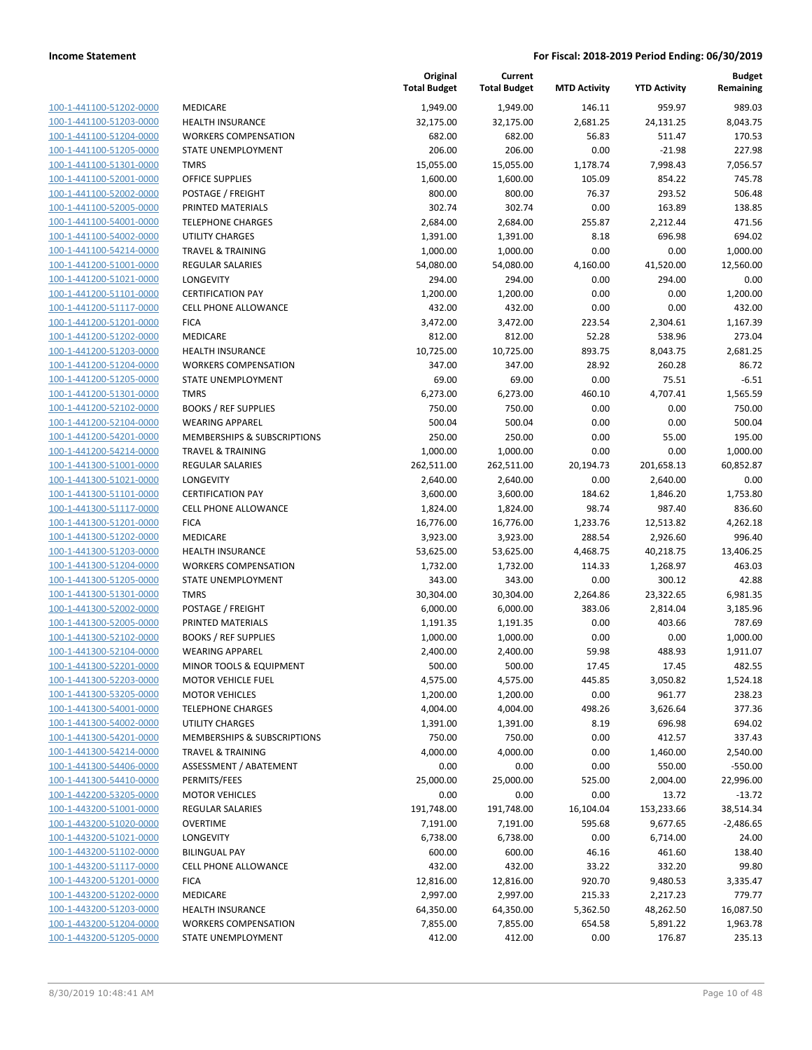| 100-1-441100-51202-0000                            | MEDICARE                                          |
|----------------------------------------------------|---------------------------------------------------|
| 100-1-441100-51203-0000                            | <b>HEALTH INSURANCE</b>                           |
| 100-1-441100-51204-0000                            | <b>WORKERS COMPENSATION</b>                       |
| 100-1-441100-51205-0000                            | STATE UNEMPLOYMENT                                |
| 100-1-441100-51301-0000                            | <b>TMRS</b>                                       |
| 100-1-441100-52001-0000                            | <b>OFFICE SUPPLIES</b>                            |
| 100-1-441100-52002-0000                            | POSTAGE / FREIGHT                                 |
| 100-1-441100-52005-0000                            | PRINTED MATERIALS                                 |
| 100-1-441100-54001-0000                            | <b>TELEPHONE CHARGES</b><br>UTILITY CHARGES       |
| 100-1-441100-54002-0000                            | <b>TRAVEL &amp; TRAINING</b>                      |
| 100-1-441100-54214-0000                            | <b>REGULAR SALARIES</b>                           |
| 100-1-441200-51001-0000<br>100-1-441200-51021-0000 | LONGEVITY                                         |
| 100-1-441200-51101-0000                            | <b>CERTIFICATION PAY</b>                          |
| 100-1-441200-51117-0000                            | <b>CELL PHONE ALLOWANCE</b>                       |
| 100-1-441200-51201-0000                            | <b>FICA</b>                                       |
| 100-1-441200-51202-0000                            | <b>MEDICARE</b>                                   |
| 100-1-441200-51203-0000                            | <b>HEALTH INSURANCE</b>                           |
| 100-1-441200-51204-0000                            | <b>WORKERS COMPENSATION</b>                       |
| 100-1-441200-51205-0000                            | STATE UNEMPLOYMENT                                |
| 100-1-441200-51301-0000                            | <b>TMRS</b>                                       |
| 100-1-441200-52102-0000                            | <b>BOOKS / REF SUPPLIES</b>                       |
| 100-1-441200-52104-0000                            | <b>WEARING APPAREL</b>                            |
| 100-1-441200-54201-0000                            | MEMBERSHIPS & SUBSCRIPTIONS                       |
| 100-1-441200-54214-0000                            | TRAVEL & TRAINING                                 |
| 100-1-441300-51001-0000                            | <b>REGULAR SALARIES</b>                           |
| 100-1-441300-51021-0000                            | <b>LONGEVITY</b>                                  |
| 100-1-441300-51101-0000                            | <b>CERTIFICATION PAY</b>                          |
| 100-1-441300-51117-0000                            | <b>CELL PHONE ALLOWANCE</b>                       |
| 100-1-441300-51201-0000                            | <b>FICA</b>                                       |
| 100-1-441300-51202-0000                            | MEDICARE                                          |
| 100-1-441300-51203-0000                            | <b>HEALTH INSURANCE</b>                           |
| 100-1-441300-51204-0000                            | <b>WORKERS COMPENSATION</b>                       |
| 100-1-441300-51205-0000                            | STATE UNEMPLOYMENT                                |
| 100-1-441300-51301-0000                            | TMRS                                              |
| 100-1-441300-52002-0000                            | POSTAGE / FREIGHT                                 |
| 100-1-441300-52005-0000                            | PRINTED MATERIALS                                 |
| 100-1-441300-52102-0000                            | <b>BOOKS / REF SUPPLIES</b>                       |
| 100-1-441300-52104-0000                            | <b>WEARING APPAREL</b>                            |
| 100-1-441300-52201-0000                            | <b>MINOR TOOLS &amp; EQUIPMENT</b>                |
| 100-1-441300-52203-0000                            | MOTOR VEHICLE FUEL                                |
| 100-1-441300-53205-0000                            | <b>MOTOR VEHICLES</b>                             |
| 100-1-441300-54001-0000                            | <b>TELEPHONE CHARGES</b>                          |
| 100-1-441300-54002-0000                            | <b>UTILITY CHARGES</b>                            |
| 100-1-441300-54201-0000                            | MEMBERSHIPS & SUBSCRIPTIONS                       |
| 100-1-441300-54214-0000                            | <b>TRAVEL &amp; TRAINING</b>                      |
| 100-1-441300-54406-0000                            | ASSESSMENT / ABATEMENT                            |
| 100-1-441300-54410-0000                            | PERMITS/FEES                                      |
| 100-1-442200-53205-0000                            | <b>MOTOR VEHICLES</b>                             |
| 100-1-443200-51001-0000                            | REGULAR SALARIES                                  |
| 100-1-443200-51020-0000                            | <b>OVERTIME</b>                                   |
| 100-1-443200-51021-0000                            | LONGEVITY                                         |
| 100-1-443200-51102-0000                            | <b>BILINGUAL PAY</b>                              |
| 100-1-443200-51117-0000                            | <b>CELL PHONE ALLOWANCE</b>                       |
| 100-1-443200-51201-0000                            | <b>FICA</b>                                       |
| 100-1-443200-51202-0000                            | MEDICARE                                          |
| 100-1-443200-51203-0000                            | <b>HEALTH INSURANCE</b>                           |
| 100-1-443200-51204-0000<br>100-1-443200-51205-0000 | <b>WORKERS COMPENSATION</b><br>STATE UNEMPLOYMENT |
|                                                    |                                                   |
|                                                    |                                                   |

|                         |                              | Original<br><b>Total Budget</b> | Current<br><b>Total Budget</b> | <b>MTD Activity</b> | <b>YTD Activity</b> | <b>Budget</b><br>Remaining |
|-------------------------|------------------------------|---------------------------------|--------------------------------|---------------------|---------------------|----------------------------|
| 100-1-441100-51202-0000 | MEDICARE                     | 1,949.00                        | 1,949.00                       | 146.11              | 959.97              | 989.03                     |
| 100-1-441100-51203-0000 | <b>HEALTH INSURANCE</b>      | 32,175.00                       | 32,175.00                      | 2,681.25            | 24,131.25           | 8,043.75                   |
| 100-1-441100-51204-0000 | <b>WORKERS COMPENSATION</b>  | 682.00                          | 682.00                         | 56.83               | 511.47              | 170.53                     |
| 100-1-441100-51205-0000 | <b>STATE UNEMPLOYMENT</b>    | 206.00                          | 206.00                         | 0.00                | $-21.98$            | 227.98                     |
| 100-1-441100-51301-0000 | <b>TMRS</b>                  | 15,055.00                       | 15,055.00                      | 1,178.74            | 7,998.43            | 7,056.57                   |
| 100-1-441100-52001-0000 | <b>OFFICE SUPPLIES</b>       | 1,600.00                        | 1,600.00                       | 105.09              | 854.22              | 745.78                     |
| 100-1-441100-52002-0000 | POSTAGE / FREIGHT            | 800.00                          | 800.00                         | 76.37               | 293.52              | 506.48                     |
| 100-1-441100-52005-0000 | PRINTED MATERIALS            | 302.74                          | 302.74                         | 0.00                | 163.89              | 138.85                     |
| 100-1-441100-54001-0000 | <b>TELEPHONE CHARGES</b>     | 2,684.00                        | 2,684.00                       | 255.87              | 2,212.44            | 471.56                     |
| 100-1-441100-54002-0000 | <b>UTILITY CHARGES</b>       | 1,391.00                        | 1,391.00                       | 8.18                | 696.98              | 694.02                     |
| 100-1-441100-54214-0000 | <b>TRAVEL &amp; TRAINING</b> | 1,000.00                        | 1,000.00                       | 0.00                | 0.00                | 1,000.00                   |
| 100-1-441200-51001-0000 | REGULAR SALARIES             | 54,080.00                       | 54,080.00                      | 4,160.00            | 41,520.00           | 12,560.00                  |
| 100-1-441200-51021-0000 | LONGEVITY                    | 294.00                          | 294.00                         | 0.00                | 294.00              | 0.00                       |
| 100-1-441200-51101-0000 | <b>CERTIFICATION PAY</b>     | 1,200.00                        | 1,200.00                       | 0.00                | 0.00                | 1,200.00                   |
| 100-1-441200-51117-0000 | <b>CELL PHONE ALLOWANCE</b>  | 432.00                          | 432.00                         | 0.00                | 0.00                | 432.00                     |
| 100-1-441200-51201-0000 | <b>FICA</b>                  | 3,472.00                        | 3,472.00                       | 223.54              | 2,304.61            | 1,167.39                   |
| 100-1-441200-51202-0000 | MEDICARE                     | 812.00                          | 812.00                         | 52.28               | 538.96              | 273.04                     |
| 100-1-441200-51203-0000 | <b>HEALTH INSURANCE</b>      | 10,725.00                       | 10,725.00                      | 893.75              | 8,043.75            | 2,681.25                   |
| 100-1-441200-51204-0000 | <b>WORKERS COMPENSATION</b>  | 347.00                          | 347.00                         | 28.92               | 260.28              | 86.72                      |
| 100-1-441200-51205-0000 | STATE UNEMPLOYMENT           | 69.00                           | 69.00                          | 0.00                | 75.51               | $-6.51$                    |
| 100-1-441200-51301-0000 | <b>TMRS</b>                  | 6,273.00                        | 6,273.00                       | 460.10              | 4,707.41            | 1,565.59                   |
| 100-1-441200-52102-0000 | <b>BOOKS / REF SUPPLIES</b>  | 750.00                          | 750.00                         | 0.00                | 0.00                | 750.00                     |
| 100-1-441200-52104-0000 | <b>WEARING APPAREL</b>       | 500.04                          | 500.04                         | 0.00                | 0.00                | 500.04                     |
| 100-1-441200-54201-0000 | MEMBERSHIPS & SUBSCRIPTIONS  | 250.00                          | 250.00                         | 0.00                | 55.00               | 195.00                     |
| 100-1-441200-54214-0000 | <b>TRAVEL &amp; TRAINING</b> | 1,000.00                        | 1,000.00                       | 0.00                | 0.00                | 1,000.00                   |
| 100-1-441300-51001-0000 | REGULAR SALARIES             | 262,511.00                      | 262,511.00                     | 20,194.73           | 201,658.13          | 60,852.87                  |
| 100-1-441300-51021-0000 | <b>LONGEVITY</b>             | 2,640.00                        | 2,640.00                       | 0.00                | 2,640.00            | 0.00                       |
| 100-1-441300-51101-0000 | <b>CERTIFICATION PAY</b>     | 3,600.00                        | 3,600.00                       | 184.62              | 1,846.20            | 1,753.80                   |
| 100-1-441300-51117-0000 | <b>CELL PHONE ALLOWANCE</b>  | 1,824.00                        | 1,824.00                       | 98.74               | 987.40              | 836.60                     |
| 100-1-441300-51201-0000 | <b>FICA</b>                  | 16,776.00                       | 16,776.00                      | 1,233.76            | 12,513.82           | 4,262.18                   |
| 100-1-441300-51202-0000 | <b>MEDICARE</b>              | 3,923.00                        | 3,923.00                       | 288.54              | 2,926.60            | 996.40                     |
| 100-1-441300-51203-0000 | <b>HEALTH INSURANCE</b>      | 53,625.00                       | 53,625.00                      | 4,468.75            | 40,218.75           | 13,406.25                  |
| 100-1-441300-51204-0000 | <b>WORKERS COMPENSATION</b>  | 1,732.00                        | 1,732.00                       | 114.33              | 1,268.97            | 463.03                     |
| 100-1-441300-51205-0000 | <b>STATE UNEMPLOYMENT</b>    | 343.00                          | 343.00                         | 0.00                | 300.12              | 42.88                      |
| 100-1-441300-51301-0000 | <b>TMRS</b>                  | 30,304.00                       | 30,304.00                      | 2,264.86            | 23,322.65           | 6,981.35                   |
| 100-1-441300-52002-0000 | POSTAGE / FREIGHT            | 6,000.00                        | 6,000.00                       | 383.06              | 2,814.04            | 3,185.96                   |
| 100-1-441300-52005-0000 | PRINTED MATERIALS            | 1,191.35                        | 1,191.35                       | 0.00                | 403.66              | 787.69                     |
| 100-1-441300-52102-0000 | <b>BOOKS / REF SUPPLIES</b>  | 1,000.00                        | 1,000.00                       | 0.00                | 0.00                | 1,000.00                   |
| 100-1-441300-52104-0000 | <b>WEARING APPAREL</b>       | 2,400.00                        | 2,400.00                       | 59.98               | 488.93              | 1,911.07                   |
| 100-1-441300-52201-0000 | MINOR TOOLS & EQUIPMENT      | 500.00                          | 500.00                         | 17.45               | 17.45               | 482.55                     |
| 100-1-441300-52203-0000 | <b>MOTOR VEHICLE FUEL</b>    | 4,575.00                        | 4,575.00                       | 445.85              | 3,050.82            | 1,524.18                   |
| 100-1-441300-53205-0000 | <b>MOTOR VEHICLES</b>        | 1,200.00                        | 1,200.00                       | 0.00                | 961.77              | 238.23                     |
| 100-1-441300-54001-0000 | <b>TELEPHONE CHARGES</b>     | 4,004.00                        | 4,004.00                       | 498.26              | 3,626.64            | 377.36                     |
| 100-1-441300-54002-0000 | UTILITY CHARGES              | 1,391.00                        | 1,391.00                       | 8.19                | 696.98              | 694.02                     |
| 100-1-441300-54201-0000 | MEMBERSHIPS & SUBSCRIPTIONS  | 750.00                          | 750.00                         | 0.00                | 412.57              | 337.43                     |
| 100-1-441300-54214-0000 | <b>TRAVEL &amp; TRAINING</b> | 4,000.00                        | 4,000.00                       | 0.00                | 1,460.00            | 2,540.00                   |
| 100-1-441300-54406-0000 | ASSESSMENT / ABATEMENT       | 0.00                            | 0.00                           | 0.00                | 550.00              | $-550.00$                  |
| 100-1-441300-54410-0000 | PERMITS/FEES                 | 25,000.00                       | 25,000.00                      | 525.00              | 2,004.00            | 22,996.00                  |
| 100-1-442200-53205-0000 | <b>MOTOR VEHICLES</b>        | 0.00                            | 0.00                           | 0.00                | 13.72               | $-13.72$                   |
| 100-1-443200-51001-0000 | REGULAR SALARIES             | 191,748.00                      | 191,748.00                     | 16,104.04           | 153,233.66          | 38,514.34                  |
| 100-1-443200-51020-0000 | <b>OVERTIME</b>              | 7,191.00                        | 7,191.00                       | 595.68              | 9,677.65            | $-2,486.65$                |
| 100-1-443200-51021-0000 | LONGEVITY                    | 6,738.00                        | 6,738.00                       | 0.00                | 6,714.00            | 24.00                      |
| 100-1-443200-51102-0000 | <b>BILINGUAL PAY</b>         | 600.00                          | 600.00                         | 46.16               | 461.60              | 138.40                     |
| 100-1-443200-51117-0000 | CELL PHONE ALLOWANCE         | 432.00                          | 432.00                         | 33.22               | 332.20              | 99.80                      |
| 100-1-443200-51201-0000 | <b>FICA</b>                  | 12,816.00                       | 12,816.00                      | 920.70              | 9,480.53            | 3,335.47                   |
| 100-1-443200-51202-0000 | MEDICARE                     | 2,997.00                        | 2,997.00                       | 215.33              | 2,217.23            | 779.77                     |
| 100-1-443200-51203-0000 | <b>HEALTH INSURANCE</b>      | 64,350.00                       | 64,350.00                      | 5,362.50            | 48,262.50           | 16,087.50                  |
| 100-1-443200-51204-0000 | <b>WORKERS COMPENSATION</b>  | 7,855.00                        | 7,855.00                       | 654.58              | 5,891.22            | 1,963.78                   |
| 100-1-443200-51205-0000 | STATE UNEMPLOYMENT           | 412.00                          | 412.00                         | 0.00                | 176.87              | 235.13                     |
|                         |                              |                                 |                                |                     |                     |                            |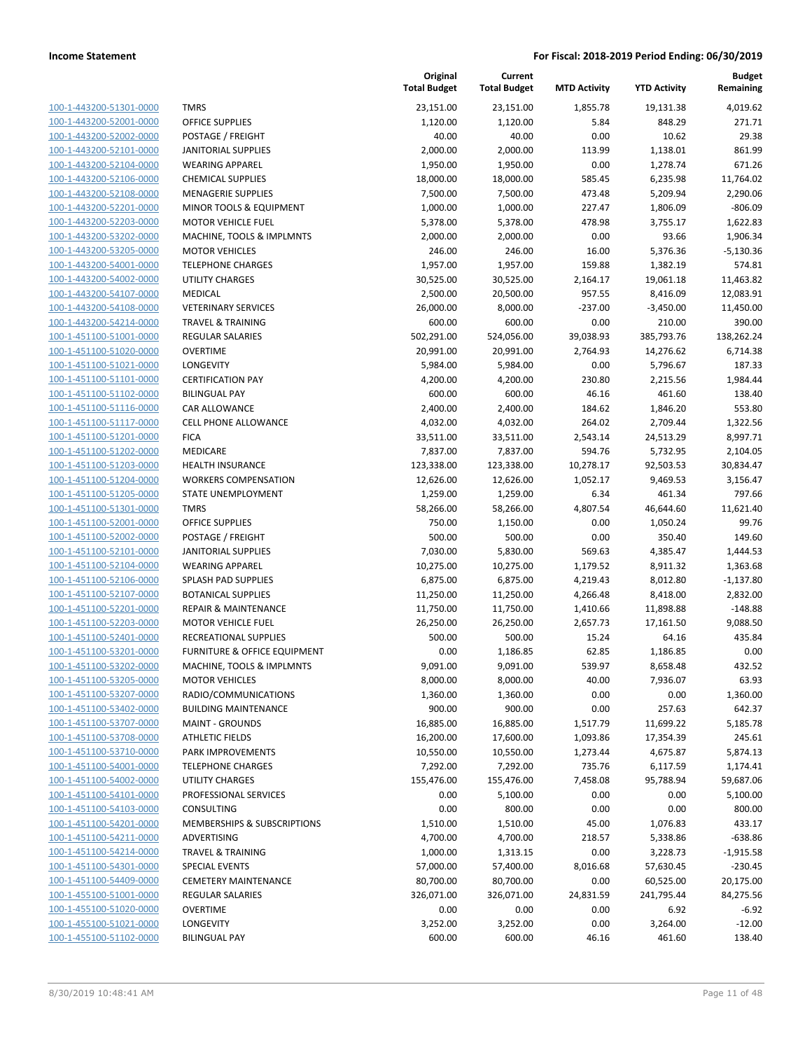| 100-1-443200-51301-0000                                   |
|-----------------------------------------------------------|
| 100-1-443200-52001-0000                                   |
| 100-1-443200-52002-0000                                   |
| 100-1-443200-52101-0000                                   |
| 100-1-443200-52104-0000                                   |
| <u>100-1-443200-52106-0000</u>                            |
| <u>100-1-443200-52108-0000</u>                            |
| 100-1-443200-52201-0000                                   |
| 100-1-443200-52203-0000                                   |
| 100-1-443200-53202-0000                                   |
| <u>100-1-443200-53205-0000</u>                            |
| <u>100-1-443200-54001-0000</u>                            |
| 100-1-443200-54002-0000                                   |
| 100-1-443200-54107-0000                                   |
| 100-1-443200-54108-0000                                   |
| <u>100-1-443200-54214-0000</u>                            |
| <u>100-1-451100-51001-0000</u>                            |
| 100-1-451100-51020-0000                                   |
| 100-1-451100-51021-0000                                   |
| 100-1-451100-51101-0000                                   |
| <u>100-1-451100-51102-0000</u>                            |
| 100-1-451100-51116-0000                                   |
| 100-1-451100-51117-0000                                   |
| 100-1-451100-51201-0000                                   |
| 100-1-451100-51202-0000                                   |
|                                                           |
| <u>100-1-451100-51203-0000</u><br>100-1-451100-51204-0000 |
| 100-1-451100-51205-0000                                   |
| 100-1-451100-51301-0000                                   |
|                                                           |
| 100-1-451100-52001-0000                                   |
| 100-1-451100-52002-0000                                   |
| 100-1-451100-52101-0000                                   |
| 100-1-451100-52104-0000                                   |
| 100-1-451100-52106-0000                                   |
| 100-1-451100-52107-0000                                   |
| <u>100-1-451100-52201-0000</u>                            |
| 100-1-451100-52203-0000                                   |
| 100-1-451100-52401-0000                                   |
| 100-1-451100-53201-0000                                   |
| 100-1-451100-53202-0000                                   |
| 100-1-451100-53205-0000                                   |
| <u>100-1-451100-53207-0000</u>                            |
| 100-1-451100-53402-0000                                   |
| 100-1-451100-53707-0000                                   |
| 100-1-451100-53708-0000                                   |
| 100-1-451100-53710-0000                                   |
| 100-1-451100-54001-0000                                   |
| 100-1-451100-54002-0000                                   |
| 100-1-451100-54101-0000                                   |
| <u>100-1-451100-54103-0000</u>                            |
| <u>100-1-451100-54201-0000</u>                            |
| 100-1-451100-54211-0000                                   |
| 100-1-451100-54214-0000                                   |
| 100-1-451100-54301-0000                                   |
| <u>100-1-451100-54409-0000</u>                            |
| 100-1-455100-51001-0000                                   |
| 100-1-455100-51020-0000                                   |
| 100-1-455100-51021-0000                                   |
| 100-1-455100-51102-0000                                   |
|                                                           |

|                                                    |                                         | Original<br><b>Total Budget</b> | Current<br><b>Total Budget</b> | <b>MTD Activity</b> | <b>YTD Activity</b>   | <b>Budget</b><br>Remaining |
|----------------------------------------------------|-----------------------------------------|---------------------------------|--------------------------------|---------------------|-----------------------|----------------------------|
| 100-1-443200-51301-0000                            | <b>TMRS</b>                             | 23,151.00                       | 23,151.00                      | 1,855.78            | 19,131.38             | 4,019.62                   |
| 100-1-443200-52001-0000                            | <b>OFFICE SUPPLIES</b>                  | 1,120.00                        | 1,120.00                       | 5.84                | 848.29                | 271.71                     |
| 100-1-443200-52002-0000                            | POSTAGE / FREIGHT                       | 40.00                           | 40.00                          | 0.00                | 10.62                 | 29.38                      |
| 100-1-443200-52101-0000                            | JANITORIAL SUPPLIES                     | 2,000.00                        | 2,000.00                       | 113.99              | 1,138.01              | 861.99                     |
| 100-1-443200-52104-0000                            | <b>WEARING APPAREL</b>                  | 1,950.00                        | 1,950.00                       | 0.00                | 1,278.74              | 671.26                     |
| 100-1-443200-52106-0000                            | <b>CHEMICAL SUPPLIES</b>                | 18,000.00                       | 18,000.00                      | 585.45              | 6,235.98              | 11,764.02                  |
| 100-1-443200-52108-0000                            | <b>MENAGERIE SUPPLIES</b>               | 7,500.00                        | 7,500.00                       | 473.48              | 5,209.94              | 2,290.06                   |
| 100-1-443200-52201-0000                            | MINOR TOOLS & EQUIPMENT                 | 1,000.00                        | 1,000.00                       | 227.47              | 1,806.09              | $-806.09$                  |
| 100-1-443200-52203-0000                            | <b>MOTOR VEHICLE FUEL</b>               | 5,378.00                        | 5,378.00                       | 478.98              | 3,755.17              | 1,622.83                   |
| 100-1-443200-53202-0000                            | MACHINE, TOOLS & IMPLMNTS               | 2,000.00                        | 2,000.00                       | 0.00                | 93.66                 | 1,906.34                   |
| 100-1-443200-53205-0000                            | <b>MOTOR VEHICLES</b>                   | 246.00                          | 246.00                         | 16.00               | 5,376.36              | $-5,130.36$                |
| 100-1-443200-54001-0000                            | <b>TELEPHONE CHARGES</b>                | 1,957.00                        | 1,957.00                       | 159.88              | 1,382.19              | 574.81                     |
| 100-1-443200-54002-0000                            | <b>UTILITY CHARGES</b>                  | 30,525.00                       | 30,525.00                      | 2,164.17            | 19,061.18             | 11,463.82                  |
| 100-1-443200-54107-0000                            | MEDICAL                                 | 2,500.00                        | 20,500.00                      | 957.55              | 8,416.09              | 12,083.91                  |
| 100-1-443200-54108-0000                            | <b>VETERINARY SERVICES</b>              | 26,000.00                       | 8,000.00                       | $-237.00$           | $-3,450.00$           | 11,450.00                  |
| 100-1-443200-54214-0000                            | <b>TRAVEL &amp; TRAINING</b>            | 600.00                          | 600.00                         | 0.00                | 210.00                | 390.00                     |
| 100-1-451100-51001-0000                            | <b>REGULAR SALARIES</b>                 | 502,291.00                      | 524,056.00                     | 39,038.93           | 385,793.76            | 138,262.24                 |
| 100-1-451100-51020-0000                            | <b>OVERTIME</b>                         | 20,991.00                       | 20,991.00                      | 2,764.93            | 14,276.62             | 6,714.38                   |
| 100-1-451100-51021-0000                            | LONGEVITY                               | 5,984.00                        | 5,984.00                       | 0.00                | 5,796.67              | 187.33                     |
| 100-1-451100-51101-0000                            | <b>CERTIFICATION PAY</b>                | 4,200.00                        | 4,200.00                       | 230.80              | 2,215.56              | 1,984.44                   |
| 100-1-451100-51102-0000                            | <b>BILINGUAL PAY</b>                    | 600.00                          | 600.00                         | 46.16               | 461.60                | 138.40                     |
| 100-1-451100-51116-0000                            | <b>CAR ALLOWANCE</b>                    | 2,400.00                        | 2,400.00                       | 184.62              | 1,846.20              | 553.80                     |
| 100-1-451100-51117-0000                            | <b>CELL PHONE ALLOWANCE</b>             | 4,032.00                        | 4,032.00                       | 264.02              | 2,709.44              | 1,322.56                   |
| 100-1-451100-51201-0000                            | <b>FICA</b>                             | 33,511.00                       | 33,511.00                      | 2,543.14            | 24,513.29             | 8,997.71                   |
| 100-1-451100-51202-0000                            | MEDICARE                                | 7,837.00                        | 7,837.00                       | 594.76              | 5,732.95              | 2,104.05                   |
| 100-1-451100-51203-0000                            | <b>HEALTH INSURANCE</b>                 | 123,338.00                      | 123,338.00                     | 10,278.17           | 92,503.53             | 30,834.47                  |
| 100-1-451100-51204-0000                            | <b>WORKERS COMPENSATION</b>             | 12,626.00                       | 12,626.00                      | 1,052.17            | 9,469.53              | 3,156.47                   |
| 100-1-451100-51205-0000<br>100-1-451100-51301-0000 | STATE UNEMPLOYMENT                      | 1,259.00                        | 1,259.00                       | 6.34                | 461.34                | 797.66                     |
| 100-1-451100-52001-0000                            | <b>TMRS</b><br><b>OFFICE SUPPLIES</b>   | 58,266.00<br>750.00             | 58,266.00<br>1,150.00          | 4,807.54<br>0.00    | 46,644.60<br>1,050.24 | 11,621.40<br>99.76         |
| 100-1-451100-52002-0000                            | POSTAGE / FREIGHT                       | 500.00                          | 500.00                         | 0.00                | 350.40                | 149.60                     |
| 100-1-451100-52101-0000                            | JANITORIAL SUPPLIES                     | 7,030.00                        | 5,830.00                       | 569.63              | 4,385.47              | 1,444.53                   |
| 100-1-451100-52104-0000                            | <b>WEARING APPAREL</b>                  | 10,275.00                       | 10,275.00                      | 1,179.52            | 8,911.32              | 1,363.68                   |
| 100-1-451100-52106-0000                            | <b>SPLASH PAD SUPPLIES</b>              | 6,875.00                        | 6,875.00                       | 4,219.43            | 8,012.80              | $-1,137.80$                |
| 100-1-451100-52107-0000                            | <b>BOTANICAL SUPPLIES</b>               | 11,250.00                       | 11,250.00                      | 4,266.48            | 8,418.00              | 2,832.00                   |
| 100-1-451100-52201-0000                            | <b>REPAIR &amp; MAINTENANCE</b>         | 11,750.00                       | 11,750.00                      | 1,410.66            | 11,898.88             | $-148.88$                  |
| 100-1-451100-52203-0000                            | <b>MOTOR VEHICLE FUEL</b>               | 26,250.00                       | 26,250.00                      | 2,657.73            | 17,161.50             | 9,088.50                   |
| 100-1-451100-52401-0000                            | RECREATIONAL SUPPLIES                   | 500.00                          | 500.00                         | 15.24               | 64.16                 | 435.84                     |
| 100-1-451100-53201-0000                            | <b>FURNITURE &amp; OFFICE EQUIPMENT</b> | 0.00                            | 1,186.85                       | 62.85               | 1,186.85              | 0.00                       |
| 100-1-451100-53202-0000                            | MACHINE, TOOLS & IMPLMNTS               | 9,091.00                        | 9,091.00                       | 539.97              | 8,658.48              | 432.52                     |
| 100-1-451100-53205-0000                            | <b>MOTOR VEHICLES</b>                   | 8,000.00                        | 8,000.00                       | 40.00               | 7,936.07              | 63.93                      |
| 100-1-451100-53207-0000                            | RADIO/COMMUNICATIONS                    | 1,360.00                        | 1,360.00                       | 0.00                | 0.00                  | 1,360.00                   |
| 100-1-451100-53402-0000                            | <b>BUILDING MAINTENANCE</b>             | 900.00                          | 900.00                         | 0.00                | 257.63                | 642.37                     |
| 100-1-451100-53707-0000                            | <b>MAINT - GROUNDS</b>                  | 16,885.00                       | 16,885.00                      | 1,517.79            | 11,699.22             | 5,185.78                   |
| 100-1-451100-53708-0000                            | <b>ATHLETIC FIELDS</b>                  | 16,200.00                       | 17,600.00                      | 1,093.86            | 17,354.39             | 245.61                     |
| 100-1-451100-53710-0000                            | PARK IMPROVEMENTS                       | 10,550.00                       | 10,550.00                      | 1,273.44            | 4,675.87              | 5,874.13                   |
| 100-1-451100-54001-0000                            | <b>TELEPHONE CHARGES</b>                | 7,292.00                        | 7,292.00                       | 735.76              | 6,117.59              | 1,174.41                   |
| 100-1-451100-54002-0000                            | UTILITY CHARGES                         | 155,476.00                      | 155,476.00                     | 7,458.08            | 95,788.94             | 59,687.06                  |
| 100-1-451100-54101-0000                            | PROFESSIONAL SERVICES                   | 0.00                            | 5,100.00                       | 0.00                | 0.00                  | 5,100.00                   |
| 100-1-451100-54103-0000                            | CONSULTING                              | 0.00                            | 800.00                         | 0.00                | 0.00                  | 800.00                     |
| 100-1-451100-54201-0000                            | MEMBERSHIPS & SUBSCRIPTIONS             | 1,510.00                        | 1,510.00                       | 45.00               | 1,076.83              | 433.17                     |
| 100-1-451100-54211-0000                            | <b>ADVERTISING</b>                      | 4,700.00                        | 4,700.00                       | 218.57              | 5,338.86              | $-638.86$                  |
| 100-1-451100-54214-0000                            | <b>TRAVEL &amp; TRAINING</b>            | 1,000.00                        | 1,313.15                       | 0.00                | 3,228.73              | $-1,915.58$                |
| 100-1-451100-54301-0000                            | <b>SPECIAL EVENTS</b>                   | 57,000.00                       | 57,400.00                      | 8,016.68            | 57,630.45             | $-230.45$                  |
| 100-1-451100-54409-0000                            | <b>CEMETERY MAINTENANCE</b>             | 80,700.00                       | 80,700.00                      | 0.00                | 60,525.00             | 20,175.00                  |
| 100-1-455100-51001-0000                            | REGULAR SALARIES                        | 326,071.00                      | 326,071.00                     | 24,831.59           | 241,795.44            | 84,275.56                  |
| 100-1-455100-51020-0000                            | OVERTIME                                | 0.00                            | 0.00                           | 0.00                | 6.92                  | $-6.92$                    |
| 100-1-455100-51021-0000                            | LONGEVITY                               | 3,252.00                        | 3,252.00                       | 0.00                | 3,264.00              | $-12.00$                   |
| 100-1-455100-51102-0000                            | <b>BILINGUAL PAY</b>                    | 600.00                          | 600.00                         | 46.16               | 461.60                | 138.40                     |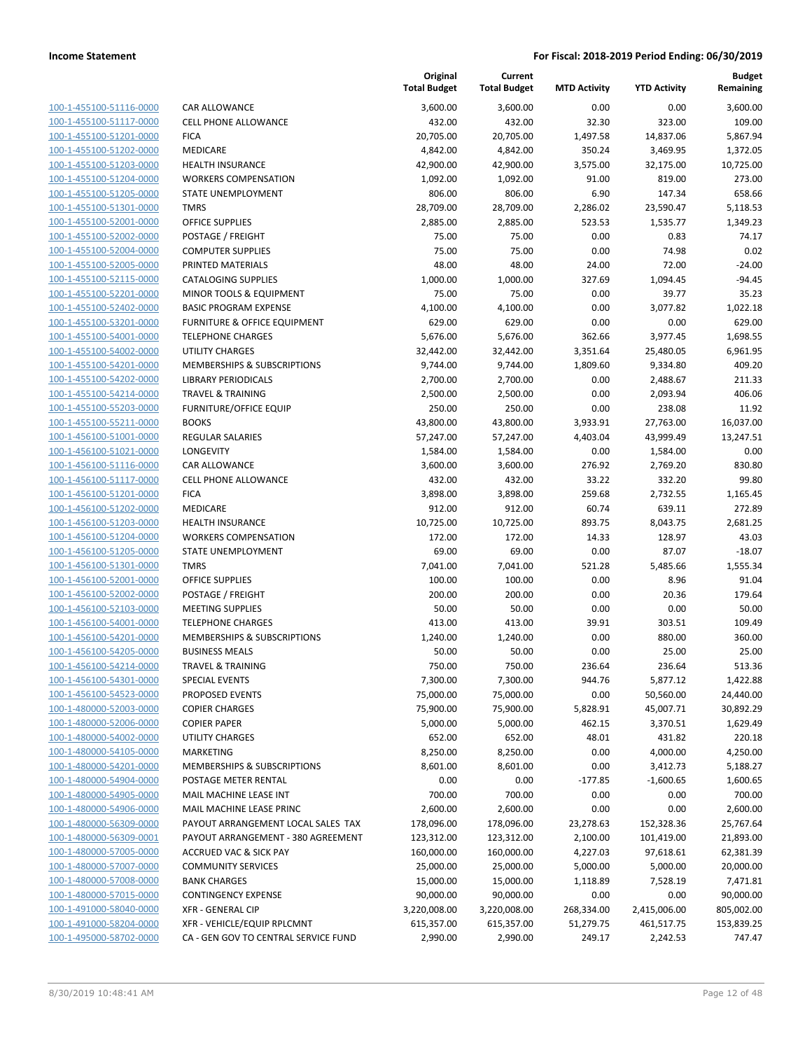| 100-1-455100-51116-0000             |
|-------------------------------------|
| 100-1-455100-51117-0000             |
| 100-1-455100-51201-0000             |
| 100-1-455100-51202-0000             |
| 100-1-455100-51203-0000             |
| 100-1-455100-51204-0000             |
| 100-1-455100-51205-0000             |
| 100-1-455100-51301-0000             |
| 100-1-455100-52001-0000             |
| <u>100-1-455100-52002-0000</u>      |
| 100-1-455100-52004-0000             |
| 100-1-455100-52005-0000             |
| 100-1-455100-52115-0000             |
| 100-1-455100-52201-0000             |
|                                     |
| <u>100-1-455100-52402-0000</u>      |
| 100-1-455100-53201-0000             |
| 100-1-455100-54001-0000             |
| 100-1-455100-54002-0000             |
| 100-1-455100-54201-0000             |
| <u>100-1-455100-54202-0000</u>      |
| 100-1-455100-54214-0000             |
| 100-1-455100-55203-0000             |
| 100-1-455100-55211-0000             |
| 100-1-456100-51001-0000             |
| 100-1-456100-51021-0000             |
| 100-1-456100-51116-0000             |
| 100-1-456100-51117-0000             |
| 100-1-456100-51201-0000             |
| 100-1-456100-51202-0000             |
| 100-1-456100-51203-0000             |
|                                     |
| 100-1-456100-51204-0000             |
| 100-1-456100-51205-0000             |
| 100-1-456100-51301-0000             |
| 100-1-456100-52001-0000             |
| <u>100-1-456100-52002-0000</u>      |
| 100-1-456100-52103-0000             |
| 100-1-456100-54001-0000             |
| 100-1-456100-54201-0000             |
| 100-1-456100-54205-0000             |
| 100-1-456100-54214-0000             |
| 100-1-456100-54301-0000             |
| 100-1-456100-54523-0000             |
| 100-1-480000-52003-0000             |
| 100-1-480000-52006-0000             |
| 100-1-480000-54002-0000             |
|                                     |
| 100-1-480000-54105-0000             |
| 100-1-480000-54201-0000             |
| 100-1-480000-54904-0000             |
| 100-1-480000-54905-0000             |
| 100-1-480000-54906-0000             |
| 100-1-480000-56309-0000             |
| 100-1-480000-56309-0001             |
| 100-1-480000-57005-0000             |
| 100-1-480000-57007-0000             |
| 100-1-480000-57008-0000             |
| <u>100-1-480000-57015-0000</u>      |
| 1-491000-58040-0000<br><u> 100-</u> |
| 100-1-491000-58204-0000             |
| 100-1-495000-58702-0000             |
|                                     |

|                         |                                      | Original<br><b>Total Budget</b> | Current<br><b>Total Budget</b> | <b>MTD Activity</b> | <b>YTD Activity</b> | <b>Budget</b><br>Remaining |
|-------------------------|--------------------------------------|---------------------------------|--------------------------------|---------------------|---------------------|----------------------------|
| 100-1-455100-51116-0000 | <b>CAR ALLOWANCE</b>                 | 3,600.00                        | 3,600.00                       | 0.00                | 0.00                | 3,600.00                   |
| 100-1-455100-51117-0000 | <b>CELL PHONE ALLOWANCE</b>          | 432.00                          | 432.00                         | 32.30               | 323.00              | 109.00                     |
| 100-1-455100-51201-0000 | <b>FICA</b>                          | 20,705.00                       | 20,705.00                      | 1,497.58            | 14,837.06           | 5,867.94                   |
| 100-1-455100-51202-0000 | MEDICARE                             | 4,842.00                        | 4,842.00                       | 350.24              | 3,469.95            | 1,372.05                   |
| 100-1-455100-51203-0000 | <b>HEALTH INSURANCE</b>              | 42,900.00                       | 42,900.00                      | 3,575.00            | 32,175.00           | 10,725.00                  |
| 100-1-455100-51204-0000 | <b>WORKERS COMPENSATION</b>          | 1,092.00                        | 1,092.00                       | 91.00               | 819.00              | 273.00                     |
| 100-1-455100-51205-0000 | STATE UNEMPLOYMENT                   | 806.00                          | 806.00                         | 6.90                | 147.34              | 658.66                     |
| 100-1-455100-51301-0000 | <b>TMRS</b>                          | 28,709.00                       | 28,709.00                      | 2,286.02            | 23,590.47           | 5,118.53                   |
| 100-1-455100-52001-0000 | <b>OFFICE SUPPLIES</b>               | 2,885.00                        | 2,885.00                       | 523.53              | 1,535.77            | 1,349.23                   |
| 100-1-455100-52002-0000 | POSTAGE / FREIGHT                    | 75.00                           | 75.00                          | 0.00                | 0.83                | 74.17                      |
| 100-1-455100-52004-0000 | <b>COMPUTER SUPPLIES</b>             | 75.00                           | 75.00                          | 0.00                | 74.98               | 0.02                       |
| 100-1-455100-52005-0000 | PRINTED MATERIALS                    | 48.00                           | 48.00                          | 24.00               | 72.00               | $-24.00$                   |
| 100-1-455100-52115-0000 | <b>CATALOGING SUPPLIES</b>           | 1,000.00                        | 1,000.00                       | 327.69              | 1,094.45            | $-94.45$                   |
| 100-1-455100-52201-0000 | MINOR TOOLS & EQUIPMENT              | 75.00                           | 75.00                          | 0.00                | 39.77               | 35.23                      |
| 100-1-455100-52402-0000 | <b>BASIC PROGRAM EXPENSE</b>         | 4,100.00                        | 4,100.00                       | 0.00                | 3,077.82            | 1,022.18                   |
| 100-1-455100-53201-0000 | FURNITURE & OFFICE EQUIPMENT         | 629.00                          | 629.00                         | 0.00                | 0.00                | 629.00                     |
| 100-1-455100-54001-0000 | <b>TELEPHONE CHARGES</b>             | 5,676.00                        | 5,676.00                       | 362.66              | 3,977.45            | 1,698.55                   |
| 100-1-455100-54002-0000 | <b>UTILITY CHARGES</b>               | 32,442.00                       | 32,442.00                      | 3,351.64            | 25,480.05           | 6,961.95                   |
| 100-1-455100-54201-0000 | MEMBERSHIPS & SUBSCRIPTIONS          | 9,744.00                        | 9,744.00                       | 1,809.60            | 9,334.80            | 409.20                     |
| 100-1-455100-54202-0000 | <b>LIBRARY PERIODICALS</b>           | 2,700.00                        | 2,700.00                       | 0.00                | 2,488.67            | 211.33                     |
| 100-1-455100-54214-0000 | <b>TRAVEL &amp; TRAINING</b>         | 2,500.00                        | 2,500.00                       | 0.00                | 2,093.94            | 406.06                     |
| 100-1-455100-55203-0000 | <b>FURNITURE/OFFICE EQUIP</b>        | 250.00                          | 250.00                         | 0.00                | 238.08              | 11.92                      |
| 100-1-455100-55211-0000 | <b>BOOKS</b>                         | 43,800.00                       | 43,800.00                      | 3,933.91            | 27,763.00           | 16,037.00                  |
| 100-1-456100-51001-0000 | <b>REGULAR SALARIES</b>              | 57,247.00                       | 57,247.00                      | 4,403.04            | 43,999.49           | 13,247.51                  |
| 100-1-456100-51021-0000 | LONGEVITY                            | 1,584.00                        | 1,584.00                       | 0.00                | 1,584.00            | 0.00                       |
| 100-1-456100-51116-0000 | CAR ALLOWANCE                        | 3,600.00                        | 3,600.00                       | 276.92              | 2,769.20            | 830.80                     |
| 100-1-456100-51117-0000 | CELL PHONE ALLOWANCE                 | 432.00                          | 432.00                         | 33.22               | 332.20              | 99.80                      |
| 100-1-456100-51201-0000 | <b>FICA</b>                          | 3,898.00                        | 3,898.00                       | 259.68              | 2,732.55            | 1,165.45                   |
| 100-1-456100-51202-0000 | MEDICARE                             | 912.00                          | 912.00                         | 60.74               | 639.11              | 272.89                     |
| 100-1-456100-51203-0000 | <b>HEALTH INSURANCE</b>              | 10,725.00                       | 10,725.00                      | 893.75              | 8,043.75            | 2,681.25                   |
| 100-1-456100-51204-0000 | <b>WORKERS COMPENSATION</b>          | 172.00                          | 172.00                         | 14.33               | 128.97              | 43.03                      |
| 100-1-456100-51205-0000 | STATE UNEMPLOYMENT                   | 69.00                           | 69.00                          | 0.00                | 87.07               | $-18.07$                   |
| 100-1-456100-51301-0000 | <b>TMRS</b>                          | 7,041.00                        | 7,041.00                       | 521.28              | 5,485.66            | 1,555.34                   |
| 100-1-456100-52001-0000 | <b>OFFICE SUPPLIES</b>               | 100.00                          | 100.00                         | 0.00                | 8.96                | 91.04                      |
| 100-1-456100-52002-0000 | POSTAGE / FREIGHT                    | 200.00                          | 200.00                         | 0.00                | 20.36               | 179.64                     |
| 100-1-456100-52103-0000 | <b>MEETING SUPPLIES</b>              | 50.00                           | 50.00                          | 0.00                | 0.00                | 50.00                      |
| 100-1-456100-54001-0000 | <b>TELEPHONE CHARGES</b>             | 413.00                          | 413.00                         | 39.91               | 303.51              | 109.49                     |
| 100-1-456100-54201-0000 | MEMBERSHIPS & SUBSCRIPTIONS          | 1,240.00                        | 1,240.00                       | 0.00                | 880.00              | 360.00                     |
| 100-1-456100-54205-0000 | <b>BUSINESS MEALS</b>                | 50.00                           | 50.00                          | 0.00                | 25.00               | 25.00                      |
| 100-1-456100-54214-0000 | TRAVEL & TRAINING                    | 750.00                          | 750.00                         | 236.64              | 236.64              | 513.36                     |
| 100-1-456100-54301-0000 | SPECIAL EVENTS                       | 7,300.00                        | 7,300.00                       | 944.76              | 5,877.12            | 1,422.88                   |
| 100-1-456100-54523-0000 | PROPOSED EVENTS                      | 75,000.00                       | 75,000.00                      | 0.00                | 50,560.00           | 24,440.00                  |
| 100-1-480000-52003-0000 | <b>COPIER CHARGES</b>                | 75,900.00                       | 75,900.00                      | 5,828.91            | 45,007.71           | 30,892.29                  |
| 100-1-480000-52006-0000 | <b>COPIER PAPER</b>                  | 5,000.00                        | 5,000.00                       | 462.15              | 3,370.51            | 1,629.49                   |
| 100-1-480000-54002-0000 | <b>UTILITY CHARGES</b>               | 652.00                          | 652.00                         | 48.01               | 431.82              | 220.18                     |
| 100-1-480000-54105-0000 | MARKETING                            | 8,250.00                        | 8,250.00                       | 0.00                | 4,000.00            | 4,250.00                   |
| 100-1-480000-54201-0000 | MEMBERSHIPS & SUBSCRIPTIONS          | 8,601.00                        | 8,601.00                       | 0.00                | 3,412.73            | 5,188.27                   |
| 100-1-480000-54904-0000 | POSTAGE METER RENTAL                 | 0.00                            | 0.00                           | $-177.85$           | $-1,600.65$         | 1,600.65                   |
| 100-1-480000-54905-0000 | <b>MAIL MACHINE LEASE INT</b>        | 700.00                          | 700.00                         | 0.00                | 0.00                | 700.00                     |
| 100-1-480000-54906-0000 | MAIL MACHINE LEASE PRINC             | 2,600.00                        | 2,600.00                       | 0.00                | 0.00                | 2,600.00                   |
| 100-1-480000-56309-0000 | PAYOUT ARRANGEMENT LOCAL SALES TAX   | 178,096.00                      | 178,096.00                     | 23,278.63           | 152,328.36          | 25,767.64                  |
| 100-1-480000-56309-0001 | PAYOUT ARRANGEMENT - 380 AGREEMENT   | 123,312.00                      | 123,312.00                     | 2,100.00            | 101,419.00          | 21,893.00                  |
| 100-1-480000-57005-0000 | <b>ACCRUED VAC &amp; SICK PAY</b>    | 160,000.00                      | 160,000.00                     | 4,227.03            | 97,618.61           | 62,381.39                  |
| 100-1-480000-57007-0000 | <b>COMMUNITY SERVICES</b>            | 25,000.00                       | 25,000.00                      | 5,000.00            | 5,000.00            | 20,000.00                  |
| 100-1-480000-57008-0000 | <b>BANK CHARGES</b>                  | 15,000.00                       | 15,000.00                      | 1,118.89            | 7,528.19            | 7,471.81                   |
| 100-1-480000-57015-0000 | <b>CONTINGENCY EXPENSE</b>           | 90,000.00                       | 90,000.00                      | 0.00                | 0.00                | 90,000.00                  |
| 100-1-491000-58040-0000 | <b>XFR - GENERAL CIP</b>             | 3,220,008.00                    | 3,220,008.00                   | 268,334.00          | 2,415,006.00        | 805,002.00                 |
| 100-1-491000-58204-0000 | XFR - VEHICLE/EQUIP RPLCMNT          | 615,357.00                      | 615,357.00                     | 51,279.75           | 461,517.75          | 153,839.25                 |
| 100-1-495000-58702-0000 | CA - GEN GOV TO CENTRAL SERVICE FUND | 2,990.00                        | 2,990.00                       | 249.17              | 2,242.53            | 747.47                     |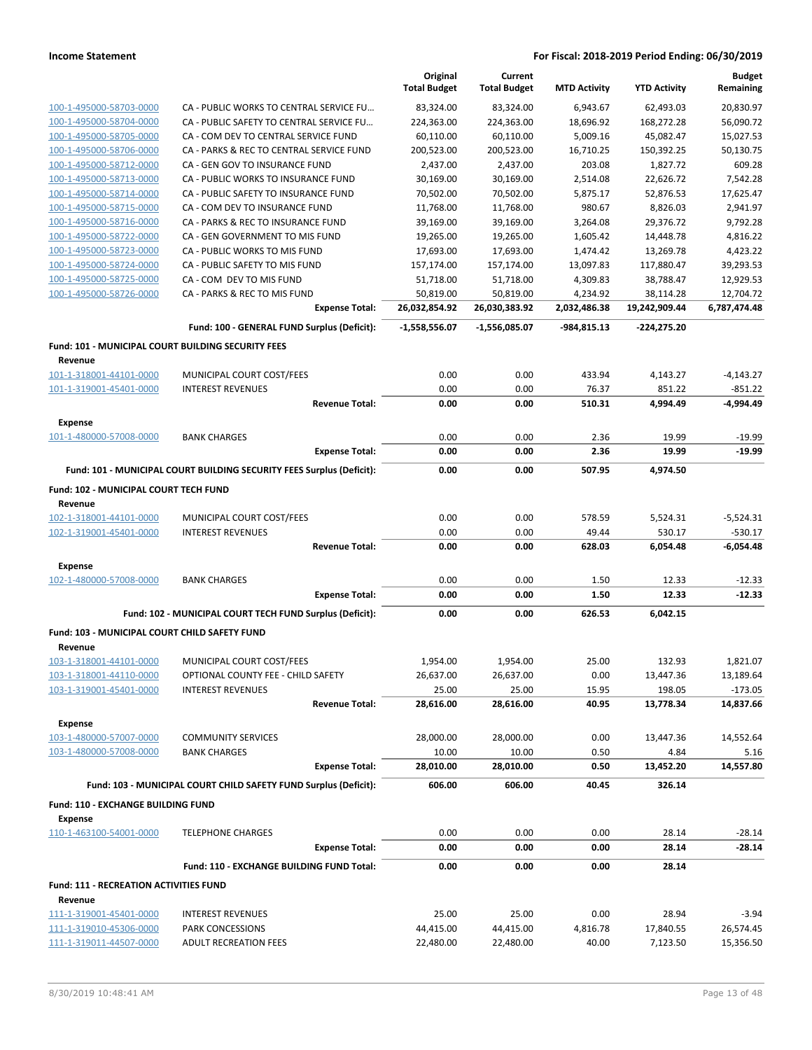|                                                                      |                                                                             | Original<br><b>Total Budget</b> | Current<br><b>Total Budget</b> | <b>MTD Activity</b>   | <b>YTD Activity</b>        | <b>Budget</b><br>Remaining |
|----------------------------------------------------------------------|-----------------------------------------------------------------------------|---------------------------------|--------------------------------|-----------------------|----------------------------|----------------------------|
| 100-1-495000-58703-0000                                              | CA - PUBLIC WORKS TO CENTRAL SERVICE FU                                     | 83,324.00                       | 83,324.00                      | 6,943.67              | 62,493.03                  | 20.830.97                  |
| 100-1-495000-58704-0000                                              | CA - PUBLIC SAFETY TO CENTRAL SERVICE FU                                    | 224,363.00                      | 224,363.00                     | 18,696.92             | 168,272.28                 | 56,090.72                  |
| 100-1-495000-58705-0000                                              | CA - COM DEV TO CENTRAL SERVICE FUND                                        | 60,110.00                       | 60,110.00                      | 5,009.16              | 45,082.47                  | 15,027.53                  |
| 100-1-495000-58706-0000                                              | CA - PARKS & REC TO CENTRAL SERVICE FUND                                    | 200,523.00                      | 200,523.00                     | 16,710.25             | 150,392.25                 | 50,130.75                  |
| 100-1-495000-58712-0000                                              | CA - GEN GOV TO INSURANCE FUND                                              | 2,437.00                        | 2,437.00                       | 203.08                | 1,827.72                   | 609.28                     |
|                                                                      |                                                                             |                                 |                                |                       |                            | 7,542.28                   |
| 100-1-495000-58713-0000                                              | CA - PUBLIC WORKS TO INSURANCE FUND<br>CA - PUBLIC SAFETY TO INSURANCE FUND | 30,169.00                       | 30,169.00                      | 2,514.08              | 22,626.72                  |                            |
| 100-1-495000-58714-0000                                              |                                                                             | 70,502.00                       | 70,502.00                      | 5,875.17              | 52,876.53<br>8,826.03      | 17,625.47                  |
| 100-1-495000-58715-0000<br>100-1-495000-58716-0000                   | CA - COM DEV TO INSURANCE FUND                                              | 11,768.00                       | 11,768.00                      | 980.67                |                            | 2,941.97                   |
| 100-1-495000-58722-0000                                              | CA - PARKS & REC TO INSURANCE FUND<br>CA - GEN GOVERNMENT TO MIS FUND       | 39,169.00                       | 39,169.00                      | 3,264.08              | 29,376.72<br>14,448.78     | 9,792.28                   |
| 100-1-495000-58723-0000                                              | CA - PUBLIC WORKS TO MIS FUND                                               | 19,265.00                       | 19,265.00<br>17,693.00         | 1,605.42              |                            | 4,816.22<br>4,423.22       |
|                                                                      | CA - PUBLIC SAFETY TO MIS FUND                                              | 17,693.00                       |                                | 1,474.42<br>13,097.83 | 13,269.78                  | 39,293.53                  |
| 100-1-495000-58724-0000<br>100-1-495000-58725-0000                   | CA - COM DEV TO MIS FUND                                                    | 157,174.00<br>51,718.00         | 157,174.00                     |                       | 117,880.47<br>38,788.47    |                            |
| 100-1-495000-58726-0000                                              | CA - PARKS & REC TO MIS FUND                                                |                                 | 51,718.00                      | 4,309.83              |                            | 12,929.53                  |
|                                                                      | <b>Expense Total:</b>                                                       | 50,819.00                       | 50,819.00                      | 4,234.92              | 38,114.28<br>19,242,909.44 | 12,704.72<br>6,787,474.48  |
|                                                                      |                                                                             | 26,032,854.92                   | 26,030,383.92                  | 2,032,486.38          |                            |                            |
|                                                                      | Fund: 100 - GENERAL FUND Surplus (Deficit):                                 | -1,558,556.07                   | -1,556,085.07                  | -984,815.13           | -224,275.20                |                            |
| <b>Fund: 101 - MUNICIPAL COURT BUILDING SECURITY FEES</b><br>Revenue |                                                                             |                                 |                                |                       |                            |                            |
| 101-1-318001-44101-0000                                              | MUNICIPAL COURT COST/FEES                                                   | 0.00                            | 0.00                           | 433.94                | 4,143.27                   | $-4,143.27$                |
| 101-1-319001-45401-0000                                              | <b>INTEREST REVENUES</b>                                                    | 0.00                            | 0.00                           | 76.37                 | 851.22                     | -851.22                    |
|                                                                      | <b>Revenue Total:</b>                                                       | 0.00                            | 0.00                           | 510.31                | 4,994.49                   | -4,994.49                  |
|                                                                      |                                                                             |                                 |                                |                       |                            |                            |
| <b>Expense</b>                                                       |                                                                             |                                 |                                |                       |                            |                            |
| 101-1-480000-57008-0000                                              | <b>BANK CHARGES</b><br><b>Expense Total:</b>                                | 0.00<br>0.00                    | 0.00<br>0.00                   | 2.36<br>2.36          | 19.99<br>19.99             | $-19.99$<br>$-19.99$       |
|                                                                      |                                                                             |                                 |                                |                       |                            |                            |
|                                                                      | Fund: 101 - MUNICIPAL COURT BUILDING SECURITY FEES Surplus (Deficit):       | 0.00                            | 0.00                           | 507.95                | 4,974.50                   |                            |
| Fund: 102 - MUNICIPAL COURT TECH FUND<br>Revenue                     |                                                                             |                                 |                                |                       |                            |                            |
| 102-1-318001-44101-0000                                              | MUNICIPAL COURT COST/FEES                                                   | 0.00                            | 0.00                           | 578.59                | 5,524.31                   | $-5,524.31$                |
| 102-1-319001-45401-0000                                              | <b>INTEREST REVENUES</b>                                                    | 0.00                            | 0.00                           | 49.44                 | 530.17                     | $-530.17$                  |
|                                                                      | <b>Revenue Total:</b>                                                       | 0.00                            | 0.00                           | 628.03                | 6,054.48                   | $-6,054.48$                |
| <b>Expense</b>                                                       |                                                                             |                                 |                                |                       |                            |                            |
| 102-1-480000-57008-0000                                              | <b>BANK CHARGES</b>                                                         | 0.00                            | 0.00                           | 1.50                  | 12.33                      | $-12.33$                   |
|                                                                      | <b>Expense Total:</b>                                                       | 0.00                            | 0.00                           | 1.50                  | 12.33                      | $-12.33$                   |
|                                                                      | Fund: 102 - MUNICIPAL COURT TECH FUND Surplus (Deficit):                    | 0.00                            | 0.00                           | 626.53                | 6,042.15                   |                            |
| Fund: 103 - MUNICIPAL COURT CHILD SAFETY FUND                        |                                                                             |                                 |                                |                       |                            |                            |
| Revenue                                                              |                                                                             |                                 |                                |                       |                            |                            |
| 103-1-318001-44101-0000                                              | MUNICIPAL COURT COST/FEES                                                   | 1,954.00                        | 1,954.00                       | 25.00                 | 132.93                     | 1,821.07                   |
| 103-1-318001-44110-0000                                              | OPTIONAL COUNTY FEE - CHILD SAFETY                                          | 26,637.00                       | 26,637.00                      | 0.00                  | 13,447.36                  | 13,189.64                  |
| 103-1-319001-45401-0000                                              | <b>INTEREST REVENUES</b>                                                    | 25.00                           | 25.00                          | 15.95                 | 198.05                     | $-173.05$                  |
|                                                                      | <b>Revenue Total:</b>                                                       | 28,616.00                       | 28,616.00                      | 40.95                 | 13,778.34                  | 14,837.66                  |
|                                                                      |                                                                             |                                 |                                |                       |                            |                            |
| <b>Expense</b>                                                       |                                                                             |                                 |                                |                       |                            |                            |
| 103-1-480000-57007-0000                                              | <b>COMMUNITY SERVICES</b>                                                   | 28,000.00                       | 28,000.00                      | 0.00                  | 13,447.36                  | 14,552.64                  |
| 103-1-480000-57008-0000                                              | <b>BANK CHARGES</b>                                                         | 10.00                           | 10.00                          | 0.50                  | 4.84                       | 5.16                       |
|                                                                      | <b>Expense Total:</b>                                                       | 28,010.00                       | 28,010.00                      | 0.50                  | 13,452.20                  | 14,557.80                  |
|                                                                      | Fund: 103 - MUNICIPAL COURT CHILD SAFETY FUND Surplus (Deficit):            | 606.00                          | 606.00                         | 40.45                 | 326.14                     |                            |
| Fund: 110 - EXCHANGE BUILDING FUND                                   |                                                                             |                                 |                                |                       |                            |                            |
| <b>Expense</b>                                                       |                                                                             |                                 |                                |                       |                            |                            |
| 110-1-463100-54001-0000                                              | <b>TELEPHONE CHARGES</b>                                                    | 0.00                            | 0.00                           | 0.00                  | 28.14                      | $-28.14$                   |
|                                                                      | <b>Expense Total:</b>                                                       | 0.00                            | 0.00                           | 0.00                  | 28.14                      | $-28.14$                   |
|                                                                      | Fund: 110 - EXCHANGE BUILDING FUND Total:                                   | 0.00                            | 0.00                           | 0.00                  | 28.14                      |                            |
| <b>Fund: 111 - RECREATION ACTIVITIES FUND</b>                        |                                                                             |                                 |                                |                       |                            |                            |
| Revenue                                                              |                                                                             |                                 |                                |                       |                            |                            |
| 111-1-319001-45401-0000                                              | <b>INTEREST REVENUES</b>                                                    | 25.00                           | 25.00                          | 0.00                  | 28.94                      | $-3.94$                    |
| 111-1-319010-45306-0000                                              | PARK CONCESSIONS                                                            | 44,415.00                       | 44,415.00                      | 4,816.78              | 17,840.55                  | 26,574.45                  |
| 111-1-319011-44507-0000                                              | <b>ADULT RECREATION FEES</b>                                                | 22,480.00                       | 22,480.00                      | 40.00                 | 7,123.50                   | 15,356.50                  |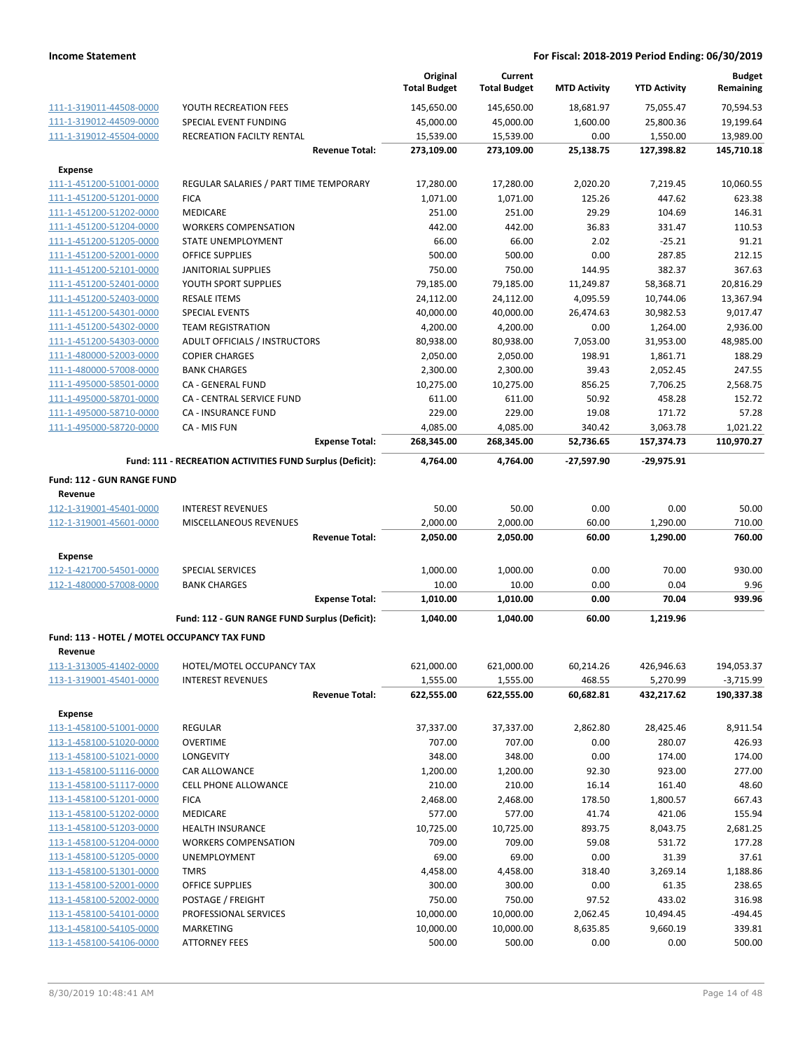|                                              |                                                           | Original<br><b>Total Budget</b> | Current<br><b>Total Budget</b> | <b>MTD Activity</b> | <b>YTD Activity</b> | <b>Budget</b><br>Remaining |
|----------------------------------------------|-----------------------------------------------------------|---------------------------------|--------------------------------|---------------------|---------------------|----------------------------|
| 111-1-319011-44508-0000                      | YOUTH RECREATION FEES                                     | 145,650.00                      | 145,650.00                     | 18,681.97           | 75,055.47           | 70,594.53                  |
| 111-1-319012-44509-0000                      | SPECIAL EVENT FUNDING                                     | 45,000.00                       | 45,000.00                      | 1,600.00            | 25,800.36           | 19,199.64                  |
| 111-1-319012-45504-0000                      | RECREATION FACILTY RENTAL                                 | 15,539.00                       | 15,539.00                      | 0.00                | 1,550.00            | 13,989.00                  |
|                                              | <b>Revenue Total:</b>                                     | 273,109.00                      | 273,109.00                     | 25,138.75           | 127,398.82          | 145,710.18                 |
| <b>Expense</b>                               |                                                           |                                 |                                |                     |                     |                            |
| 111-1-451200-51001-0000                      | REGULAR SALARIES / PART TIME TEMPORARY                    | 17,280.00                       | 17,280.00                      | 2,020.20            | 7,219.45            | 10,060.55                  |
| 111-1-451200-51201-0000                      | <b>FICA</b>                                               | 1,071.00                        | 1,071.00                       | 125.26              | 447.62              | 623.38                     |
| 111-1-451200-51202-0000                      | MEDICARE                                                  | 251.00                          | 251.00                         | 29.29               | 104.69              | 146.31                     |
| 111-1-451200-51204-0000                      | <b>WORKERS COMPENSATION</b>                               | 442.00                          | 442.00                         | 36.83               | 331.47              | 110.53                     |
| 111-1-451200-51205-0000                      | STATE UNEMPLOYMENT                                        | 66.00                           | 66.00                          | 2.02                | $-25.21$            | 91.21                      |
| 111-1-451200-52001-0000                      | <b>OFFICE SUPPLIES</b>                                    | 500.00                          | 500.00                         | 0.00                | 287.85              | 212.15                     |
| 111-1-451200-52101-0000                      | <b>JANITORIAL SUPPLIES</b>                                | 750.00                          | 750.00                         | 144.95              | 382.37              | 367.63                     |
| 111-1-451200-52401-0000                      | YOUTH SPORT SUPPLIES                                      | 79,185.00                       | 79,185.00                      | 11,249.87           | 58,368.71           | 20,816.29                  |
| 111-1-451200-52403-0000                      | <b>RESALE ITEMS</b>                                       | 24,112.00                       | 24,112.00                      | 4,095.59            | 10,744.06           | 13,367.94                  |
| 111-1-451200-54301-0000                      | <b>SPECIAL EVENTS</b>                                     | 40,000.00                       | 40,000.00                      | 26,474.63           | 30,982.53           | 9,017.47                   |
| 111-1-451200-54302-0000                      | <b>TEAM REGISTRATION</b>                                  | 4,200.00                        | 4,200.00                       | 0.00                | 1,264.00            | 2,936.00                   |
| 111-1-451200-54303-0000                      | ADULT OFFICIALS / INSTRUCTORS                             | 80,938.00                       | 80,938.00                      | 7,053.00            | 31,953.00           | 48,985.00                  |
| 111-1-480000-52003-0000                      | <b>COPIER CHARGES</b>                                     | 2,050.00                        | 2,050.00                       | 198.91              | 1,861.71            | 188.29                     |
| 111-1-480000-57008-0000                      | <b>BANK CHARGES</b>                                       | 2,300.00                        | 2,300.00                       | 39.43               | 2,052.45            | 247.55                     |
| 111-1-495000-58501-0000                      | <b>CA - GENERAL FUND</b>                                  | 10,275.00                       | 10,275.00                      | 856.25              | 7,706.25            | 2,568.75                   |
| 111-1-495000-58701-0000                      | CA - CENTRAL SERVICE FUND                                 | 611.00                          | 611.00                         | 50.92               | 458.28              | 152.72                     |
| 111-1-495000-58710-0000                      | <b>CA - INSURANCE FUND</b>                                | 229.00                          | 229.00                         | 19.08               | 171.72              | 57.28                      |
| 111-1-495000-58720-0000                      | CA - MIS FUN                                              | 4,085.00                        | 4,085.00                       | 340.42              | 3,063.78            | 1,021.22                   |
|                                              | <b>Expense Total:</b>                                     | 268,345.00                      | 268,345.00                     | 52,736.65           | 157,374.73          | 110,970.27                 |
|                                              | Fund: 111 - RECREATION ACTIVITIES FUND Surplus (Deficit): | 4,764.00                        | 4,764.00                       | $-27,597.90$        | -29,975.91          |                            |
| Fund: 112 - GUN RANGE FUND                   |                                                           |                                 |                                |                     |                     |                            |
| Revenue                                      |                                                           |                                 |                                |                     |                     |                            |
| 112-1-319001-45401-0000                      | <b>INTEREST REVENUES</b>                                  | 50.00                           | 50.00                          | 0.00                | 0.00                | 50.00                      |
| 112-1-319001-45601-0000                      | MISCELLANEOUS REVENUES                                    | 2,000.00                        | 2,000.00                       | 60.00               | 1,290.00            | 710.00                     |
|                                              | <b>Revenue Total:</b>                                     | 2,050.00                        | 2,050.00                       | 60.00               | 1,290.00            | 760.00                     |
| <b>Expense</b>                               |                                                           |                                 |                                |                     |                     |                            |
| 112-1-421700-54501-0000                      | <b>SPECIAL SERVICES</b>                                   | 1,000.00                        | 1,000.00                       | 0.00                | 70.00               | 930.00                     |
| 112-1-480000-57008-0000                      | <b>BANK CHARGES</b>                                       | 10.00                           | 10.00                          | 0.00                | 0.04                | 9.96                       |
|                                              | <b>Expense Total:</b>                                     | 1,010.00                        | 1,010.00                       | 0.00                | 70.04               | 939.96                     |
|                                              | Fund: 112 - GUN RANGE FUND Surplus (Deficit):             | 1,040.00                        | 1,040.00                       | 60.00               | 1,219.96            |                            |
| Fund: 113 - HOTEL / MOTEL OCCUPANCY TAX FUND |                                                           |                                 |                                |                     |                     |                            |
| Revenue                                      |                                                           |                                 |                                |                     |                     |                            |
| 113-1-313005-41402-0000                      | HOTEL/MOTEL OCCUPANCY TAX                                 | 621,000.00                      | 621,000.00                     | 60,214.26           | 426,946.63          | 194,053.37                 |
| 113-1-319001-45401-0000                      | <b>INTEREST REVENUES</b>                                  | 1,555.00                        | 1,555.00                       | 468.55              | 5,270.99            | $-3,715.99$                |
|                                              | <b>Revenue Total:</b>                                     | 622,555.00                      | 622,555.00                     | 60,682.81           | 432,217.62          | 190,337.38                 |
| <b>Expense</b>                               |                                                           |                                 |                                |                     |                     |                            |
| 113-1-458100-51001-0000                      | REGULAR                                                   | 37,337.00                       | 37,337.00                      | 2,862.80            | 28,425.46           | 8,911.54                   |
| 113-1-458100-51020-0000                      | <b>OVERTIME</b>                                           | 707.00                          | 707.00                         | 0.00                | 280.07              | 426.93                     |
| 113-1-458100-51021-0000                      | LONGEVITY                                                 | 348.00                          | 348.00                         | 0.00                | 174.00              | 174.00                     |
| 113-1-458100-51116-0000                      | CAR ALLOWANCE                                             | 1,200.00                        | 1,200.00                       | 92.30               | 923.00              | 277.00                     |
| 113-1-458100-51117-0000                      | CELL PHONE ALLOWANCE                                      | 210.00                          | 210.00                         | 16.14               | 161.40              | 48.60                      |
| 113-1-458100-51201-0000                      | <b>FICA</b>                                               | 2,468.00                        | 2,468.00                       | 178.50              | 1,800.57            | 667.43                     |
| 113-1-458100-51202-0000                      | MEDICARE                                                  | 577.00                          | 577.00                         | 41.74               | 421.06              | 155.94                     |
| 113-1-458100-51203-0000                      | <b>HEALTH INSURANCE</b>                                   | 10,725.00                       | 10,725.00                      | 893.75              | 8,043.75            | 2,681.25                   |
| 113-1-458100-51204-0000                      | <b>WORKERS COMPENSATION</b>                               | 709.00                          | 709.00                         | 59.08               | 531.72              | 177.28                     |
| 113-1-458100-51205-0000                      | UNEMPLOYMENT                                              | 69.00                           | 69.00                          | 0.00                | 31.39               | 37.61                      |
| 113-1-458100-51301-0000                      | <b>TMRS</b>                                               | 4,458.00                        | 4,458.00                       | 318.40              | 3,269.14            | 1,188.86                   |
| 113-1-458100-52001-0000                      | <b>OFFICE SUPPLIES</b>                                    | 300.00                          | 300.00                         | 0.00                | 61.35               | 238.65                     |
| 113-1-458100-52002-0000                      | POSTAGE / FREIGHT                                         | 750.00                          | 750.00                         | 97.52               | 433.02              | 316.98                     |
| 113-1-458100-54101-0000                      | PROFESSIONAL SERVICES                                     | 10,000.00                       | 10,000.00                      | 2,062.45            | 10,494.45           | -494.45                    |
| 113-1-458100-54105-0000                      | MARKETING                                                 | 10,000.00                       | 10,000.00                      | 8,635.85            | 9,660.19            | 339.81                     |
| 113-1-458100-54106-0000                      | <b>ATTORNEY FEES</b>                                      | 500.00                          | 500.00                         | 0.00                | 0.00                | 500.00                     |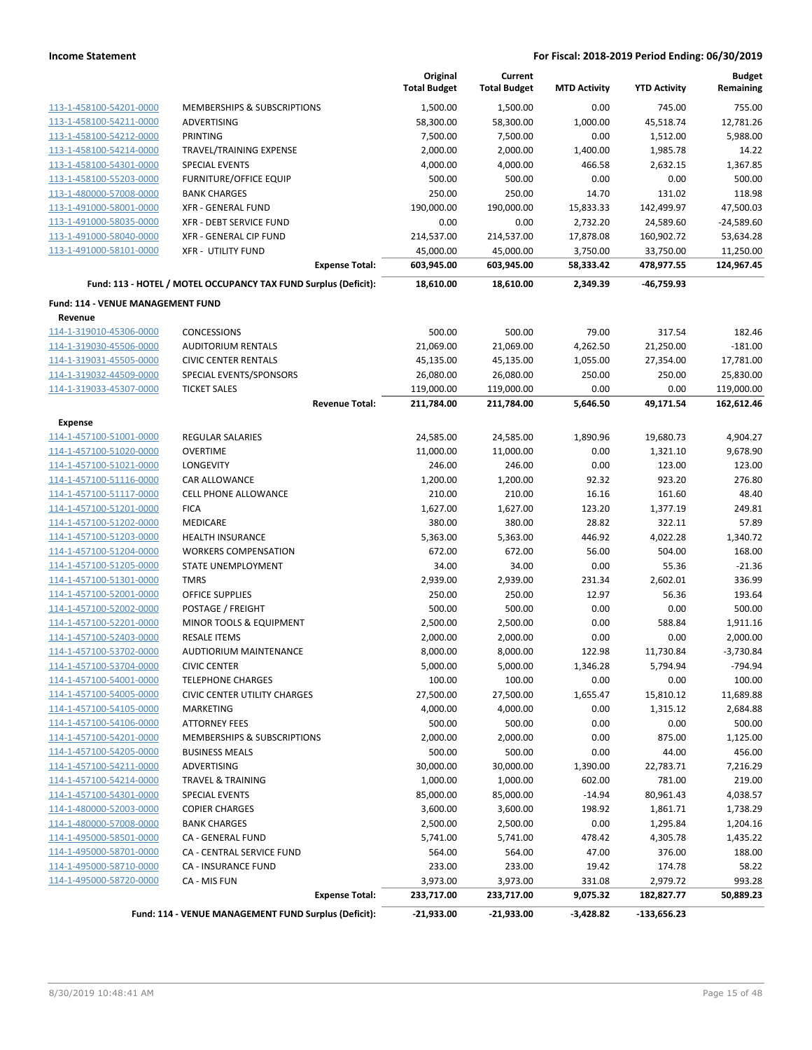|                                              |                                                                 | Original<br><b>Total Budget</b> | Current<br><b>Total Budget</b> | <b>MTD Activity</b> | <b>YTD Activity</b> | <b>Budget</b><br>Remaining |
|----------------------------------------------|-----------------------------------------------------------------|---------------------------------|--------------------------------|---------------------|---------------------|----------------------------|
| 113-1-458100-54201-0000                      | MEMBERSHIPS & SUBSCRIPTIONS                                     | 1,500.00                        | 1,500.00                       | 0.00                | 745.00              | 755.00                     |
| 113-1-458100-54211-0000                      | ADVERTISING                                                     | 58,300.00                       | 58,300.00                      | 1,000.00            | 45,518.74           | 12,781.26                  |
| 113-1-458100-54212-0000                      | <b>PRINTING</b>                                                 | 7,500.00                        | 7,500.00                       | 0.00                | 1,512.00            | 5,988.00                   |
| 113-1-458100-54214-0000                      | TRAVEL/TRAINING EXPENSE                                         | 2,000.00                        | 2,000.00                       | 1,400.00            | 1,985.78            | 14.22                      |
| 113-1-458100-54301-0000                      | <b>SPECIAL EVENTS</b>                                           | 4,000.00                        | 4,000.00                       | 466.58              | 2,632.15            | 1,367.85                   |
| 113-1-458100-55203-0000                      | FURNITURE/OFFICE EQUIP                                          | 500.00                          | 500.00                         | 0.00                | 0.00                | 500.00                     |
| 113-1-480000-57008-0000                      | <b>BANK CHARGES</b>                                             | 250.00                          | 250.00                         | 14.70               | 131.02              | 118.98                     |
| 113-1-491000-58001-0000                      | <b>XFR - GENERAL FUND</b>                                       | 190,000.00                      | 190,000.00                     | 15,833.33           | 142,499.97          | 47,500.03                  |
| 113-1-491000-58035-0000                      | XFR - DEBT SERVICE FUND                                         | 0.00                            | 0.00                           | 2,732.20            | 24,589.60           | $-24,589.60$               |
| 113-1-491000-58040-0000                      | <b>XFR - GENERAL CIP FUND</b>                                   | 214,537.00                      | 214,537.00                     | 17,878.08           | 160,902.72          | 53,634.28                  |
| 113-1-491000-58101-0000                      | <b>XFR - UTILITY FUND</b>                                       | 45,000.00                       | 45,000.00                      | 3,750.00            | 33,750.00           | 11,250.00                  |
|                                              | <b>Expense Total:</b>                                           | 603,945.00                      | 603,945.00                     | 58,333.42           | 478,977.55          | 124,967.45                 |
|                                              | Fund: 113 - HOTEL / MOTEL OCCUPANCY TAX FUND Surplus (Deficit): | 18,610.00                       | 18,610.00                      | 2,349.39            | -46,759.93          |                            |
|                                              |                                                                 |                                 |                                |                     |                     |                            |
| Fund: 114 - VENUE MANAGEMENT FUND<br>Revenue |                                                                 |                                 |                                |                     |                     |                            |
| 114-1-319010-45306-0000                      | <b>CONCESSIONS</b>                                              | 500.00                          | 500.00                         | 79.00               | 317.54              | 182.46                     |
| 114-1-319030-45506-0000                      | <b>AUDITORIUM RENTALS</b>                                       | 21,069.00                       | 21,069.00                      | 4,262.50            | 21,250.00           | $-181.00$                  |
| 114-1-319031-45505-0000                      | <b>CIVIC CENTER RENTALS</b>                                     | 45,135.00                       | 45,135.00                      | 1,055.00            | 27,354.00           | 17,781.00                  |
| 114-1-319032-44509-0000                      | SPECIAL EVENTS/SPONSORS                                         | 26,080.00                       | 26,080.00                      | 250.00              | 250.00              | 25,830.00                  |
| 114-1-319033-45307-0000                      | <b>TICKET SALES</b>                                             | 119,000.00                      | 119,000.00                     | 0.00                | 0.00                | 119,000.00                 |
|                                              | <b>Revenue Total:</b>                                           | 211,784.00                      | 211,784.00                     | 5,646.50            | 49,171.54           | 162,612.46                 |
| <b>Expense</b>                               |                                                                 |                                 |                                |                     |                     |                            |
| 114-1-457100-51001-0000                      | <b>REGULAR SALARIES</b>                                         | 24,585.00                       | 24,585.00                      | 1,890.96            | 19,680.73           | 4,904.27                   |
| 114-1-457100-51020-0000                      | <b>OVERTIME</b>                                                 | 11,000.00                       | 11,000.00                      | 0.00                | 1,321.10            | 9,678.90                   |
| 114-1-457100-51021-0000                      | LONGEVITY                                                       | 246.00                          | 246.00                         | 0.00                | 123.00              | 123.00                     |
| 114-1-457100-51116-0000                      | CAR ALLOWANCE                                                   | 1,200.00                        | 1,200.00                       | 92.32               | 923.20              | 276.80                     |
| 114-1-457100-51117-0000                      | <b>CELL PHONE ALLOWANCE</b>                                     | 210.00                          | 210.00                         | 16.16               | 161.60              | 48.40                      |
| 114-1-457100-51201-0000                      | <b>FICA</b>                                                     | 1,627.00                        | 1,627.00                       | 123.20              | 1,377.19            | 249.81                     |
| 114-1-457100-51202-0000                      | MEDICARE                                                        | 380.00                          | 380.00                         | 28.82               | 322.11              | 57.89                      |
| 114-1-457100-51203-0000                      | <b>HEALTH INSURANCE</b>                                         | 5,363.00                        | 5,363.00                       | 446.92              | 4,022.28            | 1,340.72                   |
| 114-1-457100-51204-0000                      | <b>WORKERS COMPENSATION</b>                                     | 672.00                          | 672.00                         | 56.00               | 504.00              | 168.00                     |
| 114-1-457100-51205-0000                      | STATE UNEMPLOYMENT                                              | 34.00                           | 34.00                          | 0.00                | 55.36               | $-21.36$                   |
| 114-1-457100-51301-0000                      | <b>TMRS</b>                                                     | 2,939.00                        | 2,939.00                       | 231.34              | 2,602.01            | 336.99                     |
| 114-1-457100-52001-0000                      | <b>OFFICE SUPPLIES</b>                                          | 250.00                          | 250.00                         | 12.97               | 56.36               | 193.64                     |
| 114-1-457100-52002-0000                      | POSTAGE / FREIGHT                                               | 500.00                          | 500.00                         | 0.00                | 0.00                | 500.00                     |
| 114-1-457100-52201-0000                      | MINOR TOOLS & EQUIPMENT                                         | 2,500.00                        | 2,500.00                       | 0.00                | 588.84              | 1,911.16                   |
| 114-1-457100-52403-0000                      | <b>RESALE ITEMS</b>                                             | 2,000.00                        | 2,000.00                       | 0.00                | 0.00                | 2,000.00                   |
| 114-1-457100-53702-0000                      | AUDTIORIUM MAINTENANCE                                          | 8,000.00                        | 8,000.00                       | 122.98              | 11,730.84           | $-3,730.84$                |
| 114-1-457100-53704-0000                      | <b>CIVIC CENTER</b>                                             | 5,000.00                        | 5,000.00                       | 1,346.28            | 5,794.94            | $-794.94$                  |
| 114-1-457100-54001-0000                      | <b>TELEPHONE CHARGES</b>                                        | 100.00                          | 100.00                         | 0.00                | 0.00                | 100.00                     |
| 114-1-457100-54005-0000                      | <b>CIVIC CENTER UTILITY CHARGES</b>                             | 27,500.00                       | 27,500.00                      | 1,655.47            | 15,810.12           | 11,689.88                  |
| 114-1-457100-54105-0000                      | <b>MARKETING</b>                                                | 4,000.00                        | 4,000.00                       | 0.00                | 1,315.12            | 2,684.88                   |
| 114-1-457100-54106-0000                      | <b>ATTORNEY FEES</b>                                            | 500.00                          | 500.00                         | 0.00                | 0.00                | 500.00                     |
| 114-1-457100-54201-0000                      |                                                                 |                                 |                                | 0.00                |                     |                            |
| 114-1-457100-54205-0000                      | MEMBERSHIPS & SUBSCRIPTIONS                                     | 2,000.00<br>500.00              | 2,000.00<br>500.00             | 0.00                | 875.00<br>44.00     | 1,125.00<br>456.00         |
| 114-1-457100-54211-0000                      | <b>BUSINESS MEALS</b><br>ADVERTISING                            | 30,000.00                       |                                |                     |                     |                            |
|                                              |                                                                 |                                 | 30,000.00                      | 1,390.00            | 22,783.71           | 7,216.29                   |
| 114-1-457100-54214-0000                      | <b>TRAVEL &amp; TRAINING</b>                                    | 1,000.00                        | 1,000.00                       | 602.00              | 781.00              | 219.00                     |
| 114-1-457100-54301-0000                      | <b>SPECIAL EVENTS</b>                                           | 85,000.00                       | 85,000.00                      | $-14.94$            | 80,961.43           | 4,038.57                   |
| 114-1-480000-52003-0000                      | <b>COPIER CHARGES</b>                                           | 3,600.00                        | 3,600.00                       | 198.92              | 1,861.71            | 1,738.29                   |
| 114-1-480000-57008-0000                      | <b>BANK CHARGES</b>                                             | 2,500.00                        | 2,500.00                       | 0.00                | 1,295.84            | 1,204.16                   |
| 114-1-495000-58501-0000                      | CA - GENERAL FUND                                               | 5,741.00                        | 5,741.00                       | 478.42              | 4,305.78            | 1,435.22                   |
| 114-1-495000-58701-0000                      | CA - CENTRAL SERVICE FUND                                       | 564.00                          | 564.00                         | 47.00               | 376.00              | 188.00                     |
| 114-1-495000-58710-0000                      | CA - INSURANCE FUND                                             | 233.00                          | 233.00                         | 19.42               | 174.78              | 58.22                      |
| 114-1-495000-58720-0000                      | CA - MIS FUN                                                    | 3,973.00                        | 3,973.00                       | 331.08              | 2,979.72            | 993.28                     |
|                                              | <b>Expense Total:</b>                                           | 233,717.00                      | 233,717.00                     | 9,075.32            | 182,827.77          | 50,889.23                  |
|                                              | Fund: 114 - VENUE MANAGEMENT FUND Surplus (Deficit):            | $-21,933.00$                    | $-21,933.00$                   | $-3,428.82$         | $-133,656.23$       |                            |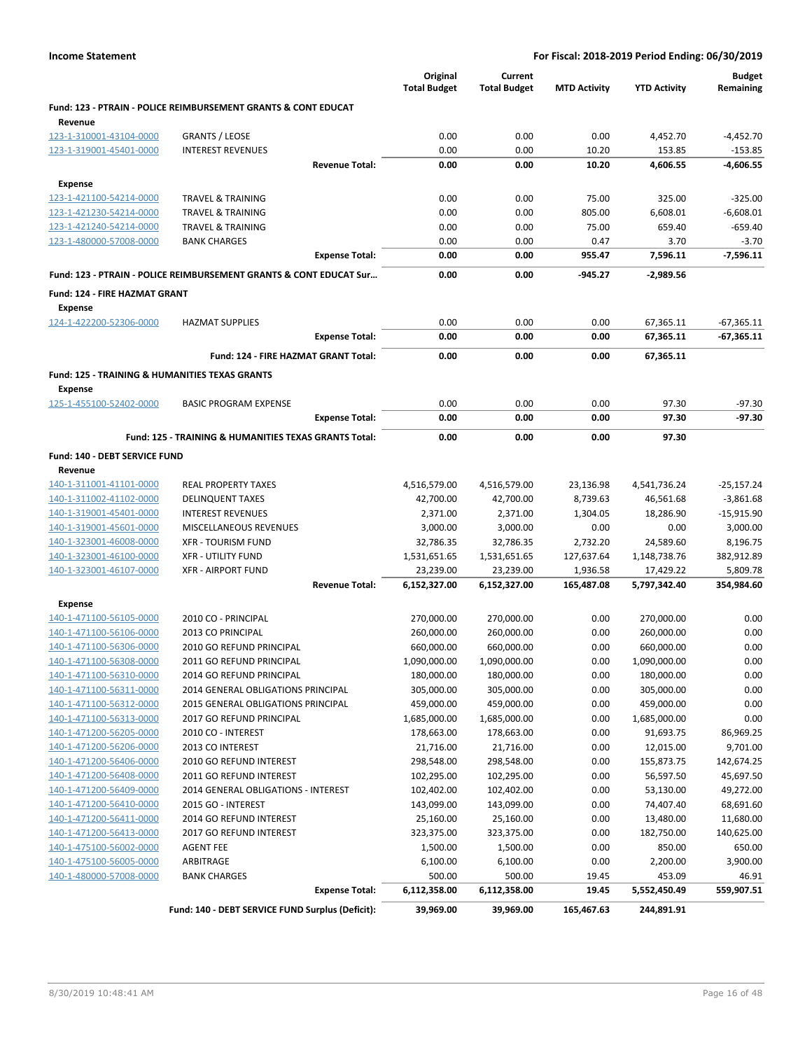|                                                           |                                                                           | Original            | Current             |                     |                     | <b>Budget</b> |
|-----------------------------------------------------------|---------------------------------------------------------------------------|---------------------|---------------------|---------------------|---------------------|---------------|
|                                                           |                                                                           | <b>Total Budget</b> | <b>Total Budget</b> | <b>MTD Activity</b> | <b>YTD Activity</b> | Remaining     |
|                                                           | <b>Fund: 123 - PTRAIN - POLICE REIMBURSEMENT GRANTS &amp; CONT EDUCAT</b> |                     |                     |                     |                     |               |
| Revenue                                                   |                                                                           |                     |                     |                     |                     |               |
| 123-1-310001-43104-0000                                   | <b>GRANTS / LEOSE</b>                                                     | 0.00                | 0.00                | 0.00                | 4,452.70            | $-4,452.70$   |
| 123-1-319001-45401-0000                                   | <b>INTEREST REVENUES</b>                                                  | 0.00                | 0.00                | 10.20               | 153.85              | $-153.85$     |
|                                                           | <b>Revenue Total:</b>                                                     | 0.00                | 0.00                | 10.20               | 4,606.55            | $-4,606.55$   |
| <b>Expense</b>                                            |                                                                           |                     |                     |                     |                     |               |
| 123-1-421100-54214-0000                                   | <b>TRAVEL &amp; TRAINING</b>                                              | 0.00                | 0.00                | 75.00               | 325.00              | $-325.00$     |
| 123-1-421230-54214-0000                                   | <b>TRAVEL &amp; TRAINING</b>                                              | 0.00                | 0.00                | 805.00              | 6,608.01            | $-6,608.01$   |
| 123-1-421240-54214-0000                                   | <b>TRAVEL &amp; TRAINING</b>                                              | 0.00                | 0.00                | 75.00               | 659.40              | $-659.40$     |
| 123-1-480000-57008-0000                                   | <b>BANK CHARGES</b>                                                       | 0.00                | 0.00                | 0.47                | 3.70                | $-3.70$       |
|                                                           | <b>Expense Total:</b>                                                     | 0.00                | 0.00                | 955.47              | 7,596.11            | $-7,596.11$   |
|                                                           | Fund: 123 - PTRAIN - POLICE REIMBURSEMENT GRANTS & CONT EDUCAT Sur        | 0.00                | 0.00                | -945.27             | -2,989.56           |               |
|                                                           |                                                                           |                     |                     |                     |                     |               |
| Fund: 124 - FIRE HAZMAT GRANT                             |                                                                           |                     |                     |                     |                     |               |
| <b>Expense</b><br>124-1-422200-52306-0000                 | <b>HAZMAT SUPPLIES</b>                                                    | 0.00                | 0.00                | 0.00                | 67,365.11           | $-67,365.11$  |
|                                                           | <b>Expense Total:</b>                                                     | 0.00                | 0.00                | 0.00                | 67,365.11           | $-67,365.11$  |
|                                                           |                                                                           |                     |                     |                     |                     |               |
|                                                           | Fund: 124 - FIRE HAZMAT GRANT Total:                                      | 0.00                | 0.00                | 0.00                | 67,365.11           |               |
| <b>Fund: 125 - TRAINING &amp; HUMANITIES TEXAS GRANTS</b> |                                                                           |                     |                     |                     |                     |               |
| Expense                                                   |                                                                           |                     |                     |                     |                     |               |
| 125-1-455100-52402-0000                                   | <b>BASIC PROGRAM EXPENSE</b>                                              | 0.00                | 0.00                | 0.00                | 97.30               | $-97.30$      |
|                                                           | <b>Expense Total:</b>                                                     | 0.00                | 0.00                | 0.00                | 97.30               | $-97.30$      |
|                                                           | <b>Fund: 125 - TRAINING &amp; HUMANITIES TEXAS GRANTS Total:</b>          | 0.00                | 0.00                | 0.00                | 97.30               |               |
| Fund: 140 - DEBT SERVICE FUND                             |                                                                           |                     |                     |                     |                     |               |
| Revenue                                                   |                                                                           |                     |                     |                     |                     |               |
| 140-1-311001-41101-0000                                   | <b>REAL PROPERTY TAXES</b>                                                | 4,516,579.00        | 4,516,579.00        | 23,136.98           | 4,541,736.24        | $-25,157.24$  |
| 140-1-311002-41102-0000                                   | <b>DELINQUENT TAXES</b>                                                   | 42,700.00           | 42,700.00           | 8,739.63            | 46,561.68           | $-3,861.68$   |
| 140-1-319001-45401-0000                                   | <b>INTEREST REVENUES</b>                                                  | 2,371.00            | 2,371.00            | 1,304.05            | 18,286.90           | $-15,915.90$  |
| 140-1-319001-45601-0000                                   | MISCELLANEOUS REVENUES                                                    | 3,000.00            | 3,000.00            | 0.00                | 0.00                | 3,000.00      |
| 140-1-323001-46008-0000                                   | <b>XFR - TOURISM FUND</b>                                                 | 32,786.35           | 32,786.35           | 2,732.20            | 24,589.60           | 8,196.75      |
| 140-1-323001-46100-0000                                   | <b>XFR - UTILITY FUND</b>                                                 | 1,531,651.65        | 1,531,651.65        | 127,637.64          | 1,148,738.76        | 382,912.89    |
| 140-1-323001-46107-0000                                   | <b>XFR - AIRPORT FUND</b>                                                 | 23,239.00           | 23,239.00           | 1,936.58            | 17,429.22           | 5,809.78      |
|                                                           | <b>Revenue Total:</b>                                                     | 6,152,327.00        | 6,152,327.00        | 165,487.08          | 5,797,342.40        | 354,984.60    |
| <b>Expense</b>                                            |                                                                           |                     |                     |                     |                     |               |
| 140-1-471100-56105-0000                                   | 2010 CO - PRINCIPAL                                                       | 270,000.00          | 270,000.00          | 0.00                | 270,000.00          | 0.00          |
| 140-1-471100-56106-0000                                   | 2013 CO PRINCIPAL                                                         | 260,000.00          | 260,000.00          | 0.00                | 260,000.00          | 0.00          |
| 140-1-471100-56306-0000                                   | 2010 GO REFUND PRINCIPAL                                                  | 660,000.00          | 660,000.00          | 0.00                | 660,000.00          | 0.00          |
| 140-1-471100-56308-0000                                   | 2011 GO REFUND PRINCIPAL                                                  | 1,090,000.00        | 1,090,000.00        | 0.00                | 1,090,000.00        | 0.00          |
| 140-1-471100-56310-0000                                   | 2014 GO REFUND PRINCIPAL                                                  | 180,000.00          | 180,000.00          | 0.00                | 180,000.00          | 0.00          |
| 140-1-471100-56311-0000                                   | 2014 GENERAL OBLIGATIONS PRINCIPAL                                        | 305,000.00          | 305,000.00          | 0.00                | 305,000.00          | 0.00          |
| 140-1-471100-56312-0000                                   | 2015 GENERAL OBLIGATIONS PRINCIPAL                                        | 459,000.00          | 459,000.00          | 0.00                | 459,000.00          | 0.00          |
| 140-1-471100-56313-0000                                   | 2017 GO REFUND PRINCIPAL                                                  | 1,685,000.00        | 1,685,000.00        | 0.00                | 1,685,000.00        | 0.00          |
| 140-1-471200-56205-0000                                   | 2010 CO - INTEREST                                                        | 178,663.00          | 178,663.00          | 0.00                | 91,693.75           | 86,969.25     |
| 140-1-471200-56206-0000                                   | 2013 CO INTEREST                                                          | 21,716.00           | 21,716.00           | 0.00                | 12,015.00           | 9,701.00      |
| 140-1-471200-56406-0000                                   | 2010 GO REFUND INTEREST                                                   | 298,548.00          | 298,548.00          | 0.00                | 155,873.75          | 142,674.25    |
| 140-1-471200-56408-0000                                   | 2011 GO REFUND INTEREST                                                   | 102,295.00          | 102,295.00          | 0.00                | 56,597.50           | 45,697.50     |
| 140-1-471200-56409-0000                                   | 2014 GENERAL OBLIGATIONS - INTEREST                                       | 102,402.00          | 102,402.00          | 0.00                | 53,130.00           | 49,272.00     |
| 140-1-471200-56410-0000                                   | 2015 GO - INTEREST                                                        | 143,099.00          | 143,099.00          | 0.00                | 74,407.40           | 68,691.60     |
| 140-1-471200-56411-0000                                   | 2014 GO REFUND INTEREST                                                   | 25,160.00           | 25,160.00           | 0.00                | 13,480.00           | 11,680.00     |
| 140-1-471200-56413-0000                                   | 2017 GO REFUND INTEREST                                                   | 323,375.00          | 323,375.00          | 0.00                | 182,750.00          | 140,625.00    |
| 140-1-475100-56002-0000                                   | AGENT FEE                                                                 | 1,500.00            | 1,500.00            | 0.00                | 850.00              | 650.00        |
| 140-1-475100-56005-0000                                   | ARBITRAGE                                                                 | 6,100.00            | 6,100.00            | 0.00                | 2,200.00            | 3,900.00      |
| 140-1-480000-57008-0000                                   | <b>BANK CHARGES</b>                                                       | 500.00              | 500.00              | 19.45               | 453.09              | 46.91         |
|                                                           | <b>Expense Total:</b>                                                     | 6,112,358.00        | 6,112,358.00        | 19.45               | 5,552,450.49        | 559,907.51    |
|                                                           | Fund: 140 - DEBT SERVICE FUND Surplus (Deficit):                          | 39,969.00           | 39,969.00           | 165,467.63          | 244,891.91          |               |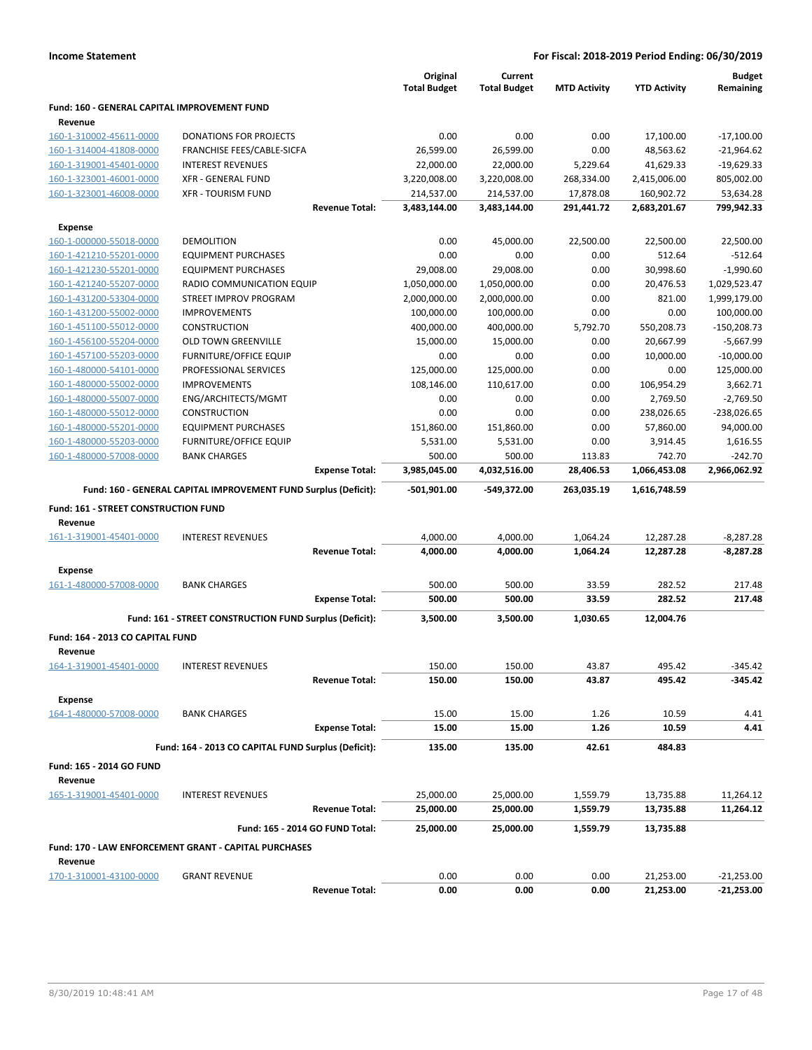|                                                    |                                                                 |                       | Original                   | Current                    |                         |                            | <b>Budget</b>               |
|----------------------------------------------------|-----------------------------------------------------------------|-----------------------|----------------------------|----------------------------|-------------------------|----------------------------|-----------------------------|
|                                                    |                                                                 |                       | <b>Total Budget</b>        | <b>Total Budget</b>        | <b>MTD Activity</b>     | <b>YTD Activity</b>        | Remaining                   |
| Fund: 160 - GENERAL CAPITAL IMPROVEMENT FUND       |                                                                 |                       |                            |                            |                         |                            |                             |
| Revenue                                            |                                                                 |                       |                            |                            |                         |                            |                             |
| 160-1-310002-45611-0000                            | <b>DONATIONS FOR PROJECTS</b>                                   |                       | 0.00                       | 0.00                       | 0.00                    | 17,100.00                  | $-17,100.00$                |
| 160-1-314004-41808-0000                            | FRANCHISE FEES/CABLE-SICFA                                      |                       | 26,599.00                  | 26,599.00                  | 0.00                    | 48,563.62                  | $-21,964.62$                |
| 160-1-319001-45401-0000                            | <b>INTEREST REVENUES</b>                                        |                       | 22,000.00                  | 22,000.00                  | 5,229.64                | 41,629.33                  | $-19,629.33$                |
| 160-1-323001-46001-0000                            | <b>XFR - GENERAL FUND</b><br><b>XFR - TOURISM FUND</b>          |                       | 3,220,008.00               | 3,220,008.00               | 268,334.00              | 2,415,006.00               | 805,002.00                  |
| 160-1-323001-46008-0000                            |                                                                 | <b>Revenue Total:</b> | 214,537.00<br>3,483,144.00 | 214,537.00<br>3,483,144.00 | 17,878.08<br>291,441.72 | 160,902.72<br>2,683,201.67 | 53,634.28<br>799,942.33     |
|                                                    |                                                                 |                       |                            |                            |                         |                            |                             |
| <b>Expense</b>                                     |                                                                 |                       |                            |                            |                         |                            |                             |
| 160-1-000000-55018-0000                            | <b>DEMOLITION</b>                                               |                       | 0.00                       | 45,000.00                  | 22,500.00               | 22,500.00                  | 22,500.00                   |
| 160-1-421210-55201-0000                            | <b>EQUIPMENT PURCHASES</b>                                      |                       | 0.00                       | 0.00                       | 0.00                    | 512.64                     | $-512.64$                   |
| 160-1-421230-55201-0000                            | <b>EQUIPMENT PURCHASES</b>                                      |                       | 29,008.00                  | 29,008.00                  | 0.00                    | 30,998.60                  | $-1,990.60$                 |
| 160-1-421240-55207-0000                            | RADIO COMMUNICATION EQUIP                                       |                       | 1,050,000.00               | 1,050,000.00               | 0.00                    | 20,476.53                  | 1,029,523.47                |
| 160-1-431200-53304-0000                            | STREET IMPROV PROGRAM<br><b>IMPROVEMENTS</b>                    |                       | 2,000,000.00               | 2,000,000.00               | 0.00<br>0.00            | 821.00<br>0.00             | 1,999,179.00                |
| 160-1-431200-55002-0000<br>160-1-451100-55012-0000 | <b>CONSTRUCTION</b>                                             |                       | 100,000.00<br>400,000.00   | 100,000.00<br>400,000.00   | 5,792.70                | 550,208.73                 | 100,000.00<br>$-150,208.73$ |
| 160-1-456100-55204-0000                            | <b>OLD TOWN GREENVILLE</b>                                      |                       | 15,000.00                  | 15,000.00                  | 0.00                    | 20,667.99                  | $-5,667.99$                 |
| 160-1-457100-55203-0000                            | <b>FURNITURE/OFFICE EQUIP</b>                                   |                       | 0.00                       | 0.00                       | 0.00                    | 10,000.00                  | $-10,000.00$                |
| 160-1-480000-54101-0000                            | PROFESSIONAL SERVICES                                           |                       | 125,000.00                 | 125,000.00                 | 0.00                    | 0.00                       | 125,000.00                  |
| 160-1-480000-55002-0000                            | <b>IMPROVEMENTS</b>                                             |                       | 108,146.00                 | 110,617.00                 | 0.00                    | 106,954.29                 | 3,662.71                    |
| 160-1-480000-55007-0000                            | ENG/ARCHITECTS/MGMT                                             |                       | 0.00                       | 0.00                       | 0.00                    | 2,769.50                   | $-2,769.50$                 |
| 160-1-480000-55012-0000                            | <b>CONSTRUCTION</b>                                             |                       | 0.00                       | 0.00                       | 0.00                    | 238,026.65                 | -238,026.65                 |
| 160-1-480000-55201-0000                            | <b>EQUIPMENT PURCHASES</b>                                      |                       | 151,860.00                 | 151,860.00                 | 0.00                    | 57,860.00                  | 94,000.00                   |
| 160-1-480000-55203-0000                            | <b>FURNITURE/OFFICE EQUIP</b>                                   |                       | 5,531.00                   | 5,531.00                   | 0.00                    | 3,914.45                   | 1,616.55                    |
| 160-1-480000-57008-0000                            | <b>BANK CHARGES</b>                                             |                       | 500.00                     | 500.00                     | 113.83                  | 742.70                     | $-242.70$                   |
|                                                    |                                                                 | <b>Expense Total:</b> | 3,985,045.00               | 4,032,516.00               | 28,406.53               | 1,066,453.08               | 2,966,062.92                |
|                                                    | Fund: 160 - GENERAL CAPITAL IMPROVEMENT FUND Surplus (Deficit): |                       | $-501,901.00$              | -549,372.00                | 263,035.19              | 1,616,748.59               |                             |
|                                                    |                                                                 |                       |                            |                            |                         |                            |                             |
| Fund: 161 - STREET CONSTRUCTION FUND<br>Revenue    |                                                                 |                       |                            |                            |                         |                            |                             |
| 161-1-319001-45401-0000                            | <b>INTEREST REVENUES</b>                                        |                       | 4,000.00                   | 4,000.00                   | 1,064.24                | 12,287.28                  | $-8,287.28$                 |
|                                                    |                                                                 | <b>Revenue Total:</b> | 4,000.00                   | 4,000.00                   | 1,064.24                | 12,287.28                  | $-8,287.28$                 |
| <b>Expense</b>                                     |                                                                 |                       |                            |                            |                         |                            |                             |
| 161-1-480000-57008-0000                            | <b>BANK CHARGES</b>                                             |                       | 500.00                     | 500.00                     | 33.59                   | 282.52                     | 217.48                      |
|                                                    |                                                                 | <b>Expense Total:</b> | 500.00                     | 500.00                     | 33.59                   | 282.52                     | 217.48                      |
|                                                    |                                                                 |                       |                            |                            |                         |                            |                             |
|                                                    | Fund: 161 - STREET CONSTRUCTION FUND Surplus (Deficit):         |                       | 3,500.00                   | 3,500.00                   | 1,030.65                | 12,004.76                  |                             |
| Fund: 164 - 2013 CO CAPITAL FUND                   |                                                                 |                       |                            |                            |                         |                            |                             |
| Revenue                                            |                                                                 |                       |                            |                            |                         |                            |                             |
| 164-1-319001-45401-0000                            | <b>INTEREST REVENUES</b>                                        |                       | 150.00                     | 150.00                     | 43.87                   | 495.42                     | -345.42                     |
|                                                    |                                                                 | <b>Revenue Total:</b> | 150.00                     | 150.00                     | 43.87                   | 495.42                     | $-345.42$                   |
| <b>Expense</b>                                     |                                                                 |                       |                            |                            |                         |                            |                             |
| 164-1-480000-57008-0000                            | <b>BANK CHARGES</b>                                             |                       | 15.00                      | 15.00                      | 1.26                    | 10.59                      | 4.41                        |
|                                                    |                                                                 | <b>Expense Total:</b> | 15.00                      | 15.00                      | 1.26                    | 10.59                      | 4.41                        |
|                                                    | Fund: 164 - 2013 CO CAPITAL FUND Surplus (Deficit):             |                       | 135.00                     | 135.00                     | 42.61                   | 484.83                     |                             |
|                                                    |                                                                 |                       |                            |                            |                         |                            |                             |
| Fund: 165 - 2014 GO FUND                           |                                                                 |                       |                            |                            |                         |                            |                             |
| Revenue<br>165-1-319001-45401-0000                 |                                                                 |                       |                            |                            |                         |                            |                             |
|                                                    | <b>INTEREST REVENUES</b>                                        | <b>Revenue Total:</b> | 25,000.00<br>25,000.00     | 25,000.00                  | 1,559.79                | 13,735.88                  | 11,264.12<br>11,264.12      |
|                                                    |                                                                 |                       |                            | 25,000.00                  | 1,559.79                | 13,735.88                  |                             |
|                                                    | Fund: 165 - 2014 GO FUND Total:                                 |                       | 25,000.00                  | 25,000.00                  | 1,559.79                | 13,735.88                  |                             |
|                                                    | Fund: 170 - LAW ENFORCEMENT GRANT - CAPITAL PURCHASES           |                       |                            |                            |                         |                            |                             |
| Revenue                                            |                                                                 |                       |                            |                            |                         |                            |                             |
| 170-1-310001-43100-0000                            | <b>GRANT REVENUE</b>                                            |                       | 0.00                       | 0.00                       | 0.00                    | 21,253.00                  | $-21,253.00$                |
|                                                    |                                                                 | <b>Revenue Total:</b> | 0.00                       | 0.00                       | 0.00                    | 21,253.00                  | $-21,253.00$                |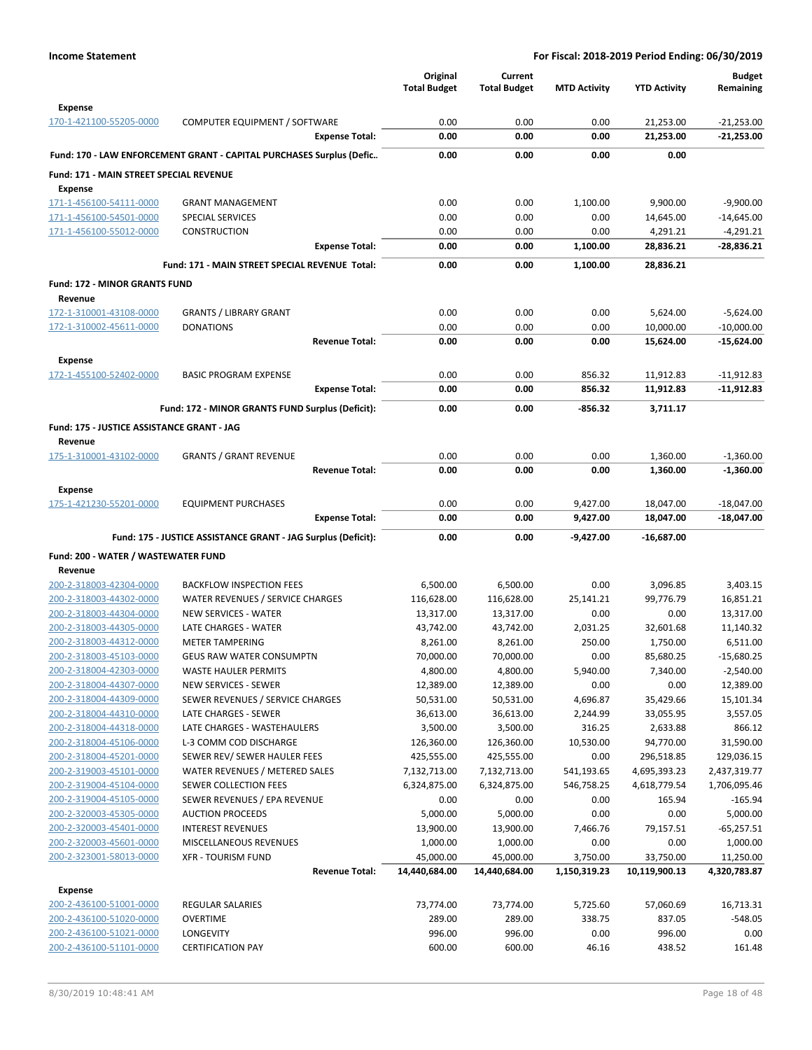|                                                    |                                                                      | Original<br><b>Total Budget</b> | Current<br><b>Total Budget</b> | <b>MTD Activity</b>  | <b>YTD Activity</b>    | <b>Budget</b><br>Remaining |
|----------------------------------------------------|----------------------------------------------------------------------|---------------------------------|--------------------------------|----------------------|------------------------|----------------------------|
| Expense                                            |                                                                      |                                 |                                |                      |                        |                            |
| 170-1-421100-55205-0000                            | COMPUTER EQUIPMENT / SOFTWARE                                        | 0.00                            | 0.00                           | 0.00                 | 21,253.00              | $-21,253.00$               |
|                                                    | <b>Expense Total:</b>                                                | 0.00                            | 0.00                           | 0.00                 | 21,253.00              | $-21,253.00$               |
|                                                    | Fund: 170 - LAW ENFORCEMENT GRANT - CAPITAL PURCHASES Surplus (Defic | 0.00                            | 0.00                           | 0.00                 | 0.00                   |                            |
| <b>Fund: 171 - MAIN STREET SPECIAL REVENUE</b>     |                                                                      |                                 |                                |                      |                        |                            |
| Expense                                            |                                                                      |                                 |                                |                      |                        |                            |
| 171-1-456100-54111-0000                            | <b>GRANT MANAGEMENT</b>                                              | 0.00                            | 0.00                           | 1,100.00             | 9,900.00               | $-9,900.00$                |
| 171-1-456100-54501-0000                            | <b>SPECIAL SERVICES</b>                                              | 0.00                            | 0.00                           | 0.00                 | 14,645.00              | $-14,645.00$               |
| 171-1-456100-55012-0000                            | <b>CONSTRUCTION</b>                                                  | 0.00                            | 0.00                           | 0.00                 | 4,291.21               | $-4,291.21$                |
|                                                    | <b>Expense Total:</b>                                                | 0.00                            | 0.00                           | 1,100.00             | 28,836.21              | $-28,836.21$               |
|                                                    | Fund: 171 - MAIN STREET SPECIAL REVENUE Total:                       | 0.00                            | 0.00                           | 1,100.00             | 28,836.21              |                            |
| <b>Fund: 172 - MINOR GRANTS FUND</b>               |                                                                      |                                 |                                |                      |                        |                            |
| Revenue                                            |                                                                      |                                 |                                |                      |                        |                            |
| 172-1-310001-43108-0000                            | <b>GRANTS / LIBRARY GRANT</b>                                        | 0.00                            | 0.00                           | 0.00                 | 5,624.00               | $-5,624.00$                |
| 172-1-310002-45611-0000                            | <b>DONATIONS</b>                                                     | 0.00                            | 0.00                           | 0.00                 | 10,000.00              | $-10,000.00$               |
|                                                    | <b>Revenue Total:</b>                                                | 0.00                            | 0.00                           | 0.00                 | 15,624.00              | -15,624.00                 |
| Expense                                            |                                                                      |                                 |                                |                      |                        |                            |
| 172-1-455100-52402-0000                            | <b>BASIC PROGRAM EXPENSE</b>                                         | 0.00                            | 0.00                           | 856.32               | 11,912.83              | $-11,912.83$               |
|                                                    | <b>Expense Total:</b>                                                | 0.00                            | 0.00                           | 856.32               | 11,912.83              | $-11,912.83$               |
|                                                    | Fund: 172 - MINOR GRANTS FUND Surplus (Deficit):                     | 0.00                            | 0.00                           | $-856.32$            | 3,711.17               |                            |
|                                                    |                                                                      |                                 |                                |                      |                        |                            |
| Fund: 175 - JUSTICE ASSISTANCE GRANT - JAG         |                                                                      |                                 |                                |                      |                        |                            |
| Revenue                                            |                                                                      |                                 |                                |                      |                        |                            |
| 175-1-310001-43102-0000                            | <b>GRANTS / GRANT REVENUE</b>                                        | 0.00                            | 0.00                           | 0.00                 | 1,360.00               | $-1,360.00$                |
|                                                    | <b>Revenue Total:</b>                                                | 0.00                            | 0.00                           | 0.00                 | 1,360.00               | $-1,360.00$                |
| <b>Expense</b>                                     |                                                                      |                                 |                                |                      |                        |                            |
| 175-1-421230-55201-0000                            | <b>EQUIPMENT PURCHASES</b>                                           | 0.00                            | 0.00                           | 9,427.00             | 18,047.00              | $-18,047.00$               |
|                                                    | <b>Expense Total:</b>                                                | 0.00                            | 0.00                           | 9,427.00             | 18,047.00              | $-18,047.00$               |
|                                                    | Fund: 175 - JUSTICE ASSISTANCE GRANT - JAG Surplus (Deficit):        | 0.00                            | 0.00                           | -9,427.00            | $-16,687.00$           |                            |
| Fund: 200 - WATER / WASTEWATER FUND                |                                                                      |                                 |                                |                      |                        |                            |
| Revenue                                            |                                                                      |                                 |                                |                      |                        |                            |
| 200-2-318003-42304-0000                            | <b>BACKFLOW INSPECTION FEES</b>                                      | 6,500.00                        | 6,500.00                       | 0.00                 | 3,096.85               | 3,403.15                   |
| 200-2-318003-44302-0000                            | WATER REVENUES / SERVICE CHARGES                                     | 116,628.00                      | 116,628.00                     | 25,141.21            | 99,776.79              | 16,851.21                  |
| 200-2-318003-44304-0000                            | <b>NEW SERVICES - WATER</b>                                          | 13,317.00                       | 13,317.00                      | 0.00                 | 0.00                   | 13,317.00                  |
| 200-2-318003-44305-0000                            | LATE CHARGES - WATER                                                 | 43,742.00                       | 43,742.00                      | 2,031.25             | 32,601.68              | 11,140.32                  |
| 200-2-318003-44312-0000                            | <b>METER TAMPERING</b>                                               | 8,261.00                        | 8,261.00                       | 250.00               | 1,750.00               | 6,511.00                   |
| 200-2-318003-45103-0000                            | <b>GEUS RAW WATER CONSUMPTN</b>                                      | 70,000.00                       | 70,000.00                      | 0.00                 | 85,680.25              | $-15,680.25$               |
| 200-2-318004-42303-0000                            | <b>WASTE HAULER PERMITS</b>                                          | 4,800.00                        | 4,800.00                       | 5,940.00             | 7,340.00               | $-2,540.00$                |
| 200-2-318004-44307-0000                            | <b>NEW SERVICES - SEWER</b>                                          | 12,389.00                       | 12,389.00                      | 0.00                 | 0.00                   | 12,389.00                  |
| 200-2-318004-44309-0000<br>200-2-318004-44310-0000 | SEWER REVENUES / SERVICE CHARGES<br>LATE CHARGES - SEWER             | 50,531.00<br>36,613.00          | 50,531.00<br>36,613.00         | 4,696.87<br>2,244.99 | 35,429.66<br>33,055.95 | 15,101.34<br>3,557.05      |
| 200-2-318004-44318-0000                            | LATE CHARGES - WASTEHAULERS                                          | 3,500.00                        | 3,500.00                       | 316.25               | 2,633.88               | 866.12                     |
| 200-2-318004-45106-0000                            | L-3 COMM COD DISCHARGE                                               | 126,360.00                      | 126,360.00                     | 10,530.00            | 94,770.00              | 31,590.00                  |
| 200-2-318004-45201-0000                            | SEWER REV/ SEWER HAULER FEES                                         | 425,555.00                      | 425,555.00                     | 0.00                 | 296,518.85             | 129,036.15                 |
| 200-2-319003-45101-0000                            | WATER REVENUES / METERED SALES                                       | 7,132,713.00                    | 7,132,713.00                   | 541,193.65           | 4,695,393.23           | 2,437,319.77               |
| 200-2-319004-45104-0000                            | SEWER COLLECTION FEES                                                | 6,324,875.00                    | 6,324,875.00                   | 546,758.25           | 4,618,779.54           | 1,706,095.46               |
| 200-2-319004-45105-0000                            | SEWER REVENUES / EPA REVENUE                                         | 0.00                            | 0.00                           | 0.00                 | 165.94                 | $-165.94$                  |
| 200-2-320003-45305-0000                            | <b>AUCTION PROCEEDS</b>                                              | 5,000.00                        | 5,000.00                       | 0.00                 | 0.00                   | 5,000.00                   |
| 200-2-320003-45401-0000                            | <b>INTEREST REVENUES</b>                                             | 13,900.00                       | 13,900.00                      | 7,466.76             | 79,157.51              | $-65,257.51$               |
| 200-2-320003-45601-0000                            | MISCELLANEOUS REVENUES                                               | 1,000.00                        | 1,000.00                       | 0.00                 | 0.00                   | 1,000.00                   |
| 200-2-323001-58013-0000                            | <b>XFR - TOURISM FUND</b>                                            | 45,000.00                       | 45,000.00                      | 3,750.00             | 33,750.00              | 11,250.00                  |
|                                                    | <b>Revenue Total:</b>                                                | 14,440,684.00                   | 14,440,684.00                  | 1,150,319.23         | 10,119,900.13          | 4,320,783.87               |
| <b>Expense</b>                                     |                                                                      |                                 |                                |                      |                        |                            |
| 200-2-436100-51001-0000                            | <b>REGULAR SALARIES</b>                                              | 73,774.00                       | 73,774.00                      | 5,725.60             | 57,060.69              | 16,713.31                  |
| 200-2-436100-51020-0000                            | <b>OVERTIME</b>                                                      | 289.00                          | 289.00                         | 338.75               | 837.05                 | $-548.05$                  |
| 200-2-436100-51021-0000                            | LONGEVITY                                                            | 996.00                          | 996.00                         | 0.00                 | 996.00                 | 0.00                       |
| 200-2-436100-51101-0000                            | <b>CERTIFICATION PAY</b>                                             | 600.00                          | 600.00                         | 46.16                | 438.52                 | 161.48                     |
|                                                    |                                                                      |                                 |                                |                      |                        |                            |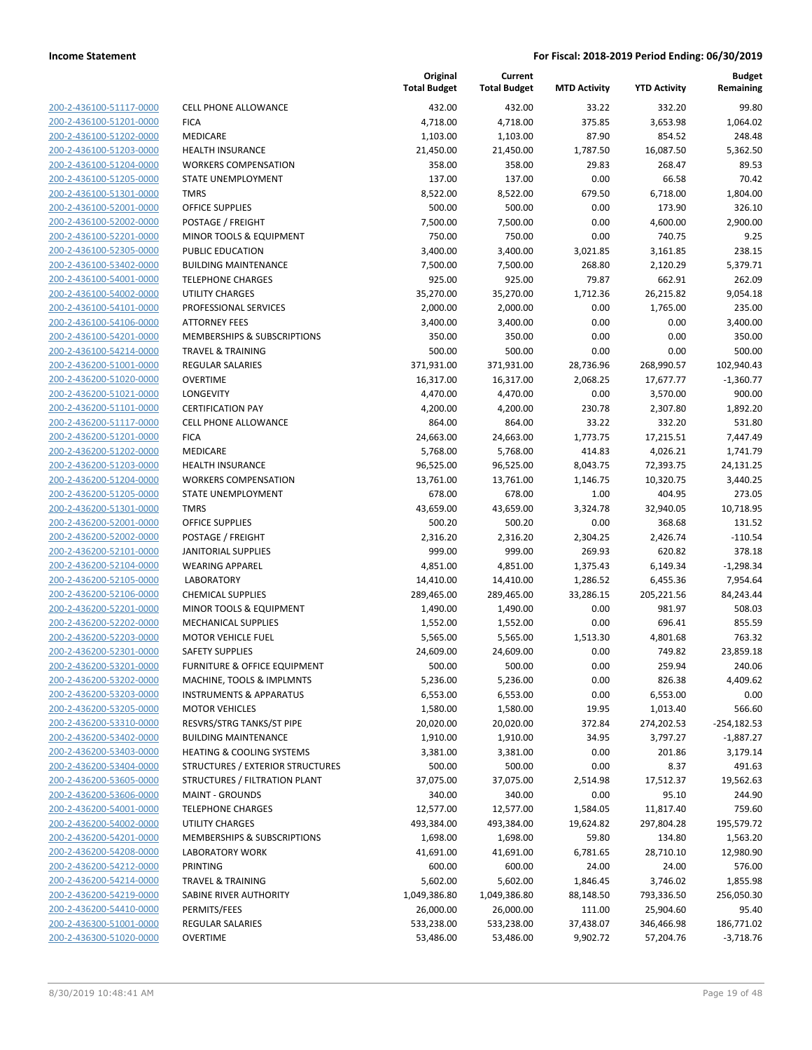| 200-2-436100-51117-0000        |
|--------------------------------|
| 200-2-436100-51201-0000        |
| 200-2-436100-51202-0000        |
| 200-2-436100-51203-0000        |
| 200-2-436100-51204-0000        |
| 200-2-436100-51205-0000        |
| 200-2-436100-51301-0000        |
| 200-2-436100-52001-0000        |
| 200-2-436100-52002-0000        |
| 200-2-436100-52201-0000        |
| 200-2-436100-52305-0000        |
| 200-2-436100-53402-0000        |
| 200-2-436100-54001-0000        |
| 200-2-436100-54002-0000        |
| <u>200-2-436100-54101-0000</u> |
| 200-2-436100-54106-0000        |
|                                |
| 200-2-436100-54201-0000        |
| 200-2-436100-54214-0000        |
| 200-2-436200-51001-0000        |
| <u>200-2-436200-51020-0000</u> |
| <u>200-2-436200-51021-0000</u> |
| 200-2-436200-51101-0000        |
| 200-2-436200-51117-0000        |
| 200-2-436200-51201-0000        |
| 200-2-436200-51202-0000        |
| 200-2-436200-51203-0000        |
| 200-2-436200-51204-0000        |
| 200-2-436200-51205-0000        |
| 200-2-436200-51301-0000        |
| <u>200-2-436200-52001-0000</u> |
| <u>200-2-436200-52002-0000</u> |
| 200-2-436200-52101-0000        |
| 200-2-436200-52104-0000        |
| 200-2-436200-52105-0000        |
| <u>200-2-436200-52106-0000</u> |
|                                |
| 200-2-436200-52201-0000        |
| 200-2-436200-52202-0000        |
| 200-2-436200-52203-0000        |
| 200-2-436200-52301-0000        |
| 200-2-436200-53201-0000        |
| 200-2-436200-53202-0000        |
| 200-2-436200-53203-0000        |
| 200-2-436200-53205-0000        |
| 200-2-436200-53310-0000        |
| <u>200-2-436200-53402-0000</u> |
| 200-2-436200-53403-0000        |
| 200-2-436200-53404-0000        |
| 200-2-436200-53605-0000        |
| 200-2-436200-53606-0000        |
| <u>200-2-436200-54001-0000</u> |
| 200-2-436200-54002-0000        |
| 200-2-436200-54201-0000        |
| 200-2-436200-54208-0000        |
| 200-2-436200-54212-0000        |
|                                |
| <u>200-2-436200-54214-0000</u> |
| 200-2-436200-54219-0000        |
| 200-2-436200-54410-0000        |
| 200-2-436300-51001-0000        |
| 200-2-436300-51020-0000        |
|                                |

|                                                    |                                       | Original<br><b>Total Budget</b> | Current<br><b>Total Budget</b> | <b>MTD Activity</b> | <b>YTD Activity</b> | <b>Budget</b><br>Remaining |
|----------------------------------------------------|---------------------------------------|---------------------------------|--------------------------------|---------------------|---------------------|----------------------------|
| 200-2-436100-51117-0000                            | <b>CELL PHONE ALLOWANCE</b>           | 432.00                          | 432.00                         | 33.22               | 332.20              | 99.80                      |
| 200-2-436100-51201-0000                            | <b>FICA</b>                           | 4,718.00                        | 4,718.00                       | 375.85              | 3,653.98            | 1,064.02                   |
| 200-2-436100-51202-0000                            | MEDICARE                              | 1,103.00                        | 1,103.00                       | 87.90               | 854.52              | 248.48                     |
| 200-2-436100-51203-0000                            | <b>HEALTH INSURANCE</b>               | 21,450.00                       | 21,450.00                      | 1,787.50            | 16,087.50           | 5,362.50                   |
| 200-2-436100-51204-0000                            | <b>WORKERS COMPENSATION</b>           | 358.00                          | 358.00                         | 29.83               | 268.47              | 89.53                      |
| 200-2-436100-51205-0000                            | STATE UNEMPLOYMENT                    | 137.00                          | 137.00                         | 0.00                | 66.58               | 70.42                      |
| 200-2-436100-51301-0000                            | <b>TMRS</b>                           | 8,522.00                        | 8,522.00                       | 679.50              | 6,718.00            | 1,804.00                   |
| 200-2-436100-52001-0000                            | <b>OFFICE SUPPLIES</b>                | 500.00                          | 500.00                         | 0.00                | 173.90              | 326.10                     |
| 200-2-436100-52002-0000                            | POSTAGE / FREIGHT                     | 7,500.00                        | 7,500.00                       | 0.00                | 4,600.00            | 2,900.00                   |
| 200-2-436100-52201-0000                            | MINOR TOOLS & EQUIPMENT               | 750.00                          | 750.00                         | 0.00                | 740.75              | 9.25                       |
| 200-2-436100-52305-0000                            | PUBLIC EDUCATION                      | 3,400.00                        | 3,400.00                       | 3,021.85            | 3,161.85            | 238.15                     |
| 200-2-436100-53402-0000                            | <b>BUILDING MAINTENANCE</b>           | 7,500.00                        | 7,500.00                       | 268.80              | 2,120.29            | 5,379.71                   |
| 200-2-436100-54001-0000                            | <b>TELEPHONE CHARGES</b>              | 925.00                          | 925.00                         | 79.87               | 662.91              | 262.09                     |
| 200-2-436100-54002-0000                            | UTILITY CHARGES                       | 35,270.00                       | 35,270.00                      | 1,712.36            | 26,215.82           | 9,054.18                   |
| 200-2-436100-54101-0000                            | PROFESSIONAL SERVICES                 | 2,000.00                        | 2,000.00                       | 0.00                | 1,765.00            | 235.00                     |
| 200-2-436100-54106-0000                            | <b>ATTORNEY FEES</b>                  | 3,400.00                        | 3,400.00                       | 0.00                | 0.00                | 3,400.00                   |
| 200-2-436100-54201-0000                            | MEMBERSHIPS & SUBSCRIPTIONS           | 350.00                          | 350.00                         | 0.00                | 0.00                | 350.00                     |
| 200-2-436100-54214-0000                            | <b>TRAVEL &amp; TRAINING</b>          | 500.00                          | 500.00                         | 0.00                | 0.00                | 500.00                     |
| 200-2-436200-51001-0000                            | REGULAR SALARIES                      | 371,931.00                      | 371,931.00                     | 28,736.96           | 268,990.57          | 102,940.43                 |
| 200-2-436200-51020-0000                            | <b>OVERTIME</b>                       | 16,317.00                       | 16,317.00                      | 2,068.25            | 17,677.77           | $-1,360.77$                |
| 200-2-436200-51021-0000                            | LONGEVITY                             | 4,470.00                        | 4,470.00                       | 0.00                | 3,570.00            | 900.00                     |
| 200-2-436200-51101-0000                            | <b>CERTIFICATION PAY</b>              | 4,200.00                        | 4,200.00                       | 230.78              | 2,307.80            | 1,892.20                   |
| 200-2-436200-51117-0000                            | CELL PHONE ALLOWANCE                  | 864.00                          | 864.00                         | 33.22               | 332.20              | 531.80                     |
| 200-2-436200-51201-0000                            | <b>FICA</b>                           | 24,663.00                       | 24,663.00                      | 1,773.75            | 17,215.51           | 7,447.49                   |
| 200-2-436200-51202-0000                            | MEDICARE                              | 5,768.00                        | 5,768.00                       | 414.83              | 4,026.21            | 1,741.79                   |
| 200-2-436200-51203-0000                            | <b>HEALTH INSURANCE</b>               | 96,525.00                       | 96,525.00                      | 8,043.75            | 72,393.75           | 24,131.25                  |
| 200-2-436200-51204-0000                            | <b>WORKERS COMPENSATION</b>           | 13,761.00                       | 13,761.00                      | 1,146.75            | 10,320.75           | 3,440.25                   |
| 200-2-436200-51205-0000                            | STATE UNEMPLOYMENT                    | 678.00                          | 678.00                         | 1.00                | 404.95              | 273.05                     |
| 200-2-436200-51301-0000<br>200-2-436200-52001-0000 | <b>TMRS</b><br><b>OFFICE SUPPLIES</b> | 43,659.00<br>500.20             | 43,659.00<br>500.20            | 3,324.78<br>0.00    | 32,940.05<br>368.68 | 10,718.95<br>131.52        |
| 200-2-436200-52002-0000                            | POSTAGE / FREIGHT                     | 2,316.20                        | 2,316.20                       | 2,304.25            | 2,426.74            | $-110.54$                  |
| 200-2-436200-52101-0000                            | <b>JANITORIAL SUPPLIES</b>            | 999.00                          | 999.00                         | 269.93              | 620.82              | 378.18                     |
| 200-2-436200-52104-0000                            | <b>WEARING APPAREL</b>                | 4,851.00                        | 4,851.00                       | 1,375.43            | 6,149.34            | $-1,298.34$                |
| 200-2-436200-52105-0000                            | <b>LABORATORY</b>                     | 14,410.00                       | 14,410.00                      | 1,286.52            | 6,455.36            | 7,954.64                   |
| 200-2-436200-52106-0000                            | <b>CHEMICAL SUPPLIES</b>              | 289,465.00                      | 289,465.00                     | 33,286.15           | 205,221.56          | 84,243.44                  |
| 200-2-436200-52201-0000                            | MINOR TOOLS & EQUIPMENT               | 1,490.00                        | 1,490.00                       | 0.00                | 981.97              | 508.03                     |
| 200-2-436200-52202-0000                            | <b>MECHANICAL SUPPLIES</b>            | 1,552.00                        | 1,552.00                       | 0.00                | 696.41              | 855.59                     |
| 200-2-436200-52203-0000                            | <b>MOTOR VEHICLE FUEL</b>             | 5,565.00                        | 5,565.00                       | 1,513.30            | 4,801.68            | 763.32                     |
| 200-2-436200-52301-0000                            | <b>SAFETY SUPPLIES</b>                | 24,609.00                       | 24,609.00                      | 0.00                | 749.82              | 23,859.18                  |
| 200-2-436200-53201-0000                            | FURNITURE & OFFICE EQUIPMENT          | 500.00                          | 500.00                         | 0.00                | 259.94              | 240.06                     |
| 200-2-436200-53202-0000                            | MACHINE, TOOLS & IMPLMNTS             | 5,236.00                        | 5,236.00                       | 0.00                | 826.38              | 4,409.62                   |
| 200-2-436200-53203-0000                            | <b>INSTRUMENTS &amp; APPARATUS</b>    | 6,553.00                        | 6,553.00                       | 0.00                | 6,553.00            | 0.00                       |
| 200-2-436200-53205-0000                            | <b>MOTOR VEHICLES</b>                 | 1,580.00                        | 1,580.00                       | 19.95               | 1,013.40            | 566.60                     |
| 200-2-436200-53310-0000                            | RESVRS/STRG TANKS/ST PIPE             | 20,020.00                       | 20,020.00                      | 372.84              | 274,202.53          | $-254, 182.53$             |
| 200-2-436200-53402-0000                            | <b>BUILDING MAINTENANCE</b>           | 1,910.00                        | 1,910.00                       | 34.95               | 3,797.27            | $-1,887.27$                |
| 200-2-436200-53403-0000                            | <b>HEATING &amp; COOLING SYSTEMS</b>  | 3,381.00                        | 3,381.00                       | 0.00                | 201.86              | 3,179.14                   |
| 200-2-436200-53404-0000                            | STRUCTURES / EXTERIOR STRUCTURES      | 500.00                          | 500.00                         | 0.00                | 8.37                | 491.63                     |
| 200-2-436200-53605-0000                            | STRUCTURES / FILTRATION PLANT         | 37,075.00                       | 37,075.00                      | 2,514.98            | 17,512.37           | 19,562.63                  |
| 200-2-436200-53606-0000                            | <b>MAINT - GROUNDS</b>                | 340.00                          | 340.00                         | 0.00                | 95.10               | 244.90                     |
| 200-2-436200-54001-0000                            | <b>TELEPHONE CHARGES</b>              | 12,577.00                       | 12,577.00                      | 1,584.05            | 11,817.40           | 759.60                     |
| 200-2-436200-54002-0000                            | UTILITY CHARGES                       | 493,384.00                      | 493,384.00                     | 19,624.82           | 297,804.28          | 195,579.72                 |
| 200-2-436200-54201-0000                            | MEMBERSHIPS & SUBSCRIPTIONS           | 1,698.00                        | 1,698.00                       | 59.80               | 134.80              | 1,563.20                   |
| 200-2-436200-54208-0000                            | <b>LABORATORY WORK</b>                | 41,691.00                       | 41,691.00                      | 6,781.65            | 28,710.10           | 12,980.90                  |
| 200-2-436200-54212-0000                            | <b>PRINTING</b>                       | 600.00                          | 600.00                         | 24.00               | 24.00               | 576.00                     |
| 200-2-436200-54214-0000                            | <b>TRAVEL &amp; TRAINING</b>          | 5,602.00                        | 5,602.00                       | 1,846.45            | 3,746.02            | 1,855.98                   |
| 200-2-436200-54219-0000                            | SABINE RIVER AUTHORITY                | 1,049,386.80                    | 1,049,386.80                   | 88,148.50           | 793,336.50          | 256,050.30                 |
| 200-2-436200-54410-0000                            | PERMITS/FEES                          | 26,000.00                       | 26,000.00                      | 111.00              | 25,904.60           | 95.40                      |
| 200-2-436300-51001-0000                            | REGULAR SALARIES                      | 533,238.00                      | 533,238.00                     | 37,438.07           | 346,466.98          | 186,771.02                 |
| 200-2-436300-51020-0000                            | <b>OVERTIME</b>                       | 53,486.00                       | 53,486.00                      | 9,902.72            | 57,204.76           | $-3,718.76$                |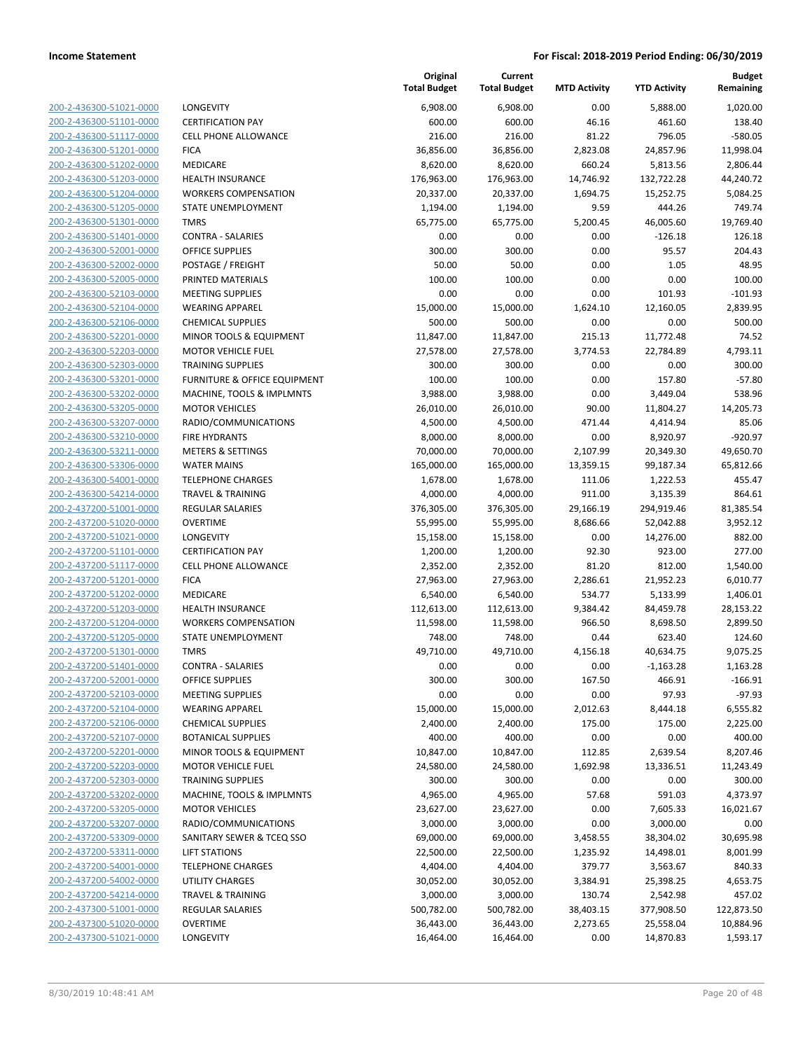**Current**

**Original**

**Budget Remaining**

| 200-2-436300-51021-0000        |
|--------------------------------|
| 200-2-436300-51101-0000        |
| 200-2-436300-51117-0000        |
| 200-2-436300-51201-0000        |
| <u>200-2-436300-51202-0000</u> |
| 200-2-436300-51203-0000        |
| 200-2-436300-51204-0000        |
| 200-2-436300-51205-0000        |
| 200-2-436300-51301-0000        |
| 200-2-436300-51401-0000        |
| 200-2-436300-52001-0000        |
| 200-2-436300-52002-0000        |
| 200-2-436300-52005-0000        |
| 200-2-436300-52103-0000        |
| <u>200-2-436300-52104-0000</u> |
| 200-2-436300-52106-0000        |
| 200-2-436300-52201-0000        |
| 200-2-436300-52203-0000        |
| 200-2-436300-52303-0000        |
| 200-2-436300-53201-0000        |
| 200-2-436300-53202-0000        |
| 200-2-436300-53205-0000        |
| 200-2-436300-53207-0000        |
| 200-2-436300-53210-0000        |
| <u>200-2-436300-53211-0000</u> |
| 200-2-436300-53306-0000        |
| 200-2-436300-54001-0000        |
| 200-2-436300-54214-0000        |
| 200-2-437200-51001-0000        |
| <u>200-2-437200-51020-0000</u> |
| 200-2-437200-51021-0000        |
| 200-2-437200-51101-0000        |
| 200-2-437200-51117-0000        |
| 200-2-437200-51201-0000        |
| 200-2-437200-51202-0000        |
| 200-2-437200-51203-0000        |
| 200-2-437200-51204-0000        |
| 200-2-437200-51205-0000        |
| 200-2-437200-51301-0000        |
| 200-2-437200-51401-0000        |
| 200-2-437200-52001-0000        |
| <u>200-2-437200-52103-0000</u> |
| 200-2-437200-52104-0000        |
| 200-2-437200-52106-0000        |
|                                |
| <u>200-2-437200-52107-0000</u> |
| 200-2-437200-52201-0000        |
| 200-2-437200-52203-0000        |
| <u>200-2-437200-52303-0000</u> |
| 200-2-437200-53202-0000        |
| <u>200-2-437200-53205-0000</u> |
| <u>200-2-437200-53207-0000</u> |
| <u>200-2-437200-53309-0000</u> |
| 200-2-437200-53311-0000        |
| 200-2-437200-54001-0000        |
| <u>200-2-437200-54002-0000</u> |
| <u>200-2-437200-54214-0000</u> |
| 200-2-437300-51001-0000        |
| 200-2-437300-51020-0000        |
| 200-2-437300-51021-0000        |

|                                                    |                                                          | <b>Total Budget</b>  | <b>Total Budget</b>  | <b>MTD Activity</b> | <b>YTD Activity</b>  | Remaining        |
|----------------------------------------------------|----------------------------------------------------------|----------------------|----------------------|---------------------|----------------------|------------------|
| 200-2-436300-51021-0000                            | LONGEVITY                                                | 6,908.00             | 6,908.00             | 0.00                | 5,888.00             | 1,020.00         |
| 200-2-436300-51101-0000                            | <b>CERTIFICATION PAY</b>                                 | 600.00               | 600.00               | 46.16               | 461.60               | 138.40           |
| 200-2-436300-51117-0000                            | <b>CELL PHONE ALLOWANCE</b>                              | 216.00               | 216.00               | 81.22               | 796.05               | $-580.05$        |
| 200-2-436300-51201-0000                            | <b>FICA</b>                                              | 36,856.00            | 36,856.00            | 2,823.08            | 24,857.96            | 11,998.04        |
| 200-2-436300-51202-0000                            | MEDICARE                                                 | 8,620.00             | 8,620.00             | 660.24              | 5,813.56             | 2,806.44         |
| 200-2-436300-51203-0000                            | HEALTH INSURANCE                                         | 176,963.00           | 176,963.00           | 14,746.92           | 132,722.28           | 44,240.72        |
| 200-2-436300-51204-0000                            | <b>WORKERS COMPENSATION</b>                              | 20,337.00            | 20,337.00            | 1,694.75            | 15,252.75            | 5,084.25         |
| 200-2-436300-51205-0000                            | STATE UNEMPLOYMENT                                       | 1,194.00             | 1,194.00             | 9.59                | 444.26               | 749.74           |
| 200-2-436300-51301-0000                            | <b>TMRS</b>                                              | 65,775.00            | 65,775.00            | 5,200.45            | 46,005.60            | 19,769.40        |
| 200-2-436300-51401-0000                            | <b>CONTRA - SALARIES</b>                                 | 0.00                 | 0.00                 | 0.00                | $-126.18$            | 126.18           |
| 200-2-436300-52001-0000                            | <b>OFFICE SUPPLIES</b>                                   | 300.00               | 300.00               | 0.00                | 95.57                | 204.43           |
| 200-2-436300-52002-0000                            | POSTAGE / FREIGHT                                        | 50.00                | 50.00                | 0.00                | 1.05                 | 48.95            |
| 200-2-436300-52005-0000                            | PRINTED MATERIALS                                        | 100.00               | 100.00               | 0.00                | 0.00                 | 100.00           |
| 200-2-436300-52103-0000                            | <b>MEETING SUPPLIES</b>                                  | 0.00                 | 0.00                 | 0.00                | 101.93               | $-101.93$        |
| 200-2-436300-52104-0000                            | <b>WEARING APPAREL</b>                                   | 15,000.00            | 15,000.00            | 1,624.10            | 12,160.05            | 2,839.95         |
| 200-2-436300-52106-0000                            | <b>CHEMICAL SUPPLIES</b>                                 | 500.00               | 500.00               | 0.00                | 0.00                 | 500.00           |
| 200-2-436300-52201-0000                            | MINOR TOOLS & EQUIPMENT                                  | 11,847.00            | 11,847.00            | 215.13              | 11,772.48            | 74.52            |
| 200-2-436300-52203-0000                            | <b>MOTOR VEHICLE FUEL</b>                                | 27,578.00            | 27,578.00            | 3,774.53            | 22,784.89            | 4,793.11         |
| 200-2-436300-52303-0000                            | <b>TRAINING SUPPLIES</b>                                 | 300.00               | 300.00               | 0.00                | 0.00                 | 300.00           |
| 200-2-436300-53201-0000                            | FURNITURE & OFFICE EQUIPMENT                             | 100.00               | 100.00               | 0.00                | 157.80               | $-57.80$         |
| 200-2-436300-53202-0000                            | MACHINE, TOOLS & IMPLMNTS                                | 3,988.00             | 3,988.00             | 0.00                | 3,449.04             | 538.96           |
| 200-2-436300-53205-0000                            | <b>MOTOR VEHICLES</b>                                    | 26,010.00            | 26,010.00            | 90.00               | 11,804.27            | 14,205.73        |
| 200-2-436300-53207-0000                            | RADIO/COMMUNICATIONS                                     | 4,500.00             | 4,500.00             | 471.44              | 4,414.94             | 85.06            |
| 200-2-436300-53210-0000                            | <b>FIRE HYDRANTS</b>                                     | 8,000.00             | 8,000.00             | 0.00                | 8,920.97             | $-920.97$        |
| 200-2-436300-53211-0000                            | <b>METERS &amp; SETTINGS</b>                             | 70,000.00            | 70,000.00            | 2,107.99            | 20,349.30            | 49,650.70        |
| 200-2-436300-53306-0000                            | <b>WATER MAINS</b>                                       | 165,000.00           | 165,000.00           | 13,359.15           | 99,187.34            | 65,812.66        |
| 200-2-436300-54001-0000<br>200-2-436300-54214-0000 | <b>TELEPHONE CHARGES</b><br><b>TRAVEL &amp; TRAINING</b> | 1,678.00<br>4,000.00 | 1,678.00<br>4,000.00 | 111.06<br>911.00    | 1,222.53<br>3,135.39 | 455.47<br>864.61 |
| 200-2-437200-51001-0000                            | <b>REGULAR SALARIES</b>                                  | 376,305.00           | 376,305.00           | 29,166.19           | 294,919.46           | 81,385.54        |
| 200-2-437200-51020-0000                            | <b>OVERTIME</b>                                          | 55,995.00            | 55,995.00            | 8,686.66            | 52,042.88            | 3,952.12         |
| 200-2-437200-51021-0000                            | LONGEVITY                                                | 15,158.00            | 15,158.00            | 0.00                | 14,276.00            | 882.00           |
| 200-2-437200-51101-0000                            | <b>CERTIFICATION PAY</b>                                 | 1,200.00             | 1,200.00             | 92.30               | 923.00               | 277.00           |
| 200-2-437200-51117-0000                            | <b>CELL PHONE ALLOWANCE</b>                              | 2,352.00             | 2,352.00             | 81.20               | 812.00               | 1,540.00         |
| 200-2-437200-51201-0000                            | <b>FICA</b>                                              | 27,963.00            | 27,963.00            | 2,286.61            | 21,952.23            | 6,010.77         |
| 200-2-437200-51202-0000                            | MEDICARE                                                 | 6,540.00             | 6,540.00             | 534.77              | 5,133.99             | 1,406.01         |
| 200-2-437200-51203-0000                            | <b>HEALTH INSURANCE</b>                                  | 112,613.00           | 112,613.00           | 9,384.42            | 84,459.78            | 28,153.22        |
| 200-2-437200-51204-0000                            | <b>WORKERS COMPENSATION</b>                              | 11,598.00            | 11,598.00            | 966.50              | 8,698.50             | 2,899.50         |
| 200-2-437200-51205-0000                            | STATE UNEMPLOYMENT                                       | 748.00               | 748.00               | 0.44                | 623.40               | 124.60           |
| 200-2-437200-51301-0000                            | <b>TMRS</b>                                              | 49,710.00            | 49,710.00            | 4,156.18            | 40,634.75            | 9,075.25         |
| 200-2-437200-51401-0000                            | <b>CONTRA - SALARIES</b>                                 | 0.00                 | 0.00                 | 0.00                | $-1,163.28$          | 1,163.28         |
| 200-2-437200-52001-0000                            | OFFICE SUPPLIES                                          | 300.00               | 300.00               | 167.50              | 466.91               | $-166.91$        |
| 200-2-437200-52103-0000                            | <b>MEETING SUPPLIES</b>                                  | 0.00                 | 0.00                 | 0.00                | 97.93                | $-97.93$         |
| 200-2-437200-52104-0000                            | <b>WEARING APPAREL</b>                                   | 15,000.00            | 15,000.00            | 2,012.63            | 8,444.18             | 6,555.82         |
| 200-2-437200-52106-0000                            | <b>CHEMICAL SUPPLIES</b>                                 | 2,400.00             | 2,400.00             | 175.00              | 175.00               | 2,225.00         |
| 200-2-437200-52107-0000                            | <b>BOTANICAL SUPPLIES</b>                                | 400.00               | 400.00               | 0.00                | 0.00                 | 400.00           |
| 200-2-437200-52201-0000                            | MINOR TOOLS & EQUIPMENT                                  | 10,847.00            | 10,847.00            | 112.85              | 2,639.54             | 8,207.46         |
| 200-2-437200-52203-0000                            | <b>MOTOR VEHICLE FUEL</b>                                | 24,580.00            | 24,580.00            | 1,692.98            | 13,336.51            | 11,243.49        |
| 200-2-437200-52303-0000                            | <b>TRAINING SUPPLIES</b>                                 | 300.00               | 300.00               | 0.00                | 0.00                 | 300.00           |
| 200-2-437200-53202-0000                            | MACHINE, TOOLS & IMPLMNTS                                | 4,965.00             | 4,965.00             | 57.68               | 591.03               | 4,373.97         |
| 200-2-437200-53205-0000                            | <b>MOTOR VEHICLES</b>                                    | 23,627.00            | 23,627.00            | 0.00                | 7,605.33             | 16,021.67        |
| 200-2-437200-53207-0000                            | RADIO/COMMUNICATIONS                                     | 3,000.00             | 3,000.00             | 0.00                | 3,000.00             | 0.00             |
| 200-2-437200-53309-0000                            | SANITARY SEWER & TCEQ SSO                                | 69,000.00            | 69,000.00            | 3,458.55            | 38,304.02            | 30,695.98        |
| 200-2-437200-53311-0000                            | <b>LIFT STATIONS</b>                                     | 22,500.00            | 22,500.00            | 1,235.92            | 14,498.01            | 8,001.99         |
| 200-2-437200-54001-0000                            | <b>TELEPHONE CHARGES</b>                                 | 4,404.00             | 4,404.00             | 379.77              | 3,563.67             | 840.33           |
| 200-2-437200-54002-0000                            | UTILITY CHARGES                                          | 30,052.00            | 30,052.00            | 3,384.91            | 25,398.25            | 4,653.75         |
| 200-2-437200-54214-0000                            | <b>TRAVEL &amp; TRAINING</b>                             | 3,000.00             | 3,000.00             | 130.74              | 2,542.98             | 457.02           |
| 200-2-437300-51001-0000                            | <b>REGULAR SALARIES</b>                                  | 500,782.00           | 500,782.00           | 38,403.15           | 377,908.50           | 122,873.50       |
| 200-2-437300-51020-0000                            | <b>OVERTIME</b>                                          | 36,443.00            | 36,443.00            | 2,273.65            | 25,558.04            | 10,884.96        |
| 200-2-437300-51021-0000                            | LONGEVITY                                                | 16,464.00            | 16,464.00            | 0.00                | 14,870.83            | 1,593.17         |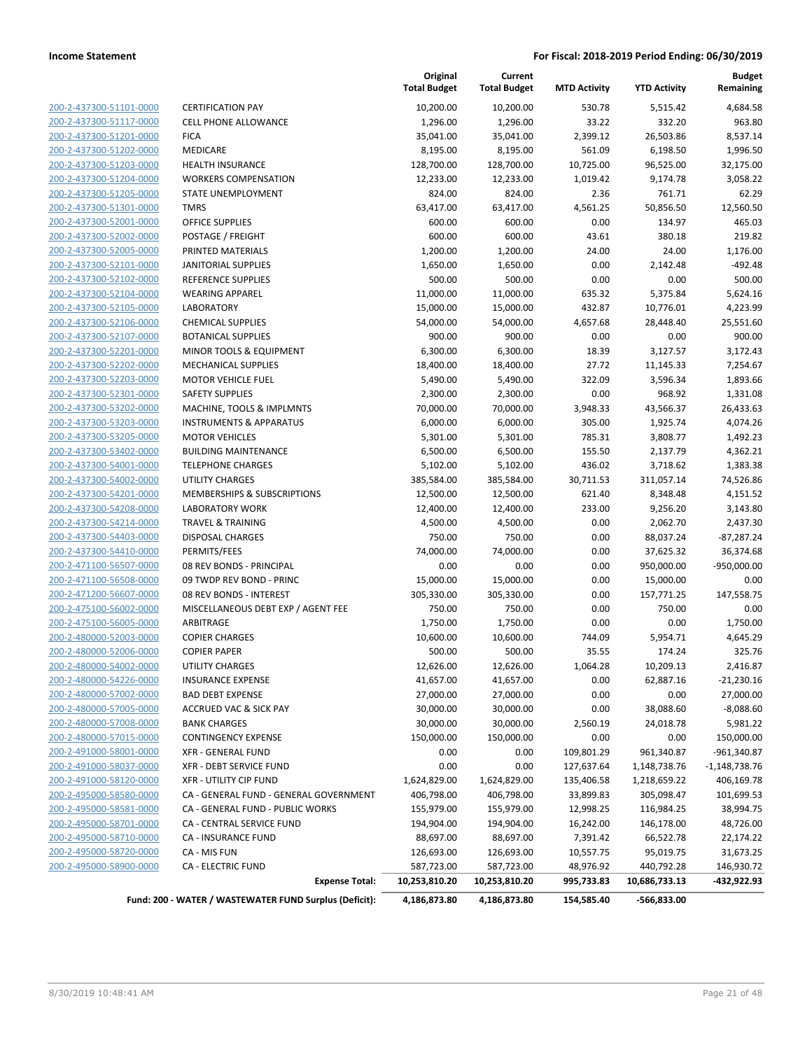| 200-2-437300-51101-0000        |
|--------------------------------|
| 200-2-437300-51117-0000        |
| 200-2-437300-51201-0000        |
| 200-2-437300-51202-0000        |
| <u>200-2-437300-51203-0000</u> |
| 200-2-437300-51204-0000        |
| 200-2-437300-51205-0000        |
| 200-2-437300-51301-0000        |
| 200-2-437300-52001-0000        |
| 200-2-437300-52002-0000        |
| 200-2-437300-52005-0000        |
| 200-2-437300-52101-0000        |
| 200-2-437300-52102-0000        |
| 200-2-437300-52104-0000        |
| <u>200-2-437300-52105-0000</u> |
| 200-2-437300-52106-0000        |
| 200-2-437300-52107-0000        |
| 200-2-437300-52201-0000        |
| 200-2-437300-52202-0000        |
| 200-2-437300-52203-0000        |
| 200-2-437300-52301-0000        |
| 200-2-437300-53202-0000        |
| 200-2-437300-53203-0000        |
| 200-2-437300-53205-0000        |
| <u>200-2-437300-53402-0000</u> |
| 200-2-437300-54001-0000        |
| 200-2-437300-54002-0000        |
| 200-2-437300-54201-0000        |
| 200-2-437300-54208-0000        |
| 200-2-437300-54214-0000        |
| 200-2-437300-54403-0000        |
| 200-2-437300-54410-0000        |
| 200-2-471100-56507-0000        |
| 200-2-471100-56508-0000        |
| 200-2-471200-56607-0000        |
| 200-2-475100-56002-0000        |
| 200-2-475100-56005-0000        |
| 200-2-480000-52003-0000        |
| 200-2-480000-52006-0000        |
| 200-2-480000-54002-0000        |
| 200-2-480000-54226-0000        |
| <u>200-2-480000-57002-0000</u> |
| 200-2-480000-57005-0000        |
| 200-2-480000-57008-0000        |
| <u>200-2-480000-57015-0000</u> |
| 200-2-491000-58001-0000        |
| 200-2-491000-58037-0000        |
| 200-2-491000-58120-0000        |
| 200-2-495000-58580-0000        |
| 200-2-495000-58581-0000        |
| 200-2-495000-58701-0000        |
| 200-2-495000-58710-0000        |
| 200-2-495000-58720-0000        |
| 200-2-495000-58900-0000        |
|                                |

|                                                    |                                                               | Original<br><b>Total Budget</b> | Current<br><b>Total Budget</b> | <b>MTD Activity</b>    | <b>YTD Activity</b>      | <b>Budget</b><br>Remaining  |
|----------------------------------------------------|---------------------------------------------------------------|---------------------------------|--------------------------------|------------------------|--------------------------|-----------------------------|
| 200-2-437300-51101-0000                            | <b>CERTIFICATION PAY</b>                                      | 10,200.00                       | 10,200.00                      | 530.78                 | 5,515.42                 | 4,684.58                    |
| 200-2-437300-51117-0000                            | <b>CELL PHONE ALLOWANCE</b>                                   | 1,296.00                        | 1,296.00                       | 33.22                  | 332.20                   | 963.80                      |
| 200-2-437300-51201-0000                            | <b>FICA</b>                                                   | 35,041.00                       | 35,041.00                      | 2,399.12               | 26,503.86                | 8,537.14                    |
| 200-2-437300-51202-0000                            | <b>MEDICARE</b>                                               | 8,195.00                        | 8,195.00                       | 561.09                 | 6,198.50                 | 1,996.50                    |
| 200-2-437300-51203-0000                            | <b>HEALTH INSURANCE</b>                                       | 128,700.00                      | 128,700.00                     | 10,725.00              | 96,525.00                | 32,175.00                   |
| 200-2-437300-51204-0000                            | <b>WORKERS COMPENSATION</b>                                   | 12,233.00                       | 12,233.00                      | 1,019.42               | 9,174.78                 | 3,058.22                    |
| 200-2-437300-51205-0000                            | STATE UNEMPLOYMENT                                            | 824.00                          | 824.00                         | 2.36                   | 761.71                   | 62.29                       |
| 200-2-437300-51301-0000                            | <b>TMRS</b>                                                   | 63,417.00                       | 63,417.00                      | 4,561.25               | 50,856.50                | 12,560.50                   |
| 200-2-437300-52001-0000                            | <b>OFFICE SUPPLIES</b>                                        | 600.00                          | 600.00                         | 0.00                   | 134.97                   | 465.03                      |
| 200-2-437300-52002-0000                            | POSTAGE / FREIGHT                                             | 600.00                          | 600.00                         | 43.61                  | 380.18                   | 219.82                      |
| 200-2-437300-52005-0000                            | PRINTED MATERIALS                                             | 1,200.00                        | 1,200.00                       | 24.00                  | 24.00                    | 1,176.00                    |
| 200-2-437300-52101-0000                            | <b>JANITORIAL SUPPLIES</b>                                    | 1,650.00                        | 1,650.00                       | 0.00                   | 2,142.48                 | $-492.48$                   |
| 200-2-437300-52102-0000                            | REFERENCE SUPPLIES                                            | 500.00                          | 500.00                         | 0.00                   | 0.00                     | 500.00                      |
| 200-2-437300-52104-0000                            | <b>WEARING APPAREL</b>                                        | 11,000.00                       | 11,000.00                      | 635.32                 | 5,375.84                 | 5,624.16                    |
| 200-2-437300-52105-0000                            | <b>LABORATORY</b>                                             | 15,000.00                       | 15,000.00                      | 432.87                 | 10,776.01                | 4,223.99                    |
| 200-2-437300-52106-0000                            | <b>CHEMICAL SUPPLIES</b>                                      | 54,000.00                       | 54,000.00                      | 4,657.68               | 28,448.40                | 25,551.60                   |
| 200-2-437300-52107-0000                            | <b>BOTANICAL SUPPLIES</b>                                     | 900.00                          | 900.00                         | 0.00                   | 0.00                     | 900.00                      |
| 200-2-437300-52201-0000                            | MINOR TOOLS & EQUIPMENT                                       | 6,300.00                        | 6,300.00                       | 18.39                  | 3,127.57                 | 3,172.43                    |
| 200-2-437300-52202-0000                            | <b>MECHANICAL SUPPLIES</b>                                    | 18,400.00                       | 18,400.00                      | 27.72                  | 11,145.33                | 7,254.67                    |
| 200-2-437300-52203-0000                            | <b>MOTOR VEHICLE FUEL</b>                                     | 5,490.00                        | 5,490.00                       | 322.09                 | 3,596.34                 | 1,893.66                    |
| 200-2-437300-52301-0000                            | <b>SAFETY SUPPLIES</b>                                        | 2,300.00                        | 2,300.00                       | 0.00                   | 968.92                   | 1,331.08                    |
| 200-2-437300-53202-0000                            | MACHINE, TOOLS & IMPLMNTS                                     | 70,000.00                       | 70,000.00                      | 3,948.33               | 43,566.37                | 26,433.63                   |
| 200-2-437300-53203-0000                            | <b>INSTRUMENTS &amp; APPARATUS</b>                            | 6,000.00                        | 6,000.00                       | 305.00                 | 1,925.74                 | 4,074.26                    |
| 200-2-437300-53205-0000                            | <b>MOTOR VEHICLES</b>                                         | 5,301.00                        | 5,301.00                       | 785.31                 | 3,808.77                 | 1,492.23                    |
| 200-2-437300-53402-0000                            | <b>BUILDING MAINTENANCE</b>                                   | 6,500.00                        | 6,500.00                       | 155.50                 | 2,137.79                 | 4,362.21                    |
| 200-2-437300-54001-0000                            | <b>TELEPHONE CHARGES</b>                                      | 5,102.00                        | 5,102.00                       | 436.02                 | 3,718.62                 | 1,383.38                    |
| 200-2-437300-54002-0000                            | <b>UTILITY CHARGES</b>                                        | 385,584.00                      | 385,584.00                     | 30,711.53              | 311,057.14               | 74,526.86                   |
| 200-2-437300-54201-0000                            | MEMBERSHIPS & SUBSCRIPTIONS                                   | 12,500.00                       | 12,500.00                      | 621.40                 | 8,348.48                 | 4,151.52                    |
| 200-2-437300-54208-0000                            | <b>LABORATORY WORK</b>                                        | 12,400.00                       | 12,400.00                      | 233.00                 | 9,256.20                 | 3,143.80                    |
| 200-2-437300-54214-0000                            | <b>TRAVEL &amp; TRAINING</b>                                  | 4,500.00                        | 4,500.00                       | 0.00                   | 2,062.70                 | 2,437.30                    |
| 200-2-437300-54403-0000                            | <b>DISPOSAL CHARGES</b>                                       | 750.00                          | 750.00                         | 0.00                   | 88,037.24                | $-87,287.24$                |
| 200-2-437300-54410-0000                            | PERMITS/FEES                                                  | 74,000.00                       | 74,000.00                      | 0.00                   | 37,625.32                | 36,374.68                   |
| 200-2-471100-56507-0000                            | 08 REV BONDS - PRINCIPAL                                      | 0.00                            | 0.00                           | 0.00                   | 950,000.00               | $-950,000.00$               |
| 200-2-471100-56508-0000                            | 09 TWDP REV BOND - PRINC                                      | 15,000.00                       | 15,000.00                      | 0.00                   | 15,000.00                | 0.00                        |
| 200-2-471200-56607-0000                            | 08 REV BONDS - INTEREST                                       | 305,330.00                      | 305,330.00                     | 0.00                   | 157,771.25               | 147,558.75                  |
| 200-2-475100-56002-0000                            | MISCELLANEOUS DEBT EXP / AGENT FEE                            | 750.00                          | 750.00                         | 0.00                   | 750.00                   | 0.00                        |
| 200-2-475100-56005-0000                            | ARBITRAGE                                                     | 1,750.00                        | 1,750.00                       | 0.00                   | 0.00                     | 1,750.00                    |
| 200-2-480000-52003-0000                            | <b>COPIER CHARGES</b>                                         | 10,600.00                       | 10,600.00                      | 744.09                 | 5,954.71                 | 4,645.29                    |
| 200-2-480000-52006-0000                            | <b>COPIER PAPER</b>                                           | 500.00                          | 500.00                         | 35.55                  | 174.24                   | 325.76                      |
| 200-2-480000-54002-0000                            | <b>UTILITY CHARGES</b>                                        | 12,626.00                       | 12,626.00                      | 1,064.28               | 10,209.13                | 2,416.87                    |
| 200-2-480000-54226-0000                            | <b>INSURANCE EXPENSE</b>                                      | 41,657.00                       | 41,657.00                      | 0.00                   | 62,887.16                | $-21,230.16$                |
| 200-2-480000-57002-0000                            | <b>BAD DEBT EXPENSE</b>                                       | 27,000.00                       | 27,000.00                      | 0.00                   | 0.00                     | 27,000.00                   |
| 200-2-480000-57005-0000                            | <b>ACCRUED VAC &amp; SICK PAY</b>                             | 30,000.00                       | 30,000.00                      | 0.00                   | 38,088.60                | $-8,088.60$                 |
| 200-2-480000-57008-0000<br>200-2-480000-57015-0000 | <b>BANK CHARGES</b>                                           | 30,000.00                       | 30,000.00                      | 2,560.19               | 24,018.78                | 5,981.22                    |
| 200-2-491000-58001-0000                            | <b>CONTINGENCY EXPENSE</b>                                    | 150,000.00                      | 150,000.00                     | 0.00<br>109,801.29     | 0.00                     | 150,000.00<br>$-961,340.87$ |
|                                                    | <b>XFR - GENERAL FUND</b>                                     | 0.00                            | 0.00                           |                        | 961,340.87               |                             |
| 200-2-491000-58037-0000                            | XFR - DEBT SERVICE FUND<br><b>XFR - UTILITY CIP FUND</b>      | 0.00                            | 0.00<br>1,624,829.00           | 127,637.64             | 1,148,738.76             | $-1,148,738.76$             |
| 200-2-491000-58120-0000<br>200-2-495000-58580-0000 | CA - GENERAL FUND - GENERAL GOVERNMENT                        | 1,624,829.00                    |                                | 135,406.58             | 1,218,659.22             | 406,169.78                  |
| 200-2-495000-58581-0000                            |                                                               | 406,798.00                      | 406,798.00                     | 33,899.83<br>12,998.25 | 305,098.47               | 101,699.53                  |
| 200-2-495000-58701-0000                            | CA - GENERAL FUND - PUBLIC WORKS<br>CA - CENTRAL SERVICE FUND | 155,979.00<br>194,904.00        | 155,979.00<br>194,904.00       | 16,242.00              | 116,984.25<br>146,178.00 | 38,994.75<br>48,726.00      |
| 200-2-495000-58710-0000                            | CA - INSURANCE FUND                                           | 88,697.00                       | 88,697.00                      | 7,391.42               | 66,522.78                | 22,174.22                   |
| 200-2-495000-58720-0000                            | CA - MIS FUN                                                  | 126,693.00                      | 126,693.00                     | 10,557.75              | 95,019.75                | 31,673.25                   |
| 200-2-495000-58900-0000                            | <b>CA - ELECTRIC FUND</b>                                     | 587,723.00                      | 587,723.00                     | 48,976.92              | 440,792.28               | 146,930.72                  |
|                                                    | <b>Expense Total:</b>                                         | 10,253,810.20                   | 10,253,810.20                  | 995,733.83             | 10,686,733.13            | -432,922.93                 |

**Fund: 200 - WATER / WASTEWATER FUND Surplus (Deficit): 4,186,873.80 4,186,873.80 154,585.40 -566,833.00**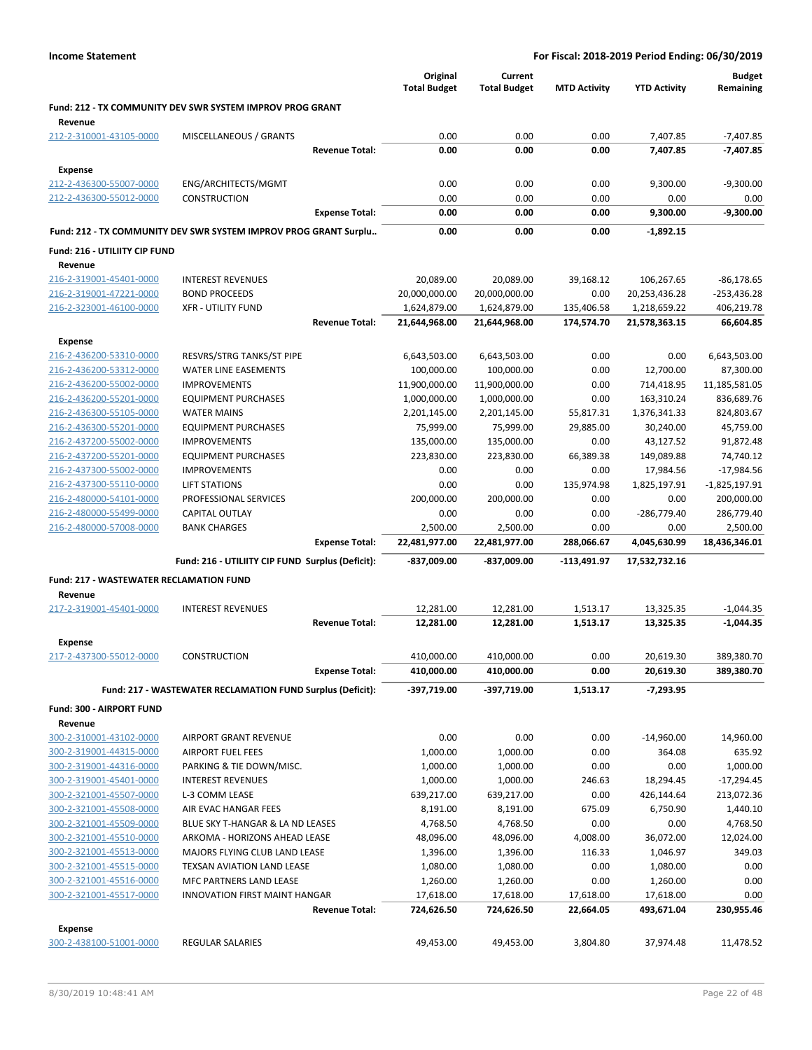|                                                    |                                                                   |                       | Original<br><b>Total Budget</b> | Current<br><b>Total Budget</b> | <b>MTD Activity</b> | <b>YTD Activity</b>    | <b>Budget</b><br>Remaining |
|----------------------------------------------------|-------------------------------------------------------------------|-----------------------|---------------------------------|--------------------------------|---------------------|------------------------|----------------------------|
| Revenue                                            | Fund: 212 - TX COMMUNITY DEV SWR SYSTEM IMPROV PROG GRANT         |                       |                                 |                                |                     |                        |                            |
| 212-2-310001-43105-0000                            | MISCELLANEOUS / GRANTS                                            |                       | 0.00                            | 0.00                           | 0.00                | 7,407.85               | $-7,407.85$                |
|                                                    |                                                                   | <b>Revenue Total:</b> | 0.00                            | 0.00                           | 0.00                | 7,407.85               | -7,407.85                  |
| <b>Expense</b>                                     |                                                                   |                       |                                 |                                |                     |                        |                            |
| 212-2-436300-55007-0000                            | ENG/ARCHITECTS/MGMT                                               |                       | 0.00                            | 0.00                           | 0.00                | 9,300.00               | $-9,300.00$                |
| 212-2-436300-55012-0000                            | CONSTRUCTION                                                      |                       | 0.00                            | 0.00                           | 0.00                | 0.00                   | 0.00                       |
|                                                    |                                                                   | <b>Expense Total:</b> | 0.00                            | 0.00                           | 0.00                | 9,300.00               | $-9,300.00$                |
|                                                    | Fund: 212 - TX COMMUNITY DEV SWR SYSTEM IMPROV PROG GRANT Surplu  |                       | 0.00                            | 0.00                           | 0.00                | $-1,892.15$            |                            |
| Fund: 216 - UTILIITY CIP FUND                      |                                                                   |                       |                                 |                                |                     |                        |                            |
| Revenue                                            |                                                                   |                       |                                 |                                |                     |                        |                            |
| 216-2-319001-45401-0000                            | <b>INTEREST REVENUES</b>                                          |                       | 20,089.00                       | 20,089.00                      | 39,168.12           | 106,267.65             | $-86,178.65$               |
| 216-2-319001-47221-0000                            | <b>BOND PROCEEDS</b>                                              |                       | 20,000,000.00                   | 20,000,000.00                  | 0.00                | 20,253,436.28          | $-253,436.28$              |
| 216-2-323001-46100-0000                            | <b>XFR - UTILITY FUND</b>                                         |                       | 1,624,879.00                    | 1,624,879.00                   | 135,406.58          | 1,218,659.22           | 406,219.78                 |
|                                                    |                                                                   | <b>Revenue Total:</b> | 21,644,968.00                   | 21,644,968.00                  | 174,574.70          | 21,578,363.15          | 66,604.85                  |
| <b>Expense</b>                                     |                                                                   |                       |                                 |                                |                     |                        |                            |
| 216-2-436200-53310-0000                            | RESVRS/STRG TANKS/ST PIPE                                         |                       | 6,643,503.00                    | 6,643,503.00                   | 0.00                | 0.00                   | 6,643,503.00               |
| 216-2-436200-53312-0000                            | <b>WATER LINE EASEMENTS</b>                                       |                       | 100,000.00                      | 100,000.00                     | 0.00                | 12,700.00              | 87,300.00                  |
| 216-2-436200-55002-0000                            | <b>IMPROVEMENTS</b>                                               |                       | 11,900,000.00                   | 11,900,000.00                  | 0.00                | 714,418.95             | 11,185,581.05              |
| 216-2-436200-55201-0000                            | <b>EQUIPMENT PURCHASES</b>                                        |                       | 1,000,000.00                    | 1,000,000.00                   | 0.00                | 163,310.24             | 836,689.76                 |
| 216-2-436300-55105-0000                            | <b>WATER MAINS</b>                                                |                       | 2,201,145.00                    | 2,201,145.00                   | 55,817.31           | 1,376,341.33           | 824,803.67                 |
| 216-2-436300-55201-0000                            | <b>EQUIPMENT PURCHASES</b>                                        |                       | 75,999.00                       | 75,999.00                      | 29,885.00           | 30,240.00              | 45,759.00                  |
| 216-2-437200-55002-0000                            | <b>IMPROVEMENTS</b>                                               |                       | 135,000.00                      | 135,000.00                     | 0.00                | 43,127.52              | 91,872.48                  |
| 216-2-437200-55201-0000                            | <b>EQUIPMENT PURCHASES</b>                                        |                       | 223,830.00                      | 223,830.00                     | 66,389.38           | 149,089.88             | 74,740.12                  |
| 216-2-437300-55002-0000                            | <b>IMPROVEMENTS</b>                                               |                       | 0.00                            | 0.00                           | 0.00                | 17,984.56              | $-17,984.56$               |
| 216-2-437300-55110-0000                            | <b>LIFT STATIONS</b>                                              |                       | 0.00                            | 0.00                           | 135,974.98          | 1,825,197.91           | $-1,825,197.91$            |
| 216-2-480000-54101-0000                            | PROFESSIONAL SERVICES                                             |                       | 200,000.00                      | 200,000.00                     | 0.00                | 0.00                   | 200,000.00                 |
| 216-2-480000-55499-0000                            | CAPITAL OUTLAY                                                    |                       | 0.00                            | 0.00                           | 0.00                | -286,779.40            | 286,779.40                 |
| 216-2-480000-57008-0000                            | <b>BANK CHARGES</b>                                               |                       | 2,500.00                        | 2,500.00                       | 0.00                | 0.00                   | 2,500.00                   |
|                                                    |                                                                   | <b>Expense Total:</b> | 22,481,977.00                   | 22,481,977.00                  | 288,066.67          | 4,045,630.99           | 18,436,346.01              |
|                                                    | Fund: 216 - UTILIITY CIP FUND Surplus (Deficit):                  |                       | -837,009.00                     | -837,009.00                    | -113,491.97         | 17,532,732.16          |                            |
| <b>Fund: 217 - WASTEWATER RECLAMATION FUND</b>     |                                                                   |                       |                                 |                                |                     |                        |                            |
| Revenue<br>217-2-319001-45401-0000                 | <b>INTEREST REVENUES</b>                                          |                       | 12,281.00                       | 12,281.00                      | 1,513.17            | 13,325.35              | $-1,044.35$                |
|                                                    |                                                                   | <b>Revenue Total:</b> | 12,281.00                       | 12,281.00                      | 1,513.17            | 13,325.35              | $-1,044.35$                |
|                                                    |                                                                   |                       |                                 |                                |                     |                        |                            |
| <b>Expense</b><br>217-2-437300-55012-0000          | <b>CONSTRUCTION</b>                                               |                       |                                 |                                | 0.00                |                        |                            |
|                                                    |                                                                   | <b>Expense Total:</b> | 410,000.00<br>410,000.00        | 410,000.00<br>410,000.00       | 0.00                | 20,619.30<br>20,619.30 | 389,380.70<br>389,380.70   |
|                                                    |                                                                   |                       |                                 |                                |                     |                        |                            |
|                                                    | Fund: 217 - WASTEWATER RECLAMATION FUND Surplus (Deficit):        |                       | -397,719.00                     | -397,719.00                    | 1,513.17            | -7,293.95              |                            |
| <b>Fund: 300 - AIRPORT FUND</b>                    |                                                                   |                       |                                 |                                |                     |                        |                            |
| Revenue                                            |                                                                   |                       |                                 |                                |                     |                        |                            |
| 300-2-310001-43102-0000                            | AIRPORT GRANT REVENUE                                             |                       | 0.00                            | 0.00                           | 0.00                | $-14,960.00$           | 14,960.00                  |
| 300-2-319001-44315-0000                            | <b>AIRPORT FUEL FEES</b>                                          |                       | 1,000.00                        | 1,000.00                       | 0.00                | 364.08                 | 635.92                     |
| 300-2-319001-44316-0000                            | PARKING & TIE DOWN/MISC.                                          |                       | 1,000.00                        | 1,000.00                       | 0.00                | 0.00                   | 1,000.00                   |
| 300-2-319001-45401-0000<br>300-2-321001-45507-0000 | <b>INTEREST REVENUES</b>                                          |                       | 1,000.00                        | 1,000.00                       | 246.63              | 18,294.45              | $-17,294.45$               |
|                                                    | L-3 COMM LEASE                                                    |                       | 639,217.00<br>8,191.00          | 639,217.00<br>8,191.00         | 0.00<br>675.09      | 426,144.64<br>6,750.90 | 213,072.36<br>1,440.10     |
| 300-2-321001-45508-0000<br>300-2-321001-45509-0000 | AIR EVAC HANGAR FEES                                              |                       |                                 | 4,768.50                       | 0.00                |                        |                            |
| 300-2-321001-45510-0000                            | BLUE SKY T-HANGAR & LA ND LEASES<br>ARKOMA - HORIZONS AHEAD LEASE |                       | 4,768.50<br>48,096.00           | 48,096.00                      | 4,008.00            | 0.00<br>36,072.00      | 4,768.50<br>12,024.00      |
| 300-2-321001-45513-0000                            | MAJORS FLYING CLUB LAND LEASE                                     |                       | 1,396.00                        | 1,396.00                       | 116.33              | 1,046.97               | 349.03                     |
| 300-2-321001-45515-0000                            | TEXSAN AVIATION LAND LEASE                                        |                       | 1,080.00                        | 1,080.00                       | 0.00                | 1,080.00               | 0.00                       |
| 300-2-321001-45516-0000                            | MFC PARTNERS LAND LEASE                                           |                       | 1,260.00                        | 1,260.00                       | 0.00                | 1,260.00               | 0.00                       |
| 300-2-321001-45517-0000                            | <b>INNOVATION FIRST MAINT HANGAR</b>                              |                       | 17,618.00                       | 17,618.00                      | 17,618.00           | 17,618.00              | 0.00                       |
|                                                    |                                                                   | <b>Revenue Total:</b> | 724,626.50                      | 724,626.50                     | 22,664.05           | 493,671.04             | 230,955.46                 |
| <b>Expense</b>                                     |                                                                   |                       |                                 |                                |                     |                        |                            |
| 300-2-438100-51001-0000                            | <b>REGULAR SALARIES</b>                                           |                       | 49,453.00                       | 49,453.00                      | 3,804.80            | 37,974.48              | 11,478.52                  |
|                                                    |                                                                   |                       |                                 |                                |                     |                        |                            |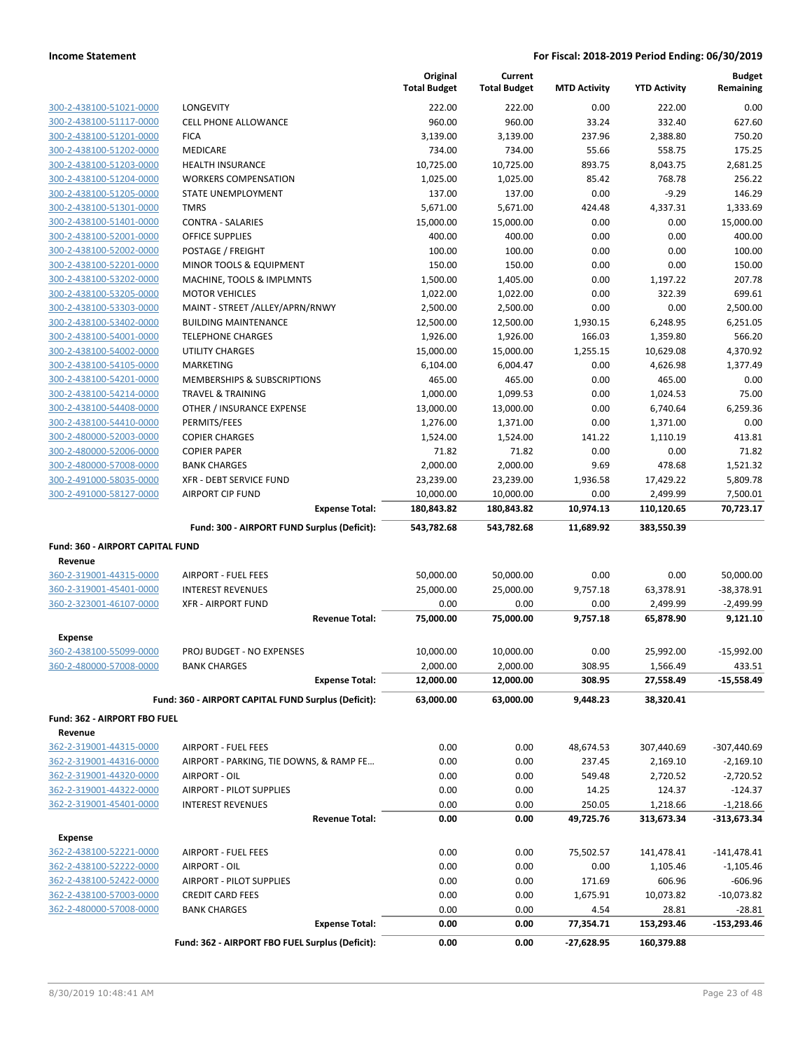|                                                    |                                                         | Original<br><b>Total Budget</b> | Current<br><b>Total Budget</b> | <b>MTD Activity</b> | <b>YTD Activity</b>   | <b>Budget</b><br>Remaining |
|----------------------------------------------------|---------------------------------------------------------|---------------------------------|--------------------------------|---------------------|-----------------------|----------------------------|
| 300-2-438100-51021-0000                            | LONGEVITY                                               | 222.00                          | 222.00                         | 0.00                | 222.00                | 0.00                       |
| 300-2-438100-51117-0000                            | <b>CELL PHONE ALLOWANCE</b>                             | 960.00                          | 960.00                         | 33.24               | 332.40                | 627.60                     |
| 300-2-438100-51201-0000                            | <b>FICA</b>                                             | 3,139.00                        | 3,139.00                       | 237.96              | 2,388.80              | 750.20                     |
| 300-2-438100-51202-0000                            | <b>MEDICARE</b>                                         | 734.00                          | 734.00                         | 55.66               | 558.75                | 175.25                     |
| 300-2-438100-51203-0000                            | <b>HEALTH INSURANCE</b>                                 | 10,725.00                       | 10,725.00                      | 893.75              | 8,043.75              | 2,681.25                   |
| 300-2-438100-51204-0000                            | <b>WORKERS COMPENSATION</b>                             | 1,025.00                        | 1,025.00                       | 85.42               | 768.78                | 256.22                     |
| 300-2-438100-51205-0000                            | STATE UNEMPLOYMENT                                      | 137.00                          | 137.00                         | 0.00                | $-9.29$               | 146.29                     |
| 300-2-438100-51301-0000                            | <b>TMRS</b>                                             | 5,671.00                        | 5,671.00                       | 424.48              | 4,337.31              | 1,333.69                   |
| 300-2-438100-51401-0000                            | <b>CONTRA - SALARIES</b>                                | 15,000.00                       | 15,000.00                      | 0.00                | 0.00                  | 15,000.00                  |
| 300-2-438100-52001-0000                            | <b>OFFICE SUPPLIES</b>                                  | 400.00                          | 400.00                         | 0.00                | 0.00                  | 400.00                     |
| 300-2-438100-52002-0000                            | POSTAGE / FREIGHT                                       | 100.00                          | 100.00                         | 0.00                | 0.00                  | 100.00                     |
| 300-2-438100-52201-0000                            | MINOR TOOLS & EQUIPMENT                                 | 150.00                          | 150.00                         | 0.00                | 0.00                  | 150.00                     |
| 300-2-438100-53202-0000                            | MACHINE, TOOLS & IMPLMNTS                               | 1,500.00                        | 1,405.00                       | 0.00                | 1,197.22              | 207.78                     |
| 300-2-438100-53205-0000                            | <b>MOTOR VEHICLES</b>                                   | 1,022.00                        | 1,022.00                       | 0.00                | 322.39                | 699.61                     |
| 300-2-438100-53303-0000                            | MAINT - STREET /ALLEY/APRN/RNWY                         | 2,500.00                        | 2,500.00                       | 0.00                | 0.00                  | 2,500.00                   |
| 300-2-438100-53402-0000                            | <b>BUILDING MAINTENANCE</b><br><b>TELEPHONE CHARGES</b> | 12,500.00                       | 12,500.00                      | 1,930.15            | 6,248.95              | 6,251.05<br>566.20         |
| 300-2-438100-54001-0000<br>300-2-438100-54002-0000 | <b>UTILITY CHARGES</b>                                  | 1,926.00<br>15,000.00           | 1,926.00<br>15,000.00          | 166.03<br>1,255.15  | 1,359.80<br>10,629.08 | 4,370.92                   |
| 300-2-438100-54105-0000                            | MARKETING                                               | 6,104.00                        | 6,004.47                       | 0.00                | 4,626.98              | 1,377.49                   |
| 300-2-438100-54201-0000                            | MEMBERSHIPS & SUBSCRIPTIONS                             | 465.00                          | 465.00                         | 0.00                | 465.00                | 0.00                       |
| 300-2-438100-54214-0000                            | <b>TRAVEL &amp; TRAINING</b>                            | 1,000.00                        | 1,099.53                       | 0.00                | 1,024.53              | 75.00                      |
| 300-2-438100-54408-0000                            | OTHER / INSURANCE EXPENSE                               | 13,000.00                       | 13,000.00                      | 0.00                | 6,740.64              | 6,259.36                   |
| 300-2-438100-54410-0000                            | PERMITS/FEES                                            | 1,276.00                        | 1,371.00                       | 0.00                | 1,371.00              | 0.00                       |
| 300-2-480000-52003-0000                            | <b>COPIER CHARGES</b>                                   | 1,524.00                        | 1,524.00                       | 141.22              | 1,110.19              | 413.81                     |
| 300-2-480000-52006-0000                            | <b>COPIER PAPER</b>                                     | 71.82                           | 71.82                          | 0.00                | 0.00                  | 71.82                      |
| 300-2-480000-57008-0000                            | <b>BANK CHARGES</b>                                     | 2,000.00                        | 2,000.00                       | 9.69                | 478.68                | 1,521.32                   |
| 300-2-491000-58035-0000                            | XFR - DEBT SERVICE FUND                                 | 23,239.00                       | 23,239.00                      | 1,936.58            | 17,429.22             | 5,809.78                   |
| 300-2-491000-58127-0000                            | <b>AIRPORT CIP FUND</b>                                 | 10,000.00                       | 10,000.00                      | 0.00                | 2,499.99              | 7,500.01                   |
|                                                    | <b>Expense Total:</b>                                   | 180,843.82                      | 180,843.82                     | 10,974.13           | 110,120.65            | 70,723.17                  |
|                                                    | Fund: 300 - AIRPORT FUND Surplus (Deficit):             | 543,782.68                      | 543,782.68                     | 11,689.92           | 383,550.39            |                            |
| Fund: 360 - AIRPORT CAPITAL FUND                   |                                                         |                                 |                                |                     |                       |                            |
| Revenue                                            |                                                         |                                 |                                |                     |                       |                            |
| 360-2-319001-44315-0000                            | <b>AIRPORT - FUEL FEES</b>                              | 50,000.00                       | 50,000.00                      | 0.00                | 0.00                  | 50,000.00                  |
| 360-2-319001-45401-0000                            | <b>INTEREST REVENUES</b>                                | 25,000.00                       | 25,000.00                      | 9,757.18            | 63,378.91             | $-38,378.91$               |
| 360-2-323001-46107-0000                            | <b>XFR - AIRPORT FUND</b>                               | 0.00                            | 0.00                           | 0.00                | 2,499.99              | $-2,499.99$                |
|                                                    | <b>Revenue Total:</b>                                   | 75,000.00                       | 75,000.00                      | 9,757.18            | 65,878.90             | 9,121.10                   |
| <b>Expense</b>                                     |                                                         |                                 |                                |                     |                       |                            |
| 360-2-438100-55099-0000                            | PROJ BUDGET - NO EXPENSES                               | 10,000.00                       | 10,000.00                      | 0.00                | 25,992.00             | $-15,992.00$               |
| 360-2-480000-57008-0000                            | <b>BANK CHARGES</b><br><b>Expense Total:</b>            | 2,000.00<br>12,000.00           | 2,000.00<br>12,000.00          | 308.95<br>308.95    | 1,566.49<br>27,558.49 | 433.51<br>$-15,558.49$     |
|                                                    |                                                         |                                 |                                |                     |                       |                            |
|                                                    | Fund: 360 - AIRPORT CAPITAL FUND Surplus (Deficit):     | 63,000.00                       | 63,000.00                      | 9,448.23            | 38,320.41             |                            |
| Fund: 362 - AIRPORT FBO FUEL<br>Revenue            |                                                         |                                 |                                |                     |                       |                            |
| 362-2-319001-44315-0000                            | <b>AIRPORT - FUEL FEES</b>                              | 0.00                            | 0.00                           | 48,674.53           | 307,440.69            | $-307,440.69$              |
| 362-2-319001-44316-0000                            | AIRPORT - PARKING, TIE DOWNS, & RAMP FE                 | 0.00                            | 0.00                           | 237.45              | 2,169.10              | $-2,169.10$                |
| 362-2-319001-44320-0000                            | AIRPORT - OIL                                           | 0.00                            | 0.00                           | 549.48              | 2,720.52              | $-2,720.52$                |
| 362-2-319001-44322-0000                            | <b>AIRPORT - PILOT SUPPLIES</b>                         | 0.00                            | 0.00                           | 14.25               | 124.37                | $-124.37$                  |
| 362-2-319001-45401-0000                            | <b>INTEREST REVENUES</b>                                | 0.00                            | 0.00                           | 250.05              | 1,218.66              | $-1,218.66$                |
|                                                    | <b>Revenue Total:</b>                                   | 0.00                            | 0.00                           | 49,725.76           | 313,673.34            | -313,673.34                |
| <b>Expense</b>                                     |                                                         |                                 |                                |                     |                       |                            |
| 362-2-438100-52221-0000                            | <b>AIRPORT - FUEL FEES</b>                              | 0.00                            | 0.00                           | 75,502.57           | 141,478.41            | $-141,478.41$              |
| 362-2-438100-52222-0000                            | AIRPORT - OIL                                           | 0.00                            | 0.00                           | 0.00                | 1,105.46              | $-1,105.46$                |
| 362-2-438100-52422-0000                            | AIRPORT - PILOT SUPPLIES                                | 0.00                            | 0.00                           | 171.69              | 606.96                | $-606.96$                  |
| 362-2-438100-57003-0000                            | <b>CREDIT CARD FEES</b>                                 | 0.00                            | 0.00                           | 1,675.91            | 10,073.82             | $-10,073.82$               |
| 362-2-480000-57008-0000                            | <b>BANK CHARGES</b>                                     | 0.00                            | 0.00                           | 4.54                | 28.81                 | $-28.81$                   |
|                                                    | <b>Expense Total:</b>                                   | 0.00                            | 0.00                           | 77,354.71           | 153,293.46            | $-153,293.46$              |
|                                                    | Fund: 362 - AIRPORT FBO FUEL Surplus (Deficit):         | 0.00                            | 0.00                           | $-27,628.95$        | 160,379.88            |                            |
|                                                    |                                                         |                                 |                                |                     |                       |                            |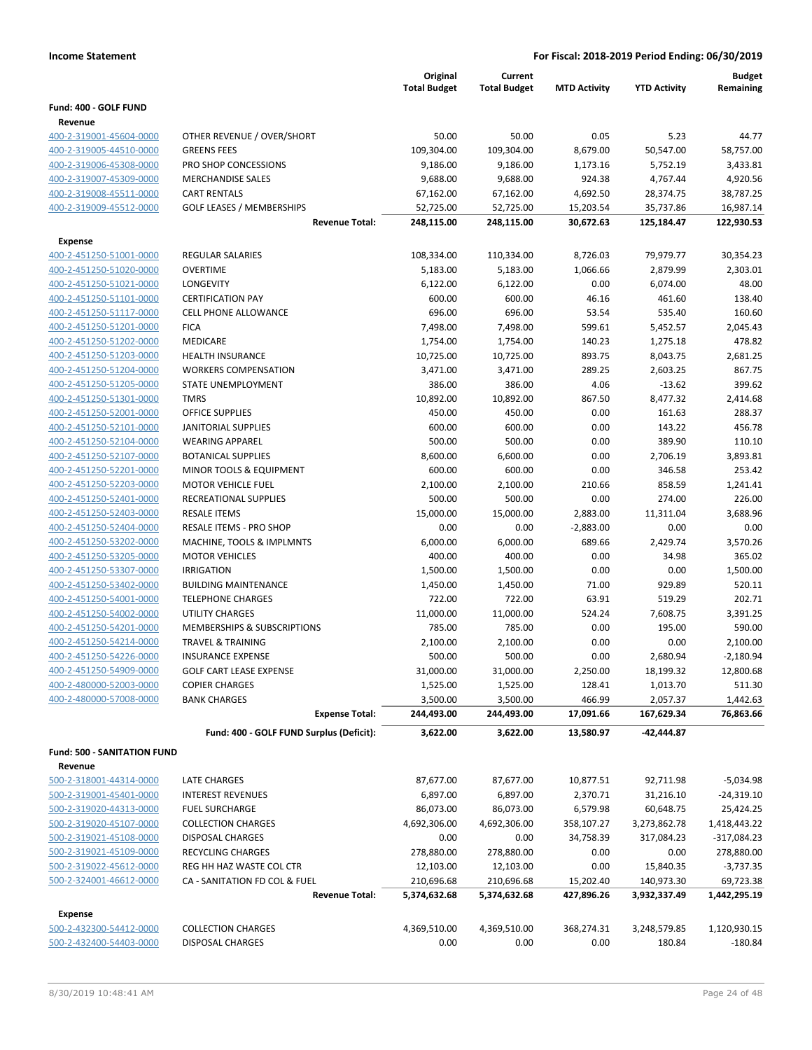|                                                    |                                              | Original<br><b>Total Budget</b> | Current<br><b>Total Budget</b> | <b>MTD Activity</b> | <b>YTD Activity</b>    | <b>Budget</b><br>Remaining |
|----------------------------------------------------|----------------------------------------------|---------------------------------|--------------------------------|---------------------|------------------------|----------------------------|
| Fund: 400 - GOLF FUND                              |                                              |                                 |                                |                     |                        |                            |
| Revenue                                            |                                              |                                 |                                |                     |                        |                            |
| 400-2-319001-45604-0000                            | OTHER REVENUE / OVER/SHORT                   | 50.00                           | 50.00                          | 0.05                | 5.23                   | 44.77                      |
| 400-2-319005-44510-0000                            | <b>GREENS FEES</b>                           | 109,304.00                      | 109,304.00                     | 8,679.00            | 50,547.00              | 58,757.00                  |
| 400-2-319006-45308-0000                            | PRO SHOP CONCESSIONS                         | 9,186.00                        | 9,186.00                       | 1,173.16            | 5,752.19               | 3,433.81                   |
| 400-2-319007-45309-0000                            | <b>MERCHANDISE SALES</b>                     | 9,688.00                        | 9,688.00                       | 924.38              | 4,767.44               | 4,920.56                   |
| 400-2-319008-45511-0000                            | <b>CART RENTALS</b>                          | 67,162.00                       | 67,162.00                      | 4,692.50            | 28,374.75              | 38,787.25                  |
| 400-2-319009-45512-0000                            | <b>GOLF LEASES / MEMBERSHIPS</b>             | 52,725.00                       | 52,725.00                      | 15,203.54           | 35,737.86              | 16,987.14                  |
|                                                    | <b>Revenue Total:</b>                        | 248,115.00                      | 248,115.00                     | 30,672.63           | 125,184.47             | 122,930.53                 |
| <b>Expense</b>                                     |                                              |                                 |                                |                     |                        |                            |
| 400-2-451250-51001-0000                            | REGULAR SALARIES                             | 108,334.00                      | 110,334.00                     | 8,726.03            | 79,979.77              | 30,354.23                  |
| 400-2-451250-51020-0000                            | <b>OVERTIME</b>                              | 5,183.00                        | 5,183.00                       | 1,066.66            | 2,879.99               | 2,303.01                   |
| 400-2-451250-51021-0000                            | LONGEVITY                                    | 6,122.00                        | 6,122.00                       | 0.00                | 6,074.00               | 48.00                      |
| 400-2-451250-51101-0000                            | <b>CERTIFICATION PAY</b>                     | 600.00                          | 600.00                         | 46.16               | 461.60                 | 138.40                     |
| 400-2-451250-51117-0000                            | CELL PHONE ALLOWANCE                         | 696.00                          | 696.00                         | 53.54               | 535.40                 | 160.60                     |
| 400-2-451250-51201-0000                            | <b>FICA</b>                                  | 7,498.00                        | 7,498.00                       | 599.61              | 5,452.57               | 2,045.43                   |
| 400-2-451250-51202-0000                            | MEDICARE                                     | 1,754.00                        | 1,754.00                       | 140.23              | 1,275.18               | 478.82                     |
| 400-2-451250-51203-0000                            | <b>HEALTH INSURANCE</b>                      | 10,725.00                       | 10,725.00                      | 893.75              | 8,043.75               | 2,681.25                   |
| 400-2-451250-51204-0000                            | <b>WORKERS COMPENSATION</b>                  | 3,471.00                        | 3,471.00                       | 289.25              | 2,603.25               | 867.75                     |
| 400-2-451250-51205-0000                            | <b>STATE UNEMPLOYMENT</b>                    | 386.00                          | 386.00                         | 4.06                | $-13.62$               | 399.62                     |
| 400-2-451250-51301-0000                            | <b>TMRS</b>                                  | 10,892.00                       | 10,892.00                      | 867.50              | 8,477.32               | 2,414.68                   |
| 400-2-451250-52001-0000                            | <b>OFFICE SUPPLIES</b>                       | 450.00                          | 450.00                         | 0.00                | 161.63                 | 288.37                     |
| 400-2-451250-52101-0000                            | <b>JANITORIAL SUPPLIES</b>                   | 600.00                          | 600.00                         | 0.00                | 143.22                 | 456.78                     |
| 400-2-451250-52104-0000                            | <b>WEARING APPAREL</b>                       | 500.00                          | 500.00                         | 0.00                | 389.90                 | 110.10                     |
| 400-2-451250-52107-0000                            | <b>BOTANICAL SUPPLIES</b>                    | 8,600.00                        | 6,600.00                       | 0.00                | 2,706.19               | 3,893.81                   |
| 400-2-451250-52201-0000                            | MINOR TOOLS & EQUIPMENT                      | 600.00                          | 600.00                         | 0.00                | 346.58                 | 253.42                     |
| 400-2-451250-52203-0000                            | <b>MOTOR VEHICLE FUEL</b>                    | 2,100.00                        | 2,100.00                       | 210.66              | 858.59                 | 1,241.41                   |
| 400-2-451250-52401-0000                            | RECREATIONAL SUPPLIES                        | 500.00                          | 500.00                         | 0.00                | 274.00                 | 226.00                     |
| 400-2-451250-52403-0000                            | <b>RESALE ITEMS</b>                          | 15,000.00                       | 15,000.00                      | 2,883.00            | 11,311.04              | 3,688.96                   |
| 400-2-451250-52404-0000                            | RESALE ITEMS - PRO SHOP                      | 0.00                            | 0.00                           | $-2,883.00$         | 0.00                   | 0.00                       |
| 400-2-451250-53202-0000                            | MACHINE, TOOLS & IMPLMNTS                    | 6,000.00                        | 6,000.00                       | 689.66              | 2,429.74               | 3,570.26                   |
| 400-2-451250-53205-0000                            | <b>MOTOR VEHICLES</b>                        | 400.00                          | 400.00                         | 0.00                | 34.98                  | 365.02                     |
| 400-2-451250-53307-0000                            | <b>IRRIGATION</b>                            | 1,500.00                        | 1,500.00                       | 0.00                | 0.00                   | 1,500.00                   |
| 400-2-451250-53402-0000                            | <b>BUILDING MAINTENANCE</b>                  | 1,450.00                        | 1,450.00                       | 71.00               | 929.89                 | 520.11                     |
| 400-2-451250-54001-0000                            | <b>TELEPHONE CHARGES</b>                     | 722.00                          | 722.00                         | 63.91               | 519.29                 | 202.71                     |
| 400-2-451250-54002-0000                            | <b>UTILITY CHARGES</b>                       | 11,000.00                       | 11,000.00                      | 524.24              | 7,608.75               | 3,391.25                   |
| 400-2-451250-54201-0000                            | MEMBERSHIPS & SUBSCRIPTIONS                  | 785.00                          | 785.00                         | 0.00                | 195.00                 | 590.00                     |
| 400-2-451250-54214-0000                            | <b>TRAVEL &amp; TRAINING</b>                 | 2,100.00                        | 2,100.00                       | 0.00                | 0.00                   | 2,100.00                   |
| 400-2-451250-54226-0000                            | <b>INSURANCE EXPENSE</b>                     | 500.00                          | 500.00                         | 0.00                | 2,680.94               | $-2,180.94$                |
| 400-2-451250-54909-0000<br>400-2-480000-52003-0000 | <b>GOLF CART LEASE EXPENSE</b>               | 31,000.00                       | 31,000.00                      | 2,250.00            | 18,199.32              | 12,800.68                  |
| 400-2-480000-57008-0000                            | <b>COPIER CHARGES</b>                        | 1,525.00                        | 1,525.00                       | 128.41              | 1,013.70               | 511.30                     |
|                                                    | <b>BANK CHARGES</b><br><b>Expense Total:</b> | 3,500.00<br>244,493.00          | 3,500.00<br>244,493.00         | 466.99<br>17,091.66 | 2,057.37<br>167,629.34 | 1,442.63<br>76,863.66      |
|                                                    |                                              |                                 |                                |                     |                        |                            |
|                                                    | Fund: 400 - GOLF FUND Surplus (Deficit):     | 3,622.00                        | 3,622.00                       | 13,580.97           | -42,444.87             |                            |
| <b>Fund: 500 - SANITATION FUND</b>                 |                                              |                                 |                                |                     |                        |                            |
| Revenue                                            |                                              |                                 |                                |                     |                        |                            |
| 500-2-318001-44314-0000                            | <b>LATE CHARGES</b>                          | 87,677.00                       | 87,677.00                      | 10,877.51           | 92,711.98              | $-5,034.98$                |
| 500-2-319001-45401-0000                            | <b>INTEREST REVENUES</b>                     | 6,897.00                        | 6,897.00                       | 2,370.71            | 31,216.10              | $-24,319.10$               |
| 500-2-319020-44313-0000                            | <b>FUEL SURCHARGE</b>                        | 86,073.00                       | 86,073.00                      | 6,579.98            | 60,648.75              | 25,424.25                  |
| 500-2-319020-45107-0000                            | <b>COLLECTION CHARGES</b>                    | 4,692,306.00                    | 4,692,306.00                   | 358,107.27          | 3,273,862.78           | 1,418,443.22               |
| 500-2-319021-45108-0000                            | <b>DISPOSAL CHARGES</b>                      | 0.00                            | 0.00                           | 34,758.39           | 317,084.23             | $-317,084.23$              |
| 500-2-319021-45109-0000                            | RECYCLING CHARGES                            | 278,880.00                      | 278,880.00                     | 0.00                | 0.00                   | 278,880.00                 |
| 500-2-319022-45612-0000                            | REG HH HAZ WASTE COL CTR                     | 12,103.00                       | 12,103.00                      | 0.00                | 15,840.35              | $-3,737.35$                |
| 500-2-324001-46612-0000                            | CA - SANITATION FD COL & FUEL                | 210,696.68                      | 210,696.68                     | 15,202.40           | 140,973.30             | 69,723.38                  |
|                                                    | <b>Revenue Total:</b>                        | 5,374,632.68                    | 5,374,632.68                   | 427,896.26          | 3,932,337.49           | 1,442,295.19               |
| <b>Expense</b>                                     |                                              |                                 |                                |                     |                        |                            |
| 500-2-432300-54412-0000                            | <b>COLLECTION CHARGES</b>                    | 4,369,510.00                    | 4,369,510.00                   | 368,274.31          | 3,248,579.85           | 1,120,930.15               |
| 500-2-432400-54403-0000                            | <b>DISPOSAL CHARGES</b>                      | 0.00                            | 0.00                           | 0.00                | 180.84                 | $-180.84$                  |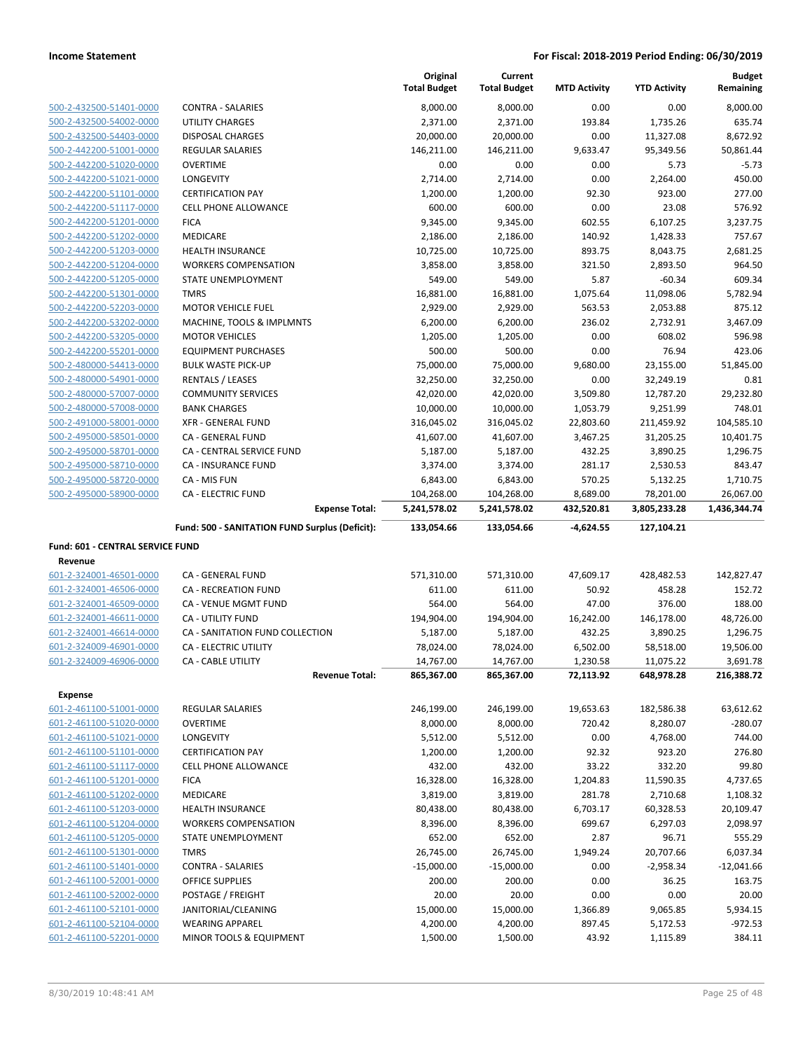|                                                    |                                                        | Original<br><b>Total Budget</b> | Current<br><b>Total Budget</b> | <b>MTD Activity</b> | <b>YTD Activity</b>  | <b>Budget</b><br>Remaining |
|----------------------------------------------------|--------------------------------------------------------|---------------------------------|--------------------------------|---------------------|----------------------|----------------------------|
| 500-2-432500-51401-0000                            | <b>CONTRA - SALARIES</b>                               | 8,000.00                        | 8,000.00                       | 0.00                | 0.00                 | 8,000.00                   |
| 500-2-432500-54002-0000                            | UTILITY CHARGES                                        | 2,371.00                        | 2,371.00                       | 193.84              | 1,735.26             | 635.74                     |
| 500-2-432500-54403-0000                            | <b>DISPOSAL CHARGES</b>                                | 20,000.00                       | 20,000.00                      | 0.00                | 11,327.08            | 8,672.92                   |
| 500-2-442200-51001-0000                            | <b>REGULAR SALARIES</b>                                | 146,211.00                      | 146,211.00                     | 9,633.47            | 95,349.56            | 50,861.44                  |
| 500-2-442200-51020-0000                            | <b>OVERTIME</b>                                        | 0.00                            | 0.00                           | 0.00                | 5.73                 | $-5.73$                    |
| 500-2-442200-51021-0000                            | LONGEVITY                                              | 2,714.00                        | 2,714.00                       | 0.00                | 2,264.00             | 450.00                     |
| 500-2-442200-51101-0000                            | <b>CERTIFICATION PAY</b>                               | 1,200.00                        | 1,200.00                       | 92.30               | 923.00               | 277.00                     |
| 500-2-442200-51117-0000                            | CELL PHONE ALLOWANCE                                   | 600.00                          | 600.00                         | 0.00                | 23.08                | 576.92                     |
| 500-2-442200-51201-0000                            | <b>FICA</b>                                            | 9,345.00                        | 9,345.00                       | 602.55              | 6,107.25             | 3,237.75                   |
| 500-2-442200-51202-0000                            | <b>MEDICARE</b>                                        | 2,186.00                        | 2,186.00                       | 140.92              | 1,428.33             | 757.67                     |
| 500-2-442200-51203-0000                            | <b>HEALTH INSURANCE</b>                                | 10,725.00                       | 10,725.00                      | 893.75              | 8,043.75             | 2,681.25                   |
| 500-2-442200-51204-0000                            | <b>WORKERS COMPENSATION</b>                            | 3,858.00                        | 3,858.00                       | 321.50              | 2,893.50             | 964.50                     |
| 500-2-442200-51205-0000                            | STATE UNEMPLOYMENT                                     | 549.00                          | 549.00                         | 5.87                | $-60.34$             | 609.34                     |
| 500-2-442200-51301-0000                            | <b>TMRS</b>                                            | 16,881.00                       | 16,881.00                      | 1,075.64            | 11,098.06            | 5,782.94<br>875.12         |
| 500-2-442200-52203-0000<br>500-2-442200-53202-0000 | <b>MOTOR VEHICLE FUEL</b><br>MACHINE, TOOLS & IMPLMNTS | 2,929.00                        | 2,929.00                       | 563.53<br>236.02    | 2,053.88<br>2,732.91 | 3,467.09                   |
| 500-2-442200-53205-0000                            | <b>MOTOR VEHICLES</b>                                  | 6,200.00<br>1,205.00            | 6,200.00<br>1,205.00           | 0.00                | 608.02               | 596.98                     |
| 500-2-442200-55201-0000                            | <b>EQUIPMENT PURCHASES</b>                             | 500.00                          | 500.00                         | 0.00                | 76.94                | 423.06                     |
| 500-2-480000-54413-0000                            | <b>BULK WASTE PICK-UP</b>                              | 75,000.00                       | 75,000.00                      | 9,680.00            | 23,155.00            | 51,845.00                  |
| 500-2-480000-54901-0000                            | RENTALS / LEASES                                       | 32,250.00                       | 32,250.00                      | 0.00                | 32,249.19            | 0.81                       |
| 500-2-480000-57007-0000                            | <b>COMMUNITY SERVICES</b>                              | 42,020.00                       | 42,020.00                      | 3,509.80            | 12,787.20            | 29,232.80                  |
| 500-2-480000-57008-0000                            | <b>BANK CHARGES</b>                                    | 10,000.00                       | 10,000.00                      | 1,053.79            | 9,251.99             | 748.01                     |
| 500-2-491000-58001-0000                            | <b>XFR - GENERAL FUND</b>                              | 316,045.02                      | 316,045.02                     | 22,803.60           | 211,459.92           | 104,585.10                 |
| 500-2-495000-58501-0000                            | CA - GENERAL FUND                                      | 41,607.00                       | 41,607.00                      | 3,467.25            | 31,205.25            | 10,401.75                  |
| 500-2-495000-58701-0000                            | CA - CENTRAL SERVICE FUND                              | 5,187.00                        | 5,187.00                       | 432.25              | 3,890.25             | 1,296.75                   |
| 500-2-495000-58710-0000                            | <b>CA - INSURANCE FUND</b>                             | 3,374.00                        | 3,374.00                       | 281.17              | 2,530.53             | 843.47                     |
| 500-2-495000-58720-0000                            | CA - MIS FUN                                           | 6,843.00                        | 6,843.00                       | 570.25              | 5,132.25             | 1,710.75                   |
| 500-2-495000-58900-0000                            | <b>CA - ELECTRIC FUND</b>                              | 104,268.00                      | 104,268.00                     | 8,689.00            | 78,201.00            | 26,067.00                  |
|                                                    | <b>Expense Total:</b>                                  | 5,241,578.02                    | 5,241,578.02                   | 432,520.81          | 3,805,233.28         | 1,436,344.74               |
|                                                    | Fund: 500 - SANITATION FUND Surplus (Deficit):         | 133,054.66                      | 133,054.66                     | $-4,624.55$         | 127,104.21           |                            |
| Fund: 601 - CENTRAL SERVICE FUND                   |                                                        |                                 |                                |                     |                      |                            |
| Revenue                                            |                                                        |                                 |                                |                     |                      |                            |
| 601-2-324001-46501-0000                            | CA - GENERAL FUND                                      | 571,310.00                      | 571,310.00                     | 47,609.17           | 428,482.53           | 142,827.47                 |
| 601-2-324001-46506-0000                            | <b>CA - RECREATION FUND</b>                            | 611.00                          | 611.00                         | 50.92               | 458.28               | 152.72                     |
| 601-2-324001-46509-0000                            | <b>CA - VENUE MGMT FUND</b>                            | 564.00                          | 564.00                         | 47.00               | 376.00               | 188.00                     |
| 601-2-324001-46611-0000                            | CA - UTILITY FUND                                      | 194,904.00                      | 194,904.00                     | 16,242.00           | 146,178.00           | 48,726.00                  |
| 601-2-324001-46614-0000                            | CA - SANITATION FUND COLLECTION                        | 5,187.00                        | 5,187.00                       | 432.25              | 3,890.25             | 1,296.75                   |
| 601-2-324009-46901-0000                            | <b>CA - ELECTRIC UTILITY</b>                           | 78,024.00                       | 78,024.00                      | 6,502.00            | 58,518.00            | 19,506.00                  |
| 601-2-324009-46906-0000                            | CA - CABLE UTILITY                                     | 14,767.00                       | 14,767.00                      | 1,230.58            | 11,075.22            | 3,691.78                   |
|                                                    | <b>Revenue Total:</b>                                  | 865,367.00                      | 865,367.00                     | 72,113.92           | 648,978.28           | 216,388.72                 |
| <b>Expense</b>                                     |                                                        |                                 |                                |                     |                      |                            |
| 601-2-461100-51001-0000                            | <b>REGULAR SALARIES</b>                                | 246,199.00                      | 246,199.00                     | 19,653.63           | 182,586.38           | 63,612.62                  |
| 601-2-461100-51020-0000                            | <b>OVERTIME</b>                                        | 8,000.00                        | 8,000.00                       | 720.42              | 8,280.07             | $-280.07$                  |
| 601-2-461100-51021-0000                            | LONGEVITY                                              | 5,512.00                        | 5,512.00                       | 0.00                | 4,768.00             | 744.00                     |
| 601-2-461100-51101-0000                            | <b>CERTIFICATION PAY</b>                               | 1,200.00                        | 1,200.00                       | 92.32               | 923.20               | 276.80                     |
| 601-2-461100-51117-0000                            | CELL PHONE ALLOWANCE                                   | 432.00                          | 432.00                         | 33.22               | 332.20               | 99.80                      |
| 601-2-461100-51201-0000                            | <b>FICA</b>                                            | 16,328.00                       | 16,328.00                      | 1,204.83            | 11,590.35            | 4,737.65                   |
| 601-2-461100-51202-0000                            | MEDICARE                                               | 3,819.00                        | 3,819.00                       | 281.78              | 2,710.68             | 1,108.32                   |
| 601-2-461100-51203-0000                            | <b>HEALTH INSURANCE</b>                                | 80,438.00                       | 80,438.00                      | 6,703.17            | 60,328.53            | 20,109.47                  |
| 601-2-461100-51204-0000                            | <b>WORKERS COMPENSATION</b>                            | 8,396.00                        | 8,396.00                       | 699.67              | 6,297.03             | 2,098.97                   |
| 601-2-461100-51205-0000                            | STATE UNEMPLOYMENT                                     | 652.00                          | 652.00                         | 2.87                | 96.71                | 555.29                     |
| 601-2-461100-51301-0000                            | <b>TMRS</b>                                            | 26,745.00                       | 26,745.00                      | 1,949.24            | 20,707.66            | 6,037.34                   |
| 601-2-461100-51401-0000                            | <b>CONTRA - SALARIES</b>                               | $-15,000.00$                    | $-15,000.00$                   | 0.00                | $-2,958.34$          | $-12,041.66$               |
| 601-2-461100-52001-0000                            | <b>OFFICE SUPPLIES</b>                                 | 200.00                          | 200.00                         | 0.00                | 36.25                | 163.75                     |
| 601-2-461100-52002-0000                            | POSTAGE / FREIGHT                                      | 20.00                           | 20.00                          | 0.00                | 0.00                 | 20.00                      |
| 601-2-461100-52101-0000                            |                                                        |                                 |                                |                     |                      |                            |
|                                                    | JANITORIAL/CLEANING                                    | 15,000.00                       | 15,000.00                      | 1,366.89            | 9,065.85             | 5,934.15                   |
| 601-2-461100-52104-0000<br>601-2-461100-52201-0000 | <b>WEARING APPAREL</b><br>MINOR TOOLS & EQUIPMENT      | 4,200.00<br>1,500.00            | 4,200.00<br>1,500.00           | 897.45<br>43.92     | 5,172.53<br>1,115.89 | $-972.53$<br>384.11        |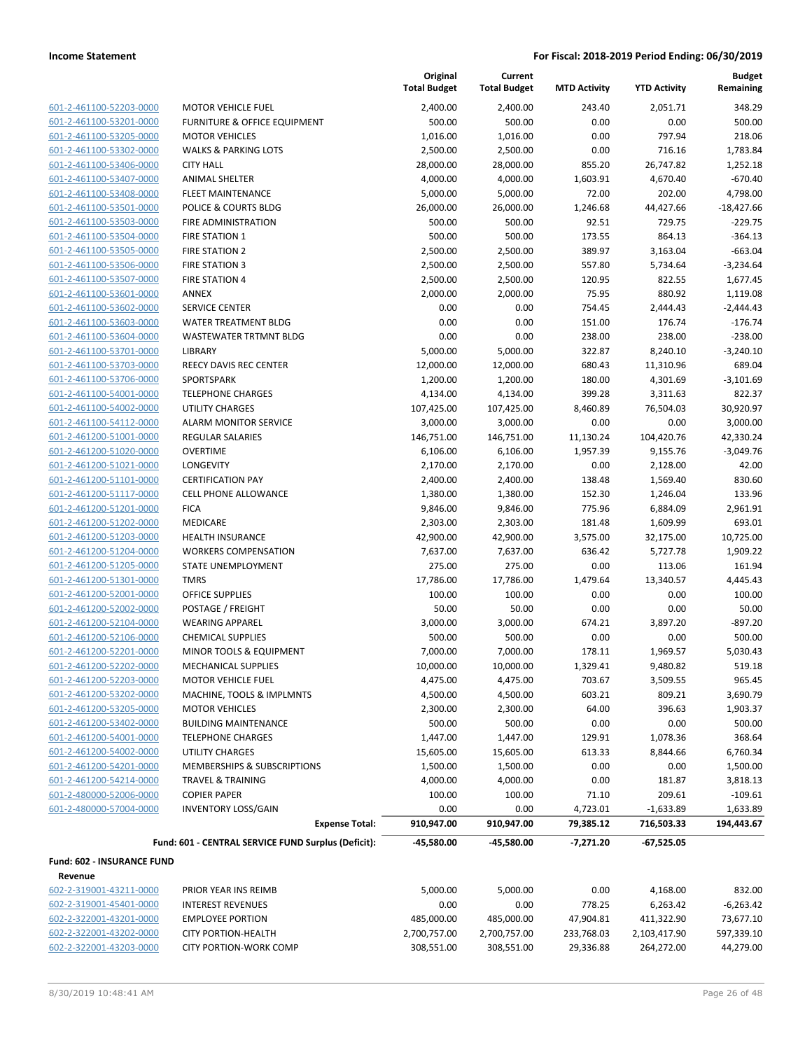| 601-2-461100-52203-0000        |
|--------------------------------|
| 601-2-461100-53201-0000        |
| 601-2-461100-53205-0000        |
| 601-2-461100-53302-0000        |
| 601-2-461100-53406-0000        |
| 601-2-461100-53407-0000        |
| 601-2-461100-53408-0000        |
| 601-2-461100-53501-0000        |
| 601-2-461100-53503-0000        |
| 601-2-461100-53504-0000        |
| 601-2-461100-53505-0000        |
| 601-2-461100-53506-0000        |
| 601-2-461100-53507-0000        |
| 601-2-461100-53601-0000        |
| 601-2-461100-53602-0000        |
| 601-2-461100-53603-0000        |
| 601-2-461100-53604-0000        |
| 601-2-461100-53701-0000        |
| 601-2-461100-53703-0000        |
| 601-2-461100-53706-0000        |
| 601-2-461100-54001-0000        |
| 601-2-461100-54002-0000        |
| 601-2-461100-54112-0000        |
| 601-2-461200-51001-0000        |
| 601-2-461200-51020-0000        |
| 601-2-461200-51021-0000        |
| 601-2-461200-51101-0000        |
| 601-2-461200-51117-0000        |
| 601-2-461200-51201-0000        |
| 601-2-461200-51202-0000        |
| 601-2-461200-51203-0000        |
| 601-2-461200-51204-0000        |
| 601-2-461200-51205-0000        |
| 601-2-461200-51301-0000        |
| 601-2-461200-52001-0000        |
| 601-2-461200-52002-0000        |
| 601-2-461200-52104-0000        |
| 601-2-461200-52106-0000        |
| 601-2-461200-52201-0000        |
| 601-2-461200-52202-0000        |
| 601-2-461200-52203-0000        |
| <u>601-2-461200-53202-0000</u> |
| 601-2-461200-53205-0000        |
| 601-2-461200-53402-0000        |
| 601-2-461200-54001-0000        |
| 601-2-461200-54002-0000        |
| 601-2-461200-54201-0000        |
| 601-2-461200-54214-0000        |
| 601-2-480000-52006-0000        |
| 601-2-480000-57004-0000        |
|                                |

|                                                    |                                                       | Original<br><b>Total Budget</b> | Current<br><b>Total Budget</b> | <b>MTD Activity</b>     | <b>YTD Activity</b>        | <b>Budget</b><br>Remaining |
|----------------------------------------------------|-------------------------------------------------------|---------------------------------|--------------------------------|-------------------------|----------------------------|----------------------------|
| 601-2-461100-52203-0000                            | <b>MOTOR VEHICLE FUEL</b>                             | 2,400.00                        | 2,400.00                       | 243.40                  | 2,051.71                   | 348.29                     |
| 601-2-461100-53201-0000                            | <b>FURNITURE &amp; OFFICE EQUIPMENT</b>               | 500.00                          | 500.00                         | 0.00                    | 0.00                       | 500.00                     |
| 601-2-461100-53205-0000                            | <b>MOTOR VEHICLES</b>                                 | 1,016.00                        | 1,016.00                       | 0.00                    | 797.94                     | 218.06                     |
| 601-2-461100-53302-0000                            | <b>WALKS &amp; PARKING LOTS</b>                       | 2,500.00                        | 2,500.00                       | 0.00                    | 716.16                     | 1,783.84                   |
| 601-2-461100-53406-0000                            | <b>CITY HALL</b>                                      | 28,000.00                       | 28,000.00                      | 855.20                  | 26,747.82                  | 1,252.18                   |
| 601-2-461100-53407-0000                            | <b>ANIMAL SHELTER</b>                                 | 4,000.00                        | 4,000.00                       | 1,603.91                | 4,670.40                   | $-670.40$                  |
| 601-2-461100-53408-0000                            | <b>FLEET MAINTENANCE</b>                              | 5,000.00                        | 5,000.00                       | 72.00                   | 202.00                     | 4,798.00                   |
| 601-2-461100-53501-0000                            | POLICE & COURTS BLDG                                  | 26,000.00                       | 26,000.00                      | 1,246.68                | 44,427.66                  | $-18,427.66$               |
| 601-2-461100-53503-0000                            | <b>FIRE ADMINISTRATION</b>                            | 500.00                          | 500.00                         | 92.51                   | 729.75                     | $-229.75$                  |
| 601-2-461100-53504-0000                            | <b>FIRE STATION 1</b>                                 | 500.00                          | 500.00                         | 173.55                  | 864.13                     | $-364.13$                  |
| 601-2-461100-53505-0000                            | <b>FIRE STATION 2</b>                                 | 2,500.00                        | 2,500.00                       | 389.97                  | 3,163.04                   | $-663.04$                  |
| 601-2-461100-53506-0000                            | <b>FIRE STATION 3</b>                                 | 2,500.00                        | 2,500.00                       | 557.80                  | 5,734.64                   | $-3,234.64$                |
| 601-2-461100-53507-0000                            | <b>FIRE STATION 4</b>                                 | 2,500.00                        | 2,500.00                       | 120.95                  | 822.55                     | 1,677.45                   |
| 601-2-461100-53601-0000                            | <b>ANNEX</b>                                          | 2,000.00                        | 2,000.00                       | 75.95                   | 880.92                     | 1,119.08                   |
| 601-2-461100-53602-0000                            | <b>SERVICE CENTER</b>                                 | 0.00                            | 0.00                           | 754.45                  | 2,444.43                   | $-2,444.43$                |
| 601-2-461100-53603-0000                            | WATER TREATMENT BLDG                                  | 0.00                            | 0.00                           | 151.00                  | 176.74                     | $-176.74$                  |
| 601-2-461100-53604-0000                            | <b>WASTEWATER TRTMNT BLDG</b>                         | 0.00                            | 0.00                           | 238.00                  | 238.00                     | $-238.00$                  |
| 601-2-461100-53701-0000                            | <b>LIBRARY</b>                                        | 5,000.00                        | 5,000.00                       | 322.87                  | 8,240.10                   | $-3.240.10$                |
| 601-2-461100-53703-0000                            | <b>REECY DAVIS REC CENTER</b>                         | 12,000.00                       | 12,000.00                      | 680.43                  | 11,310.96                  | 689.04                     |
| 601-2-461100-53706-0000                            | <b>SPORTSPARK</b>                                     | 1,200.00                        | 1,200.00                       | 180.00                  | 4,301.69                   | $-3,101.69$                |
| 601-2-461100-54001-0000                            | <b>TELEPHONE CHARGES</b>                              | 4,134.00                        | 4,134.00                       | 399.28                  | 3,311.63                   | 822.37                     |
| 601-2-461100-54002-0000                            | <b>UTILITY CHARGES</b>                                | 107,425.00                      | 107,425.00                     | 8,460.89                | 76,504.03                  | 30,920.97                  |
| 601-2-461100-54112-0000                            | <b>ALARM MONITOR SERVICE</b>                          | 3,000.00                        | 3,000.00                       | 0.00                    | 0.00                       | 3,000.00                   |
| 601-2-461200-51001-0000                            | <b>REGULAR SALARIES</b>                               | 146,751.00                      | 146,751.00                     | 11,130.24               | 104,420.76                 | 42,330.24                  |
| 601-2-461200-51020-0000                            | <b>OVERTIME</b>                                       | 6,106.00                        | 6,106.00                       | 1,957.39                | 9,155.76                   | $-3,049.76$                |
| 601-2-461200-51021-0000                            | LONGEVITY                                             | 2,170.00                        | 2,170.00                       | 0.00                    | 2,128.00                   | 42.00                      |
| 601-2-461200-51101-0000                            | <b>CERTIFICATION PAY</b>                              | 2,400.00                        | 2,400.00                       | 138.48                  | 1,569.40                   | 830.60                     |
| 601-2-461200-51117-0000                            | <b>CELL PHONE ALLOWANCE</b>                           | 1,380.00                        | 1,380.00                       | 152.30                  | 1,246.04                   | 133.96                     |
| 601-2-461200-51201-0000                            | <b>FICA</b>                                           | 9,846.00                        | 9,846.00                       | 775.96                  | 6,884.09                   | 2,961.91                   |
| 601-2-461200-51202-0000                            | MEDICARE                                              | 2,303.00                        | 2,303.00                       | 181.48                  | 1,609.99                   | 693.01                     |
| 601-2-461200-51203-0000                            | <b>HEALTH INSURANCE</b>                               | 42,900.00                       | 42,900.00                      | 3,575.00                | 32,175.00                  | 10,725.00                  |
| 601-2-461200-51204-0000                            | <b>WORKERS COMPENSATION</b>                           | 7,637.00                        | 7,637.00                       | 636.42                  | 5,727.78                   | 1,909.22                   |
| 601-2-461200-51205-0000                            | <b>STATE UNEMPLOYMENT</b>                             | 275.00                          | 275.00                         | 0.00                    | 113.06                     | 161.94                     |
| 601-2-461200-51301-0000                            | <b>TMRS</b>                                           | 17,786.00                       | 17,786.00                      | 1,479.64                | 13,340.57                  | 4,445.43                   |
| 601-2-461200-52001-0000                            | <b>OFFICE SUPPLIES</b>                                | 100.00                          | 100.00                         | 0.00                    | 0.00                       | 100.00                     |
| 601-2-461200-52002-0000                            | POSTAGE / FREIGHT                                     | 50.00                           | 50.00                          | 0.00                    | 0.00                       | 50.00                      |
| 601-2-461200-52104-0000                            | <b>WEARING APPAREL</b>                                | 3,000.00                        | 3,000.00                       | 674.21                  | 3,897.20                   | $-897.20$                  |
| 601-2-461200-52106-0000                            | <b>CHEMICAL SUPPLIES</b>                              | 500.00                          | 500.00                         | 0.00                    | 0.00                       | 500.00                     |
| 601-2-461200-52201-0000                            | MINOR TOOLS & EQUIPMENT                               | 7,000.00                        | 7,000.00                       | 178.11                  | 1,969.57                   | 5,030.43                   |
| 601-2-461200-52202-0000                            | MECHANICAL SUPPLIES                                   | 10,000.00                       | 10,000.00                      | 1,329.41                | 9,480.82                   | 519.18                     |
| 601-2-461200-52203-0000                            | <b>MOTOR VEHICLE FUEL</b>                             | 4,475.00                        | 4,475.00                       | 703.67                  | 3,509.55                   | 965.45                     |
| 601-2-461200-53202-0000                            | MACHINE, TOOLS & IMPLMNTS                             | 4,500.00                        | 4,500.00                       | 603.21                  | 809.21                     | 3,690.79                   |
| 601-2-461200-53205-0000                            | <b>MOTOR VEHICLES</b>                                 | 2,300.00                        | 2,300.00                       | 64.00                   | 396.63                     | 1,903.37                   |
| 601-2-461200-53402-0000                            | <b>BUILDING MAINTENANCE</b>                           | 500.00                          | 500.00                         | 0.00                    | 0.00                       | 500.00                     |
| 601-2-461200-54001-0000                            | <b>TELEPHONE CHARGES</b>                              | 1,447.00                        | 1,447.00                       | 129.91                  | 1,078.36                   | 368.64                     |
| 601-2-461200-54002-0000                            | <b>UTILITY CHARGES</b>                                | 15,605.00                       | 15,605.00                      | 613.33                  | 8,844.66                   | 6,760.34                   |
| 601-2-461200-54201-0000                            | <b>MEMBERSHIPS &amp; SUBSCRIPTIONS</b>                | 1,500.00                        | 1,500.00                       | 0.00                    | 0.00                       | 1,500.00                   |
| 601-2-461200-54214-0000                            | <b>TRAVEL &amp; TRAINING</b>                          | 4,000.00                        | 4,000.00                       | 0.00                    | 181.87                     | 3,818.13                   |
| 601-2-480000-52006-0000                            | <b>COPIER PAPER</b>                                   | 100.00                          | 100.00                         | 71.10                   | 209.61                     | $-109.61$                  |
| 601-2-480000-57004-0000                            | <b>INVENTORY LOSS/GAIN</b>                            | 0.00                            | 0.00                           | 4,723.01                | $-1,633.89$                | 1,633.89                   |
|                                                    | <b>Expense Total:</b>                                 | 910,947.00                      | 910,947.00                     | 79,385.12               | 716,503.33                 | 194,443.67                 |
|                                                    | Fund: 601 - CENTRAL SERVICE FUND Surplus (Deficit):   | -45,580.00                      | -45,580.00                     | $-7,271.20$             | -67,525.05                 |                            |
| Fund: 602 - INSURANCE FUND                         |                                                       |                                 |                                |                         |                            |                            |
| Revenue                                            |                                                       |                                 |                                |                         |                            |                            |
| 602-2-319001-43211-0000                            | PRIOR YEAR INS REIMB                                  | 5,000.00                        | 5,000.00                       | 0.00                    | 4,168.00                   | 832.00                     |
| 602-2-319001-45401-0000                            | <b>INTEREST REVENUES</b>                              | 0.00                            | 0.00                           | 778.25                  | 6,263.42                   | $-6,263.42$                |
| 602-2-322001-43201-0000<br>602-2-322001-43202-0000 | <b>EMPLOYEE PORTION</b><br><b>CITY PORTION-HEALTH</b> | 485,000.00<br>2,700,757.00      | 485,000.00<br>2,700,757.00     | 47,904.81<br>233,768.03 | 411,322.90<br>2,103,417.90 | 73,677.10<br>597,339.10    |
|                                                    |                                                       |                                 |                                |                         |                            |                            |

602-2-322001-43203-0000 CITY PORTION-WORK COMP 308,551.00 308,551.00 29,336.88 264,272.00 44,279.00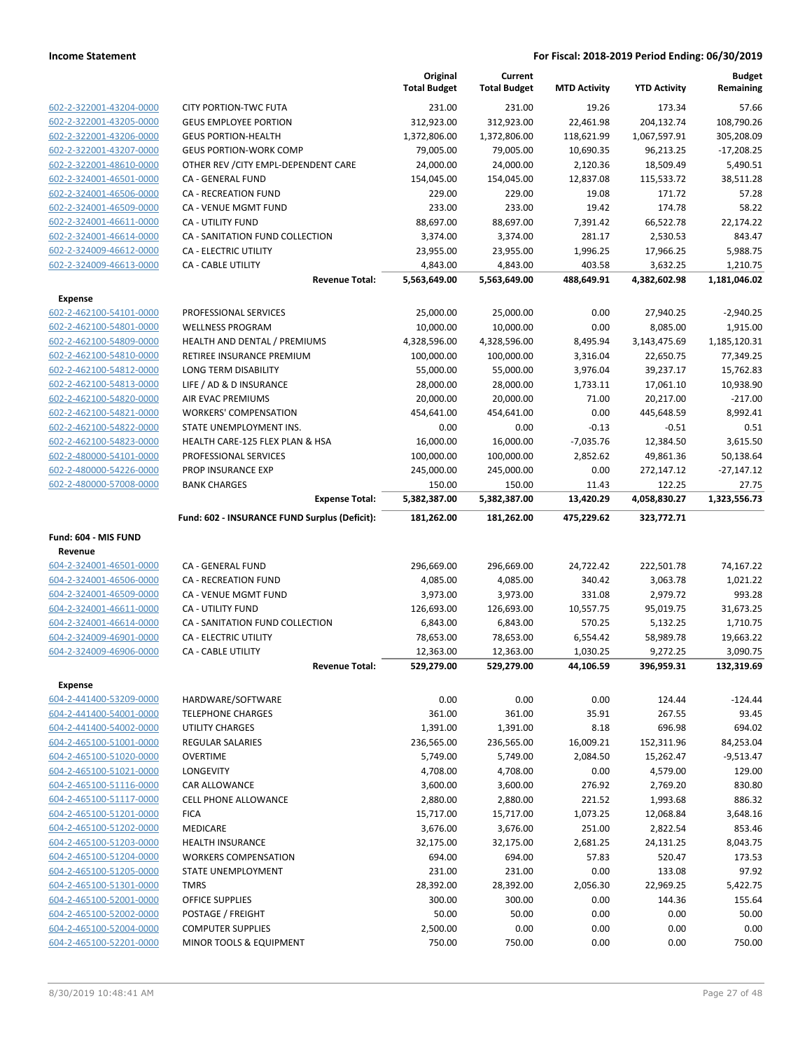|                         |                                               | Original<br><b>Total Budget</b> | Current<br><b>Total Budget</b> | <b>MTD Activity</b> | <b>YTD Activity</b> | <b>Budget</b><br>Remaining |
|-------------------------|-----------------------------------------------|---------------------------------|--------------------------------|---------------------|---------------------|----------------------------|
| 602-2-322001-43204-0000 | <b>CITY PORTION-TWC FUTA</b>                  | 231.00                          | 231.00                         | 19.26               | 173.34              | 57.66                      |
| 602-2-322001-43205-0000 | <b>GEUS EMPLOYEE PORTION</b>                  | 312,923.00                      | 312,923.00                     | 22,461.98           | 204,132.74          | 108,790.26                 |
| 602-2-322001-43206-0000 | <b>GEUS PORTION-HEALTH</b>                    | 1,372,806.00                    | 1,372,806.00                   | 118,621.99          | 1,067,597.91        | 305,208.09                 |
| 602-2-322001-43207-0000 | <b>GEUS PORTION-WORK COMP</b>                 | 79,005.00                       | 79,005.00                      | 10,690.35           | 96,213.25           | $-17,208.25$               |
| 602-2-322001-48610-0000 | OTHER REV / CITY EMPL-DEPENDENT CARE          | 24,000.00                       | 24,000.00                      | 2,120.36            | 18,509.49           | 5,490.51                   |
| 602-2-324001-46501-0000 | CA - GENERAL FUND                             | 154,045.00                      | 154,045.00                     | 12,837.08           | 115,533.72          | 38,511.28                  |
| 602-2-324001-46506-0000 | <b>CA - RECREATION FUND</b>                   | 229.00                          | 229.00                         | 19.08               | 171.72              | 57.28                      |
| 602-2-324001-46509-0000 | CA - VENUE MGMT FUND                          | 233.00                          | 233.00                         | 19.42               | 174.78              | 58.22                      |
| 602-2-324001-46611-0000 | CA - UTILITY FUND                             | 88,697.00                       | 88,697.00                      | 7,391.42            | 66,522.78           | 22,174.22                  |
| 602-2-324001-46614-0000 | CA - SANITATION FUND COLLECTION               | 3,374.00                        | 3,374.00                       | 281.17              | 2,530.53            | 843.47                     |
| 602-2-324009-46612-0000 | <b>CA - ELECTRIC UTILITY</b>                  | 23,955.00                       | 23,955.00                      | 1,996.25            | 17,966.25           | 5,988.75                   |
| 602-2-324009-46613-0000 | CA - CABLE UTILITY                            | 4,843.00                        | 4,843.00                       | 403.58              | 3,632.25            | 1,210.75                   |
|                         | <b>Revenue Total:</b>                         | 5,563,649.00                    | 5,563,649.00                   | 488,649.91          | 4,382,602.98        | 1,181,046.02               |
| <b>Expense</b>          |                                               |                                 |                                |                     |                     |                            |
| 602-2-462100-54101-0000 | PROFESSIONAL SERVICES                         | 25,000.00                       | 25,000.00                      | 0.00                | 27,940.25           | $-2,940.25$                |
| 602-2-462100-54801-0000 | <b>WELLNESS PROGRAM</b>                       | 10,000.00                       | 10,000.00                      | 0.00                | 8,085.00            | 1,915.00                   |
| 602-2-462100-54809-0000 | HEALTH AND DENTAL / PREMIUMS                  | 4,328,596.00                    | 4,328,596.00                   | 8,495.94            | 3,143,475.69        | 1,185,120.31               |
| 602-2-462100-54810-0000 | RETIREE INSURANCE PREMIUM                     | 100,000.00                      | 100,000.00                     | 3,316.04            | 22,650.75           | 77,349.25                  |
| 602-2-462100-54812-0000 | LONG TERM DISABILITY                          | 55,000.00                       | 55,000.00                      | 3,976.04            | 39,237.17           | 15,762.83                  |
| 602-2-462100-54813-0000 | LIFE / AD & D INSURANCE                       | 28,000.00                       | 28,000.00                      | 1,733.11            | 17,061.10           | 10,938.90                  |
| 602-2-462100-54820-0000 | AIR EVAC PREMIUMS                             | 20,000.00                       | 20,000.00                      | 71.00               | 20,217.00           | $-217.00$                  |
| 602-2-462100-54821-0000 | <b>WORKERS' COMPENSATION</b>                  | 454,641.00                      | 454,641.00                     | 0.00                | 445,648.59          | 8,992.41                   |
| 602-2-462100-54822-0000 | STATE UNEMPLOYMENT INS.                       | 0.00                            | 0.00                           | $-0.13$             | $-0.51$             | 0.51                       |
| 602-2-462100-54823-0000 | HEALTH CARE-125 FLEX PLAN & HSA               | 16,000.00                       | 16,000.00                      | $-7,035.76$         | 12,384.50           | 3,615.50                   |
| 602-2-480000-54101-0000 | PROFESSIONAL SERVICES                         | 100,000.00                      | 100,000.00                     | 2,852.62            | 49,861.36           | 50,138.64                  |
| 602-2-480000-54226-0000 | PROP INSURANCE EXP                            | 245,000.00                      | 245,000.00                     | 0.00                | 272,147.12          | $-27,147.12$               |
| 602-2-480000-57008-0000 | <b>BANK CHARGES</b>                           | 150.00                          | 150.00                         | 11.43               | 122.25              | 27.75                      |
|                         | <b>Expense Total:</b>                         | 5,382,387.00                    | 5,382,387.00                   | 13,420.29           | 4,058,830.27        | 1,323,556.73               |
|                         | Fund: 602 - INSURANCE FUND Surplus (Deficit): | 181,262.00                      | 181,262.00                     | 475,229.62          | 323,772.71          |                            |
| Fund: 604 - MIS FUND    |                                               |                                 |                                |                     |                     |                            |
| Revenue                 |                                               |                                 |                                |                     |                     |                            |
| 604-2-324001-46501-0000 | CA - GENERAL FUND                             | 296,669.00                      | 296,669.00                     | 24,722.42           | 222,501.78          | 74,167.22                  |
| 604-2-324001-46506-0000 | <b>CA - RECREATION FUND</b>                   | 4,085.00                        | 4,085.00                       | 340.42              | 3,063.78            | 1,021.22                   |
| 604-2-324001-46509-0000 | CA - VENUE MGMT FUND                          | 3,973.00                        | 3,973.00                       | 331.08              | 2,979.72            | 993.28                     |
| 604-2-324001-46611-0000 | CA - UTILITY FUND                             | 126,693.00                      | 126,693.00                     | 10,557.75           | 95,019.75           | 31,673.25                  |
| 604-2-324001-46614-0000 | CA - SANITATION FUND COLLECTION               | 6,843.00                        | 6,843.00                       | 570.25              | 5,132.25            | 1,710.75                   |
| 604-2-324009-46901-0000 | CA - ELECTRIC UTILITY                         | 78,653.00                       | 78,653.00                      | 6,554.42            | 58,989.78           | 19,663.22                  |
| 604-2-324009-46906-0000 | CA - CABLE UTILITY                            | 12,363.00                       | 12,363.00                      | 1,030.25            | 9,272.25            | 3,090.75                   |
|                         | <b>Revenue Total:</b>                         | 529,279.00                      | 529,279.00                     | 44,106.59           | 396,959.31          | 132,319.69                 |
| Expense                 |                                               |                                 |                                |                     |                     |                            |
| 604-2-441400-53209-0000 | HARDWARE/SOFTWARE                             | 0.00                            | 0.00                           | 0.00                | 124.44              | $-124.44$                  |
| 604-2-441400-54001-0000 | <b>TELEPHONE CHARGES</b>                      | 361.00                          | 361.00                         | 35.91               | 267.55              | 93.45                      |
| 604-2-441400-54002-0000 | UTILITY CHARGES                               | 1,391.00                        | 1,391.00                       | 8.18                | 696.98              | 694.02                     |
| 604-2-465100-51001-0000 | <b>REGULAR SALARIES</b>                       | 236,565.00                      | 236,565.00                     | 16,009.21           | 152,311.96          | 84,253.04                  |
| 604-2-465100-51020-0000 | <b>OVERTIME</b>                               | 5,749.00                        | 5,749.00                       | 2,084.50            | 15,262.47           | $-9,513.47$                |
| 604-2-465100-51021-0000 | LONGEVITY                                     | 4,708.00                        | 4,708.00                       | 0.00                | 4,579.00            | 129.00                     |
| 604-2-465100-51116-0000 | <b>CAR ALLOWANCE</b>                          | 3,600.00                        | 3,600.00                       | 276.92              | 2,769.20            | 830.80                     |
| 604-2-465100-51117-0000 | <b>CELL PHONE ALLOWANCE</b>                   | 2,880.00                        | 2,880.00                       | 221.52              | 1,993.68            | 886.32                     |
| 604-2-465100-51201-0000 | <b>FICA</b>                                   | 15,717.00                       | 15,717.00                      | 1,073.25            | 12,068.84           | 3,648.16                   |
| 604-2-465100-51202-0000 | MEDICARE                                      | 3,676.00                        | 3,676.00                       | 251.00              | 2,822.54            | 853.46                     |
| 604-2-465100-51203-0000 | <b>HEALTH INSURANCE</b>                       | 32,175.00                       | 32,175.00                      | 2,681.25            | 24,131.25           | 8,043.75                   |
| 604-2-465100-51204-0000 | <b>WORKERS COMPENSATION</b>                   | 694.00                          | 694.00                         | 57.83               | 520.47              | 173.53                     |
| 604-2-465100-51205-0000 | STATE UNEMPLOYMENT                            | 231.00                          | 231.00                         | 0.00                | 133.08              | 97.92                      |
| 604-2-465100-51301-0000 | <b>TMRS</b>                                   | 28,392.00                       | 28,392.00                      | 2,056.30            | 22,969.25           | 5,422.75                   |
| 604-2-465100-52001-0000 | <b>OFFICE SUPPLIES</b>                        | 300.00                          | 300.00                         | 0.00                | 144.36              | 155.64                     |
| 604-2-465100-52002-0000 | POSTAGE / FREIGHT                             | 50.00                           | 50.00                          | 0.00                | 0.00                | 50.00                      |
| 604-2-465100-52004-0000 | <b>COMPUTER SUPPLIES</b>                      | 2,500.00                        | 0.00                           | 0.00                | 0.00                | 0.00                       |
| 604-2-465100-52201-0000 | MINOR TOOLS & EQUIPMENT                       | 750.00                          | 750.00                         | 0.00                | 0.00                | 750.00                     |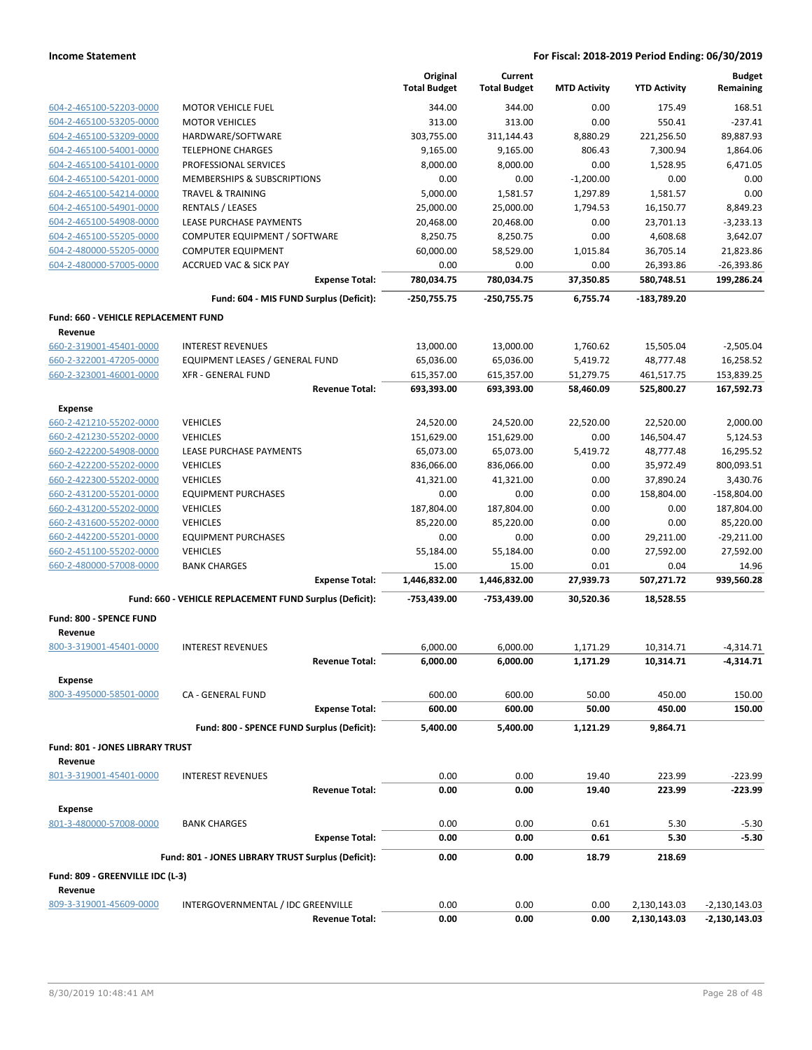|                                           |                                                         | Original<br><b>Total Budget</b> | Current<br><b>Total Budget</b> | <b>MTD Activity</b>    | <b>YTD Activity</b>     | <b>Budget</b><br>Remaining |
|-------------------------------------------|---------------------------------------------------------|---------------------------------|--------------------------------|------------------------|-------------------------|----------------------------|
| 604-2-465100-52203-0000                   | <b>MOTOR VEHICLE FUEL</b>                               | 344.00                          | 344.00                         | 0.00                   | 175.49                  | 168.51                     |
| 604-2-465100-53205-0000                   | <b>MOTOR VEHICLES</b>                                   | 313.00                          | 313.00                         | 0.00                   | 550.41                  | -237.41                    |
| 604-2-465100-53209-0000                   | HARDWARE/SOFTWARE                                       | 303,755.00                      | 311,144.43                     | 8,880.29               | 221,256.50              | 89,887.93                  |
| 604-2-465100-54001-0000                   | <b>TELEPHONE CHARGES</b>                                | 9,165.00                        | 9,165.00                       | 806.43                 | 7,300.94                | 1,864.06                   |
| 604-2-465100-54101-0000                   | PROFESSIONAL SERVICES                                   | 8,000.00                        | 8,000.00                       | 0.00                   | 1,528.95                | 6,471.05                   |
| 604-2-465100-54201-0000                   | MEMBERSHIPS & SUBSCRIPTIONS                             | 0.00                            | 0.00                           | $-1,200.00$            | 0.00                    | 0.00                       |
| 604-2-465100-54214-0000                   | <b>TRAVEL &amp; TRAINING</b>                            | 5,000.00                        | 1,581.57                       | 1,297.89               | 1,581.57                | 0.00                       |
| 604-2-465100-54901-0000                   | <b>RENTALS / LEASES</b>                                 | 25,000.00                       | 25,000.00                      | 1,794.53               | 16,150.77               | 8,849.23                   |
| 604-2-465100-54908-0000                   | LEASE PURCHASE PAYMENTS                                 | 20,468.00                       | 20,468.00                      | 0.00                   | 23,701.13               | $-3,233.13$                |
| 604-2-465100-55205-0000                   | COMPUTER EQUIPMENT / SOFTWARE                           | 8,250.75                        | 8,250.75                       | 0.00                   | 4,608.68                | 3,642.07                   |
| 604-2-480000-55205-0000                   | <b>COMPUTER EQUIPMENT</b>                               | 60,000.00                       | 58,529.00                      | 1,015.84               | 36,705.14               | 21,823.86                  |
| 604-2-480000-57005-0000                   | <b>ACCRUED VAC &amp; SICK PAY</b>                       | 0.00                            | 0.00                           | 0.00                   | 26,393.86               | $-26,393.86$               |
|                                           | <b>Expense Total:</b>                                   | 780,034.75                      | 780,034.75                     | 37,350.85              | 580,748.51              | 199,286.24                 |
|                                           | Fund: 604 - MIS FUND Surplus (Deficit):                 | -250,755.75                     | -250,755.75                    | 6,755.74               | -183,789.20             |                            |
| Fund: 660 - VEHICLE REPLACEMENT FUND      |                                                         |                                 |                                |                        |                         |                            |
| Revenue<br>660-2-319001-45401-0000        | <b>INTEREST REVENUES</b>                                | 13,000.00                       | 13,000.00                      | 1,760.62               | 15,505.04               | $-2,505.04$                |
| 660-2-322001-47205-0000                   | EQUIPMENT LEASES / GENERAL FUND                         | 65,036.00                       | 65,036.00                      |                        |                         | 16,258.52                  |
| 660-2-323001-46001-0000                   | <b>XFR - GENERAL FUND</b>                               |                                 |                                | 5,419.72               | 48,777.48<br>461,517.75 | 153,839.25                 |
|                                           | <b>Revenue Total:</b>                                   | 615,357.00<br>693,393.00        | 615,357.00<br>693,393.00       | 51,279.75<br>58,460.09 | 525,800.27              | 167,592.73                 |
| <b>Expense</b>                            |                                                         |                                 |                                |                        |                         |                            |
| 660-2-421210-55202-0000                   | <b>VEHICLES</b>                                         | 24,520.00                       | 24,520.00                      | 22,520.00              | 22,520.00               | 2,000.00                   |
| 660-2-421230-55202-0000                   | <b>VEHICLES</b>                                         | 151,629.00                      | 151,629.00                     | 0.00                   | 146,504.47              | 5,124.53                   |
| 660-2-422200-54908-0000                   | LEASE PURCHASE PAYMENTS                                 | 65,073.00                       | 65,073.00                      | 5,419.72               | 48,777.48               | 16,295.52                  |
| 660-2-422200-55202-0000                   | <b>VEHICLES</b>                                         | 836,066.00                      | 836,066.00                     | 0.00                   | 35,972.49               | 800,093.51                 |
| 660-2-422300-55202-0000                   | <b>VEHICLES</b>                                         | 41,321.00                       | 41,321.00                      | 0.00                   | 37,890.24               | 3,430.76                   |
| 660-2-431200-55201-0000                   | <b>EQUIPMENT PURCHASES</b>                              | 0.00                            | 0.00                           | 0.00                   | 158,804.00              | $-158,804.00$              |
| 660-2-431200-55202-0000                   | <b>VEHICLES</b>                                         | 187,804.00                      | 187,804.00                     | 0.00                   | 0.00                    | 187,804.00                 |
| 660-2-431600-55202-0000                   | <b>VEHICLES</b>                                         | 85,220.00                       | 85,220.00                      | 0.00                   | 0.00                    | 85,220.00                  |
| 660-2-442200-55201-0000                   | <b>EQUIPMENT PURCHASES</b>                              | 0.00                            | 0.00                           | 0.00                   | 29,211.00               | $-29,211.00$               |
| 660-2-451100-55202-0000                   | <b>VEHICLES</b>                                         | 55,184.00                       | 55,184.00                      | 0.00                   | 27,592.00               | 27,592.00                  |
| 660-2-480000-57008-0000                   | <b>BANK CHARGES</b>                                     | 15.00                           | 15.00                          | 0.01                   | 0.04                    | 14.96                      |
|                                           | <b>Expense Total:</b>                                   | 1,446,832.00                    | 1,446,832.00                   | 27,939.73              | 507,271.72              | 939,560.28                 |
|                                           | Fund: 660 - VEHICLE REPLACEMENT FUND Surplus (Deficit): | -753,439.00                     | -753,439.00                    | 30,520.36              | 18,528.55               |                            |
| Fund: 800 - SPENCE FUND                   |                                                         |                                 |                                |                        |                         |                            |
| Revenue                                   |                                                         |                                 |                                |                        |                         |                            |
| 800-3-319001-45401-0000                   | <b>INTEREST REVENUES</b>                                | 6,000.00                        | 6,000.00                       | 1,171.29               | 10,314.71               | $-4,314.71$                |
|                                           | <b>Revenue Total:</b>                                   | 6,000.00                        | 6,000.00                       | 1,171.29               | 10,314.71               | -4,314.71                  |
| <b>Expense</b><br>800-3-495000-58501-0000 | CA - GENERAL FUND                                       | 600.00                          | 600.00                         | 50.00                  | 450.00                  | 150.00                     |
|                                           | <b>Expense Total:</b>                                   | 600.00                          | 600.00                         | 50.00                  | 450.00                  | 150.00                     |
|                                           | Fund: 800 - SPENCE FUND Surplus (Deficit):              | 5,400.00                        | 5,400.00                       | 1,121.29               | 9,864.71                |                            |
| Fund: 801 - JONES LIBRARY TRUST           |                                                         |                                 |                                |                        |                         |                            |
| Revenue<br>801-3-319001-45401-0000        | <b>INTEREST REVENUES</b>                                | 0.00                            | 0.00                           | 19.40                  | 223.99                  | $-223.99$                  |
|                                           | <b>Revenue Total:</b>                                   | 0.00                            | 0.00                           | 19.40                  | 223.99                  | $-223.99$                  |
| <b>Expense</b>                            |                                                         |                                 |                                |                        |                         |                            |
| 801-3-480000-57008-0000                   | <b>BANK CHARGES</b>                                     | 0.00                            | 0.00                           | 0.61                   | 5.30                    | $-5.30$                    |
|                                           | <b>Expense Total:</b>                                   | 0.00                            | 0.00                           | 0.61                   | 5.30                    | $-5.30$                    |
|                                           | Fund: 801 - JONES LIBRARY TRUST Surplus (Deficit):      | 0.00                            | 0.00                           | 18.79                  | 218.69                  |                            |
| Fund: 809 - GREENVILLE IDC (L-3)          |                                                         |                                 |                                |                        |                         |                            |
| Revenue                                   |                                                         |                                 |                                |                        |                         |                            |
| 809-3-319001-45609-0000                   | INTERGOVERNMENTAL / IDC GREENVILLE                      | 0.00                            | 0.00                           | 0.00                   | 2,130,143.03            | $-2,130,143.03$            |
|                                           | <b>Revenue Total:</b>                                   | 0.00                            | 0.00                           | 0.00                   | 2,130,143.03            | -2,130,143.03              |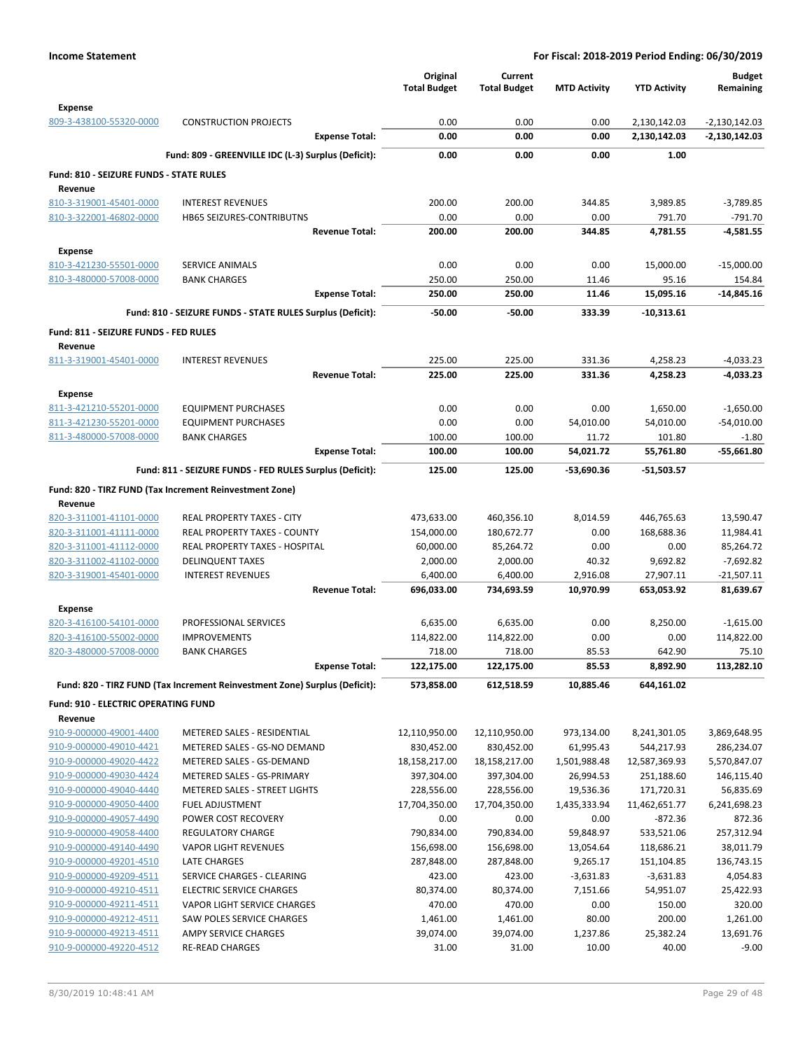|                                                       |                                                                            | Original<br><b>Total Budget</b> | Current<br><b>Total Budget</b> | <b>MTD Activity</b>     | <b>YTD Activity</b>       | <b>Budget</b><br>Remaining  |
|-------------------------------------------------------|----------------------------------------------------------------------------|---------------------------------|--------------------------------|-------------------------|---------------------------|-----------------------------|
| <b>Expense</b><br>809-3-438100-55320-0000             | <b>CONSTRUCTION PROJECTS</b>                                               | 0.00                            | 0.00                           | 0.00                    | 2,130,142.03              | $-2,130,142.03$             |
|                                                       | <b>Expense Total:</b>                                                      | 0.00                            | 0.00                           | 0.00                    | 2,130,142.03              | $-2,130,142.03$             |
|                                                       | Fund: 809 - GREENVILLE IDC (L-3) Surplus (Deficit):                        | 0.00                            | 0.00                           | 0.00                    | 1.00                      |                             |
| Fund: 810 - SEIZURE FUNDS - STATE RULES<br>Revenue    |                                                                            |                                 |                                |                         |                           |                             |
| 810-3-319001-45401-0000                               | <b>INTEREST REVENUES</b>                                                   | 200.00                          | 200.00                         | 344.85                  | 3,989.85                  | $-3,789.85$                 |
| 810-3-322001-46802-0000                               | HB65 SEIZURES-CONTRIBUTNS                                                  | 0.00                            | 0.00                           | 0.00                    | 791.70                    | $-791.70$                   |
|                                                       | <b>Revenue Total:</b>                                                      | 200.00                          | 200.00                         | 344.85                  | 4,781.55                  | $-4.581.55$                 |
| <b>Expense</b>                                        |                                                                            |                                 |                                |                         |                           |                             |
| 810-3-421230-55501-0000                               | <b>SERVICE ANIMALS</b>                                                     | 0.00                            | 0.00                           | 0.00                    | 15,000.00                 | $-15,000.00$                |
| 810-3-480000-57008-0000                               | <b>BANK CHARGES</b>                                                        | 250.00                          | 250.00                         | 11.46                   | 95.16                     | 154.84                      |
|                                                       | <b>Expense Total:</b>                                                      | 250.00                          | 250.00                         | 11.46                   | 15,095.16                 | $-14,845.16$                |
|                                                       | Fund: 810 - SEIZURE FUNDS - STATE RULES Surplus (Deficit):                 | $-50.00$                        | $-50.00$                       | 333.39                  | $-10,313.61$              |                             |
| Fund: 811 - SEIZURE FUNDS - FED RULES                 |                                                                            |                                 |                                |                         |                           |                             |
| Revenue<br>811-3-319001-45401-0000                    | <b>INTEREST REVENUES</b>                                                   | 225.00                          | 225.00                         | 331.36                  | 4,258.23                  | $-4,033.23$                 |
|                                                       | <b>Revenue Total:</b>                                                      | 225.00                          | 225.00                         | 331.36                  | 4,258.23                  | $-4,033.23$                 |
| <b>Expense</b>                                        |                                                                            |                                 |                                |                         |                           |                             |
| 811-3-421210-55201-0000                               | <b>EQUIPMENT PURCHASES</b>                                                 | 0.00                            | 0.00                           | 0.00                    | 1,650.00                  | $-1,650.00$                 |
| 811-3-421230-55201-0000                               | <b>EQUIPMENT PURCHASES</b>                                                 | 0.00                            | 0.00                           | 54,010.00               | 54,010.00                 | $-54,010.00$                |
| 811-3-480000-57008-0000                               | <b>BANK CHARGES</b>                                                        | 100.00                          | 100.00                         | 11.72                   | 101.80                    | $-1.80$                     |
|                                                       | <b>Expense Total:</b>                                                      | 100.00                          | 100.00                         | 54,021.72               | 55,761.80                 | $-55,661.80$                |
|                                                       | Fund: 811 - SEIZURE FUNDS - FED RULES Surplus (Deficit):                   | 125.00                          | 125.00                         | -53,690.36              | $-51,503.57$              |                             |
| Revenue                                               | Fund: 820 - TIRZ FUND (Tax Increment Reinvestment Zone)                    |                                 |                                |                         |                           |                             |
| 820-3-311001-41101-0000                               | REAL PROPERTY TAXES - CITY                                                 | 473,633.00                      | 460,356.10                     | 8,014.59                | 446,765.63                | 13,590.47                   |
| 820-3-311001-41111-0000                               | <b>REAL PROPERTY TAXES - COUNTY</b>                                        | 154,000.00                      | 180,672.77                     | 0.00                    | 168,688.36                | 11,984.41                   |
| 820-3-311001-41112-0000                               | REAL PROPERTY TAXES - HOSPITAL                                             | 60,000.00                       | 85,264.72                      | 0.00                    | 0.00                      | 85,264.72                   |
| 820-3-311002-41102-0000<br>820-3-319001-45401-0000    | <b>DELINQUENT TAXES</b><br><b>INTEREST REVENUES</b>                        | 2,000.00<br>6,400.00            | 2,000.00<br>6,400.00           | 40.32<br>2,916.08       | 9,692.82<br>27,907.11     | $-7,692.82$<br>$-21,507.11$ |
|                                                       | <b>Revenue Total:</b>                                                      | 696,033.00                      | 734,693.59                     | 10,970.99               | 653,053.92                | 81,639.67                   |
| <b>Expense</b>                                        |                                                                            |                                 |                                |                         |                           |                             |
| 820-3-416100-54101-0000                               | PROFESSIONAL SERVICES                                                      | 6,635.00                        | 6,635.00                       | 0.00                    | 8,250.00                  | $-1,615.00$                 |
| 820-3-416100-55002-0000                               | <b>IMPROVEMENTS</b>                                                        | 114,822.00                      | 114,822.00                     | 0.00                    | 0.00                      | 114,822.00                  |
| 820-3-480000-57008-0000                               | <b>BANK CHARGES</b>                                                        | 718.00                          | 718.00                         | 85.53                   | 642.90                    | 75.10                       |
|                                                       | <b>Expense Total:</b>                                                      | 122,175.00                      | 122,175.00                     | 85.53                   | 8,892.90                  | 113,282.10                  |
|                                                       | Fund: 820 - TIRZ FUND (Tax Increment Reinvestment Zone) Surplus (Deficit): | 573,858.00                      | 612,518.59                     | 10,885.46               | 644,161.02                |                             |
| <b>Fund: 910 - ELECTRIC OPERATING FUND</b><br>Revenue |                                                                            |                                 |                                |                         |                           |                             |
| 910-9-000000-49001-4400                               | METERED SALES - RESIDENTIAL                                                | 12,110,950.00                   | 12,110,950.00                  | 973,134.00              | 8,241,301.05              | 3,869,648.95                |
| 910-9-000000-49010-4421                               | METERED SALES - GS-NO DEMAND                                               | 830,452.00                      | 830,452.00                     | 61,995.43               | 544,217.93                | 286,234.07                  |
| 910-9-000000-49020-4422                               | METERED SALES - GS-DEMAND                                                  | 18,158,217.00                   | 18,158,217.00                  | 1,501,988.48            | 12,587,369.93             | 5,570,847.07                |
| 910-9-000000-49030-4424                               | METERED SALES - GS-PRIMARY                                                 | 397,304.00                      | 397,304.00                     | 26,994.53               | 251,188.60                | 146,115.40                  |
| 910-9-000000-49040-4440                               | METERED SALES - STREET LIGHTS                                              | 228,556.00                      | 228,556.00                     | 19,536.36               | 171,720.31                | 56,835.69                   |
| 910-9-000000-49050-4400                               | FUEL ADJUSTMENT                                                            | 17,704,350.00                   | 17,704,350.00                  | 1,435,333.94            | 11,462,651.77             | 6,241,698.23                |
| 910-9-000000-49057-4490                               | POWER COST RECOVERY                                                        | 0.00                            | 0.00                           | 0.00                    | $-872.36$                 | 872.36                      |
| 910-9-000000-49058-4400                               | <b>REGULATORY CHARGE</b>                                                   | 790,834.00                      | 790,834.00                     | 59,848.97               | 533,521.06                | 257,312.94                  |
| 910-9-000000-49140-4490                               | <b>VAPOR LIGHT REVENUES</b>                                                | 156,698.00                      | 156,698.00                     | 13,054.64               | 118,686.21                | 38,011.79                   |
| 910-9-000000-49201-4510<br>910-9-000000-49209-4511    | LATE CHARGES<br>SERVICE CHARGES - CLEARING                                 | 287,848.00<br>423.00            | 287,848.00<br>423.00           | 9,265.17<br>$-3,631.83$ | 151,104.85<br>$-3,631.83$ | 136,743.15<br>4,054.83      |
| 910-9-000000-49210-4511                               | <b>ELECTRIC SERVICE CHARGES</b>                                            | 80,374.00                       | 80,374.00                      | 7,151.66                | 54,951.07                 | 25,422.93                   |
| 910-9-000000-49211-4511                               | VAPOR LIGHT SERVICE CHARGES                                                | 470.00                          | 470.00                         | 0.00                    | 150.00                    | 320.00                      |
| 910-9-000000-49212-4511                               | SAW POLES SERVICE CHARGES                                                  | 1,461.00                        | 1,461.00                       | 80.00                   | 200.00                    | 1,261.00                    |
| 910-9-000000-49213-4511                               | AMPY SERVICE CHARGES                                                       | 39,074.00                       | 39,074.00                      | 1,237.86                | 25,382.24                 | 13,691.76                   |
| 910-9-000000-49220-4512                               | <b>RE-READ CHARGES</b>                                                     | 31.00                           | 31.00                          | 10.00                   | 40.00                     | $-9.00$                     |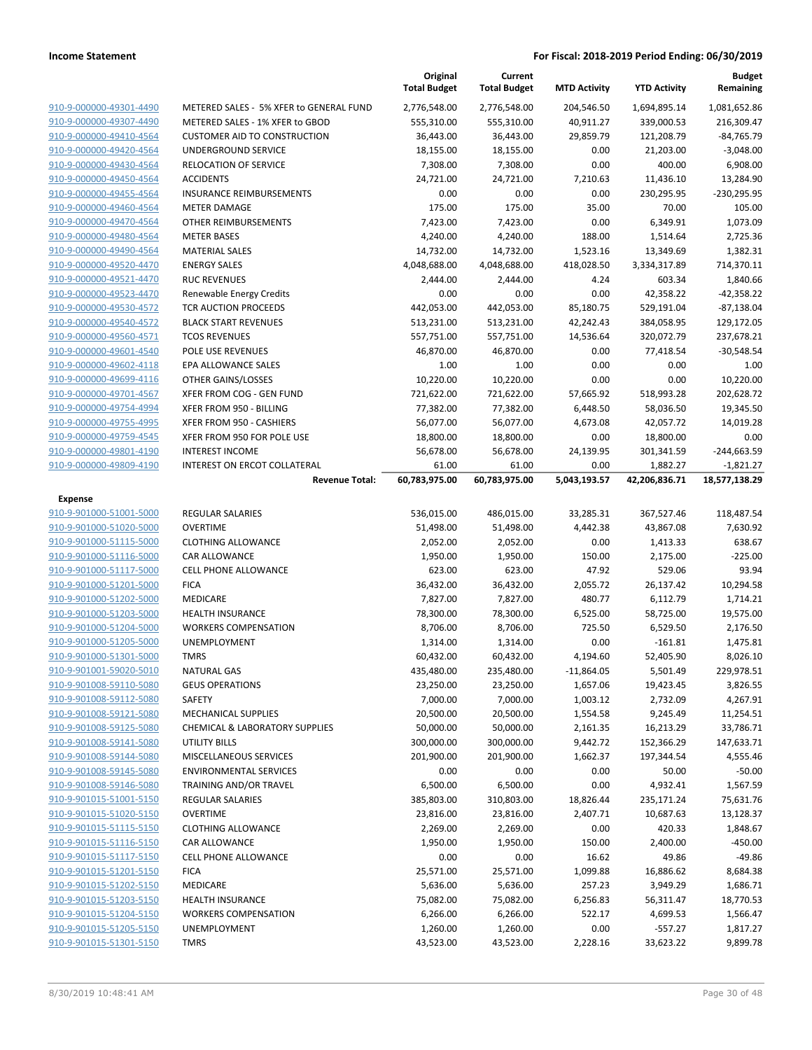|                         |                                           | Original<br><b>Total Budget</b> | Current<br><b>Total Budget</b> | <b>MTD Activity</b> | <b>YTD Activity</b> | <b>Budget</b><br>Remaining |
|-------------------------|-------------------------------------------|---------------------------------|--------------------------------|---------------------|---------------------|----------------------------|
| 910-9-000000-49301-4490 | METERED SALES - 5% XFER to GENERAL FUND   | 2,776,548.00                    | 2,776,548.00                   | 204,546.50          | 1,694,895.14        | 1,081,652.86               |
| 910-9-000000-49307-4490 | METERED SALES - 1% XFER to GBOD           | 555,310.00                      | 555,310.00                     | 40,911.27           | 339,000.53          | 216,309.47                 |
| 910-9-000000-49410-4564 | <b>CUSTOMER AID TO CONSTRUCTION</b>       | 36,443.00                       | 36,443.00                      | 29,859.79           | 121,208.79          | $-84,765.79$               |
| 910-9-000000-49420-4564 | UNDERGROUND SERVICE                       | 18,155.00                       | 18,155.00                      | 0.00                | 21,203.00           | $-3,048.00$                |
| 910-9-000000-49430-4564 | <b>RELOCATION OF SERVICE</b>              | 7,308.00                        | 7,308.00                       | 0.00                | 400.00              | 6,908.00                   |
| 910-9-000000-49450-4564 | <b>ACCIDENTS</b>                          | 24,721.00                       | 24,721.00                      | 7,210.63            | 11,436.10           | 13,284.90                  |
| 910-9-000000-49455-4564 | INSURANCE REIMBURSEMENTS                  | 0.00                            | 0.00                           | 0.00                | 230,295.95          | -230,295.95                |
| 910-9-000000-49460-4564 | <b>METER DAMAGE</b>                       | 175.00                          | 175.00                         | 35.00               | 70.00               | 105.00                     |
| 910-9-000000-49470-4564 | OTHER REIMBURSEMENTS                      | 7,423.00                        | 7,423.00                       | 0.00                | 6,349.91            | 1,073.09                   |
| 910-9-000000-49480-4564 | <b>METER BASES</b>                        | 4,240.00                        | 4,240.00                       | 188.00              | 1,514.64            | 2,725.36                   |
| 910-9-000000-49490-4564 | <b>MATERIAL SALES</b>                     | 14,732.00                       | 14,732.00                      | 1,523.16            | 13,349.69           | 1,382.31                   |
| 910-9-000000-49520-4470 | <b>ENERGY SALES</b>                       | 4,048,688.00                    | 4,048,688.00                   | 418,028.50          | 3,334,317.89        | 714,370.11                 |
| 910-9-000000-49521-4470 | <b>RUC REVENUES</b>                       | 2,444.00                        | 2,444.00                       | 4.24                | 603.34              | 1,840.66                   |
| 910-9-000000-49523-4470 | Renewable Energy Credits                  | 0.00                            | 0.00                           | 0.00                | 42,358.22           | $-42,358.22$               |
| 910-9-000000-49530-4572 | TCR AUCTION PROCEEDS                      | 442,053.00                      | 442,053.00                     | 85,180.75           | 529,191.04          | $-87,138.04$               |
| 910-9-000000-49540-4572 | <b>BLACK START REVENUES</b>               | 513,231.00                      | 513,231.00                     | 42,242.43           | 384,058.95          | 129,172.05                 |
| 910-9-000000-49560-4571 | <b>TCOS REVENUES</b>                      | 557,751.00                      | 557,751.00                     | 14,536.64           | 320,072.79          | 237,678.21                 |
| 910-9-000000-49601-4540 | <b>POLE USE REVENUES</b>                  | 46,870.00                       | 46,870.00                      | 0.00                | 77,418.54           | $-30,548.54$               |
| 910-9-000000-49602-4118 | EPA ALLOWANCE SALES                       | 1.00                            | 1.00                           | 0.00                | 0.00                | 1.00                       |
| 910-9-000000-49699-4116 | OTHER GAINS/LOSSES                        | 10,220.00                       | 10,220.00                      | 0.00                | 0.00                | 10,220.00                  |
| 910-9-000000-49701-4567 | XFER FROM COG - GEN FUND                  | 721,622.00                      | 721,622.00                     | 57,665.92           | 518,993.28          | 202,628.72                 |
| 910-9-000000-49754-4994 | XFER FROM 950 - BILLING                   | 77,382.00                       | 77,382.00                      | 6,448.50            | 58,036.50           | 19,345.50                  |
| 910-9-000000-49755-4995 | XFER FROM 950 - CASHIERS                  | 56,077.00                       | 56,077.00                      | 4,673.08            | 42,057.72           | 14,019.28                  |
| 910-9-000000-49759-4545 | XFER FROM 950 FOR POLE USE                | 18,800.00                       | 18,800.00                      | 0.00                | 18,800.00           | 0.00                       |
| 910-9-000000-49801-4190 | <b>INTEREST INCOME</b>                    | 56,678.00                       | 56,678.00                      | 24,139.95           | 301,341.59          | $-244,663.59$              |
| 910-9-000000-49809-4190 | INTEREST ON ERCOT COLLATERAL              | 61.00                           | 61.00                          | 0.00                | 1,882.27            | $-1,821.27$                |
|                         | <b>Revenue Total:</b>                     | 60,783,975.00                   | 60,783,975.00                  | 5,043,193.57        | 42,206,836.71       | 18,577,138.29              |
| <b>Expense</b>          |                                           |                                 |                                |                     |                     |                            |
| 910-9-901000-51001-5000 | <b>REGULAR SALARIES</b>                   | 536,015.00                      | 486,015.00                     | 33,285.31           | 367,527.46          | 118,487.54                 |
| 910-9-901000-51020-5000 | <b>OVERTIME</b>                           | 51,498.00                       | 51,498.00                      | 4,442.38            | 43,867.08           | 7,630.92                   |
| 910-9-901000-51115-5000 | <b>CLOTHING ALLOWANCE</b>                 | 2,052.00                        | 2,052.00                       | 0.00                | 1,413.33            | 638.67                     |
| 910-9-901000-51116-5000 | <b>CAR ALLOWANCE</b>                      | 1,950.00                        | 1,950.00                       | 150.00              | 2,175.00            | $-225.00$                  |
| 910-9-901000-51117-5000 | <b>CELL PHONE ALLOWANCE</b>               | 623.00                          | 623.00                         | 47.92               | 529.06              | 93.94                      |
| 910-9-901000-51201-5000 | <b>FICA</b>                               | 36,432.00                       | 36,432.00                      | 2,055.72            | 26,137.42           | 10,294.58                  |
| 910-9-901000-51202-5000 | MEDICARE                                  | 7,827.00                        | 7,827.00                       | 480.77              | 6,112.79            | 1,714.21                   |
| 910-9-901000-51203-5000 | <b>HEALTH INSURANCE</b>                   | 78,300.00                       | 78,300.00                      | 6,525.00            | 58,725.00           | 19,575.00                  |
| 910-9-901000-51204-5000 | <b>WORKERS COMPENSATION</b>               | 8,706.00                        | 8,706.00                       | 725.50              | 6,529.50            | 2,176.50                   |
| 910-9-901000-51205-5000 | UNEMPLOYMENT                              | 1,314.00                        | 1,314.00                       | 0.00                | $-161.81$           | 1,475.81                   |
| 910-9-901000-51301-5000 | <b>TMRS</b>                               | 60,432.00                       | 60,432.00                      | 4,194.60            | 52,405.90           | 8,026.10                   |
| 910-9-901001-59020-5010 | <b>NATURAL GAS</b>                        | 435,480.00                      | 235,480.00                     | $-11,864.05$        | 5,501.49            | 229,978.51                 |
| 910-9-901008-59110-5080 | <b>GEUS OPERATIONS</b>                    | 23,250.00                       | 23,250.00                      | 1,657.06            | 19,423.45           | 3,826.55                   |
| 910-9-901008-59112-5080 | SAFETY                                    | 7,000.00                        | 7,000.00                       | 1,003.12            | 2,732.09            | 4,267.91                   |
| 910-9-901008-59121-5080 | MECHANICAL SUPPLIES                       | 20,500.00                       | 20,500.00                      | 1,554.58            | 9,245.49            | 11,254.51                  |
| 910-9-901008-59125-5080 | <b>CHEMICAL &amp; LABORATORY SUPPLIES</b> | 50,000.00                       | 50,000.00                      | 2,161.35            | 16,213.29           | 33,786.71                  |
| 910-9-901008-59141-5080 | <b>UTILITY BILLS</b>                      | 300,000.00                      | 300,000.00                     | 9,442.72            | 152,366.29          | 147,633.71                 |
| 910-9-901008-59144-5080 | MISCELLANEOUS SERVICES                    | 201,900.00                      | 201,900.00                     | 1,662.37            | 197,344.54          | 4,555.46                   |
| 910-9-901008-59145-5080 | <b>ENVIRONMENTAL SERVICES</b>             | 0.00                            | 0.00                           | 0.00                | 50.00               | $-50.00$                   |
| 910-9-901008-59146-5080 | TRAINING AND/OR TRAVEL                    | 6,500.00                        | 6,500.00                       | 0.00                | 4,932.41            | 1,567.59                   |
| 910-9-901015-51001-5150 | <b>REGULAR SALARIES</b>                   | 385,803.00                      | 310,803.00                     | 18,826.44           | 235,171.24          | 75,631.76                  |
| 910-9-901015-51020-5150 | <b>OVERTIME</b>                           | 23,816.00                       | 23,816.00                      | 2,407.71            | 10,687.63           | 13,128.37                  |
| 910-9-901015-51115-5150 | <b>CLOTHING ALLOWANCE</b>                 | 2,269.00                        | 2,269.00                       | 0.00                | 420.33              | 1,848.67                   |
| 910-9-901015-51116-5150 | CAR ALLOWANCE                             | 1,950.00                        | 1,950.00                       | 150.00              | 2,400.00            | $-450.00$                  |
| 910-9-901015-51117-5150 | <b>CELL PHONE ALLOWANCE</b>               | 0.00                            | 0.00                           | 16.62               | 49.86               | $-49.86$                   |
| 910-9-901015-51201-5150 | <b>FICA</b>                               | 25,571.00                       | 25,571.00                      | 1,099.88            | 16,886.62           | 8,684.38                   |
| 910-9-901015-51202-5150 | MEDICARE                                  | 5,636.00                        | 5,636.00                       | 257.23              | 3,949.29            | 1,686.71                   |
| 910-9-901015-51203-5150 | <b>HEALTH INSURANCE</b>                   | 75,082.00                       | 75,082.00                      | 6,256.83            | 56,311.47           | 18,770.53                  |
| 910-9-901015-51204-5150 | <b>WORKERS COMPENSATION</b>               | 6,266.00                        | 6,266.00                       | 522.17              | 4,699.53            | 1,566.47                   |
| 910-9-901015-51205-5150 | UNEMPLOYMENT                              | 1,260.00                        | 1,260.00                       | 0.00                | $-557.27$           | 1,817.27                   |
| 910-9-901015-51301-5150 | <b>TMRS</b>                               | 43,523.00                       | 43,523.00                      | 2,228.16            | 33,623.22           | 9,899.78                   |
|                         |                                           |                                 |                                |                     |                     |                            |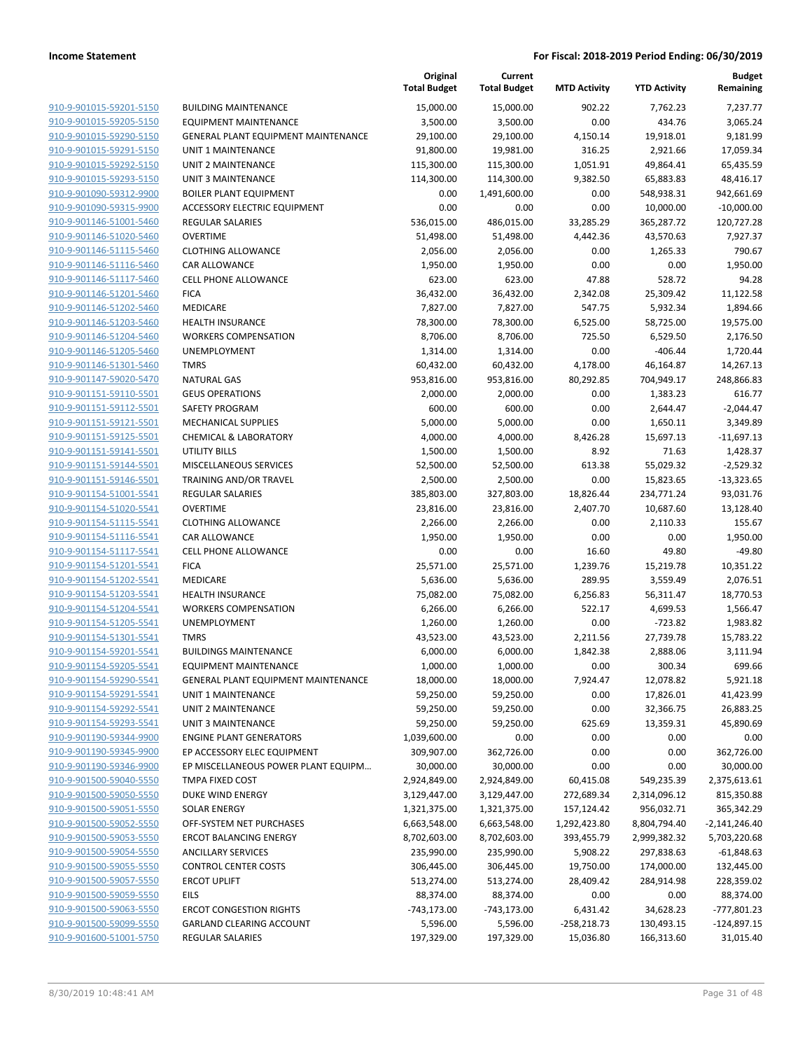|                                                    |                                                 | Original<br><b>Total Budget</b> | Current<br><b>Total Budget</b> | <b>MTD Activity</b> | <b>YTD Activity</b>  | <b>Budget</b><br>Remaining |
|----------------------------------------------------|-------------------------------------------------|---------------------------------|--------------------------------|---------------------|----------------------|----------------------------|
| 910-9-901015-59201-5150                            | <b>BUILDING MAINTENANCE</b>                     | 15,000.00                       | 15,000.00                      | 902.22              | 7,762.23             | 7,237.77                   |
| 910-9-901015-59205-5150                            | <b>EQUIPMENT MAINTENANCE</b>                    | 3,500.00                        | 3,500.00                       | 0.00                | 434.76               | 3,065.24                   |
| 910-9-901015-59290-5150                            | <b>GENERAL PLANT EQUIPMENT MAINTENANCE</b>      | 29,100.00                       | 29,100.00                      | 4,150.14            | 19,918.01            | 9,181.99                   |
| 910-9-901015-59291-5150                            | <b>UNIT 1 MAINTENANCE</b>                       | 91,800.00                       | 19,981.00                      | 316.25              | 2,921.66             | 17,059.34                  |
| 910-9-901015-59292-5150                            | UNIT 2 MAINTENANCE                              | 115,300.00                      | 115,300.00                     | 1,051.91            | 49,864.41            | 65,435.59                  |
| 910-9-901015-59293-5150                            | <b>UNIT 3 MAINTENANCE</b>                       | 114,300.00                      | 114,300.00                     | 9,382.50            | 65,883.83            | 48,416.17                  |
| 910-9-901090-59312-9900                            | <b>BOILER PLANT EQUIPMENT</b>                   | 0.00                            | 1,491,600.00                   | 0.00                | 548,938.31           | 942,661.69                 |
| 910-9-901090-59315-9900                            | ACCESSORY ELECTRIC EQUIPMENT                    | 0.00                            | 0.00                           | 0.00                | 10,000.00            | $-10,000.00$               |
| 910-9-901146-51001-5460                            | <b>REGULAR SALARIES</b>                         | 536,015.00                      | 486,015.00                     | 33,285.29           | 365,287.72           | 120,727.28                 |
| 910-9-901146-51020-5460                            | <b>OVERTIME</b>                                 | 51,498.00                       | 51,498.00                      | 4,442.36            | 43,570.63            | 7,927.37                   |
| 910-9-901146-51115-5460                            | <b>CLOTHING ALLOWANCE</b>                       | 2,056.00                        | 2,056.00                       | 0.00                | 1,265.33             | 790.67                     |
| 910-9-901146-51116-5460                            | CAR ALLOWANCE                                   | 1,950.00                        | 1,950.00                       | 0.00                | 0.00                 | 1,950.00                   |
| 910-9-901146-51117-5460                            | <b>CELL PHONE ALLOWANCE</b>                     | 623.00                          | 623.00                         | 47.88               | 528.72               | 94.28                      |
| 910-9-901146-51201-5460                            | <b>FICA</b>                                     | 36,432.00                       | 36,432.00                      | 2,342.08            | 25,309.42            | 11,122.58                  |
| 910-9-901146-51202-5460                            | MEDICARE                                        | 7,827.00                        | 7,827.00                       | 547.75              | 5,932.34             | 1,894.66                   |
| 910-9-901146-51203-5460                            | <b>HEALTH INSURANCE</b>                         | 78,300.00                       | 78,300.00                      | 6,525.00            | 58,725.00            | 19,575.00                  |
| 910-9-901146-51204-5460<br>910-9-901146-51205-5460 | <b>WORKERS COMPENSATION</b>                     | 8,706.00                        | 8,706.00                       | 725.50              | 6,529.50             | 2,176.50                   |
|                                                    | UNEMPLOYMENT                                    | 1,314.00                        | 1,314.00                       | 0.00                | $-406.44$            | 1,720.44                   |
| 910-9-901146-51301-5460                            | <b>TMRS</b>                                     | 60,432.00                       | 60,432.00<br>953,816.00        | 4,178.00            | 46,164.87            | 14,267.13                  |
| 910-9-901147-59020-5470                            | <b>NATURAL GAS</b>                              | 953,816.00                      | 2,000.00                       | 80,292.85           | 704,949.17           | 248,866.83                 |
| 910-9-901151-59110-5501<br>910-9-901151-59112-5501 | <b>GEUS OPERATIONS</b><br><b>SAFETY PROGRAM</b> | 2,000.00<br>600.00              | 600.00                         | 0.00<br>0.00        | 1,383.23<br>2,644.47 | 616.77<br>$-2,044.47$      |
| 910-9-901151-59121-5501                            | <b>MECHANICAL SUPPLIES</b>                      | 5,000.00                        | 5,000.00                       | 0.00                | 1,650.11             | 3,349.89                   |
| 910-9-901151-59125-5501                            | <b>CHEMICAL &amp; LABORATORY</b>                | 4,000.00                        | 4,000.00                       | 8,426.28            | 15,697.13            | $-11,697.13$               |
| 910-9-901151-59141-5501                            | <b>UTILITY BILLS</b>                            | 1,500.00                        | 1,500.00                       | 8.92                | 71.63                | 1,428.37                   |
| 910-9-901151-59144-5501                            | MISCELLANEOUS SERVICES                          | 52,500.00                       | 52,500.00                      | 613.38              | 55,029.32            | $-2,529.32$                |
| 910-9-901151-59146-5501                            | TRAINING AND/OR TRAVEL                          | 2,500.00                        | 2,500.00                       | 0.00                | 15,823.65            | $-13,323.65$               |
| 910-9-901154-51001-5541                            | <b>REGULAR SALARIES</b>                         | 385,803.00                      | 327,803.00                     | 18,826.44           | 234,771.24           | 93,031.76                  |
| 910-9-901154-51020-5541                            | <b>OVERTIME</b>                                 | 23,816.00                       | 23,816.00                      | 2,407.70            | 10,687.60            | 13,128.40                  |
| 910-9-901154-51115-5541                            | <b>CLOTHING ALLOWANCE</b>                       | 2,266.00                        | 2,266.00                       | 0.00                | 2,110.33             | 155.67                     |
| 910-9-901154-51116-5541                            | CAR ALLOWANCE                                   | 1,950.00                        | 1,950.00                       | 0.00                | 0.00                 | 1,950.00                   |
| 910-9-901154-51117-5541                            | <b>CELL PHONE ALLOWANCE</b>                     | 0.00                            | 0.00                           | 16.60               | 49.80                | $-49.80$                   |
| 910-9-901154-51201-5541                            | <b>FICA</b>                                     | 25,571.00                       | 25,571.00                      | 1,239.76            | 15,219.78            | 10,351.22                  |
| 910-9-901154-51202-5541                            | MEDICARE                                        | 5,636.00                        | 5,636.00                       | 289.95              | 3,559.49             | 2,076.51                   |
| 910-9-901154-51203-5541                            | <b>HEALTH INSURANCE</b>                         | 75,082.00                       | 75,082.00                      | 6,256.83            | 56,311.47            | 18,770.53                  |
| 910-9-901154-51204-5541                            | <b>WORKERS COMPENSATION</b>                     | 6,266.00                        | 6,266.00                       | 522.17              | 4,699.53             | 1,566.47                   |
| 910-9-901154-51205-5541                            | <b>UNEMPLOYMENT</b>                             | 1,260.00                        | 1,260.00                       | 0.00                | $-723.82$            | 1,983.82                   |
| 910-9-901154-51301-5541                            | <b>TMRS</b>                                     | 43,523.00                       | 43,523.00                      | 2,211.56            | 27,739.78            | 15,783.22                  |
| 910-9-901154-59201-5541                            | <b>BUILDINGS MAINTENANCE</b>                    | 6,000.00                        | 6,000.00                       | 1,842.38            | 2,888.06             | 3,111.94                   |
| 910-9-901154-59205-5541                            | <b>EQUIPMENT MAINTENANCE</b>                    | 1,000.00                        | 1,000.00                       | 0.00                | 300.34               | 699.66                     |
| 910-9-901154-59290-5541                            | <b>GENERAL PLANT EQUIPMENT MAINTENANCE</b>      | 18,000.00                       | 18,000.00                      | 7,924.47            | 12,078.82            | 5,921.18                   |
| 910-9-901154-59291-5541                            | <b>UNIT 1 MAINTENANCE</b>                       | 59,250.00                       | 59,250.00                      | 0.00                | 17,826.01            | 41,423.99                  |
| 910-9-901154-59292-5541                            | UNIT 2 MAINTENANCE                              | 59,250.00                       | 59,250.00                      | 0.00                | 32,366.75            | 26,883.25                  |
| 910-9-901154-59293-5541                            | <b>UNIT 3 MAINTENANCE</b>                       | 59,250.00                       | 59,250.00                      | 625.69              | 13,359.31            | 45,890.69                  |
| 910-9-901190-59344-9900                            | <b>ENGINE PLANT GENERATORS</b>                  | 1,039,600.00                    | 0.00                           | 0.00                | 0.00                 | 0.00                       |
| 910-9-901190-59345-9900                            | EP ACCESSORY ELEC EQUIPMENT                     | 309,907.00                      | 362,726.00                     | 0.00                | 0.00                 | 362,726.00                 |
| 910-9-901190-59346-9900                            | EP MISCELLANEOUS POWER PLANT EQUIPM             | 30,000.00                       | 30,000.00                      | 0.00                | 0.00                 | 30,000.00                  |
| 910-9-901500-59040-5550                            | <b>TMPA FIXED COST</b>                          | 2,924,849.00                    | 2,924,849.00                   | 60,415.08           | 549,235.39           | 2,375,613.61               |
| 910-9-901500-59050-5550                            | <b>DUKE WIND ENERGY</b>                         | 3,129,447.00                    | 3,129,447.00                   | 272,689.34          | 2,314,096.12         | 815,350.88                 |
| 910-9-901500-59051-5550                            | <b>SOLAR ENERGY</b>                             | 1,321,375.00                    | 1,321,375.00                   | 157,124.42          | 956,032.71           | 365,342.29                 |
| 910-9-901500-59052-5550                            | OFF-SYSTEM NET PURCHASES                        | 6,663,548.00                    | 6,663,548.00                   | 1,292,423.80        | 8,804,794.40         | $-2,141,246.40$            |
| 910-9-901500-59053-5550                            | <b>ERCOT BALANCING ENERGY</b>                   | 8,702,603.00                    | 8,702,603.00                   | 393,455.79          | 2,999,382.32         | 5,703,220.68               |
| 910-9-901500-59054-5550                            | <b>ANCILLARY SERVICES</b>                       | 235,990.00                      | 235,990.00                     | 5,908.22            | 297,838.63           | $-61,848.63$               |
| 910-9-901500-59055-5550                            | <b>CONTROL CENTER COSTS</b>                     | 306,445.00                      | 306,445.00                     | 19,750.00           | 174,000.00           | 132,445.00                 |
| 910-9-901500-59057-5550                            | <b>ERCOT UPLIFT</b>                             | 513,274.00                      | 513,274.00                     | 28,409.42           | 284,914.98           | 228,359.02                 |
| 910-9-901500-59059-5550                            | EILS                                            | 88,374.00                       | 88,374.00                      | 0.00                | 0.00                 | 88,374.00                  |
| 910-9-901500-59063-5550                            | <b>ERCOT CONGESTION RIGHTS</b>                  | $-743,173.00$                   | $-743,173.00$                  | 6,431.42            | 34,628.23            | -777,801.23                |
| 910-9-901500-59099-5550                            | GARLAND CLEARING ACCOUNT                        | 5,596.00                        | 5,596.00                       | $-258,218.73$       | 130,493.15           | $-124,897.15$              |
| 910-9-901600-51001-5750                            | REGULAR SALARIES                                | 197,329.00                      | 197,329.00                     | 15,036.80           | 166,313.60           | 31,015.40                  |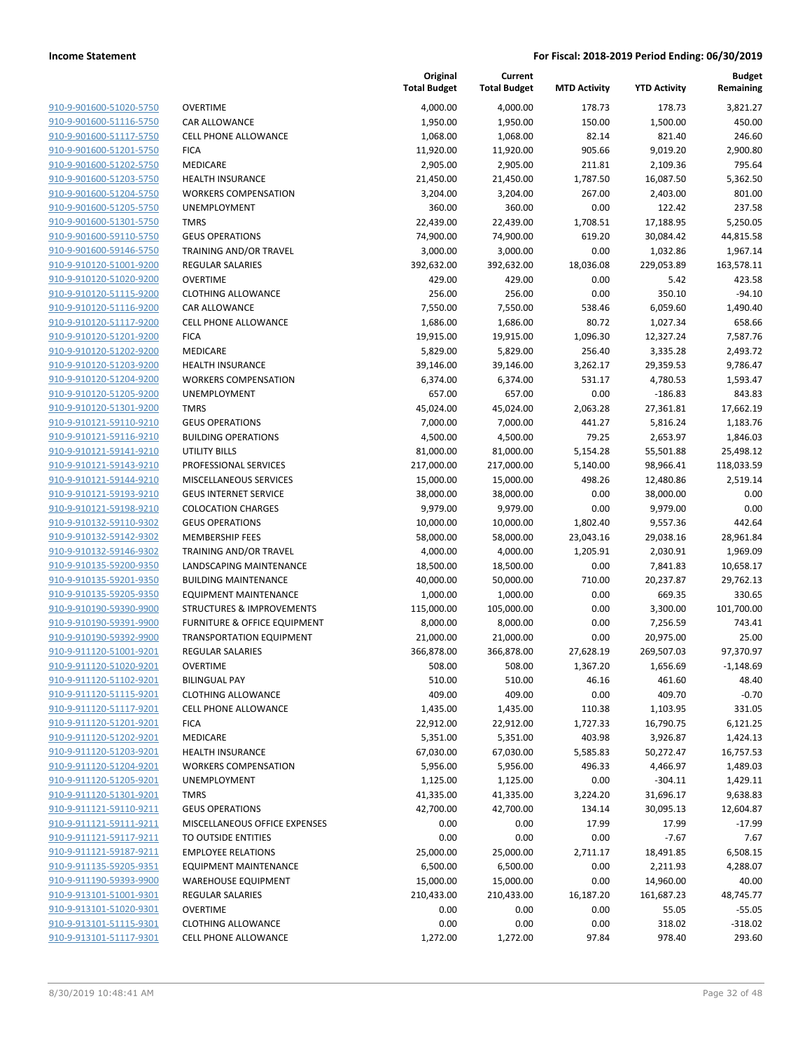**Current**

**Original**

**Budget Remaining**

|                                                    |                                                                      | <b>Total Budget</b>    | <b>Total Budget</b>    | <b>MTD Activity</b> | <b>YTD Activity</b>  | Remaining           |
|----------------------------------------------------|----------------------------------------------------------------------|------------------------|------------------------|---------------------|----------------------|---------------------|
| 910-9-901600-51020-5750                            | <b>OVERTIME</b>                                                      | 4,000.00               | 4,000.00               | 178.73              | 178.73               | 3,821.27            |
| 910-9-901600-51116-5750                            | CAR ALLOWANCE                                                        | 1,950.00               | 1,950.00               | 150.00              | 1,500.00             | 450.00              |
| 910-9-901600-51117-5750                            | <b>CELL PHONE ALLOWANCE</b>                                          | 1,068.00               | 1,068.00               | 82.14               | 821.40               | 246.60              |
| 910-9-901600-51201-5750                            | <b>FICA</b>                                                          | 11,920.00              | 11,920.00              | 905.66              | 9,019.20             | 2,900.80            |
| 910-9-901600-51202-5750                            | MEDICARE                                                             | 2,905.00               | 2,905.00               | 211.81              | 2,109.36             | 795.64              |
| 910-9-901600-51203-5750                            | <b>HEALTH INSURANCE</b>                                              | 21,450.00              | 21,450.00              | 1,787.50            | 16,087.50            | 5,362.50            |
| 910-9-901600-51204-5750                            | <b>WORKERS COMPENSATION</b>                                          | 3,204.00               | 3,204.00               | 267.00              | 2,403.00             | 801.00              |
| 910-9-901600-51205-5750                            | UNEMPLOYMENT                                                         | 360.00                 | 360.00                 | 0.00                | 122.42               | 237.58              |
| 910-9-901600-51301-5750                            | <b>TMRS</b>                                                          | 22,439.00              | 22,439.00              | 1,708.51            | 17,188.95            | 5,250.05            |
| 910-9-901600-59110-5750                            | <b>GEUS OPERATIONS</b>                                               | 74,900.00              | 74,900.00              | 619.20              | 30,084.42            | 44,815.58           |
| 910-9-901600-59146-5750                            | TRAINING AND/OR TRAVEL                                               | 3,000.00               | 3,000.00               | 0.00                | 1,032.86             | 1,967.14            |
| 910-9-910120-51001-9200                            | <b>REGULAR SALARIES</b>                                              | 392,632.00             | 392,632.00             | 18,036.08           | 229,053.89           | 163,578.11          |
| 910-9-910120-51020-9200                            | <b>OVERTIME</b>                                                      | 429.00                 | 429.00                 | 0.00                | 5.42                 | 423.58              |
| 910-9-910120-51115-9200                            | <b>CLOTHING ALLOWANCE</b>                                            | 256.00                 | 256.00                 | 0.00                | 350.10               | $-94.10$            |
| 910-9-910120-51116-9200                            | <b>CAR ALLOWANCE</b>                                                 | 7,550.00               | 7,550.00               | 538.46              | 6,059.60             | 1,490.40            |
| 910-9-910120-51117-9200                            | CELL PHONE ALLOWANCE                                                 | 1,686.00               | 1,686.00               | 80.72               | 1,027.34             | 658.66              |
| 910-9-910120-51201-9200                            | <b>FICA</b>                                                          | 19,915.00              | 19,915.00              | 1,096.30            | 12,327.24            | 7,587.76            |
| 910-9-910120-51202-9200                            | MEDICARE                                                             | 5,829.00               | 5,829.00               | 256.40              | 3,335.28             | 2,493.72            |
| 910-9-910120-51203-9200                            | <b>HEALTH INSURANCE</b>                                              | 39,146.00              | 39,146.00              | 3,262.17            | 29,359.53            | 9,786.47            |
| 910-9-910120-51204-9200                            | <b>WORKERS COMPENSATION</b>                                          | 6,374.00               | 6,374.00               | 531.17              | 4,780.53             | 1,593.47            |
| 910-9-910120-51205-9200                            | UNEMPLOYMENT                                                         | 657.00                 | 657.00                 | 0.00                | $-186.83$            | 843.83              |
| 910-9-910120-51301-9200                            | <b>TMRS</b>                                                          | 45,024.00              | 45,024.00              | 2,063.28            | 27,361.81            | 17,662.19           |
| 910-9-910121-59110-9210                            | <b>GEUS OPERATIONS</b>                                               | 7,000.00               | 7,000.00               | 441.27              | 5,816.24             | 1,183.76            |
| 910-9-910121-59116-9210                            | <b>BUILDING OPERATIONS</b>                                           | 4,500.00               | 4,500.00               | 79.25               | 2,653.97             | 1,846.03            |
| 910-9-910121-59141-9210                            | <b>UTILITY BILLS</b>                                                 | 81,000.00              | 81,000.00              | 5,154.28            | 55,501.88            | 25,498.12           |
| 910-9-910121-59143-9210                            | PROFESSIONAL SERVICES                                                | 217,000.00             | 217,000.00             | 5,140.00            | 98,966.41            | 118,033.59          |
| 910-9-910121-59144-9210                            | MISCELLANEOUS SERVICES                                               | 15,000.00              | 15,000.00              | 498.26              | 12,480.86            | 2,519.14            |
| 910-9-910121-59193-9210                            | <b>GEUS INTERNET SERVICE</b>                                         | 38,000.00              | 38,000.00              | 0.00                | 38,000.00            | 0.00                |
| 910-9-910121-59198-9210                            | <b>COLOCATION CHARGES</b>                                            | 9,979.00               | 9,979.00               | 0.00                | 9,979.00             | 0.00                |
| 910-9-910132-59110-9302                            | <b>GEUS OPERATIONS</b>                                               | 10,000.00              | 10,000.00              | 1,802.40            | 9,557.36             | 442.64              |
| 910-9-910132-59142-9302                            | <b>MEMBERSHIP FEES</b>                                               | 58,000.00              | 58,000.00              | 23,043.16           | 29,038.16            | 28,961.84           |
| 910-9-910132-59146-9302<br>910-9-910135-59200-9350 | TRAINING AND/OR TRAVEL                                               | 4,000.00               | 4,000.00               | 1,205.91            | 2,030.91             | 1,969.09            |
| 910-9-910135-59201-9350                            | LANDSCAPING MAINTENANCE                                              | 18,500.00              | 18,500.00              | 0.00                | 7,841.83             | 10,658.17           |
| 910-9-910135-59205-9350                            | <b>BUILDING MAINTENANCE</b>                                          | 40,000.00              | 50,000.00              | 710.00<br>0.00      | 20,237.87<br>669.35  | 29,762.13<br>330.65 |
| 910-9-910190-59390-9900                            | <b>EQUIPMENT MAINTENANCE</b><br><b>STRUCTURES &amp; IMPROVEMENTS</b> | 1,000.00<br>115,000.00 | 1,000.00<br>105,000.00 | 0.00                |                      | 101,700.00          |
| 910-9-910190-59391-9900                            | FURNITURE & OFFICE EQUIPMENT                                         | 8,000.00               | 8,000.00               | 0.00                | 3,300.00<br>7,256.59 | 743.41              |
| 910-9-910190-59392-9900                            | <b>TRANSPORTATION EQUIPMENT</b>                                      | 21,000.00              | 21,000.00              | 0.00                | 20,975.00            | 25.00               |
| 910-9-911120-51001-9201                            | <b>REGULAR SALARIES</b>                                              | 366,878.00             | 366,878.00             | 27,628.19           | 269,507.03           | 97,370.97           |
| 910-9-911120-51020-9201                            | <b>OVERTIME</b>                                                      | 508.00                 | 508.00                 | 1,367.20            | 1,656.69             | $-1,148.69$         |
| 910-9-911120-51102-9201                            | BILINGUAL PAY                                                        | 510.00                 | 510.00                 | 46.16               | 461.60               | 48.40               |
| 910-9-911120-51115-9201                            | <b>CLOTHING ALLOWANCE</b>                                            | 409.00                 | 409.00                 | 0.00                | 409.70               | $-0.70$             |
| 910-9-911120-51117-9201                            | <b>CELL PHONE ALLOWANCE</b>                                          | 1,435.00               | 1,435.00               | 110.38              | 1,103.95             | 331.05              |
| 910-9-911120-51201-9201                            | <b>FICA</b>                                                          | 22,912.00              | 22,912.00              | 1,727.33            | 16,790.75            | 6,121.25            |
| 910-9-911120-51202-9201                            | MEDICARE                                                             | 5,351.00               | 5,351.00               | 403.98              | 3,926.87             | 1,424.13            |
| 910-9-911120-51203-9201                            | <b>HEALTH INSURANCE</b>                                              | 67,030.00              | 67,030.00              | 5,585.83            | 50,272.47            | 16,757.53           |
| 910-9-911120-51204-9201                            | <b>WORKERS COMPENSATION</b>                                          | 5,956.00               | 5,956.00               | 496.33              | 4,466.97             | 1,489.03            |
| 910-9-911120-51205-9201                            | UNEMPLOYMENT                                                         | 1,125.00               | 1,125.00               | 0.00                | $-304.11$            | 1,429.11            |
| 910-9-911120-51301-9201                            | <b>TMRS</b>                                                          | 41,335.00              | 41,335.00              | 3,224.20            | 31,696.17            | 9,638.83            |
| 910-9-911121-59110-9211                            | <b>GEUS OPERATIONS</b>                                               | 42,700.00              | 42,700.00              | 134.14              | 30,095.13            | 12,604.87           |
| 910-9-911121-59111-9211                            | MISCELLANEOUS OFFICE EXPENSES                                        | 0.00                   | 0.00                   | 17.99               | 17.99                | $-17.99$            |
| 910-9-911121-59117-9211                            | TO OUTSIDE ENTITIES                                                  | 0.00                   | 0.00                   | 0.00                | $-7.67$              | 7.67                |
| 910-9-911121-59187-9211                            | <b>EMPLOYEE RELATIONS</b>                                            | 25,000.00              | 25,000.00              | 2,711.17            | 18,491.85            | 6,508.15            |
| 910-9-911135-59205-9351                            | <b>EQUIPMENT MAINTENANCE</b>                                         | 6,500.00               | 6,500.00               | 0.00                | 2,211.93             | 4,288.07            |
| 910-9-911190-59393-9900                            | <b>WAREHOUSE EQUIPMENT</b>                                           | 15,000.00              | 15,000.00              | 0.00                | 14,960.00            | 40.00               |
| 910-9-913101-51001-9301                            | REGULAR SALARIES                                                     | 210,433.00             | 210,433.00             | 16,187.20           | 161,687.23           | 48,745.77           |
| 910-9-913101-51020-9301                            | <b>OVERTIME</b>                                                      | 0.00                   | 0.00                   | 0.00                | 55.05                | $-55.05$            |
| 910-9-913101-51115-9301                            | <b>CLOTHING ALLOWANCE</b>                                            | 0.00                   | 0.00                   | 0.00                | 318.02               | $-318.02$           |
| 910-9-913101-51117-9301                            | <b>CELL PHONE ALLOWANCE</b>                                          | 1,272.00               | 1,272.00               | 97.84               | 978.40               | 293.60              |
|                                                    |                                                                      |                        |                        |                     |                      |                     |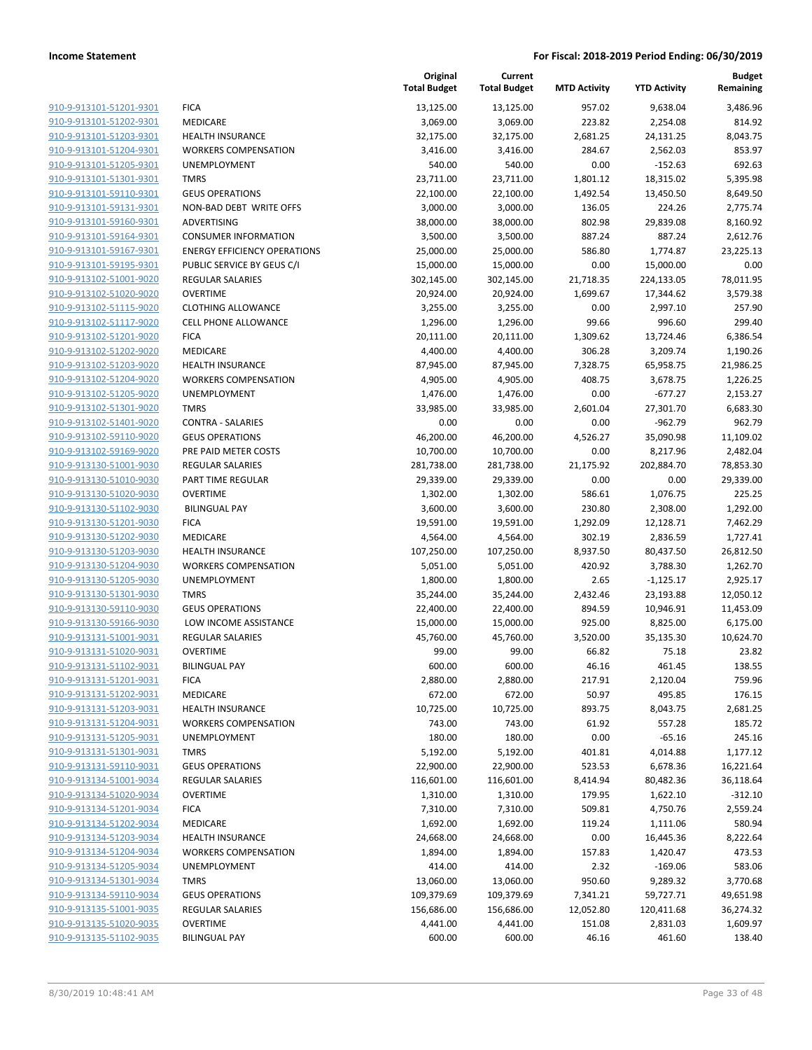|                         |                                     | Original<br><b>Total Budget</b> | Current<br><b>Total Budget</b> | <b>MTD Activity</b> | <b>YTD Activity</b> | <b>Budget</b><br>Remaining |
|-------------------------|-------------------------------------|---------------------------------|--------------------------------|---------------------|---------------------|----------------------------|
| 910-9-913101-51201-9301 | <b>FICA</b>                         | 13,125.00                       | 13,125.00                      | 957.02              | 9,638.04            | 3,486.96                   |
| 910-9-913101-51202-9301 | MEDICARE                            | 3,069.00                        | 3,069.00                       | 223.82              | 2,254.08            | 814.92                     |
| 910-9-913101-51203-9301 | <b>HEALTH INSURANCE</b>             | 32,175.00                       | 32,175.00                      | 2,681.25            | 24,131.25           | 8,043.75                   |
| 910-9-913101-51204-9301 | <b>WORKERS COMPENSATION</b>         | 3,416.00                        | 3,416.00                       | 284.67              | 2,562.03            | 853.97                     |
| 910-9-913101-51205-9301 | <b>UNEMPLOYMENT</b>                 | 540.00                          | 540.00                         | 0.00                | $-152.63$           | 692.63                     |
| 910-9-913101-51301-9301 | <b>TMRS</b>                         | 23,711.00                       | 23,711.00                      | 1,801.12            | 18,315.02           | 5,395.98                   |
| 910-9-913101-59110-9301 | <b>GEUS OPERATIONS</b>              | 22,100.00                       | 22,100.00                      | 1,492.54            | 13,450.50           | 8,649.50                   |
| 910-9-913101-59131-9301 | NON-BAD DEBT WRITE OFFS             | 3,000.00                        | 3,000.00                       | 136.05              | 224.26              | 2,775.74                   |
| 910-9-913101-59160-9301 | ADVERTISING                         | 38,000.00                       | 38,000.00                      | 802.98              | 29,839.08           | 8,160.92                   |
| 910-9-913101-59164-9301 | <b>CONSUMER INFORMATION</b>         | 3,500.00                        | 3,500.00                       | 887.24              | 887.24              | 2,612.76                   |
| 910-9-913101-59167-9301 | <b>ENERGY EFFICIENCY OPERATIONS</b> | 25,000.00                       | 25,000.00                      | 586.80              | 1,774.87            | 23,225.13                  |
| 910-9-913101-59195-9301 | PUBLIC SERVICE BY GEUS C/I          | 15,000.00                       | 15,000.00                      | 0.00                | 15,000.00           | 0.00                       |
| 910-9-913102-51001-9020 | <b>REGULAR SALARIES</b>             | 302,145.00                      | 302,145.00                     | 21,718.35           | 224,133.05          | 78,011.95                  |
| 910-9-913102-51020-9020 | <b>OVERTIME</b>                     | 20,924.00                       | 20,924.00                      | 1,699.67            | 17,344.62           | 3,579.38                   |
| 910-9-913102-51115-9020 | <b>CLOTHING ALLOWANCE</b>           | 3,255.00                        | 3,255.00                       | 0.00                | 2,997.10            | 257.90                     |
| 910-9-913102-51117-9020 | <b>CELL PHONE ALLOWANCE</b>         | 1,296.00                        | 1,296.00                       | 99.66               | 996.60              | 299.40                     |
| 910-9-913102-51201-9020 | <b>FICA</b>                         | 20,111.00                       | 20,111.00                      | 1,309.62            | 13,724.46           | 6,386.54                   |
| 910-9-913102-51202-9020 | MEDICARE                            | 4,400.00                        | 4,400.00                       | 306.28              | 3,209.74            | 1,190.26                   |
| 910-9-913102-51203-9020 | <b>HEALTH INSURANCE</b>             | 87,945.00                       | 87,945.00                      | 7,328.75            | 65,958.75           | 21,986.25                  |
| 910-9-913102-51204-9020 | <b>WORKERS COMPENSATION</b>         | 4,905.00                        | 4,905.00                       | 408.75              | 3,678.75            | 1,226.25                   |
| 910-9-913102-51205-9020 | UNEMPLOYMENT                        | 1,476.00                        | 1,476.00                       | 0.00                | $-677.27$           | 2,153.27                   |
| 910-9-913102-51301-9020 | <b>TMRS</b>                         | 33,985.00                       | 33,985.00                      | 2,601.04            | 27,301.70           | 6,683.30                   |
| 910-9-913102-51401-9020 | <b>CONTRA - SALARIES</b>            | 0.00                            | 0.00                           | 0.00                | $-962.79$           | 962.79                     |
| 910-9-913102-59110-9020 | <b>GEUS OPERATIONS</b>              | 46,200.00                       | 46,200.00                      | 4,526.27            | 35,090.98           | 11,109.02                  |
| 910-9-913102-59169-9020 | PRE PAID METER COSTS                | 10,700.00                       | 10,700.00                      | 0.00                | 8,217.96            | 2,482.04                   |
| 910-9-913130-51001-9030 | REGULAR SALARIES                    | 281,738.00                      | 281,738.00                     | 21,175.92           | 202,884.70          | 78,853.30                  |
| 910-9-913130-51010-9030 | PART TIME REGULAR                   | 29,339.00                       | 29,339.00                      | 0.00                | 0.00                | 29,339.00                  |
| 910-9-913130-51020-9030 | <b>OVERTIME</b>                     | 1,302.00                        | 1,302.00                       | 586.61              | 1,076.75            | 225.25                     |
| 910-9-913130-51102-9030 | <b>BILINGUAL PAY</b>                | 3,600.00                        | 3,600.00                       | 230.80              | 2,308.00            | 1,292.00                   |
| 910-9-913130-51201-9030 | <b>FICA</b>                         | 19,591.00                       | 19,591.00                      | 1,292.09            | 12,128.71           | 7,462.29                   |
| 910-9-913130-51202-9030 | MEDICARE                            | 4,564.00                        | 4,564.00                       | 302.19              | 2,836.59            | 1,727.41                   |
| 910-9-913130-51203-9030 | <b>HEALTH INSURANCE</b>             | 107,250.00                      | 107,250.00                     | 8,937.50            | 80,437.50           | 26,812.50                  |
| 910-9-913130-51204-9030 | <b>WORKERS COMPENSATION</b>         | 5,051.00                        | 5,051.00                       | 420.92              | 3,788.30            | 1,262.70                   |
| 910-9-913130-51205-9030 | UNEMPLOYMENT                        | 1,800.00                        | 1,800.00                       | 2.65                | $-1,125.17$         | 2,925.17                   |
| 910-9-913130-51301-9030 | <b>TMRS</b>                         | 35,244.00                       | 35,244.00                      | 2,432.46            | 23,193.88           | 12,050.12                  |
| 910-9-913130-59110-9030 | <b>GEUS OPERATIONS</b>              | 22,400.00                       | 22,400.00                      | 894.59              | 10,946.91           | 11,453.09                  |
| 910-9-913130-59166-9030 | LOW INCOME ASSISTANCE               | 15,000.00                       | 15,000.00                      | 925.00              | 8,825.00            | 6,175.00                   |
| 910-9-913131-51001-9031 | <b>REGULAR SALARIES</b>             | 45,760.00                       | 45,760.00                      | 3,520.00            | 35,135.30           | 10,624.70                  |
| 910-9-913131-51020-9031 | <b>OVERTIME</b>                     | 99.00                           | 99.00                          | 66.82               | 75.18               | 23.82                      |
| 910-9-913131-51102-9031 | <b>BILINGUAL PAY</b>                | 600.00                          | 600.00                         | 46.16               | 461.45              | 138.55                     |
| 910-9-913131-51201-9031 | <b>FICA</b>                         | 2,880.00                        | 2,880.00                       | 217.91              | 2,120.04            | 759.96                     |
| 910-9-913131-51202-9031 | MEDICARE                            | 672.00                          | 672.00                         | 50.97               | 495.85              | 176.15                     |
| 910-9-913131-51203-9031 | <b>HEALTH INSURANCE</b>             | 10,725.00                       | 10,725.00                      | 893.75              | 8,043.75            | 2,681.25                   |
| 910-9-913131-51204-9031 | <b>WORKERS COMPENSATION</b>         | 743.00                          | 743.00                         | 61.92               | 557.28              | 185.72                     |
| 910-9-913131-51205-9031 | UNEMPLOYMENT                        | 180.00                          | 180.00                         | 0.00                | $-65.16$            | 245.16                     |
| 910-9-913131-51301-9031 | <b>TMRS</b>                         | 5,192.00                        | 5,192.00                       | 401.81              | 4,014.88            | 1,177.12                   |
| 910-9-913131-59110-9031 | <b>GEUS OPERATIONS</b>              | 22,900.00                       | 22,900.00                      | 523.53              | 6,678.36            | 16,221.64                  |
| 910-9-913134-51001-9034 | <b>REGULAR SALARIES</b>             | 116,601.00                      | 116,601.00                     | 8,414.94            | 80,482.36           | 36,118.64                  |
| 910-9-913134-51020-9034 | <b>OVERTIME</b>                     | 1,310.00                        | 1,310.00                       | 179.95              | 1,622.10            | $-312.10$                  |
| 910-9-913134-51201-9034 | <b>FICA</b>                         | 7,310.00                        | 7,310.00                       | 509.81              | 4,750.76            | 2,559.24                   |
| 910-9-913134-51202-9034 | <b>MEDICARE</b>                     | 1,692.00                        | 1,692.00                       | 119.24              | 1,111.06            | 580.94                     |
| 910-9-913134-51203-9034 | <b>HEALTH INSURANCE</b>             | 24,668.00                       | 24,668.00                      | 0.00                | 16,445.36           | 8,222.64                   |
| 910-9-913134-51204-9034 | <b>WORKERS COMPENSATION</b>         | 1,894.00                        | 1,894.00                       | 157.83              | 1,420.47            | 473.53                     |
| 910-9-913134-51205-9034 | UNEMPLOYMENT                        | 414.00                          | 414.00                         | 2.32                | $-169.06$           | 583.06                     |
| 910-9-913134-51301-9034 | <b>TMRS</b>                         | 13,060.00                       | 13,060.00                      | 950.60              | 9,289.32            | 3,770.68                   |
| 910-9-913134-59110-9034 | <b>GEUS OPERATIONS</b>              | 109,379.69                      | 109,379.69                     | 7,341.21            | 59,727.71           | 49,651.98                  |
| 910-9-913135-51001-9035 | REGULAR SALARIES                    | 156,686.00                      | 156,686.00                     | 12,052.80           | 120,411.68          | 36,274.32                  |
| 910-9-913135-51020-9035 | <b>OVERTIME</b>                     | 4,441.00                        | 4,441.00                       | 151.08              | 2,831.03            | 1,609.97                   |
| 910-9-913135-51102-9035 | <b>BILINGUAL PAY</b>                | 600.00                          | 600.00                         | 46.16               | 461.60              | 138.40                     |
|                         |                                     |                                 |                                |                     |                     |                            |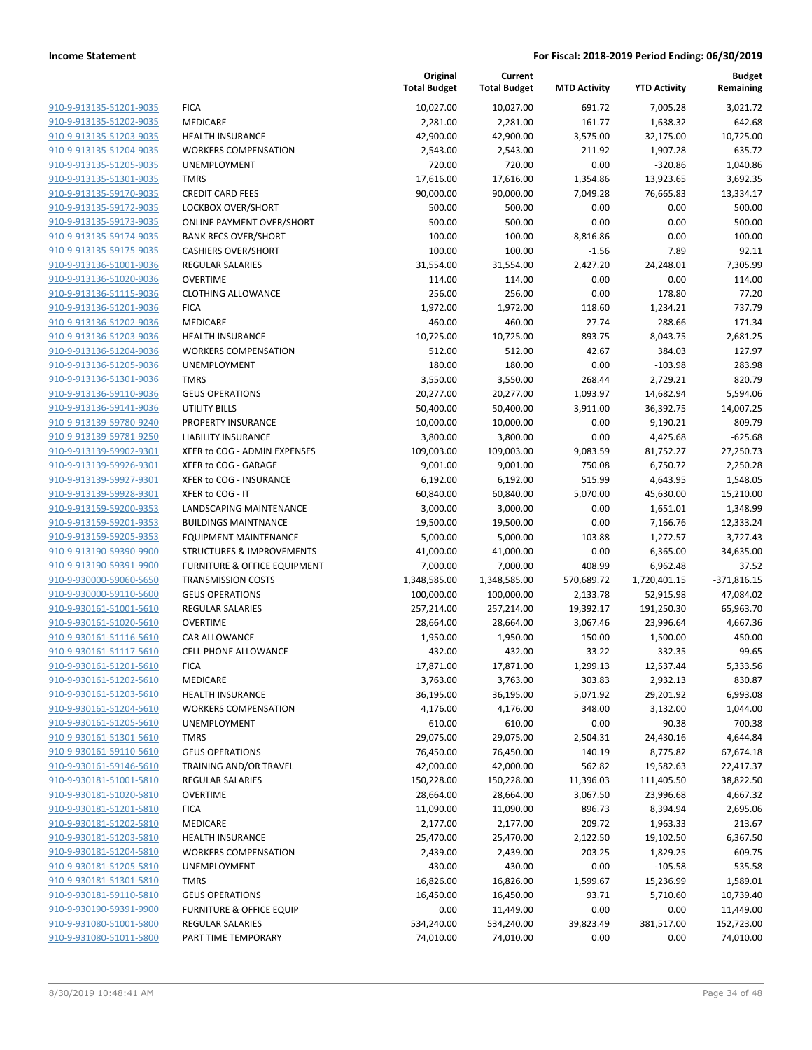|                         |                                      | Original<br><b>Total Budget</b> | Current<br><b>Total Budget</b> | <b>MTD Activity</b> | <b>YTD Activity</b> | <b>Budget</b><br>Remaining |
|-------------------------|--------------------------------------|---------------------------------|--------------------------------|---------------------|---------------------|----------------------------|
| 910-9-913135-51201-9035 | <b>FICA</b>                          | 10,027.00                       | 10,027.00                      | 691.72              | 7,005.28            | 3,021.72                   |
| 910-9-913135-51202-9035 | MEDICARE                             | 2,281.00                        | 2,281.00                       | 161.77              | 1,638.32            | 642.68                     |
| 910-9-913135-51203-9035 | <b>HEALTH INSURANCE</b>              | 42,900.00                       | 42,900.00                      | 3,575.00            | 32,175.00           | 10,725.00                  |
| 910-9-913135-51204-9035 | <b>WORKERS COMPENSATION</b>          | 2,543.00                        | 2,543.00                       | 211.92              | 1,907.28            | 635.72                     |
| 910-9-913135-51205-9035 | UNEMPLOYMENT                         | 720.00                          | 720.00                         | 0.00                | $-320.86$           | 1,040.86                   |
| 910-9-913135-51301-9035 | <b>TMRS</b>                          | 17,616.00                       | 17,616.00                      | 1,354.86            | 13,923.65           | 3,692.35                   |
| 910-9-913135-59170-9035 | <b>CREDIT CARD FEES</b>              | 90,000.00                       | 90,000.00                      | 7,049.28            | 76,665.83           | 13,334.17                  |
| 910-9-913135-59172-9035 | LOCKBOX OVER/SHORT                   | 500.00                          | 500.00                         | 0.00                | 0.00                | 500.00                     |
| 910-9-913135-59173-9035 | <b>ONLINE PAYMENT OVER/SHORT</b>     | 500.00                          | 500.00                         | 0.00                | 0.00                | 500.00                     |
| 910-9-913135-59174-9035 | <b>BANK RECS OVER/SHORT</b>          | 100.00                          | 100.00                         | $-8,816.86$         | 0.00                | 100.00                     |
| 910-9-913135-59175-9035 | <b>CASHIERS OVER/SHORT</b>           | 100.00                          | 100.00                         | $-1.56$             | 7.89                | 92.11                      |
| 910-9-913136-51001-9036 | <b>REGULAR SALARIES</b>              | 31,554.00                       | 31,554.00                      | 2,427.20            | 24,248.01           | 7,305.99                   |
| 910-9-913136-51020-9036 | <b>OVERTIME</b>                      | 114.00                          | 114.00                         | 0.00                | 0.00                | 114.00                     |
| 910-9-913136-51115-9036 | <b>CLOTHING ALLOWANCE</b>            | 256.00                          | 256.00                         | 0.00                | 178.80              | 77.20                      |
| 910-9-913136-51201-9036 | <b>FICA</b>                          | 1,972.00                        | 1,972.00                       | 118.60              | 1,234.21            | 737.79                     |
| 910-9-913136-51202-9036 | MEDICARE                             | 460.00                          | 460.00                         | 27.74               | 288.66              | 171.34                     |
| 910-9-913136-51203-9036 | <b>HEALTH INSURANCE</b>              | 10,725.00                       | 10,725.00                      | 893.75              | 8,043.75            | 2,681.25                   |
| 910-9-913136-51204-9036 | <b>WORKERS COMPENSATION</b>          | 512.00                          | 512.00                         | 42.67               | 384.03              | 127.97                     |
| 910-9-913136-51205-9036 | <b>UNEMPLOYMENT</b>                  | 180.00                          | 180.00                         | 0.00                | $-103.98$           | 283.98                     |
| 910-9-913136-51301-9036 | <b>TMRS</b>                          | 3,550.00                        | 3,550.00                       | 268.44              | 2,729.21            | 820.79                     |
| 910-9-913136-59110-9036 | <b>GEUS OPERATIONS</b>               | 20,277.00                       | 20,277.00                      | 1,093.97            | 14,682.94           | 5,594.06                   |
| 910-9-913136-59141-9036 | <b>UTILITY BILLS</b>                 | 50,400.00                       | 50,400.00                      | 3,911.00            | 36,392.75           | 14,007.25                  |
| 910-9-913139-59780-9240 | PROPERTY INSURANCE                   | 10,000.00                       | 10,000.00                      | 0.00                | 9,190.21            | 809.79                     |
| 910-9-913139-59781-9250 | <b>LIABILITY INSURANCE</b>           | 3,800.00                        | 3,800.00                       | 0.00                | 4,425.68            | $-625.68$                  |
| 910-9-913139-59902-9301 | XFER to COG - ADMIN EXPENSES         | 109,003.00                      | 109,003.00                     | 9,083.59            | 81,752.27           | 27,250.73                  |
| 910-9-913139-59926-9301 | XFER to COG - GARAGE                 | 9,001.00                        | 9,001.00                       | 750.08              | 6,750.72            | 2,250.28                   |
| 910-9-913139-59927-9301 | XFER to COG - INSURANCE              | 6,192.00                        | 6,192.00                       | 515.99              | 4,643.95            | 1,548.05                   |
| 910-9-913139-59928-9301 | XFER to COG - IT                     | 60,840.00                       | 60,840.00                      | 5,070.00            | 45,630.00           | 15,210.00                  |
| 910-9-913159-59200-9353 | LANDSCAPING MAINTENANCE              | 3,000.00                        | 3,000.00                       | 0.00                | 1,651.01            | 1,348.99                   |
| 910-9-913159-59201-9353 | <b>BUILDINGS MAINTNANCE</b>          | 19,500.00                       | 19,500.00                      | 0.00                | 7,166.76            | 12,333.24                  |
| 910-9-913159-59205-9353 | <b>EQUIPMENT MAINTENANCE</b>         | 5,000.00                        | 5,000.00                       | 103.88              | 1,272.57            | 3,727.43                   |
| 910-9-913190-59390-9900 | <b>STRUCTURES &amp; IMPROVEMENTS</b> | 41,000.00                       | 41,000.00                      | 0.00                | 6,365.00            | 34,635.00                  |
| 910-9-913190-59391-9900 | FURNITURE & OFFICE EQUIPMENT         | 7,000.00                        | 7,000.00                       | 408.99              | 6,962.48            | 37.52                      |
| 910-9-930000-59060-5650 | <b>TRANSMISSION COSTS</b>            | 1,348,585.00                    | 1,348,585.00                   | 570,689.72          | 1,720,401.15        | $-371,816.15$              |
| 910-9-930000-59110-5600 | <b>GEUS OPERATIONS</b>               | 100,000.00                      | 100,000.00                     | 2,133.78            | 52,915.98           | 47,084.02                  |
| 910-9-930161-51001-5610 | REGULAR SALARIES                     | 257,214.00                      | 257,214.00                     | 19,392.17           | 191,250.30          | 65,963.70                  |
| 910-9-930161-51020-5610 | <b>OVERTIME</b>                      | 28,664.00                       | 28,664.00                      | 3,067.46            | 23,996.64           | 4,667.36                   |
| 910-9-930161-51116-5610 | <b>CAR ALLOWANCE</b>                 | 1,950.00                        | 1,950.00                       | 150.00              | 1,500.00            | 450.00                     |
| 910-9-930161-51117-5610 | <b>CELL PHONE ALLOWANCE</b>          | 432.00                          | 432.00                         | 33.22               | 332.35              | 99.65                      |
| 910-9-930161-51201-5610 | <b>FICA</b>                          | 17,871.00                       | 17,871.00                      | 1,299.13            | 12,537.44           | 5,333.56                   |
| 910-9-930161-51202-5610 | MEDICARE                             | 3,763.00                        | 3,763.00                       | 303.83              | 2,932.13            | 830.87                     |
| 910-9-930161-51203-5610 | <b>HEALTH INSURANCE</b>              | 36,195.00                       | 36,195.00                      | 5,071.92            | 29,201.92           | 6,993.08                   |
| 910-9-930161-51204-5610 | <b>WORKERS COMPENSATION</b>          | 4,176.00                        | 4,176.00                       | 348.00              | 3,132.00            | 1,044.00                   |
| 910-9-930161-51205-5610 | UNEMPLOYMENT                         | 610.00                          | 610.00                         | 0.00                | $-90.38$            | 700.38                     |
| 910-9-930161-51301-5610 | <b>TMRS</b>                          | 29,075.00                       | 29,075.00                      | 2,504.31            | 24,430.16           | 4,644.84                   |
| 910-9-930161-59110-5610 | <b>GEUS OPERATIONS</b>               | 76,450.00                       | 76,450.00                      | 140.19              | 8,775.82            | 67,674.18                  |
| 910-9-930161-59146-5610 | TRAINING AND/OR TRAVEL               | 42,000.00                       | 42,000.00                      | 562.82              | 19,582.63           | 22,417.37                  |
| 910-9-930181-51001-5810 | <b>REGULAR SALARIES</b>              | 150,228.00                      | 150,228.00                     | 11,396.03           | 111,405.50          | 38,822.50                  |
| 910-9-930181-51020-5810 | <b>OVERTIME</b>                      | 28,664.00                       | 28,664.00                      | 3,067.50            | 23,996.68           | 4,667.32                   |
| 910-9-930181-51201-5810 | <b>FICA</b>                          | 11,090.00                       | 11,090.00                      | 896.73              | 8,394.94            | 2,695.06                   |
| 910-9-930181-51202-5810 | <b>MEDICARE</b>                      | 2,177.00                        | 2,177.00                       | 209.72              | 1,963.33            | 213.67                     |
| 910-9-930181-51203-5810 | <b>HEALTH INSURANCE</b>              | 25,470.00                       | 25,470.00                      | 2,122.50            | 19,102.50           | 6,367.50                   |
| 910-9-930181-51204-5810 | <b>WORKERS COMPENSATION</b>          | 2,439.00                        | 2,439.00                       | 203.25              | 1,829.25            | 609.75                     |
| 910-9-930181-51205-5810 | UNEMPLOYMENT                         | 430.00                          | 430.00                         | 0.00                | $-105.58$           | 535.58                     |
| 910-9-930181-51301-5810 | <b>TMRS</b>                          | 16,826.00                       | 16,826.00                      | 1,599.67            | 15,236.99           | 1,589.01                   |
| 910-9-930181-59110-5810 | <b>GEUS OPERATIONS</b>               | 16,450.00                       | 16,450.00                      | 93.71               | 5,710.60            | 10,739.40                  |
| 910-9-930190-59391-9900 | <b>FURNITURE &amp; OFFICE EQUIP</b>  | 0.00                            | 11,449.00                      | 0.00                | 0.00                | 11,449.00                  |
| 910-9-931080-51001-5800 | REGULAR SALARIES                     | 534,240.00                      | 534,240.00                     | 39,823.49           | 381,517.00          | 152,723.00                 |
| 910-9-931080-51011-5800 | PART TIME TEMPORARY                  | 74,010.00                       | 74,010.00                      | 0.00                | 0.00                | 74,010.00                  |
|                         |                                      |                                 |                                |                     |                     |                            |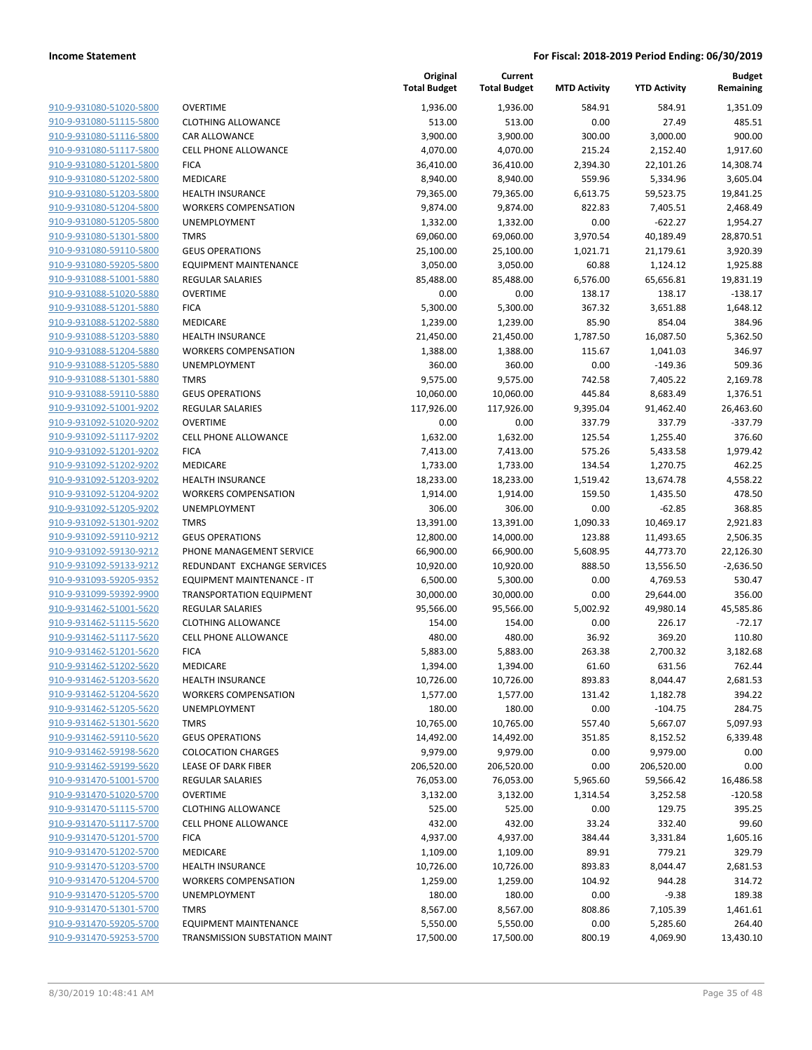| 910-9-931080-51020-5800<br>910-9-931080-51115-5800<br>910-9-931080-51116-5800<br>910-9-931080-51117-5800<br>910-9-931080-51201-5800<br>910-9-931080-51202-5800<br>910-9-931080-51203-5800<br>910-9-931080-51204-5800<br>910-9-931080-51205-5800<br><u>910-9-931080-51301-5800</u><br>910-9-931080-59110-5800<br>910-9-931080-59205-5800<br>910-9-931088-51001-5880<br>910-9-931088-51020-5880<br><u>910-9-931088-51201-5880</u><br>910-9-931088-51202-5880<br>910-9-931088-51203-5880<br>910-9-931088-51204-5880<br>910-9-931088-51205-5880<br><u>910-9-931088-51301-5880</u><br>910-9-931088-59110-5880<br>910-9-931092-51001-9202<br>910-9-931092-51020-9202<br>910-9-931092-51117-9202<br><u>910-9-931092-51201-9202</u><br>910-9-931092-51202-9202<br>910-9-931092-51203-9202<br>910-9-931092-51204-9202<br>910-9-931092-51205-9202<br><u>910-9-931092-51301-9202</u><br>910-9-931092-59110-9212<br>910-9-931092-59130-9212<br>910-9-931092-59133-9212<br>910-9-931093-59205-9352<br><u>910-9-931099-59392-9900</u><br>910-9-931462-51001-5620<br>910-9-931462-51115-5620<br>910-9-931462-51117-5620<br>910-9-931462-51201-5620<br><u>910-9-931462-51202-5620</u><br>910-9-931462-51203-5620<br>910-9-931462-51204-5620<br>910-9-931462-51205-5620<br>910-9-931462-51301-5620<br>910-9-931462-59110-5620<br>910-9-931462-59198-5620<br>910-9-931462-59199-5620<br>910-9-931470-51001-5700<br>910-9-931470-51020-5700<br>910-9-931470-51115-5700<br>910-9-931470-51117-5700<br>910-9-931470-51201-5700<br>910-9-931470-51202-5700<br>910-9-931470-51203-5700<br><u>910-9-931470-51204-5700</u><br>910-9-931470-51205-5700<br>910-9-931470-51301-5700 |                         |  |
|---------------------------------------------------------------------------------------------------------------------------------------------------------------------------------------------------------------------------------------------------------------------------------------------------------------------------------------------------------------------------------------------------------------------------------------------------------------------------------------------------------------------------------------------------------------------------------------------------------------------------------------------------------------------------------------------------------------------------------------------------------------------------------------------------------------------------------------------------------------------------------------------------------------------------------------------------------------------------------------------------------------------------------------------------------------------------------------------------------------------------------------------------------------------------------------------------------------------------------------------------------------------------------------------------------------------------------------------------------------------------------------------------------------------------------------------------------------------------------------------------------------------------------------------------------------------------------------------------------------------------------------------------------|-------------------------|--|
|                                                                                                                                                                                                                                                                                                                                                                                                                                                                                                                                                                                                                                                                                                                                                                                                                                                                                                                                                                                                                                                                                                                                                                                                                                                                                                                                                                                                                                                                                                                                                                                                                                                         |                         |  |
|                                                                                                                                                                                                                                                                                                                                                                                                                                                                                                                                                                                                                                                                                                                                                                                                                                                                                                                                                                                                                                                                                                                                                                                                                                                                                                                                                                                                                                                                                                                                                                                                                                                         |                         |  |
|                                                                                                                                                                                                                                                                                                                                                                                                                                                                                                                                                                                                                                                                                                                                                                                                                                                                                                                                                                                                                                                                                                                                                                                                                                                                                                                                                                                                                                                                                                                                                                                                                                                         |                         |  |
|                                                                                                                                                                                                                                                                                                                                                                                                                                                                                                                                                                                                                                                                                                                                                                                                                                                                                                                                                                                                                                                                                                                                                                                                                                                                                                                                                                                                                                                                                                                                                                                                                                                         |                         |  |
|                                                                                                                                                                                                                                                                                                                                                                                                                                                                                                                                                                                                                                                                                                                                                                                                                                                                                                                                                                                                                                                                                                                                                                                                                                                                                                                                                                                                                                                                                                                                                                                                                                                         |                         |  |
|                                                                                                                                                                                                                                                                                                                                                                                                                                                                                                                                                                                                                                                                                                                                                                                                                                                                                                                                                                                                                                                                                                                                                                                                                                                                                                                                                                                                                                                                                                                                                                                                                                                         |                         |  |
|                                                                                                                                                                                                                                                                                                                                                                                                                                                                                                                                                                                                                                                                                                                                                                                                                                                                                                                                                                                                                                                                                                                                                                                                                                                                                                                                                                                                                                                                                                                                                                                                                                                         |                         |  |
|                                                                                                                                                                                                                                                                                                                                                                                                                                                                                                                                                                                                                                                                                                                                                                                                                                                                                                                                                                                                                                                                                                                                                                                                                                                                                                                                                                                                                                                                                                                                                                                                                                                         |                         |  |
|                                                                                                                                                                                                                                                                                                                                                                                                                                                                                                                                                                                                                                                                                                                                                                                                                                                                                                                                                                                                                                                                                                                                                                                                                                                                                                                                                                                                                                                                                                                                                                                                                                                         |                         |  |
|                                                                                                                                                                                                                                                                                                                                                                                                                                                                                                                                                                                                                                                                                                                                                                                                                                                                                                                                                                                                                                                                                                                                                                                                                                                                                                                                                                                                                                                                                                                                                                                                                                                         |                         |  |
|                                                                                                                                                                                                                                                                                                                                                                                                                                                                                                                                                                                                                                                                                                                                                                                                                                                                                                                                                                                                                                                                                                                                                                                                                                                                                                                                                                                                                                                                                                                                                                                                                                                         |                         |  |
|                                                                                                                                                                                                                                                                                                                                                                                                                                                                                                                                                                                                                                                                                                                                                                                                                                                                                                                                                                                                                                                                                                                                                                                                                                                                                                                                                                                                                                                                                                                                                                                                                                                         |                         |  |
|                                                                                                                                                                                                                                                                                                                                                                                                                                                                                                                                                                                                                                                                                                                                                                                                                                                                                                                                                                                                                                                                                                                                                                                                                                                                                                                                                                                                                                                                                                                                                                                                                                                         |                         |  |
|                                                                                                                                                                                                                                                                                                                                                                                                                                                                                                                                                                                                                                                                                                                                                                                                                                                                                                                                                                                                                                                                                                                                                                                                                                                                                                                                                                                                                                                                                                                                                                                                                                                         |                         |  |
|                                                                                                                                                                                                                                                                                                                                                                                                                                                                                                                                                                                                                                                                                                                                                                                                                                                                                                                                                                                                                                                                                                                                                                                                                                                                                                                                                                                                                                                                                                                                                                                                                                                         |                         |  |
|                                                                                                                                                                                                                                                                                                                                                                                                                                                                                                                                                                                                                                                                                                                                                                                                                                                                                                                                                                                                                                                                                                                                                                                                                                                                                                                                                                                                                                                                                                                                                                                                                                                         |                         |  |
|                                                                                                                                                                                                                                                                                                                                                                                                                                                                                                                                                                                                                                                                                                                                                                                                                                                                                                                                                                                                                                                                                                                                                                                                                                                                                                                                                                                                                                                                                                                                                                                                                                                         |                         |  |
|                                                                                                                                                                                                                                                                                                                                                                                                                                                                                                                                                                                                                                                                                                                                                                                                                                                                                                                                                                                                                                                                                                                                                                                                                                                                                                                                                                                                                                                                                                                                                                                                                                                         |                         |  |
|                                                                                                                                                                                                                                                                                                                                                                                                                                                                                                                                                                                                                                                                                                                                                                                                                                                                                                                                                                                                                                                                                                                                                                                                                                                                                                                                                                                                                                                                                                                                                                                                                                                         |                         |  |
|                                                                                                                                                                                                                                                                                                                                                                                                                                                                                                                                                                                                                                                                                                                                                                                                                                                                                                                                                                                                                                                                                                                                                                                                                                                                                                                                                                                                                                                                                                                                                                                                                                                         |                         |  |
|                                                                                                                                                                                                                                                                                                                                                                                                                                                                                                                                                                                                                                                                                                                                                                                                                                                                                                                                                                                                                                                                                                                                                                                                                                                                                                                                                                                                                                                                                                                                                                                                                                                         |                         |  |
|                                                                                                                                                                                                                                                                                                                                                                                                                                                                                                                                                                                                                                                                                                                                                                                                                                                                                                                                                                                                                                                                                                                                                                                                                                                                                                                                                                                                                                                                                                                                                                                                                                                         |                         |  |
|                                                                                                                                                                                                                                                                                                                                                                                                                                                                                                                                                                                                                                                                                                                                                                                                                                                                                                                                                                                                                                                                                                                                                                                                                                                                                                                                                                                                                                                                                                                                                                                                                                                         |                         |  |
|                                                                                                                                                                                                                                                                                                                                                                                                                                                                                                                                                                                                                                                                                                                                                                                                                                                                                                                                                                                                                                                                                                                                                                                                                                                                                                                                                                                                                                                                                                                                                                                                                                                         |                         |  |
|                                                                                                                                                                                                                                                                                                                                                                                                                                                                                                                                                                                                                                                                                                                                                                                                                                                                                                                                                                                                                                                                                                                                                                                                                                                                                                                                                                                                                                                                                                                                                                                                                                                         |                         |  |
|                                                                                                                                                                                                                                                                                                                                                                                                                                                                                                                                                                                                                                                                                                                                                                                                                                                                                                                                                                                                                                                                                                                                                                                                                                                                                                                                                                                                                                                                                                                                                                                                                                                         |                         |  |
|                                                                                                                                                                                                                                                                                                                                                                                                                                                                                                                                                                                                                                                                                                                                                                                                                                                                                                                                                                                                                                                                                                                                                                                                                                                                                                                                                                                                                                                                                                                                                                                                                                                         |                         |  |
|                                                                                                                                                                                                                                                                                                                                                                                                                                                                                                                                                                                                                                                                                                                                                                                                                                                                                                                                                                                                                                                                                                                                                                                                                                                                                                                                                                                                                                                                                                                                                                                                                                                         |                         |  |
|                                                                                                                                                                                                                                                                                                                                                                                                                                                                                                                                                                                                                                                                                                                                                                                                                                                                                                                                                                                                                                                                                                                                                                                                                                                                                                                                                                                                                                                                                                                                                                                                                                                         |                         |  |
|                                                                                                                                                                                                                                                                                                                                                                                                                                                                                                                                                                                                                                                                                                                                                                                                                                                                                                                                                                                                                                                                                                                                                                                                                                                                                                                                                                                                                                                                                                                                                                                                                                                         |                         |  |
|                                                                                                                                                                                                                                                                                                                                                                                                                                                                                                                                                                                                                                                                                                                                                                                                                                                                                                                                                                                                                                                                                                                                                                                                                                                                                                                                                                                                                                                                                                                                                                                                                                                         |                         |  |
|                                                                                                                                                                                                                                                                                                                                                                                                                                                                                                                                                                                                                                                                                                                                                                                                                                                                                                                                                                                                                                                                                                                                                                                                                                                                                                                                                                                                                                                                                                                                                                                                                                                         |                         |  |
|                                                                                                                                                                                                                                                                                                                                                                                                                                                                                                                                                                                                                                                                                                                                                                                                                                                                                                                                                                                                                                                                                                                                                                                                                                                                                                                                                                                                                                                                                                                                                                                                                                                         |                         |  |
|                                                                                                                                                                                                                                                                                                                                                                                                                                                                                                                                                                                                                                                                                                                                                                                                                                                                                                                                                                                                                                                                                                                                                                                                                                                                                                                                                                                                                                                                                                                                                                                                                                                         |                         |  |
|                                                                                                                                                                                                                                                                                                                                                                                                                                                                                                                                                                                                                                                                                                                                                                                                                                                                                                                                                                                                                                                                                                                                                                                                                                                                                                                                                                                                                                                                                                                                                                                                                                                         |                         |  |
|                                                                                                                                                                                                                                                                                                                                                                                                                                                                                                                                                                                                                                                                                                                                                                                                                                                                                                                                                                                                                                                                                                                                                                                                                                                                                                                                                                                                                                                                                                                                                                                                                                                         |                         |  |
|                                                                                                                                                                                                                                                                                                                                                                                                                                                                                                                                                                                                                                                                                                                                                                                                                                                                                                                                                                                                                                                                                                                                                                                                                                                                                                                                                                                                                                                                                                                                                                                                                                                         |                         |  |
|                                                                                                                                                                                                                                                                                                                                                                                                                                                                                                                                                                                                                                                                                                                                                                                                                                                                                                                                                                                                                                                                                                                                                                                                                                                                                                                                                                                                                                                                                                                                                                                                                                                         |                         |  |
|                                                                                                                                                                                                                                                                                                                                                                                                                                                                                                                                                                                                                                                                                                                                                                                                                                                                                                                                                                                                                                                                                                                                                                                                                                                                                                                                                                                                                                                                                                                                                                                                                                                         |                         |  |
|                                                                                                                                                                                                                                                                                                                                                                                                                                                                                                                                                                                                                                                                                                                                                                                                                                                                                                                                                                                                                                                                                                                                                                                                                                                                                                                                                                                                                                                                                                                                                                                                                                                         |                         |  |
|                                                                                                                                                                                                                                                                                                                                                                                                                                                                                                                                                                                                                                                                                                                                                                                                                                                                                                                                                                                                                                                                                                                                                                                                                                                                                                                                                                                                                                                                                                                                                                                                                                                         |                         |  |
|                                                                                                                                                                                                                                                                                                                                                                                                                                                                                                                                                                                                                                                                                                                                                                                                                                                                                                                                                                                                                                                                                                                                                                                                                                                                                                                                                                                                                                                                                                                                                                                                                                                         |                         |  |
|                                                                                                                                                                                                                                                                                                                                                                                                                                                                                                                                                                                                                                                                                                                                                                                                                                                                                                                                                                                                                                                                                                                                                                                                                                                                                                                                                                                                                                                                                                                                                                                                                                                         |                         |  |
|                                                                                                                                                                                                                                                                                                                                                                                                                                                                                                                                                                                                                                                                                                                                                                                                                                                                                                                                                                                                                                                                                                                                                                                                                                                                                                                                                                                                                                                                                                                                                                                                                                                         |                         |  |
|                                                                                                                                                                                                                                                                                                                                                                                                                                                                                                                                                                                                                                                                                                                                                                                                                                                                                                                                                                                                                                                                                                                                                                                                                                                                                                                                                                                                                                                                                                                                                                                                                                                         |                         |  |
|                                                                                                                                                                                                                                                                                                                                                                                                                                                                                                                                                                                                                                                                                                                                                                                                                                                                                                                                                                                                                                                                                                                                                                                                                                                                                                                                                                                                                                                                                                                                                                                                                                                         |                         |  |
|                                                                                                                                                                                                                                                                                                                                                                                                                                                                                                                                                                                                                                                                                                                                                                                                                                                                                                                                                                                                                                                                                                                                                                                                                                                                                                                                                                                                                                                                                                                                                                                                                                                         |                         |  |
|                                                                                                                                                                                                                                                                                                                                                                                                                                                                                                                                                                                                                                                                                                                                                                                                                                                                                                                                                                                                                                                                                                                                                                                                                                                                                                                                                                                                                                                                                                                                                                                                                                                         |                         |  |
|                                                                                                                                                                                                                                                                                                                                                                                                                                                                                                                                                                                                                                                                                                                                                                                                                                                                                                                                                                                                                                                                                                                                                                                                                                                                                                                                                                                                                                                                                                                                                                                                                                                         |                         |  |
|                                                                                                                                                                                                                                                                                                                                                                                                                                                                                                                                                                                                                                                                                                                                                                                                                                                                                                                                                                                                                                                                                                                                                                                                                                                                                                                                                                                                                                                                                                                                                                                                                                                         |                         |  |
|                                                                                                                                                                                                                                                                                                                                                                                                                                                                                                                                                                                                                                                                                                                                                                                                                                                                                                                                                                                                                                                                                                                                                                                                                                                                                                                                                                                                                                                                                                                                                                                                                                                         |                         |  |
|                                                                                                                                                                                                                                                                                                                                                                                                                                                                                                                                                                                                                                                                                                                                                                                                                                                                                                                                                                                                                                                                                                                                                                                                                                                                                                                                                                                                                                                                                                                                                                                                                                                         |                         |  |
|                                                                                                                                                                                                                                                                                                                                                                                                                                                                                                                                                                                                                                                                                                                                                                                                                                                                                                                                                                                                                                                                                                                                                                                                                                                                                                                                                                                                                                                                                                                                                                                                                                                         |                         |  |
|                                                                                                                                                                                                                                                                                                                                                                                                                                                                                                                                                                                                                                                                                                                                                                                                                                                                                                                                                                                                                                                                                                                                                                                                                                                                                                                                                                                                                                                                                                                                                                                                                                                         |                         |  |
|                                                                                                                                                                                                                                                                                                                                                                                                                                                                                                                                                                                                                                                                                                                                                                                                                                                                                                                                                                                                                                                                                                                                                                                                                                                                                                                                                                                                                                                                                                                                                                                                                                                         |                         |  |
|                                                                                                                                                                                                                                                                                                                                                                                                                                                                                                                                                                                                                                                                                                                                                                                                                                                                                                                                                                                                                                                                                                                                                                                                                                                                                                                                                                                                                                                                                                                                                                                                                                                         |                         |  |
| 910-9-931470-59205-5700                                                                                                                                                                                                                                                                                                                                                                                                                                                                                                                                                                                                                                                                                                                                                                                                                                                                                                                                                                                                                                                                                                                                                                                                                                                                                                                                                                                                                                                                                                                                                                                                                                 |                         |  |
|                                                                                                                                                                                                                                                                                                                                                                                                                                                                                                                                                                                                                                                                                                                                                                                                                                                                                                                                                                                                                                                                                                                                                                                                                                                                                                                                                                                                                                                                                                                                                                                                                                                         | 910-9-931470-59253-5700 |  |

| OVERTIME                                  |
|-------------------------------------------|
| CLOTHING ALLOWANCE                        |
| CAR ALLOWANCE                             |
| CELL PHONE ALLOWANCE                      |
| FICA                                      |
| MEDICARE                                  |
| <b>HEALTH INSURANCE</b>                   |
| WORKERS COMPENSATION                      |
| UNEMPLOYMENT<br><b>TMRS</b>               |
| <b>GEUS OPERATIONS</b>                    |
| EQUIPMENT MAINTENANCE                     |
| REGULAR SALARIES                          |
| OVERTIME                                  |
| FICA                                      |
| MEDICARE                                  |
| HEALTH INSURANCE                          |
| WORKERS COMPENSATION                      |
| UNEMPLOYMENT                              |
| <b>TMRS</b>                               |
| <b>GEUS OPERATIONS</b>                    |
| REGULAR SALARIES                          |
| OVERTIME                                  |
| CELL PHONE ALLOWANCE                      |
| <b>FICA</b>                               |
| MEDICARE                                  |
| HEALTH INSURANCE                          |
| WORKERS COMPENSATION<br>UNEMPLOYMENT      |
| <b>TMRS</b>                               |
| <b>GEUS OPERATIONS</b>                    |
| PHONE MANAGEMENT SERVICE                  |
| REDUNDANT EXCHANGE SERVICES               |
| EQUIPMENT MAINTENANCE - IT                |
| TRANSPORTATION EQUIPMENT                  |
| REGULAR SALARIES                          |
| CLOTHING ALLOWANCE                        |
| CELL PHONE ALLOWANCE                      |
| FICA                                      |
| MEDICARE                                  |
| HEALTH INSURANCE                          |
| WORKERS COMPENSATION                      |
| UNEMPLOYMENT                              |
| <b>TMRS</b>                               |
| <b>GEUS OPERATIONS</b>                    |
| COLOCATION CHARGES<br>LEASE OF DARK FIBER |
| REGULAR SALARIES                          |
| OVERTIME                                  |
| CLOTHING ALLOWANCE                        |
| CELL PHONE ALLOWANCE                      |
| FICA                                      |
| MEDICARE                                  |
| HEALTH INSURANCE                          |
| WORKERS COMPENSATION                      |
| UNEMPLOYMENT                              |
| TMRS                                      |
| EQUIPMENT MAINTENANCE                     |
|                                           |

|                                                    |                                            | Original<br><b>Total Budget</b> | Current<br><b>Total Budget</b> | <b>MTD Activity</b> | <b>YTD Activity</b>   | <b>Budget</b><br>Remaining |
|----------------------------------------------------|--------------------------------------------|---------------------------------|--------------------------------|---------------------|-----------------------|----------------------------|
| 910-9-931080-51020-5800                            | <b>OVERTIME</b>                            | 1,936.00                        | 1,936.00                       | 584.91              | 584.91                | 1,351.09                   |
| 910-9-931080-51115-5800                            | <b>CLOTHING ALLOWANCE</b>                  | 513.00                          | 513.00                         | 0.00                | 27.49                 | 485.51                     |
| 910-9-931080-51116-5800                            | <b>CAR ALLOWANCE</b>                       | 3,900.00                        | 3,900.00                       | 300.00              | 3,000.00              | 900.00                     |
| 910-9-931080-51117-5800                            | <b>CELL PHONE ALLOWANCE</b>                | 4,070.00                        | 4,070.00                       | 215.24              | 2,152.40              | 1,917.60                   |
| 910-9-931080-51201-5800                            | <b>FICA</b>                                | 36,410.00                       | 36,410.00                      | 2,394.30            | 22,101.26             | 14,308.74                  |
| 910-9-931080-51202-5800                            | MEDICARE                                   | 8,940.00                        | 8,940.00                       | 559.96              | 5,334.96              | 3,605.04                   |
| 910-9-931080-51203-5800                            | <b>HEALTH INSURANCE</b>                    | 79,365.00                       | 79,365.00                      | 6,613.75            | 59,523.75             | 19,841.25                  |
| 910-9-931080-51204-5800                            | <b>WORKERS COMPENSATION</b>                | 9,874.00                        | 9,874.00                       | 822.83              | 7,405.51              | 2,468.49                   |
| 910-9-931080-51205-5800                            | UNEMPLOYMENT                               | 1,332.00                        | 1,332.00                       | 0.00                | $-622.27$             | 1,954.27                   |
| 910-9-931080-51301-5800                            | <b>TMRS</b>                                | 69,060.00                       | 69,060.00                      | 3,970.54            | 40,189.49             | 28,870.51                  |
| 910-9-931080-59110-5800                            | <b>GEUS OPERATIONS</b>                     | 25,100.00                       | 25,100.00                      | 1,021.71            | 21,179.61             | 3,920.39                   |
| 910-9-931080-59205-5800                            | <b>EQUIPMENT MAINTENANCE</b>               | 3,050.00                        | 3,050.00                       | 60.88               | 1,124.12              | 1,925.88                   |
| 910-9-931088-51001-5880                            | <b>REGULAR SALARIES</b>                    | 85,488.00                       | 85,488.00                      | 6,576.00            | 65,656.81             | 19,831.19                  |
| 910-9-931088-51020-5880                            | <b>OVERTIME</b>                            | 0.00                            | 0.00                           | 138.17              | 138.17                | $-138.17$                  |
| 910-9-931088-51201-5880                            | <b>FICA</b>                                | 5,300.00                        | 5,300.00                       | 367.32              | 3,651.88              | 1,648.12                   |
| 910-9-931088-51202-5880                            | MEDICARE                                   | 1,239.00                        | 1,239.00                       | 85.90               | 854.04                | 384.96                     |
| 910-9-931088-51203-5880                            | <b>HEALTH INSURANCE</b>                    | 21,450.00                       | 21,450.00                      | 1,787.50            | 16,087.50             | 5,362.50                   |
| 910-9-931088-51204-5880                            | <b>WORKERS COMPENSATION</b>                | 1,388.00                        | 1,388.00                       | 115.67              | 1,041.03              | 346.97                     |
| 910-9-931088-51205-5880                            | UNEMPLOYMENT                               | 360.00                          | 360.00                         | 0.00                | $-149.36$             | 509.36                     |
| 910-9-931088-51301-5880                            | <b>TMRS</b>                                | 9,575.00                        | 9,575.00                       | 742.58              | 7,405.22              | 2,169.78                   |
| 910-9-931088-59110-5880                            | <b>GEUS OPERATIONS</b>                     | 10,060.00                       | 10,060.00                      | 445.84              | 8,683.49              | 1,376.51                   |
| 910-9-931092-51001-9202                            | <b>REGULAR SALARIES</b>                    | 117,926.00                      | 117,926.00                     | 9,395.04            | 91,462.40             | 26,463.60                  |
| 910-9-931092-51020-9202                            | <b>OVERTIME</b>                            | 0.00                            | 0.00                           | 337.79              | 337.79                | $-337.79$                  |
| 910-9-931092-51117-9202                            | <b>CELL PHONE ALLOWANCE</b>                | 1,632.00                        | 1,632.00                       | 125.54              | 1,255.40              | 376.60                     |
| 910-9-931092-51201-9202                            | <b>FICA</b>                                | 7,413.00                        | 7,413.00                       | 575.26              | 5,433.58              | 1,979.42                   |
| 910-9-931092-51202-9202                            | MEDICARE                                   | 1,733.00                        | 1,733.00                       | 134.54              | 1,270.75              | 462.25                     |
| 910-9-931092-51203-9202                            | <b>HEALTH INSURANCE</b>                    | 18,233.00                       | 18,233.00                      | 1,519.42            | 13,674.78             | 4,558.22                   |
| 910-9-931092-51204-9202                            | <b>WORKERS COMPENSATION</b>                | 1,914.00                        | 1,914.00                       | 159.50              | 1,435.50              | 478.50                     |
| 910-9-931092-51205-9202                            | UNEMPLOYMENT                               | 306.00                          | 306.00                         | 0.00                | $-62.85$              | 368.85                     |
| 910-9-931092-51301-9202                            | <b>TMRS</b>                                | 13,391.00                       | 13,391.00                      | 1,090.33            | 10,469.17             | 2,921.83                   |
| 910-9-931092-59110-9212                            | <b>GEUS OPERATIONS</b>                     | 12,800.00                       | 14,000.00                      | 123.88              | 11,493.65             | 2,506.35                   |
| 910-9-931092-59130-9212                            | PHONE MANAGEMENT SERVICE                   | 66,900.00                       | 66,900.00                      | 5,608.95            | 44,773.70             | 22,126.30                  |
| 910-9-931092-59133-9212                            | REDUNDANT EXCHANGE SERVICES                | 10,920.00                       | 10,920.00                      | 888.50              | 13,556.50             | $-2,636.50$                |
| 910-9-931093-59205-9352                            | <b>EQUIPMENT MAINTENANCE - IT</b>          | 6,500.00                        | 5,300.00                       | 0.00                | 4,769.53              | 530.47                     |
| 910-9-931099-59392-9900                            | <b>TRANSPORTATION EQUIPMENT</b>            | 30,000.00                       | 30,000.00                      | 0.00                | 29,644.00             | 356.00                     |
| 910-9-931462-51001-5620                            | <b>REGULAR SALARIES</b>                    | 95,566.00                       | 95,566.00                      | 5,002.92            | 49,980.14             | 45,585.86                  |
| 910-9-931462-51115-5620                            | <b>CLOTHING ALLOWANCE</b>                  | 154.00                          | 154.00                         | 0.00                | 226.17                | $-72.17$                   |
| 910-9-931462-51117-5620                            | <b>CELL PHONE ALLOWANCE</b>                | 480.00                          | 480.00                         | 36.92               | 369.20                | 110.80                     |
| 910-9-931462-51201-5620                            | <b>FICA</b>                                | 5,883.00                        | 5,883.00                       | 263.38              | 2,700.32              | 3,182.68                   |
| 910-9-931462-51202-5620                            | <b>MEDICARE</b><br><b>HEALTH INSURANCE</b> | 1,394.00                        | 1,394.00<br>10,726.00          | 61.60               | 631.56                | 762.44                     |
| 910-9-931462-51203-5620<br>910-9-931462-51204-5620 | <b>WORKERS COMPENSATION</b>                | 10,726.00<br>1,577.00           | 1,577.00                       | 893.83<br>131.42    | 8,044.47              | 2,681.53<br>394.22         |
| 910-9-931462-51205-5620                            | UNEMPLOYMENT                               | 180.00                          | 180.00                         | 0.00                | 1,182.78<br>$-104.75$ | 284.75                     |
| 910-9-931462-51301-5620                            | <b>TMRS</b>                                | 10,765.00                       | 10,765.00                      | 557.40              | 5,667.07              | 5,097.93                   |
| 910-9-931462-59110-5620                            | <b>GEUS OPERATIONS</b>                     | 14,492.00                       | 14,492.00                      | 351.85              | 8,152.52              | 6,339.48                   |
| 910-9-931462-59198-5620                            | <b>COLOCATION CHARGES</b>                  | 9,979.00                        | 9,979.00                       | 0.00                | 9,979.00              | 0.00                       |
| 910-9-931462-59199-5620                            | LEASE OF DARK FIBER                        | 206,520.00                      | 206,520.00                     | 0.00                | 206,520.00            | 0.00                       |
| 910-9-931470-51001-5700                            | <b>REGULAR SALARIES</b>                    | 76,053.00                       | 76,053.00                      | 5,965.60            | 59,566.42             | 16,486.58                  |
| 910-9-931470-51020-5700                            | <b>OVERTIME</b>                            | 3,132.00                        | 3,132.00                       | 1,314.54            | 3,252.58              | $-120.58$                  |
| 910-9-931470-51115-5700                            | <b>CLOTHING ALLOWANCE</b>                  | 525.00                          | 525.00                         | 0.00                | 129.75                | 395.25                     |
| 910-9-931470-51117-5700                            | CELL PHONE ALLOWANCE                       | 432.00                          | 432.00                         | 33.24               | 332.40                | 99.60                      |
| 910-9-931470-51201-5700                            | <b>FICA</b>                                | 4,937.00                        | 4,937.00                       | 384.44              | 3,331.84              | 1,605.16                   |
| 910-9-931470-51202-5700                            | MEDICARE                                   | 1,109.00                        | 1,109.00                       | 89.91               | 779.21                | 329.79                     |
| 910-9-931470-51203-5700                            | <b>HEALTH INSURANCE</b>                    | 10,726.00                       | 10,726.00                      | 893.83              | 8,044.47              | 2,681.53                   |
| 910-9-931470-51204-5700                            | <b>WORKERS COMPENSATION</b>                | 1,259.00                        | 1,259.00                       | 104.92              | 944.28                | 314.72                     |
| 910-9-931470-51205-5700                            | UNEMPLOYMENT                               | 180.00                          | 180.00                         | 0.00                | $-9.38$               | 189.38                     |
| 910-9-931470-51301-5700                            | <b>TMRS</b>                                | 8,567.00                        | 8,567.00                       | 808.86              | 7,105.39              | 1,461.61                   |
| 910-9-931470-59205-5700                            | <b>EQUIPMENT MAINTENANCE</b>               | 5,550.00                        | 5,550.00                       | 0.00                | 5,285.60              | 264.40                     |
| 910-9-931470-59253-5700                            | TRANSMISSION SUBSTATION MAINT              | 17,500.00                       | 17,500.00                      | 800.19              | 4,069.90              | 13,430.10                  |
|                                                    |                                            |                                 |                                |                     |                       |                            |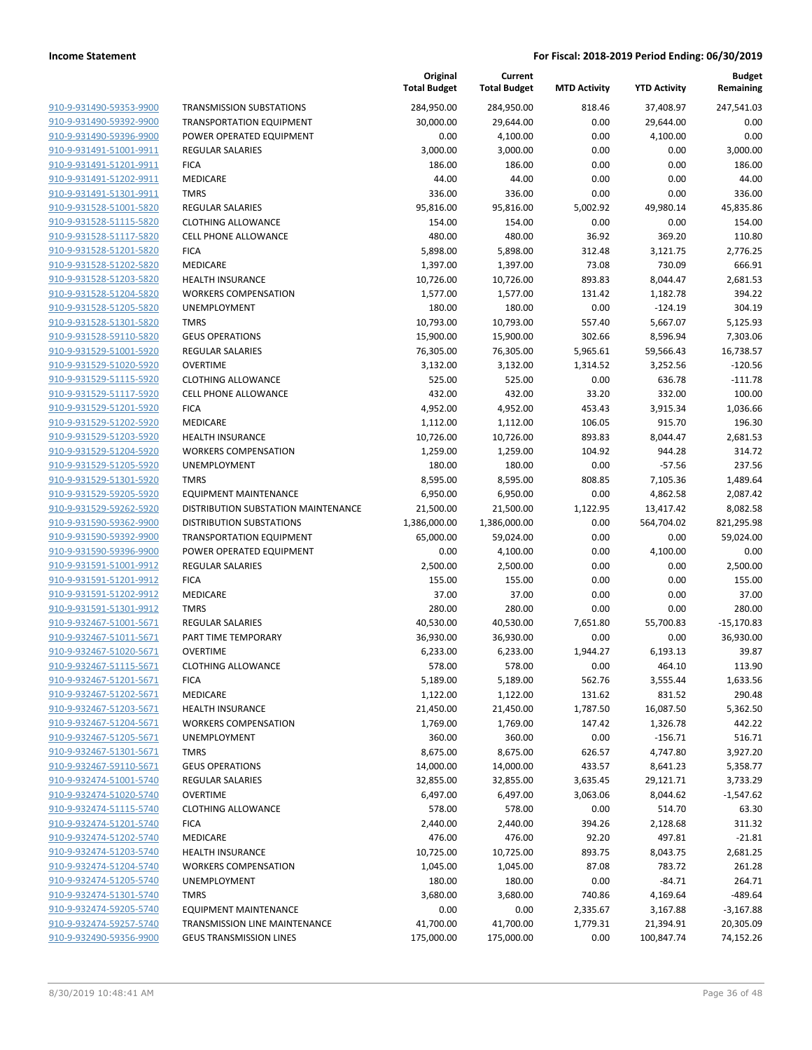|                                                    |                                     | Original<br><b>Total Budget</b> | Current<br><b>Total Budget</b> | <b>MTD Activity</b> | <b>YTD Activity</b> | <b>Budget</b><br>Remaining |
|----------------------------------------------------|-------------------------------------|---------------------------------|--------------------------------|---------------------|---------------------|----------------------------|
| 910-9-931490-59353-9900                            | <b>TRANSMISSION SUBSTATIONS</b>     | 284,950.00                      | 284,950.00                     | 818.46              | 37,408.97           | 247,541.03                 |
| 910-9-931490-59392-9900                            | <b>TRANSPORTATION EQUIPMENT</b>     | 30,000.00                       | 29,644.00                      | 0.00                | 29,644.00           | 0.00                       |
| 910-9-931490-59396-9900                            | POWER OPERATED EQUIPMENT            | 0.00                            | 4,100.00                       | 0.00                | 4,100.00            | 0.00                       |
| 910-9-931491-51001-9911                            | <b>REGULAR SALARIES</b>             | 3,000.00                        | 3,000.00                       | 0.00                | 0.00                | 3,000.00                   |
| 910-9-931491-51201-9911                            | <b>FICA</b>                         | 186.00                          | 186.00                         | 0.00                | 0.00                | 186.00                     |
| 910-9-931491-51202-9911                            | <b>MEDICARE</b>                     | 44.00                           | 44.00                          | 0.00                | 0.00                | 44.00                      |
| 910-9-931491-51301-9911                            | <b>TMRS</b>                         | 336.00                          | 336.00                         | 0.00                | 0.00                | 336.00                     |
| 910-9-931528-51001-5820                            | <b>REGULAR SALARIES</b>             | 95,816.00                       | 95,816.00                      | 5,002.92            | 49,980.14           | 45,835.86                  |
| 910-9-931528-51115-5820                            | <b>CLOTHING ALLOWANCE</b>           | 154.00                          | 154.00                         | 0.00                | 0.00                | 154.00                     |
| 910-9-931528-51117-5820                            | <b>CELL PHONE ALLOWANCE</b>         | 480.00                          | 480.00                         | 36.92               | 369.20              | 110.80                     |
| 910-9-931528-51201-5820                            | <b>FICA</b>                         | 5,898.00                        | 5,898.00                       | 312.48              | 3,121.75            | 2,776.25                   |
| 910-9-931528-51202-5820                            | MEDICARE                            | 1,397.00                        | 1,397.00                       | 73.08               | 730.09              | 666.91                     |
| 910-9-931528-51203-5820                            | <b>HEALTH INSURANCE</b>             | 10,726.00                       | 10,726.00                      | 893.83              | 8,044.47            | 2,681.53                   |
| 910-9-931528-51204-5820                            | <b>WORKERS COMPENSATION</b>         | 1,577.00                        | 1,577.00                       | 131.42              | 1,182.78            | 394.22                     |
| 910-9-931528-51205-5820                            | UNEMPLOYMENT                        | 180.00                          | 180.00                         | 0.00                | $-124.19$           | 304.19                     |
| 910-9-931528-51301-5820                            | <b>TMRS</b>                         | 10,793.00                       | 10,793.00                      | 557.40              | 5,667.07            | 5,125.93                   |
| 910-9-931528-59110-5820                            | <b>GEUS OPERATIONS</b>              | 15,900.00                       | 15,900.00                      | 302.66              | 8,596.94            | 7,303.06                   |
| 910-9-931529-51001-5920                            | REGULAR SALARIES                    | 76,305.00                       | 76,305.00                      | 5,965.61            | 59,566.43           | 16,738.57                  |
| 910-9-931529-51020-5920                            | <b>OVERTIME</b>                     | 3,132.00                        | 3,132.00                       | 1,314.52            | 3,252.56            | $-120.56$                  |
| 910-9-931529-51115-5920                            | <b>CLOTHING ALLOWANCE</b>           | 525.00                          | 525.00                         | 0.00                | 636.78              | $-111.78$                  |
| 910-9-931529-51117-5920                            | <b>CELL PHONE ALLOWANCE</b>         | 432.00                          | 432.00                         | 33.20               | 332.00              | 100.00                     |
| 910-9-931529-51201-5920                            | <b>FICA</b>                         | 4,952.00                        | 4,952.00                       | 453.43              | 3,915.34            | 1,036.66                   |
| 910-9-931529-51202-5920                            | MEDICARE                            | 1,112.00                        | 1,112.00                       | 106.05              | 915.70              | 196.30                     |
| 910-9-931529-51203-5920                            | <b>HEALTH INSURANCE</b>             | 10,726.00                       | 10,726.00                      | 893.83              | 8,044.47            | 2,681.53                   |
| 910-9-931529-51204-5920                            | <b>WORKERS COMPENSATION</b>         | 1,259.00                        | 1,259.00                       | 104.92              | 944.28              | 314.72                     |
| 910-9-931529-51205-5920                            | UNEMPLOYMENT                        | 180.00                          | 180.00                         | 0.00                | $-57.56$            | 237.56                     |
| 910-9-931529-51301-5920                            | <b>TMRS</b>                         | 8,595.00                        | 8,595.00                       | 808.85              | 7,105.36            | 1,489.64                   |
| 910-9-931529-59205-5920                            | <b>EQUIPMENT MAINTENANCE</b>        | 6,950.00                        | 6,950.00                       | 0.00                | 4,862.58            | 2,087.42                   |
| 910-9-931529-59262-5920                            | DISTRIBUTION SUBSTATION MAINTENANCE | 21,500.00                       | 21,500.00                      | 1,122.95            | 13,417.42           | 8,082.58                   |
| 910-9-931590-59362-9900                            | <b>DISTRIBUTION SUBSTATIONS</b>     | 1,386,000.00                    | 1,386,000.00                   | 0.00                | 564,704.02          | 821,295.98                 |
| 910-9-931590-59392-9900                            | <b>TRANSPORTATION EQUIPMENT</b>     | 65,000.00                       | 59,024.00                      | 0.00                | 0.00                | 59,024.00                  |
| 910-9-931590-59396-9900                            | POWER OPERATED EQUIPMENT            | 0.00                            | 4,100.00                       | 0.00                | 4,100.00            | 0.00                       |
| 910-9-931591-51001-9912                            | <b>REGULAR SALARIES</b>             | 2,500.00                        | 2,500.00                       | 0.00                | 0.00                | 2,500.00                   |
| 910-9-931591-51201-9912<br>910-9-931591-51202-9912 | <b>FICA</b><br><b>MEDICARE</b>      | 155.00<br>37.00                 | 155.00<br>37.00                | 0.00<br>0.00        | 0.00<br>0.00        | 155.00<br>37.00            |
| 910-9-931591-51301-9912                            | <b>TMRS</b>                         | 280.00                          | 280.00                         | 0.00                | 0.00                | 280.00                     |
| 910-9-932467-51001-5671                            | REGULAR SALARIES                    | 40,530.00                       | 40,530.00                      | 7,651.80            | 55,700.83           | $-15,170.83$               |
| 910-9-932467-51011-5671                            | PART TIME TEMPORARY                 | 36,930.00                       | 36,930.00                      | 0.00                | 0.00                | 36,930.00                  |
| 910-9-932467-51020-5671                            | <b>OVERTIME</b>                     | 6,233.00                        | 6,233.00                       | 1,944.27            | 6,193.13            | 39.87                      |
| 910-9-932467-51115-5671                            | <b>CLOTHING ALLOWANCE</b>           | 578.00                          | 578.00                         | 0.00                | 464.10              | 113.90                     |
| 910-9-932467-51201-5671                            | <b>FICA</b>                         | 5,189.00                        | 5,189.00                       | 562.76              | 3,555.44            | 1,633.56                   |
| 910-9-932467-51202-5671                            | MEDICARE                            | 1,122.00                        | 1,122.00                       | 131.62              | 831.52              | 290.48                     |
| 910-9-932467-51203-5671                            | <b>HEALTH INSURANCE</b>             | 21,450.00                       | 21,450.00                      | 1,787.50            | 16,087.50           | 5,362.50                   |
| 910-9-932467-51204-5671                            | <b>WORKERS COMPENSATION</b>         | 1,769.00                        | 1,769.00                       | 147.42              | 1,326.78            | 442.22                     |
| 910-9-932467-51205-5671                            | <b>UNEMPLOYMENT</b>                 | 360.00                          | 360.00                         | 0.00                | $-156.71$           | 516.71                     |
| 910-9-932467-51301-5671                            | <b>TMRS</b>                         | 8,675.00                        | 8,675.00                       | 626.57              | 4,747.80            | 3,927.20                   |
| 910-9-932467-59110-5671                            | <b>GEUS OPERATIONS</b>              | 14,000.00                       | 14,000.00                      | 433.57              | 8,641.23            | 5,358.77                   |
| 910-9-932474-51001-5740                            | REGULAR SALARIES                    | 32,855.00                       | 32,855.00                      | 3,635.45            | 29,121.71           | 3,733.29                   |
| 910-9-932474-51020-5740                            | <b>OVERTIME</b>                     | 6,497.00                        | 6,497.00                       | 3,063.06            | 8,044.62            | $-1,547.62$                |
| 910-9-932474-51115-5740                            | <b>CLOTHING ALLOWANCE</b>           | 578.00                          | 578.00                         | 0.00                | 514.70              | 63.30                      |
| 910-9-932474-51201-5740                            | <b>FICA</b>                         | 2,440.00                        | 2,440.00                       | 394.26              | 2,128.68            | 311.32                     |
| 910-9-932474-51202-5740                            | MEDICARE                            | 476.00                          | 476.00                         | 92.20               | 497.81              | $-21.81$                   |
| 910-9-932474-51203-5740                            | <b>HEALTH INSURANCE</b>             | 10,725.00                       | 10,725.00                      | 893.75              | 8,043.75            | 2,681.25                   |
| 910-9-932474-51204-5740                            | <b>WORKERS COMPENSATION</b>         | 1,045.00                        | 1,045.00                       | 87.08               | 783.72              | 261.28                     |
| 910-9-932474-51205-5740                            | <b>UNEMPLOYMENT</b>                 | 180.00                          | 180.00                         | 0.00                | $-84.71$            | 264.71                     |
| 910-9-932474-51301-5740                            | <b>TMRS</b>                         | 3,680.00                        | 3,680.00                       | 740.86              | 4,169.64            | $-489.64$                  |
| 910-9-932474-59205-5740                            | <b>EQUIPMENT MAINTENANCE</b>        | 0.00                            | 0.00                           | 2,335.67            | 3,167.88            | $-3,167.88$                |
| 910-9-932474-59257-5740                            | TRANSMISSION LINE MAINTENANCE       | 41,700.00                       | 41,700.00                      | 1,779.31            | 21,394.91           | 20,305.09                  |
| 910-9-932490-59356-9900                            | <b>GEUS TRANSMISSION LINES</b>      | 175,000.00                      | 175,000.00                     | 0.00                | 100,847.74          | 74,152.26                  |
|                                                    |                                     |                                 |                                |                     |                     |                            |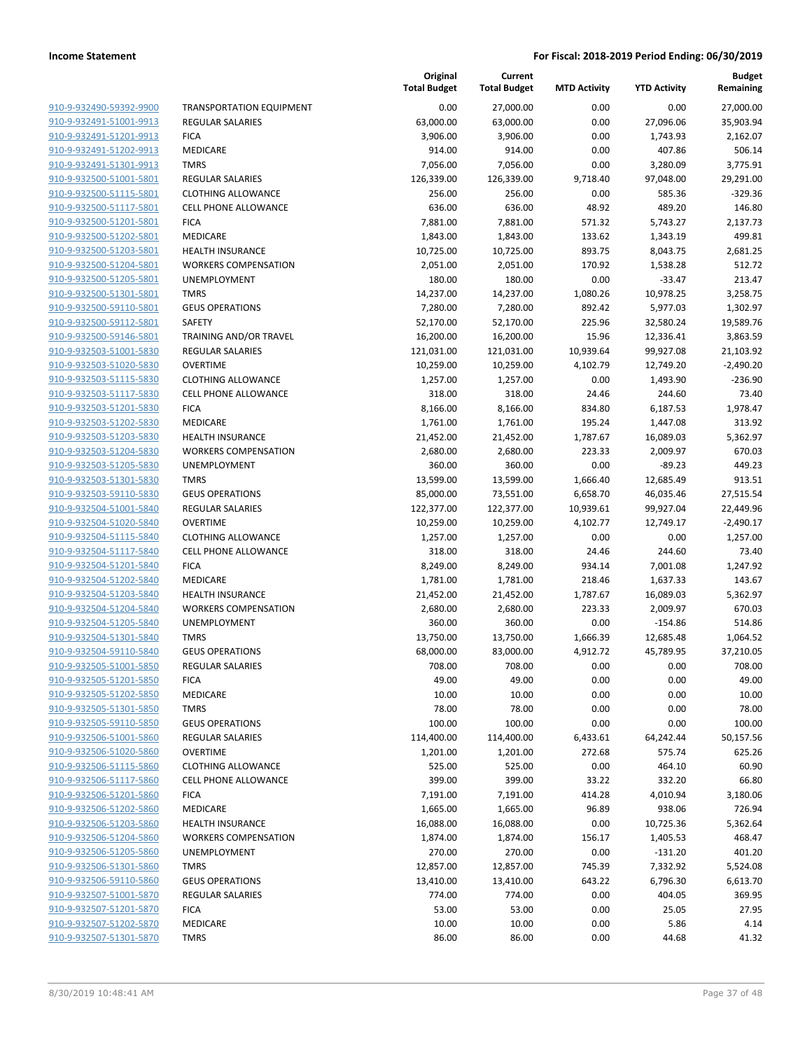| 910-9-932490-59392-9900        |
|--------------------------------|
| 910-9-932491-51001-9913        |
| 910-9-932491-51201-9913        |
| 910-9-932491-51202-9913        |
| 910-9-932491-51301-9913        |
| <u>910-9-932500-51001-5801</u> |
| <u>910-9-932500-51115-5801</u> |
| 910-9-932500-51117-5801        |
| 910-9-932500-51201-5801        |
| 910-9-932500-51202-5801        |
| 910-9-932500-51203-5801        |
| 910-9-932500-51204-5801        |
| 910-9-932500-51205-5801        |
| 910-9-932500-51301-5801        |
| 910-9-932500-59110-5801        |
| <u>910-9-932500-59112-5801</u> |
| 910-9-932500-59146-5801        |
| 910-9-932503-51001-5830        |
| 910-9-932503-51020-5830        |
| 910-9-932503-51115-5830        |
| 910-9-932503-51117-5830        |
| 910-9-932503-51201-5830        |
| 910-9-932503-51202-5830        |
| 910-9-932503-51203-5830        |
|                                |
| <u>910-9-932503-51204-5830</u> |
| 910-9-932503-51205-5830        |
| <u>910-9-932503-51301-5830</u> |
| 910-9-932503-59110-5830        |
| 910-9-932504-51001-5840        |
| 910-9-932504-51020-5840        |
| 910-9-932504-51115-5840        |
| 910-9-932504-51117-5840        |
| 910-9-932504-51201-5840        |
| 910-9-932504-51202-5840        |
| 910-9-932504-51203-5840        |
| 910-9-932504-51204-5840        |
| 910-9-932504-51205-5840        |
| 910-9-932504-51301-5840        |
| 910-9-932504-59110-5840        |
| 910-9-932505-51001-5850        |
| 910-9-932505-51201-5850        |
| 910-9-932505-51202-5850        |
| 910-9-932505-51301-5850        |
| 910-9-932505-59110-5850        |
| 910-9-932506-51001-5860        |
| 910-9-932506-51020-5860        |
| 910-9-932506-51115-5860        |
| 910-9-932506-51117-5860        |
| 910-9-932506-51201-5860        |
| 910-9-932506-51202-5860        |
| 910-9-932506-51203-5860        |
| 910-9-932506-51204-5860        |
| 910-9-932506-51205-5860        |
| 910-9-932506-51301-5860        |
| 910-9-932506-59110-5860        |
| 910-9-932507-51001-5870        |
| 910-9-932507-51201-5870        |
| 910-9-932507-51202-5870        |
| 910-9-932507-51301-5870        |
|                                |

|                         |                                 | Original<br><b>Total Budget</b> | Current<br><b>Total Budget</b> | <b>MTD Activity</b> | <b>YTD Activity</b> | Budget<br>Remaining |
|-------------------------|---------------------------------|---------------------------------|--------------------------------|---------------------|---------------------|---------------------|
| 910-9-932490-59392-9900 | <b>TRANSPORTATION EQUIPMENT</b> | 0.00                            | 27,000.00                      | 0.00                | 0.00                | 27,000.00           |
| 910-9-932491-51001-9913 | <b>REGULAR SALARIES</b>         | 63,000.00                       | 63,000.00                      | 0.00                | 27,096.06           | 35,903.94           |
| 910-9-932491-51201-9913 | <b>FICA</b>                     | 3,906.00                        | 3,906.00                       | 0.00                | 1,743.93            | 2,162.07            |
| 910-9-932491-51202-9913 | MEDICARE                        | 914.00                          | 914.00                         | 0.00                | 407.86              | 506.14              |
| 910-9-932491-51301-9913 | <b>TMRS</b>                     | 7,056.00                        | 7,056.00                       | 0.00                | 3,280.09            | 3,775.91            |
| 910-9-932500-51001-5801 | <b>REGULAR SALARIES</b>         | 126,339.00                      | 126,339.00                     | 9,718.40            | 97,048.00           | 29,291.00           |
| 910-9-932500-51115-5801 | <b>CLOTHING ALLOWANCE</b>       | 256.00                          | 256.00                         | 0.00                | 585.36              | $-329.36$           |
| 910-9-932500-51117-5801 | <b>CELL PHONE ALLOWANCE</b>     | 636.00                          | 636.00                         | 48.92               | 489.20              | 146.80              |
| 910-9-932500-51201-5801 | <b>FICA</b>                     | 7,881.00                        | 7,881.00                       | 571.32              | 5,743.27            | 2,137.73            |
| 910-9-932500-51202-5801 | MEDICARE                        | 1,843.00                        | 1,843.00                       | 133.62              | 1,343.19            | 499.81              |
| 910-9-932500-51203-5801 | <b>HEALTH INSURANCE</b>         | 10,725.00                       | 10,725.00                      | 893.75              | 8,043.75            | 2,681.25            |
| 910-9-932500-51204-5801 | <b>WORKERS COMPENSATION</b>     | 2,051.00                        | 2,051.00                       | 170.92              | 1,538.28            | 512.72              |
| 910-9-932500-51205-5801 | UNEMPLOYMENT                    | 180.00                          | 180.00                         | 0.00                | $-33.47$            | 213.47              |
| 910-9-932500-51301-5801 | <b>TMRS</b>                     | 14,237.00                       | 14,237.00                      | 1,080.26            | 10,978.25           | 3,258.75            |
| 910-9-932500-59110-5801 | <b>GEUS OPERATIONS</b>          | 7,280.00                        | 7,280.00                       | 892.42              | 5,977.03            | 1,302.97            |
| 910-9-932500-59112-5801 | SAFETY                          | 52,170.00                       | 52,170.00                      | 225.96              | 32,580.24           | 19,589.76           |
| 910-9-932500-59146-5801 | TRAINING AND/OR TRAVEL          | 16,200.00                       | 16,200.00                      | 15.96               | 12,336.41           | 3,863.59            |
| 910-9-932503-51001-5830 | REGULAR SALARIES                | 121,031.00                      | 121,031.00                     | 10,939.64           | 99,927.08           | 21,103.92           |
| 910-9-932503-51020-5830 | <b>OVERTIME</b>                 | 10,259.00                       | 10,259.00                      | 4,102.79            | 12,749.20           | $-2,490.20$         |
| 910-9-932503-51115-5830 | <b>CLOTHING ALLOWANCE</b>       | 1,257.00                        | 1,257.00                       | 0.00                | 1,493.90            | $-236.90$           |
| 910-9-932503-51117-5830 | CELL PHONE ALLOWANCE            | 318.00                          | 318.00                         | 24.46               | 244.60              | 73.40               |
| 910-9-932503-51201-5830 | <b>FICA</b>                     | 8,166.00                        | 8,166.00                       | 834.80              | 6,187.53            | 1,978.47            |
| 910-9-932503-51202-5830 | MEDICARE                        | 1,761.00                        | 1,761.00                       | 195.24              | 1,447.08            | 313.92              |
| 910-9-932503-51203-5830 | <b>HEALTH INSURANCE</b>         | 21,452.00                       | 21,452.00                      | 1,787.67            | 16,089.03           | 5,362.97            |
| 910-9-932503-51204-5830 | <b>WORKERS COMPENSATION</b>     | 2,680.00                        | 2,680.00                       | 223.33              | 2,009.97            | 670.03              |
| 910-9-932503-51205-5830 | UNEMPLOYMENT                    | 360.00                          | 360.00                         | 0.00                | $-89.23$            | 449.23              |
| 910-9-932503-51301-5830 | <b>TMRS</b>                     | 13,599.00                       | 13,599.00                      | 1,666.40            | 12,685.49           | 913.51              |
| 910-9-932503-59110-5830 | <b>GEUS OPERATIONS</b>          | 85,000.00                       | 73,551.00                      | 6,658.70            | 46,035.46           | 27,515.54           |
| 910-9-932504-51001-5840 | REGULAR SALARIES                | 122,377.00                      | 122,377.00                     | 10,939.61           | 99,927.04           | 22,449.96           |
| 910-9-932504-51020-5840 | <b>OVERTIME</b>                 | 10,259.00                       | 10,259.00                      | 4,102.77            | 12,749.17           | $-2,490.17$         |
| 910-9-932504-51115-5840 | <b>CLOTHING ALLOWANCE</b>       | 1,257.00                        | 1,257.00                       | 0.00                | 0.00                | 1,257.00            |
| 910-9-932504-51117-5840 | CELL PHONE ALLOWANCE            | 318.00                          | 318.00                         | 24.46               | 244.60              | 73.40               |
| 910-9-932504-51201-5840 | <b>FICA</b>                     | 8,249.00                        | 8,249.00                       | 934.14              | 7,001.08            | 1,247.92            |
| 910-9-932504-51202-5840 | MEDICARE                        | 1,781.00                        | 1,781.00                       | 218.46              | 1,637.33            | 143.67              |
| 910-9-932504-51203-5840 | <b>HEALTH INSURANCE</b>         | 21,452.00                       | 21,452.00                      | 1,787.67            | 16,089.03           | 5,362.97            |
| 910-9-932504-51204-5840 | <b>WORKERS COMPENSATION</b>     | 2,680.00                        | 2,680.00                       | 223.33              | 2,009.97            | 670.03              |
| 910-9-932504-51205-5840 | UNEMPLOYMENT                    | 360.00                          | 360.00                         | 0.00                | $-154.86$           | 514.86              |
| 910-9-932504-51301-5840 | <b>TMRS</b>                     | 13,750.00                       | 13,750.00                      | 1,666.39            | 12,685.48           | 1,064.52            |
| 910-9-932504-59110-5840 | <b>GEUS OPERATIONS</b>          | 68,000.00                       | 83,000.00                      | 4,912.72            | 45,789.95           | 37,210.05           |
| 910-9-932505-51001-5850 | REGULAR SALARIES                | 708.00                          | 708.00                         | 0.00                | 0.00                | 708.00              |
| 910-9-932505-51201-5850 | <b>FICA</b>                     | 49.00                           | 49.00                          | 0.00                | 0.00                | 49.00               |
| 910-9-932505-51202-5850 | MEDICARE                        | 10.00                           | 10.00                          | 0.00                | 0.00                | 10.00               |
| 910-9-932505-51301-5850 | <b>TMRS</b>                     | 78.00                           | 78.00                          | 0.00                | 0.00                | 78.00               |
| 910-9-932505-59110-5850 | <b>GEUS OPERATIONS</b>          | 100.00                          | 100.00                         | 0.00                | 0.00                | 100.00              |
| 910-9-932506-51001-5860 | REGULAR SALARIES                | 114,400.00                      | 114,400.00                     | 6,433.61            | 64,242.44           | 50,157.56           |
| 910-9-932506-51020-5860 | <b>OVERTIME</b>                 | 1,201.00                        | 1,201.00                       | 272.68              | 575.74              | 625.26              |
| 910-9-932506-51115-5860 | <b>CLOTHING ALLOWANCE</b>       | 525.00                          | 525.00                         | 0.00                | 464.10              | 60.90               |
| 910-9-932506-51117-5860 | <b>CELL PHONE ALLOWANCE</b>     | 399.00                          | 399.00                         | 33.22               | 332.20              | 66.80               |
| 910-9-932506-51201-5860 | <b>FICA</b>                     | 7,191.00                        | 7,191.00                       | 414.28              | 4,010.94            | 3,180.06            |
| 910-9-932506-51202-5860 | MEDICARE                        | 1,665.00                        | 1,665.00                       | 96.89               | 938.06              | 726.94              |
| 910-9-932506-51203-5860 | <b>HEALTH INSURANCE</b>         | 16,088.00                       | 16,088.00                      | 0.00                | 10,725.36           | 5,362.64            |
| 910-9-932506-51204-5860 | <b>WORKERS COMPENSATION</b>     | 1,874.00                        | 1,874.00                       | 156.17              | 1,405.53            | 468.47              |
| 910-9-932506-51205-5860 | UNEMPLOYMENT                    | 270.00                          | 270.00                         | 0.00                | $-131.20$           | 401.20              |
| 910-9-932506-51301-5860 | <b>TMRS</b>                     | 12,857.00                       | 12,857.00                      | 745.39              | 7,332.92            | 5,524.08            |
| 910-9-932506-59110-5860 | <b>GEUS OPERATIONS</b>          | 13,410.00                       | 13,410.00                      | 643.22              | 6,796.30            | 6,613.70            |
| 910-9-932507-51001-5870 | REGULAR SALARIES                | 774.00                          | 774.00                         | 0.00                | 404.05              | 369.95              |
| 910-9-932507-51201-5870 | <b>FICA</b>                     | 53.00                           | 53.00                          | 0.00                | 25.05               | 27.95               |
| 910-9-932507-51202-5870 | MEDICARE                        | 10.00                           | 10.00                          | 0.00                | 5.86                | 4.14                |
| 910-9-932507-51301-5870 | <b>TMRS</b>                     | 86.00                           | 86.00                          | 0.00                | 44.68               | 41.32               |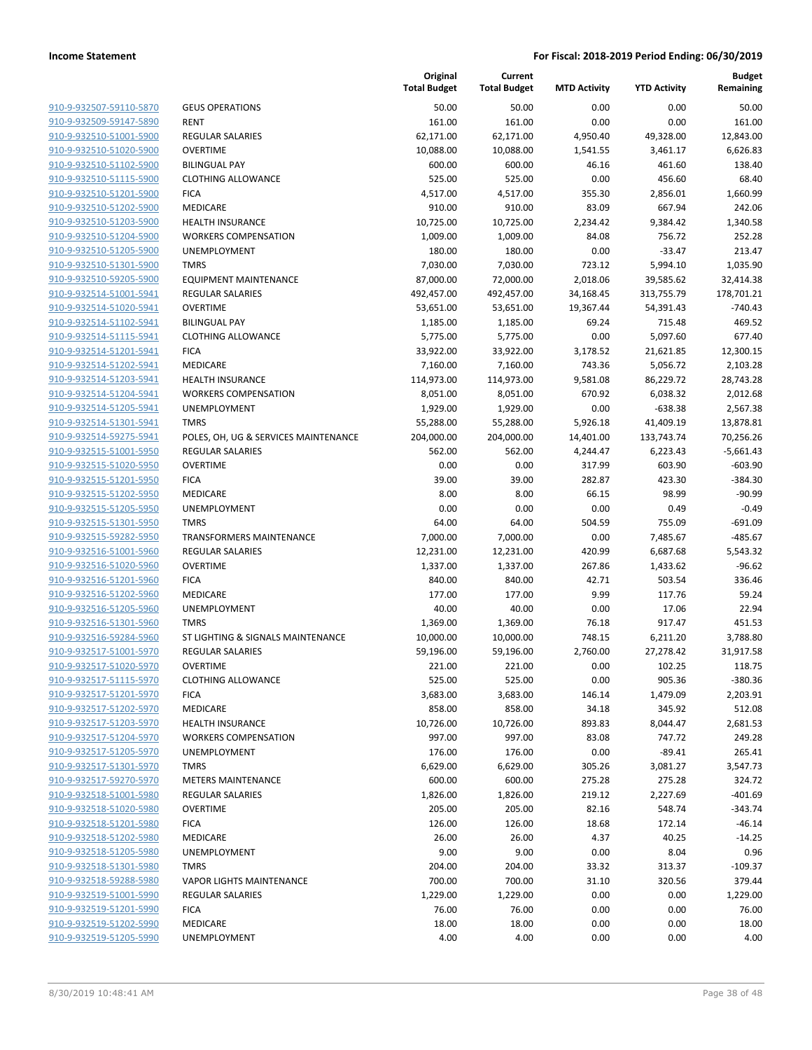| 910-9-932507-59110-5870        |
|--------------------------------|
| 910-9-932509-59147-5890        |
| 910-9-932510-51001-5900        |
| 910-9-932510-51020-5900        |
| <u>910-9-932510-51102-5900</u> |
| 910-9-932510-51115-5900        |
| 910-9-932510-51201-5900        |
| 910-9-932510-51202-5900        |
| 910-9-932510-51203-5900        |
| <u>910-9-932510-51204-5900</u> |
| 910-9-932510-51205-5900        |
| 910-9-932510-51301-5900        |
| 910-9-932510-59205-5900        |
|                                |
| 910-9-932514-51001-5941        |
| <u>910-9-932514-51020-5941</u> |
| 910-9-932514-51102-5941        |
| 910-9-932514-51115-5941        |
| 910-9-932514-51201-5941        |
| 910-9-932514-51202-5941        |
| 910-9-932514-51203-5941        |
| 910-9-932514-51204-5941        |
| 910-9-932514-51205-5941        |
| 910-9-932514-51301-5941        |
| 910-9-932514-59275-5941        |
| 910-9-932515-51001-5950        |
| 910-9-932515-51020-5950        |
| 910-9-932515-51201-5950        |
| 910-9-932515-51202-5950        |
| 910-9-932515-51205-5950        |
| 910-9-932515-51301-5950        |
| 910-9-932515-59282-5950        |
| 910-9-932516-51001-5960        |
| 910-9-932516-51020-5960        |
| 910-9-932516-51201-5960        |
| <u>910-9-932516-51202-5960</u> |
| 910-9-932516-51205-5960        |
| 910-9-932516-51301-5960        |
| 910-9-932516-59284-5960        |
| 910-9-932517-51001-5970        |
| 910-9-932517-51020-5970        |
|                                |
| 910-9-932517-51115-5970        |
| 910-9-932517-51201-5970        |
| 910-9-932517-51202-5970        |
| 910-9-932517-51203-5970        |
| 910-9-932517-51204-5970        |
| 910-9-932517-51205-5970        |
| 910-9-932517-51301-5970        |
| 910-9-932517-59270-5970        |
| 910-9-932518-51001-5980        |
| 910-9-932518-51020-5980        |
| <u>910-9-932518-51201-5980</u> |
| 910-9-932518-51202-5980        |
| 910-9-932518-51205-5980        |
| 910-9-932518-51301-5980        |
| <u>910-9-932518-59288-5980</u> |
| <u>910-9-932519-51001-5990</u> |
| 910-9-932519-51201-<br>-5990   |
| 910-9-932519-51202-5990        |
| 910-9-932519-51205-5990        |
|                                |

|                         |                                      | Original<br><b>Total Budget</b> | Current<br><b>Total Budget</b> | <b>MTD Activity</b> | <b>YTD Activity</b> | <b>Budget</b><br>Remaining |
|-------------------------|--------------------------------------|---------------------------------|--------------------------------|---------------------|---------------------|----------------------------|
| 910-9-932507-59110-5870 | <b>GEUS OPERATIONS</b>               | 50.00                           | 50.00                          | 0.00                | 0.00                | 50.00                      |
| 910-9-932509-59147-5890 | <b>RENT</b>                          | 161.00                          | 161.00                         | 0.00                | 0.00                | 161.00                     |
| 910-9-932510-51001-5900 | <b>REGULAR SALARIES</b>              | 62,171.00                       | 62,171.00                      | 4,950.40            | 49,328.00           | 12,843.00                  |
| 910-9-932510-51020-5900 | <b>OVERTIME</b>                      | 10,088.00                       | 10,088.00                      | 1,541.55            | 3,461.17            | 6,626.83                   |
| 910-9-932510-51102-5900 | <b>BILINGUAL PAY</b>                 | 600.00                          | 600.00                         | 46.16               | 461.60              | 138.40                     |
| 910-9-932510-51115-5900 | <b>CLOTHING ALLOWANCE</b>            | 525.00                          | 525.00                         | 0.00                | 456.60              | 68.40                      |
| 910-9-932510-51201-5900 | <b>FICA</b>                          | 4,517.00                        | 4,517.00                       | 355.30              | 2,856.01            | 1,660.99                   |
| 910-9-932510-51202-5900 | MEDICARE                             | 910.00                          | 910.00                         | 83.09               | 667.94              | 242.06                     |
| 910-9-932510-51203-5900 | <b>HEALTH INSURANCE</b>              | 10,725.00                       | 10,725.00                      | 2,234.42            | 9,384.42            | 1,340.58                   |
| 910-9-932510-51204-5900 | <b>WORKERS COMPENSATION</b>          | 1,009.00                        | 1,009.00                       | 84.08               | 756.72              | 252.28                     |
| 910-9-932510-51205-5900 | UNEMPLOYMENT                         | 180.00                          | 180.00                         | 0.00                | $-33.47$            | 213.47                     |
| 910-9-932510-51301-5900 | <b>TMRS</b>                          | 7,030.00                        | 7,030.00                       | 723.12              | 5,994.10            | 1,035.90                   |
| 910-9-932510-59205-5900 | <b>EQUIPMENT MAINTENANCE</b>         | 87,000.00                       | 72,000.00                      | 2,018.06            | 39,585.62           | 32,414.38                  |
| 910-9-932514-51001-5941 | <b>REGULAR SALARIES</b>              | 492,457.00                      | 492,457.00                     | 34,168.45           | 313,755.79          | 178,701.21                 |
| 910-9-932514-51020-5941 | <b>OVERTIME</b>                      | 53,651.00                       | 53,651.00                      | 19,367.44           | 54,391.43           | $-740.43$                  |
| 910-9-932514-51102-5941 | <b>BILINGUAL PAY</b>                 | 1,185.00                        | 1,185.00                       | 69.24               | 715.48              | 469.52                     |
| 910-9-932514-51115-5941 | <b>CLOTHING ALLOWANCE</b>            | 5,775.00                        | 5,775.00                       | 0.00                | 5,097.60            | 677.40                     |
| 910-9-932514-51201-5941 | <b>FICA</b>                          | 33,922.00                       | 33,922.00                      | 3,178.52            | 21,621.85           | 12,300.15                  |
| 910-9-932514-51202-5941 | <b>MEDICARE</b>                      | 7,160.00                        | 7,160.00                       | 743.36              | 5,056.72            | 2,103.28                   |
| 910-9-932514-51203-5941 | HEALTH INSURANCE                     | 114,973.00                      | 114,973.00                     | 9,581.08            | 86,229.72           | 28,743.28                  |
| 910-9-932514-51204-5941 | <b>WORKERS COMPENSATION</b>          | 8,051.00                        | 8,051.00                       | 670.92              | 6,038.32            | 2,012.68                   |
| 910-9-932514-51205-5941 | UNEMPLOYMENT                         | 1,929.00                        | 1,929.00                       | 0.00                | $-638.38$           | 2,567.38                   |
| 910-9-932514-51301-5941 | <b>TMRS</b>                          | 55,288.00                       | 55,288.00                      | 5,926.18            | 41,409.19           | 13,878.81                  |
| 910-9-932514-59275-5941 | POLES, OH, UG & SERVICES MAINTENANCE | 204,000.00                      | 204,000.00                     | 14,401.00           | 133,743.74          | 70,256.26                  |
| 910-9-932515-51001-5950 | REGULAR SALARIES                     | 562.00                          | 562.00                         | 4,244.47            | 6,223.43            | $-5,661.43$                |
| 910-9-932515-51020-5950 | <b>OVERTIME</b>                      | 0.00                            | 0.00                           | 317.99              | 603.90              | $-603.90$                  |
| 910-9-932515-51201-5950 | <b>FICA</b>                          | 39.00                           | 39.00                          | 282.87              | 423.30              | $-384.30$                  |
| 910-9-932515-51202-5950 | MEDICARE                             | 8.00                            | 8.00                           | 66.15               | 98.99               | $-90.99$                   |
| 910-9-932515-51205-5950 | UNEMPLOYMENT                         | 0.00                            | 0.00                           | 0.00                | 0.49                | $-0.49$                    |
| 910-9-932515-51301-5950 | <b>TMRS</b>                          | 64.00                           | 64.00                          | 504.59              | 755.09              | $-691.09$                  |
| 910-9-932515-59282-5950 | <b>TRANSFORMERS MAINTENANCE</b>      | 7,000.00                        | 7,000.00                       | 0.00                | 7,485.67            | $-485.67$                  |
| 910-9-932516-51001-5960 | <b>REGULAR SALARIES</b>              | 12,231.00                       | 12,231.00                      | 420.99              | 6,687.68            | 5,543.32                   |
| 910-9-932516-51020-5960 | <b>OVERTIME</b>                      | 1,337.00                        | 1,337.00                       | 267.86              | 1,433.62            | -96.62                     |
| 910-9-932516-51201-5960 | <b>FICA</b>                          | 840.00                          | 840.00                         | 42.71               | 503.54              | 336.46                     |
| 910-9-932516-51202-5960 | MEDICARE                             | 177.00                          | 177.00                         | 9.99                | 117.76              | 59.24                      |
| 910-9-932516-51205-5960 | <b>UNEMPLOYMENT</b>                  | 40.00                           | 40.00                          | 0.00                | 17.06               | 22.94                      |
| 910-9-932516-51301-5960 | <b>TMRS</b>                          | 1,369.00                        | 1,369.00                       | 76.18               | 917.47              | 451.53                     |
| 910-9-932516-59284-5960 | ST LIGHTING & SIGNALS MAINTENANCE    | 10,000.00                       | 10,000.00                      | 748.15              | 6,211.20            | 3,788.80                   |
| 910-9-932517-51001-5970 | <b>REGULAR SALARIES</b>              | 59,196.00                       | 59,196.00                      | 2,760.00            | 27,278.42           | 31,917.58                  |
| 910-9-932517-51020-5970 | <b>OVERTIME</b>                      | 221.00                          | 221.00                         | 0.00                | 102.25              | 118.75                     |
| 910-9-932517-51115-5970 | <b>CLOTHING ALLOWANCE</b>            | 525.00                          | 525.00                         | 0.00                | 905.36              | $-380.36$                  |
| 910-9-932517-51201-5970 | <b>FICA</b>                          | 3,683.00                        | 3,683.00                       | 146.14              | 1,479.09            | 2,203.91                   |
| 910-9-932517-51202-5970 | MEDICARE                             | 858.00                          | 858.00                         | 34.18               | 345.92              | 512.08                     |
| 910-9-932517-51203-5970 | <b>HEALTH INSURANCE</b>              | 10,726.00                       | 10,726.00                      | 893.83              | 8,044.47            | 2,681.53                   |
| 910-9-932517-51204-5970 | <b>WORKERS COMPENSATION</b>          | 997.00                          | 997.00                         | 83.08               | 747.72              | 249.28                     |
| 910-9-932517-51205-5970 | UNEMPLOYMENT                         | 176.00                          | 176.00                         | 0.00                | $-89.41$            | 265.41                     |
| 910-9-932517-51301-5970 | <b>TMRS</b>                          | 6,629.00                        | 6,629.00                       | 305.26              | 3,081.27            | 3,547.73                   |
| 910-9-932517-59270-5970 | <b>METERS MAINTENANCE</b>            | 600.00                          | 600.00                         | 275.28              | 275.28              | 324.72                     |
| 910-9-932518-51001-5980 | <b>REGULAR SALARIES</b>              | 1,826.00                        | 1,826.00                       | 219.12              | 2,227.69            | $-401.69$                  |
| 910-9-932518-51020-5980 | <b>OVERTIME</b>                      | 205.00                          | 205.00                         | 82.16               | 548.74              | $-343.74$                  |
| 910-9-932518-51201-5980 | <b>FICA</b>                          | 126.00                          | 126.00                         | 18.68               | 172.14              | $-46.14$                   |
| 910-9-932518-51202-5980 | MEDICARE                             | 26.00                           | 26.00                          | 4.37                | 40.25               | $-14.25$                   |
| 910-9-932518-51205-5980 | <b>UNEMPLOYMENT</b>                  | 9.00                            | 9.00                           | 0.00                | 8.04                | 0.96                       |
| 910-9-932518-51301-5980 | TMRS                                 | 204.00                          | 204.00                         | 33.32               | 313.37              | $-109.37$                  |
| 910-9-932518-59288-5980 | <b>VAPOR LIGHTS MAINTENANCE</b>      | 700.00                          | 700.00                         | 31.10               | 320.56              | 379.44                     |
| 910-9-932519-51001-5990 | REGULAR SALARIES                     | 1,229.00                        | 1,229.00                       | 0.00                | 0.00                | 1,229.00                   |
| 910-9-932519-51201-5990 | <b>FICA</b>                          | 76.00                           | 76.00                          | 0.00                | 0.00                | 76.00                      |
| 910-9-932519-51202-5990 | MEDICARE                             | 18.00                           | 18.00                          | 0.00                | 0.00                | 18.00                      |
| 910-9-932519-51205-5990 | UNEMPLOYMENT                         | 4.00                            | 4.00                           | 0.00                | 0.00                | 4.00                       |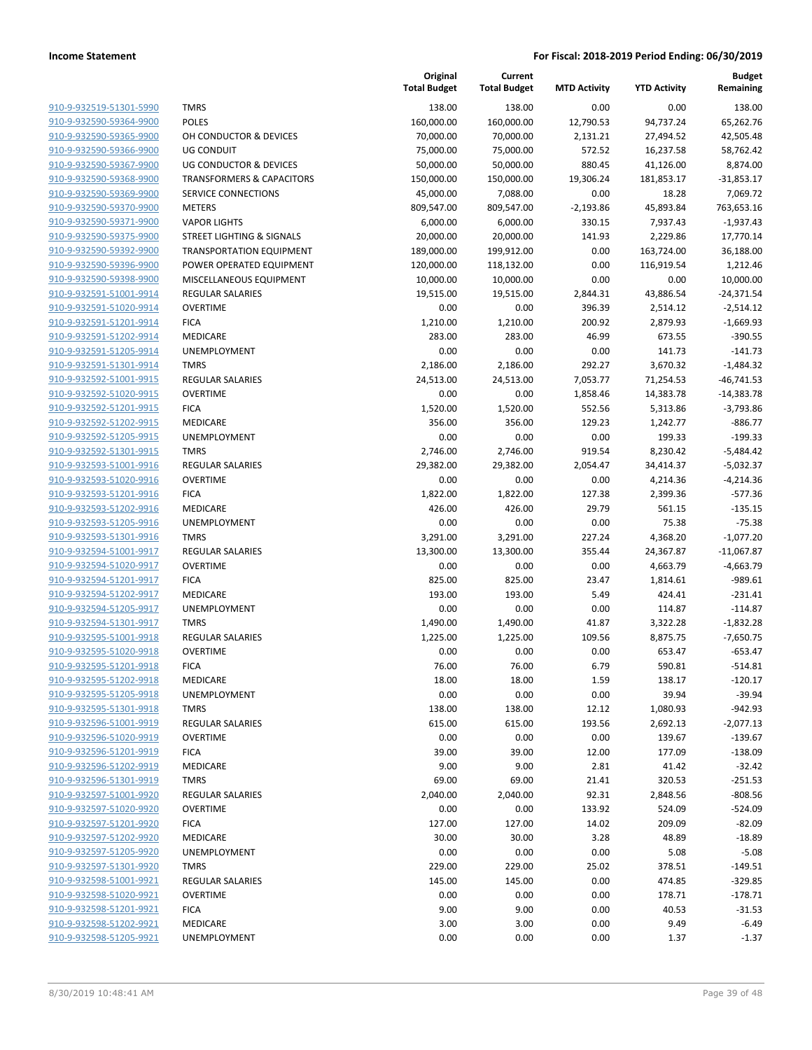|                                                    |                                      | Original<br><b>Total Budget</b> | Current<br><b>Total Budget</b> | <b>MTD Activity</b> | <b>YTD Activity</b> | <b>Budget</b><br>Remaining |
|----------------------------------------------------|--------------------------------------|---------------------------------|--------------------------------|---------------------|---------------------|----------------------------|
| 910-9-932519-51301-5990                            | <b>TMRS</b>                          | 138.00                          | 138.00                         | 0.00                | 0.00                | 138.00                     |
| 910-9-932590-59364-9900                            | <b>POLES</b>                         | 160,000.00                      | 160,000.00                     | 12,790.53           | 94,737.24           | 65,262.76                  |
| 910-9-932590-59365-9900                            | OH CONDUCTOR & DEVICES               | 70,000.00                       | 70,000.00                      | 2,131.21            | 27,494.52           | 42,505.48                  |
| 910-9-932590-59366-9900                            | <b>UG CONDUIT</b>                    | 75,000.00                       | 75,000.00                      | 572.52              | 16,237.58           | 58,762.42                  |
| 910-9-932590-59367-9900                            | <b>UG CONDUCTOR &amp; DEVICES</b>    | 50,000.00                       | 50,000.00                      | 880.45              | 41,126.00           | 8,874.00                   |
| 910-9-932590-59368-9900                            | <b>TRANSFORMERS &amp; CAPACITORS</b> | 150,000.00                      | 150,000.00                     | 19,306.24           | 181,853.17          | $-31,853.17$               |
| 910-9-932590-59369-9900                            | SERVICE CONNECTIONS                  | 45,000.00                       | 7,088.00                       | 0.00                | 18.28               | 7,069.72                   |
| 910-9-932590-59370-9900                            | <b>METERS</b>                        | 809,547.00                      | 809,547.00                     | $-2,193.86$         | 45,893.84           | 763,653.16                 |
| 910-9-932590-59371-9900                            | <b>VAPOR LIGHTS</b>                  | 6,000.00                        | 6,000.00                       | 330.15              | 7,937.43            | $-1,937.43$                |
| 910-9-932590-59375-9900                            | <b>STREET LIGHTING &amp; SIGNALS</b> | 20,000.00                       | 20,000.00                      | 141.93              | 2,229.86            | 17,770.14                  |
| 910-9-932590-59392-9900                            | <b>TRANSPORTATION EQUIPMENT</b>      | 189,000.00                      | 199,912.00                     | 0.00                | 163,724.00          | 36,188.00                  |
| 910-9-932590-59396-9900                            | POWER OPERATED EQUIPMENT             | 120,000.00                      | 118,132.00                     | 0.00                | 116,919.54          | 1,212.46                   |
| 910-9-932590-59398-9900                            | MISCELLANEOUS EQUIPMENT              | 10,000.00                       | 10,000.00                      | 0.00                | 0.00                | 10,000.00                  |
| 910-9-932591-51001-9914                            | <b>REGULAR SALARIES</b>              | 19,515.00                       | 19,515.00                      | 2,844.31            | 43,886.54           | $-24,371.54$               |
| 910-9-932591-51020-9914                            | <b>OVERTIME</b>                      | 0.00                            | 0.00                           | 396.39              | 2,514.12            | $-2,514.12$                |
| 910-9-932591-51201-9914                            | <b>FICA</b>                          | 1,210.00                        | 1,210.00                       | 200.92              | 2,879.93            | $-1,669.93$                |
| 910-9-932591-51202-9914                            | MEDICARE                             | 283.00                          | 283.00                         | 46.99               | 673.55              | $-390.55$                  |
| 910-9-932591-51205-9914                            | UNEMPLOYMENT                         | 0.00                            | 0.00                           | 0.00                | 141.73              | $-141.73$                  |
| 910-9-932591-51301-9914                            | <b>TMRS</b>                          | 2,186.00                        | 2,186.00                       | 292.27              | 3,670.32            | $-1,484.32$                |
| 910-9-932592-51001-9915                            | REGULAR SALARIES                     | 24,513.00                       | 24,513.00                      | 7,053.77            | 71,254.53           | $-46,741.53$               |
| 910-9-932592-51020-9915                            | <b>OVERTIME</b>                      | 0.00                            | 0.00                           | 1,858.46            | 14,383.78           | $-14,383.78$               |
| 910-9-932592-51201-9915                            | <b>FICA</b>                          | 1,520.00                        | 1,520.00                       | 552.56              | 5,313.86            | $-3,793.86$                |
| 910-9-932592-51202-9915                            | MEDICARE                             | 356.00                          | 356.00                         | 129.23              | 1,242.77            | $-886.77$                  |
| 910-9-932592-51205-9915                            | <b>UNEMPLOYMENT</b>                  | 0.00                            | 0.00                           | 0.00                | 199.33              | $-199.33$                  |
| 910-9-932592-51301-9915                            | <b>TMRS</b>                          | 2,746.00                        | 2,746.00                       | 919.54              | 8,230.42            | $-5,484.42$                |
| 910-9-932593-51001-9916                            | REGULAR SALARIES                     | 29,382.00                       | 29,382.00                      | 2,054.47            | 34,414.37           | $-5,032.37$                |
| 910-9-932593-51020-9916                            | <b>OVERTIME</b>                      | 0.00                            | 0.00                           | 0.00                | 4,214.36            | $-4,214.36$                |
| 910-9-932593-51201-9916                            | <b>FICA</b>                          | 1,822.00                        | 1,822.00                       | 127.38              | 2,399.36            | $-577.36$                  |
| 910-9-932593-51202-9916                            | MEDICARE                             | 426.00                          | 426.00                         | 29.79               | 561.15              | $-135.15$                  |
| 910-9-932593-51205-9916                            | UNEMPLOYMENT                         | 0.00                            | 0.00                           | 0.00                | 75.38               | $-75.38$                   |
| 910-9-932593-51301-9916                            | <b>TMRS</b>                          | 3,291.00                        | 3,291.00                       | 227.24              | 4,368.20            | $-1,077.20$                |
| 910-9-932594-51001-9917                            | REGULAR SALARIES                     | 13,300.00                       | 13,300.00                      | 355.44              | 24,367.87           | $-11,067.87$               |
| 910-9-932594-51020-9917                            | <b>OVERTIME</b>                      | 0.00                            | 0.00                           | 0.00                | 4,663.79            | $-4,663.79$                |
| 910-9-932594-51201-9917<br>910-9-932594-51202-9917 | <b>FICA</b><br><b>MEDICARE</b>       | 825.00                          | 825.00                         | 23.47               | 1,814.61            | $-989.61$                  |
|                                                    |                                      | 193.00                          | 193.00                         | 5.49                | 424.41              | $-231.41$                  |
| 910-9-932594-51205-9917<br>910-9-932594-51301-9917 | UNEMPLOYMENT<br><b>TMRS</b>          | 0.00                            | 0.00                           | 0.00                | 114.87              | $-114.87$                  |
| 910-9-932595-51001-9918                            | REGULAR SALARIES                     | 1,490.00<br>1,225.00            | 1,490.00<br>1,225.00           | 41.87<br>109.56     | 3,322.28            | $-1,832.28$<br>$-7,650.75$ |
| 910-9-932595-51020-9918                            | <b>OVERTIME</b>                      | 0.00                            | 0.00                           | 0.00                | 8,875.75<br>653.47  | $-653.47$                  |
| 910-9-932595-51201-9918                            | <b>FICA</b>                          | 76.00                           | 76.00                          | 6.79                | 590.81              | $-514.81$                  |
| 910-9-932595-51202-9918                            | <b>MEDICARE</b>                      | 18.00                           | 18.00                          | 1.59                | 138.17              | $-120.17$                  |
| 910-9-932595-51205-9918                            | UNEMPLOYMENT                         | 0.00                            | 0.00                           | 0.00                | 39.94               | $-39.94$                   |
| 910-9-932595-51301-9918                            | <b>TMRS</b>                          | 138.00                          | 138.00                         | 12.12               | 1,080.93            | $-942.93$                  |
| 910-9-932596-51001-9919                            | <b>REGULAR SALARIES</b>              | 615.00                          | 615.00                         | 193.56              | 2,692.13            | $-2,077.13$                |
| 910-9-932596-51020-9919                            | <b>OVERTIME</b>                      | 0.00                            | 0.00                           | 0.00                | 139.67              | $-139.67$                  |
| 910-9-932596-51201-9919                            | <b>FICA</b>                          | 39.00                           | 39.00                          | 12.00               | 177.09              | $-138.09$                  |
| 910-9-932596-51202-9919                            | MEDICARE                             | 9.00                            | 9.00                           | 2.81                | 41.42               | $-32.42$                   |
| 910-9-932596-51301-9919                            | <b>TMRS</b>                          | 69.00                           | 69.00                          | 21.41               | 320.53              | $-251.53$                  |
| 910-9-932597-51001-9920                            | <b>REGULAR SALARIES</b>              | 2,040.00                        | 2,040.00                       | 92.31               | 2,848.56            | $-808.56$                  |
| 910-9-932597-51020-9920                            | <b>OVERTIME</b>                      | 0.00                            | 0.00                           | 133.92              | 524.09              | $-524.09$                  |
| 910-9-932597-51201-9920                            | <b>FICA</b>                          | 127.00                          | 127.00                         | 14.02               | 209.09              | $-82.09$                   |
| 910-9-932597-51202-9920                            | MEDICARE                             | 30.00                           | 30.00                          | 3.28                | 48.89               | $-18.89$                   |
| 910-9-932597-51205-9920                            | UNEMPLOYMENT                         | 0.00                            | 0.00                           | 0.00                | 5.08                | $-5.08$                    |
| 910-9-932597-51301-9920                            | <b>TMRS</b>                          | 229.00                          | 229.00                         | 25.02               | 378.51              | $-149.51$                  |
| 910-9-932598-51001-9921                            | <b>REGULAR SALARIES</b>              | 145.00                          | 145.00                         | 0.00                | 474.85              | $-329.85$                  |
| 910-9-932598-51020-9921                            | <b>OVERTIME</b>                      | 0.00                            | 0.00                           | 0.00                | 178.71              | $-178.71$                  |
| 910-9-932598-51201-9921                            | <b>FICA</b>                          | 9.00                            | 9.00                           | 0.00                | 40.53               | $-31.53$                   |
| 910-9-932598-51202-9921                            | MEDICARE                             | 3.00                            | 3.00                           | 0.00                | 9.49                | $-6.49$                    |
| 910-9-932598-51205-9921                            | UNEMPLOYMENT                         | 0.00                            | 0.00                           | 0.00                | 1.37                | $-1.37$                    |
|                                                    |                                      |                                 |                                |                     |                     |                            |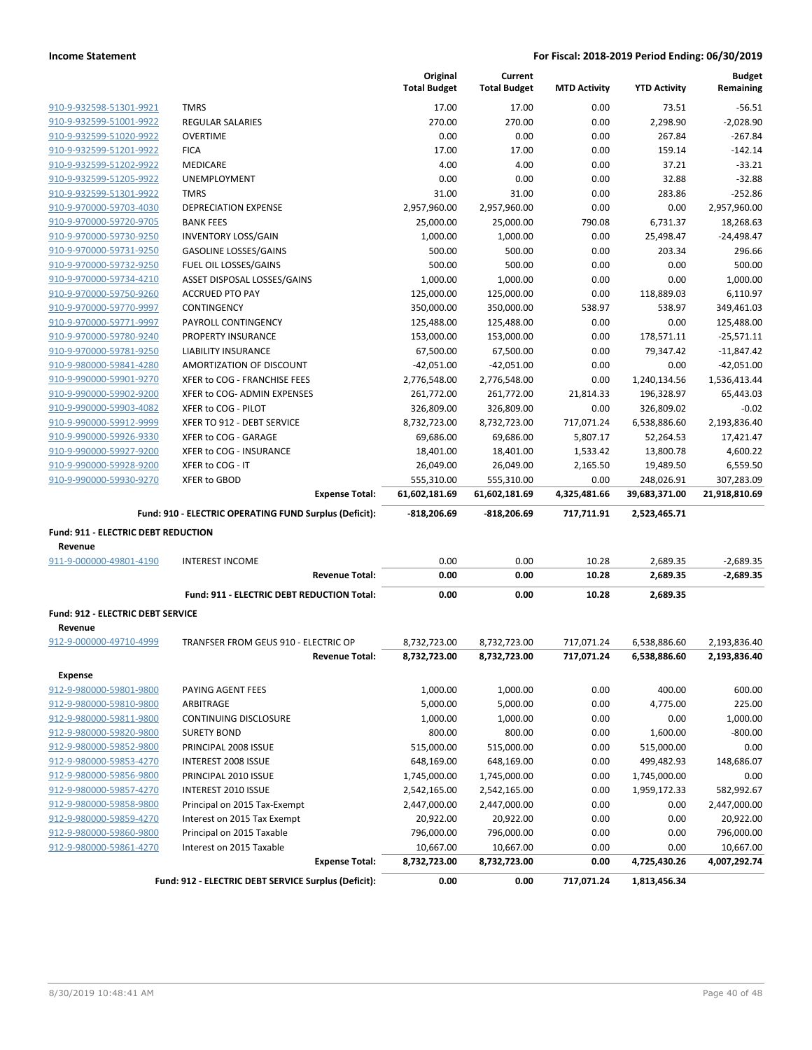|                                          |                                                        | Original            | Current             |                     |                      | <b>Budget</b>              |
|------------------------------------------|--------------------------------------------------------|---------------------|---------------------|---------------------|----------------------|----------------------------|
|                                          |                                                        | <b>Total Budget</b> | <b>Total Budget</b> | <b>MTD Activity</b> | <b>YTD Activity</b>  | Remaining                  |
| 910-9-932598-51301-9921                  | <b>TMRS</b>                                            | 17.00               | 17.00               | 0.00                | 73.51                | $-56.51$                   |
| 910-9-932599-51001-9922                  | <b>REGULAR SALARIES</b>                                | 270.00              | 270.00              | 0.00                | 2,298.90             | $-2,028.90$                |
| 910-9-932599-51020-9922                  | <b>OVERTIME</b>                                        | 0.00                | 0.00                | 0.00                | 267.84               | $-267.84$                  |
| 910-9-932599-51201-9922                  | <b>FICA</b>                                            | 17.00               | 17.00               | 0.00                | 159.14               | $-142.14$                  |
| 910-9-932599-51202-9922                  | <b>MEDICARE</b>                                        | 4.00                | 4.00                | 0.00                | 37.21                | $-33.21$                   |
| 910-9-932599-51205-9922                  | UNEMPLOYMENT                                           | 0.00                | 0.00                | 0.00                | 32.88                | $-32.88$                   |
| 910-9-932599-51301-9922                  | <b>TMRS</b>                                            | 31.00               | 31.00               | 0.00                | 283.86               | $-252.86$                  |
| 910-9-970000-59703-4030                  | <b>DEPRECIATION EXPENSE</b>                            | 2,957,960.00        | 2,957,960.00        | 0.00                | 0.00                 | 2,957,960.00               |
| 910-9-970000-59720-9705                  | <b>BANK FEES</b>                                       | 25,000.00           | 25,000.00           | 790.08              | 6,731.37             | 18,268.63                  |
| 910-9-970000-59730-9250                  | <b>INVENTORY LOSS/GAIN</b>                             | 1,000.00            | 1,000.00            | 0.00                | 25,498.47            | $-24,498.47$               |
| 910-9-970000-59731-9250                  | <b>GASOLINE LOSSES/GAINS</b>                           | 500.00              | 500.00              | 0.00                | 203.34               | 296.66                     |
| 910-9-970000-59732-9250                  | FUEL OIL LOSSES/GAINS                                  | 500.00              | 500.00              | 0.00                | 0.00                 | 500.00                     |
| 910-9-970000-59734-4210                  | ASSET DISPOSAL LOSSES/GAINS                            | 1,000.00            | 1,000.00            | 0.00                | 0.00                 | 1,000.00                   |
| 910-9-970000-59750-9260                  | <b>ACCRUED PTO PAY</b>                                 | 125,000.00          | 125,000.00          | 0.00                | 118,889.03           | 6,110.97                   |
| 910-9-970000-59770-9997                  | CONTINGENCY                                            | 350,000.00          | 350,000.00          | 538.97              | 538.97               | 349,461.03                 |
| 910-9-970000-59771-9997                  | PAYROLL CONTINGENCY                                    | 125,488.00          | 125,488.00          | 0.00                | 0.00                 | 125,488.00                 |
| 910-9-970000-59780-9240                  | PROPERTY INSURANCE                                     | 153,000.00          | 153,000.00          | 0.00                | 178,571.11           | $-25,571.11$               |
| 910-9-970000-59781-9250                  | <b>LIABILITY INSURANCE</b>                             | 67,500.00           | 67,500.00           | 0.00                | 79,347.42            | $-11,847.42$               |
| 910-9-980000-59841-4280                  | AMORTIZATION OF DISCOUNT                               | $-42,051.00$        | $-42,051.00$        | 0.00                | 0.00                 | $-42,051.00$               |
| 910-9-990000-59901-9270                  | XFER to COG - FRANCHISE FEES                           | 2,776,548.00        | 2,776,548.00        | 0.00                | 1,240,134.56         | 1,536,413.44               |
| 910-9-990000-59902-9200                  | XFER to COG- ADMIN EXPENSES                            | 261,772.00          | 261,772.00          | 21,814.33           | 196,328.97           | 65,443.03                  |
| 910-9-990000-59903-4082                  | XFER to COG - PILOT                                    | 326,809.00          | 326,809.00          | 0.00                | 326,809.02           | $-0.02$                    |
| 910-9-990000-59912-9999                  | XFER TO 912 - DEBT SERVICE                             | 8,732,723.00        | 8,732,723.00        | 717,071.24          | 6,538,886.60         | 2,193,836.40               |
| 910-9-990000-59926-9330                  | XFER to COG - GARAGE                                   | 69,686.00           | 69,686.00           | 5,807.17            | 52,264.53            | 17,421.47                  |
| 910-9-990000-59927-9200                  | XFER to COG - INSURANCE                                | 18,401.00           | 18,401.00           | 1,533.42            | 13,800.78            | 4,600.22                   |
| 910-9-990000-59928-9200                  | XFER to COG - IT                                       | 26,049.00           | 26,049.00           | 2,165.50            | 19,489.50            | 6,559.50                   |
| 910-9-990000-59930-9270                  | <b>XFER to GBOD</b>                                    | 555,310.00          | 555,310.00          | 0.00                | 248,026.91           | 307,283.09                 |
|                                          |                                                        |                     |                     |                     |                      |                            |
|                                          | <b>Expense Total:</b>                                  | 61,602,181.69       | 61,602,181.69       | 4,325,481.66        | 39,683,371.00        | 21,918,810.69              |
|                                          | Fund: 910 - ELECTRIC OPERATING FUND Surplus (Deficit): | -818,206.69         | $-818,206.69$       | 717,711.91          | 2,523,465.71         |                            |
|                                          |                                                        |                     |                     |                     |                      |                            |
| Fund: 911 - ELECTRIC DEBT REDUCTION      |                                                        |                     |                     |                     |                      |                            |
| Revenue<br>911-9-000000-49801-4190       | <b>INTEREST INCOME</b>                                 | 0.00                | 0.00                | 10.28               |                      |                            |
|                                          | <b>Revenue Total:</b>                                  | 0.00                | 0.00                | 10.28               | 2,689.35<br>2,689.35 | $-2,689.35$<br>$-2,689.35$ |
|                                          |                                                        |                     |                     |                     |                      |                            |
|                                          | Fund: 911 - ELECTRIC DEBT REDUCTION Total:             | 0.00                | 0.00                | 10.28               | 2,689.35             |                            |
| <b>Fund: 912 - ELECTRIC DEBT SERVICE</b> |                                                        |                     |                     |                     |                      |                            |
| Revenue                                  |                                                        |                     |                     |                     |                      |                            |
| 912-9-000000-49710-4999                  | TRANFSER FROM GEUS 910 - ELECTRIC OP                   | 8,732,723.00        | 8,732,723.00        | 717,071.24          | 6,538,886.60         | 2,193,836.40               |
|                                          | <b>Revenue Total:</b>                                  | 8,732,723.00        | 8,732,723.00        | 717,071.24          | 6,538,886.60         | 2,193,836.40               |
| <b>Expense</b>                           |                                                        |                     |                     |                     |                      |                            |
| 912-9-980000-59801-9800                  | PAYING AGENT FEES                                      | 1,000.00            | 1,000.00            | 0.00                | 400.00               | 600.00                     |
| 912-9-980000-59810-9800                  | ARBITRAGE                                              | 5,000.00            | 5,000.00            | 0.00                | 4,775.00             | 225.00                     |
| 912-9-980000-59811-9800                  | CONTINUING DISCLOSURE                                  | 1,000.00            | 1,000.00            | 0.00                | 0.00                 | 1,000.00                   |
| 912-9-980000-59820-9800                  | <b>SURETY BOND</b>                                     | 800.00              | 800.00              | 0.00                | 1,600.00             | $-800.00$                  |
| 912-9-980000-59852-9800                  | PRINCIPAL 2008 ISSUE                                   | 515,000.00          | 515,000.00          | 0.00                | 515,000.00           | 0.00                       |
| 912-9-980000-59853-4270                  | INTEREST 2008 ISSUE                                    | 648,169.00          | 648,169.00          | 0.00                | 499,482.93           | 148,686.07                 |
| 912-9-980000-59856-9800                  | PRINCIPAL 2010 ISSUE                                   | 1,745,000.00        | 1,745,000.00        | 0.00                | 1,745,000.00         | 0.00                       |
| 912-9-980000-59857-4270                  | INTEREST 2010 ISSUE                                    | 2,542,165.00        | 2,542,165.00        | 0.00                | 1,959,172.33         | 582,992.67                 |
| 912-9-980000-59858-9800                  | Principal on 2015 Tax-Exempt                           | 2,447,000.00        | 2,447,000.00        | 0.00                | 0.00                 | 2,447,000.00               |
| 912-9-980000-59859-4270                  | Interest on 2015 Tax Exempt                            | 20,922.00           | 20,922.00           | 0.00                | 0.00                 | 20,922.00                  |
| 912-9-980000-59860-9800                  | Principal on 2015 Taxable                              | 796,000.00          | 796,000.00          | 0.00                | 0.00                 | 796,000.00                 |
| 912-9-980000-59861-4270                  | Interest on 2015 Taxable                               | 10,667.00           | 10,667.00           | 0.00                | 0.00                 | 10,667.00                  |
|                                          | <b>Expense Total:</b>                                  | 8,732,723.00        | 8,732,723.00        | 0.00                | 4,725,430.26         | 4,007,292.74               |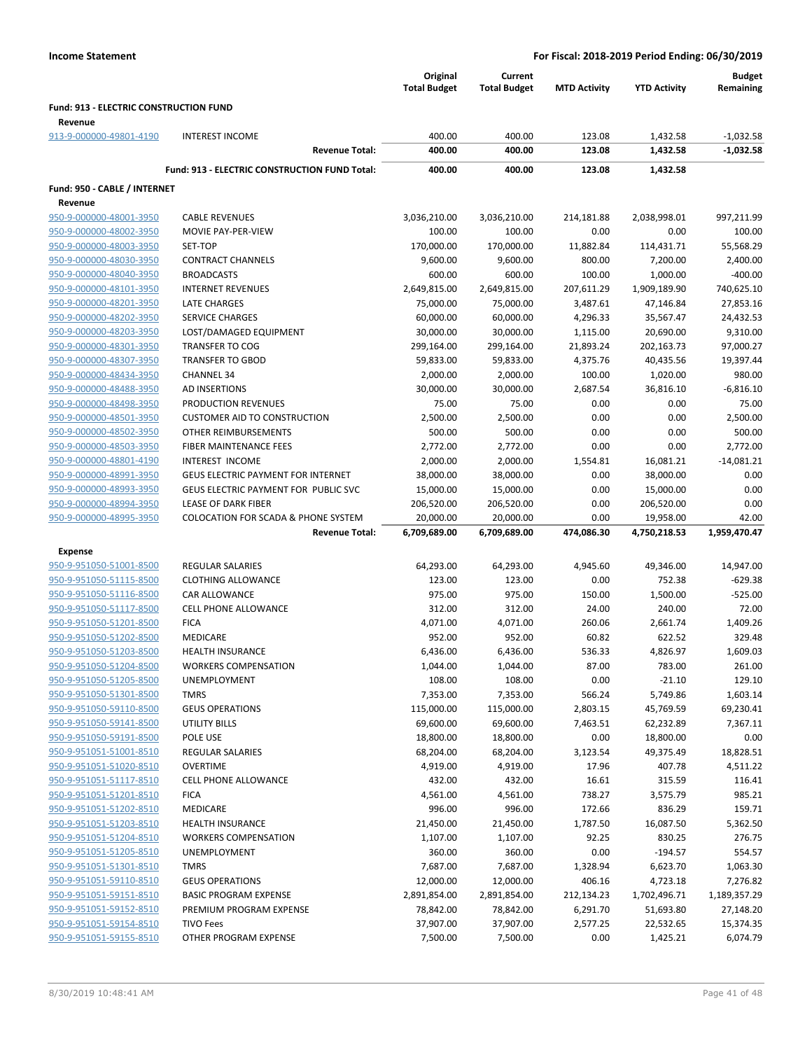|                                                    |                                                                                   | Original<br><b>Total Budget</b> | Current<br><b>Total Budget</b> | <b>MTD Activity</b> | <b>YTD Activity</b>     | <b>Budget</b><br>Remaining |
|----------------------------------------------------|-----------------------------------------------------------------------------------|---------------------------------|--------------------------------|---------------------|-------------------------|----------------------------|
| Fund: 913 - ELECTRIC CONSTRUCTION FUND             |                                                                                   |                                 |                                |                     |                         |                            |
| Revenue<br>913-9-000000-49801-4190                 | <b>INTEREST INCOME</b>                                                            | 400.00                          | 400.00                         | 123.08              | 1,432.58                | $-1,032.58$                |
|                                                    | <b>Revenue Total:</b>                                                             | 400.00                          | 400.00                         | 123.08              | 1,432.58                | $-1,032.58$                |
|                                                    | Fund: 913 - ELECTRIC CONSTRUCTION FUND Total:                                     | 400.00                          | 400.00                         | 123.08              | 1,432.58                |                            |
|                                                    |                                                                                   |                                 |                                |                     |                         |                            |
| Fund: 950 - CABLE / INTERNET<br>Revenue            |                                                                                   |                                 |                                |                     |                         |                            |
| 950-9-000000-48001-3950                            | <b>CABLE REVENUES</b>                                                             | 3,036,210.00                    | 3,036,210.00                   | 214,181.88          | 2,038,998.01            | 997,211.99                 |
| 950-9-000000-48002-3950                            | MOVIE PAY-PER-VIEW                                                                | 100.00                          | 100.00                         | 0.00                | 0.00                    | 100.00                     |
| 950-9-000000-48003-3950                            | SET-TOP                                                                           | 170,000.00                      | 170,000.00                     | 11,882.84           | 114,431.71              | 55,568.29                  |
| 950-9-000000-48030-3950                            | <b>CONTRACT CHANNELS</b>                                                          | 9,600.00                        | 9,600.00                       | 800.00              | 7,200.00                | 2,400.00                   |
| 950-9-000000-48040-3950                            | <b>BROADCASTS</b>                                                                 | 600.00                          | 600.00                         | 100.00              | 1,000.00                | $-400.00$                  |
| 950-9-000000-48101-3950                            | <b>INTERNET REVENUES</b>                                                          | 2,649,815.00                    | 2,649,815.00                   | 207,611.29          | 1,909,189.90            | 740,625.10                 |
| 950-9-000000-48201-3950                            | <b>LATE CHARGES</b>                                                               | 75,000.00                       | 75,000.00                      | 3,487.61            | 47,146.84               | 27,853.16                  |
| 950-9-000000-48202-3950                            | <b>SERVICE CHARGES</b>                                                            | 60,000.00                       | 60,000.00                      | 4,296.33            | 35,567.47               | 24,432.53                  |
| 950-9-000000-48203-3950                            | LOST/DAMAGED EQUIPMENT                                                            | 30,000.00                       | 30,000.00                      | 1,115.00            | 20,690.00               | 9,310.00                   |
| 950-9-000000-48301-3950                            | <b>TRANSFER TO COG</b>                                                            | 299,164.00                      | 299,164.00                     | 21,893.24           | 202,163.73              | 97,000.27                  |
| 950-9-000000-48307-3950                            | <b>TRANSFER TO GBOD</b>                                                           | 59,833.00                       | 59,833.00                      | 4,375.76            | 40,435.56               | 19,397.44                  |
| 950-9-000000-48434-3950                            | <b>CHANNEL 34</b>                                                                 | 2,000.00                        | 2,000.00                       | 100.00              | 1,020.00                | 980.00                     |
| 950-9-000000-48488-3950                            | <b>AD INSERTIONS</b>                                                              | 30,000.00                       | 30,000.00                      | 2,687.54            | 36,816.10               | $-6,816.10$                |
| 950-9-000000-48498-3950                            | PRODUCTION REVENUES                                                               | 75.00                           | 75.00                          | 0.00                | 0.00                    | 75.00                      |
| 950-9-000000-48501-3950                            | <b>CUSTOMER AID TO CONSTRUCTION</b>                                               | 2,500.00                        | 2,500.00                       | 0.00                | 0.00                    | 2,500.00                   |
| 950-9-000000-48502-3950                            | <b>OTHER REIMBURSEMENTS</b>                                                       | 500.00                          | 500.00                         | 0.00                | 0.00                    | 500.00                     |
| 950-9-000000-48503-3950                            | FIBER MAINTENANCE FEES                                                            | 2,772.00                        | 2,772.00                       | 0.00                | 0.00                    | 2,772.00                   |
| 950-9-000000-48801-4190                            | INTEREST INCOME                                                                   | 2,000.00                        | 2,000.00                       | 1,554.81            | 16,081.21               | $-14,081.21$               |
| 950-9-000000-48991-3950                            | <b>GEUS ELECTRIC PAYMENT FOR INTERNET</b><br>GEUS ELECTRIC PAYMENT FOR PUBLIC SVC | 38,000.00                       | 38,000.00                      | 0.00<br>0.00        | 38,000.00               | 0.00<br>0.00               |
| 950-9-000000-48993-3950<br>950-9-000000-48994-3950 | LEASE OF DARK FIBER                                                               | 15,000.00<br>206,520.00         | 15,000.00<br>206,520.00        | 0.00                | 15,000.00<br>206,520.00 | 0.00                       |
| 950-9-000000-48995-3950                            | <b>COLOCATION FOR SCADA &amp; PHONE SYSTEM</b>                                    | 20,000.00                       | 20,000.00                      | 0.00                | 19,958.00               | 42.00                      |
|                                                    | <b>Revenue Total:</b>                                                             | 6,709,689.00                    | 6,709,689.00                   | 474,086.30          | 4,750,218.53            | 1,959,470.47               |
| <b>Expense</b>                                     |                                                                                   |                                 |                                |                     |                         |                            |
| 950-9-951050-51001-8500                            | <b>REGULAR SALARIES</b>                                                           | 64,293.00                       | 64,293.00                      | 4,945.60            | 49,346.00               | 14,947.00                  |
| 950-9-951050-51115-8500                            | <b>CLOTHING ALLOWANCE</b>                                                         | 123.00                          | 123.00                         | 0.00                | 752.38                  | $-629.38$                  |
| 950-9-951050-51116-8500                            | CAR ALLOWANCE                                                                     | 975.00                          | 975.00                         | 150.00              | 1,500.00                | $-525.00$                  |
| 950-9-951050-51117-8500                            | <b>CELL PHONE ALLOWANCE</b>                                                       | 312.00                          | 312.00                         | 24.00               | 240.00                  | 72.00                      |
| 950-9-951050-51201-8500                            | <b>FICA</b>                                                                       | 4,071.00                        | 4,071.00                       | 260.06              | 2,661.74                | 1,409.26                   |
| 950-9-951050-51202-8500                            | <b>MEDICARE</b>                                                                   | 952.00                          | 952.00                         | 60.82               | 622.52                  | 329.48                     |
| 950-9-951050-51203-8500                            | <b>HEALTH INSURANCE</b>                                                           | 6,436.00                        | 6,436.00                       | 536.33              | 4,826.97                | 1,609.03                   |
| 950-9-951050-51204-8500                            | <b>WORKERS COMPENSATION</b>                                                       | 1,044.00                        | 1,044.00                       | 87.00               | 783.00                  | 261.00                     |
| 950-9-951050-51205-8500                            | UNEMPLOYMENT                                                                      | 108.00                          | 108.00                         | 0.00                | $-21.10$                | 129.10                     |
| 950-9-951050-51301-8500                            | <b>TMRS</b>                                                                       | 7,353.00                        | 7,353.00                       | 566.24              | 5,749.86                | 1,603.14                   |
| 950-9-951050-59110-8500                            | <b>GEUS OPERATIONS</b>                                                            | 115,000.00                      | 115,000.00                     | 2,803.15            | 45,769.59               | 69,230.41                  |
| 950-9-951050-59141-8500                            | <b>UTILITY BILLS</b>                                                              | 69,600.00                       | 69,600.00                      | 7,463.51            | 62,232.89               | 7,367.11                   |
| 950-9-951050-59191-8500                            | POLE USE                                                                          | 18,800.00                       | 18,800.00                      | 0.00                | 18,800.00               | 0.00                       |
| 950-9-951051-51001-8510                            | <b>REGULAR SALARIES</b>                                                           | 68,204.00                       | 68,204.00                      | 3,123.54            | 49,375.49               | 18,828.51                  |
| 950-9-951051-51020-8510                            | <b>OVERTIME</b>                                                                   | 4,919.00                        | 4,919.00                       | 17.96               | 407.78                  | 4,511.22                   |
| 950-9-951051-51117-8510                            | <b>CELL PHONE ALLOWANCE</b>                                                       | 432.00                          | 432.00                         | 16.61               | 315.59                  | 116.41                     |
| 950-9-951051-51201-8510                            | <b>FICA</b>                                                                       | 4,561.00                        | 4,561.00                       | 738.27              | 3,575.79                | 985.21                     |
| 950-9-951051-51202-8510<br>950-9-951051-51203-8510 | MEDICARE<br><b>HEALTH INSURANCE</b>                                               | 996.00<br>21,450.00             | 996.00<br>21,450.00            | 172.66<br>1,787.50  | 836.29<br>16,087.50     | 159.71<br>5,362.50         |
| 950-9-951051-51204-8510                            | <b>WORKERS COMPENSATION</b>                                                       | 1,107.00                        | 1,107.00                       | 92.25               | 830.25                  | 276.75                     |
| 950-9-951051-51205-8510                            | UNEMPLOYMENT                                                                      | 360.00                          | 360.00                         | 0.00                | $-194.57$               | 554.57                     |
| 950-9-951051-51301-8510                            | <b>TMRS</b>                                                                       | 7,687.00                        | 7,687.00                       | 1,328.94            | 6,623.70                | 1,063.30                   |
| 950-9-951051-59110-8510                            | <b>GEUS OPERATIONS</b>                                                            | 12,000.00                       | 12,000.00                      | 406.16              | 4,723.18                | 7,276.82                   |
| 950-9-951051-59151-8510                            | <b>BASIC PROGRAM EXPENSE</b>                                                      | 2,891,854.00                    | 2,891,854.00                   | 212,134.23          | 1,702,496.71            | 1,189,357.29               |
| 950-9-951051-59152-8510                            | PREMIUM PROGRAM EXPENSE                                                           | 78,842.00                       | 78,842.00                      | 6,291.70            | 51,693.80               | 27,148.20                  |
| 950-9-951051-59154-8510                            | <b>TIVO Fees</b>                                                                  | 37,907.00                       | 37,907.00                      | 2,577.25            | 22,532.65               | 15,374.35                  |
| 950-9-951051-59155-8510                            | OTHER PROGRAM EXPENSE                                                             | 7,500.00                        | 7,500.00                       | 0.00                | 1,425.21                | 6,074.79                   |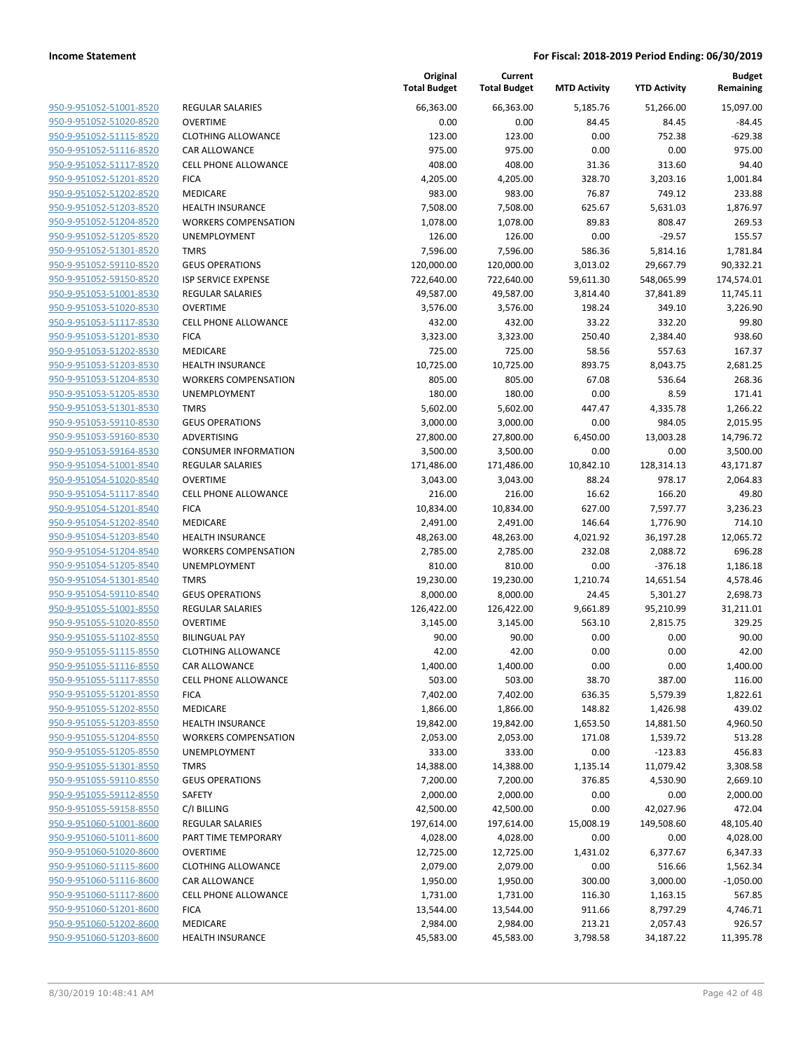| 950-9-951052-51001-8520        |
|--------------------------------|
| 950-9-951052-51020-8520        |
| <u>950-9-951052-51115-8520</u> |
| <u>950-9-951052-51116-8520</u> |
| 950-9-951052-51117-8520        |
| 950-9-951052-51201-8520        |
| 950-9-951052-51202-8520        |
| <u>950-9-951052-51203-8520</u> |
| 950-9-951052-51204-8520        |
| 950-9-951052-51205-8520        |
| 950-9-951052-51301-8520        |
| 950-9-951052-59110-8520        |
| <u>950-9-951052-59150-8520</u> |
| 950-9-951053-51001-8530        |
| 950-9-951053-51020-8530        |
| 950-9-951053-51117-8530        |
| 950-9-951053-51201-8530        |
| <u>950-9-951053-51202-8530</u> |
| 950-9-951053-51203-8530        |
| 950-9-951053-51204-8530        |
| 950-9-951053-51205-8530        |
| 950-9-951053-51301-8530        |
| <u>950-9-951053-59110-8530</u> |
| 950-9-951053-59160-8530        |
| 950-9-951053-59164-8530        |
| 950-9-951054-51001-8540        |
| 950-9-951054-51020-8540        |
| 950-9-951054-51117-8540        |
| 950-9-951054-51201-8540        |
| 950-9-951054-51202-8540        |
| 950-9-951054-51203-8540        |
| 950-9-951054-51204-8540        |
| <u>950-9-951054-51205-8540</u> |
| 950-9-951054-51301-8540        |
| 950-9-951054-59110-8540        |
| 950-9-951055-51001-8550        |
| 950-9-951055-51020-8550        |
| <u>950-9-951055-51102-8550</u> |
| 950-9-951055-51115-8550        |
| 950-9-951055-51116-8550        |
| 950-9-951055-51117-8550        |
| 950-9-951055-51201-8550        |
| 950-9-951055-51202-8550        |
| 950-9-951055-51203-8550        |
| 950-9-951055-51204-8550        |
| 950-9-951055-51205-8550        |
| 950-9-951055-51301-8550        |
| <u>950-9-951055-59110-8550</u> |
| 950-9-951055-59112-8550        |
| 950-9-951055-59158-8550        |
| 950-9-951060-51001-8600        |
| 950-9-951060-51011-8600        |
| 950-9-951060-51020-8600        |
| 950-9-951060-51115-8600        |
| 950-9-951060-51116-8600        |
| 950-9-951060-51117-8600        |
| 950-9-951060-51201-8600        |
| 950-9-951060-51202-8600        |
| 950-9-951060-51203-8600        |
|                                |

|                         |                             | Original<br><b>Total Budget</b> | Current<br><b>Total Budget</b> | <b>MTD Activity</b> | <b>YTD Activity</b> | Budget<br>Remaining |
|-------------------------|-----------------------------|---------------------------------|--------------------------------|---------------------|---------------------|---------------------|
| 950-9-951052-51001-8520 | <b>REGULAR SALARIES</b>     | 66,363.00                       | 66,363.00                      | 5,185.76            | 51,266.00           | 15,097.00           |
| 950-9-951052-51020-8520 | <b>OVERTIME</b>             | 0.00                            | 0.00                           | 84.45               | 84.45               | $-84.45$            |
| 950-9-951052-51115-8520 | <b>CLOTHING ALLOWANCE</b>   | 123.00                          | 123.00                         | 0.00                | 752.38              | $-629.38$           |
| 950-9-951052-51116-8520 | CAR ALLOWANCE               | 975.00                          | 975.00                         | 0.00                | 0.00                | 975.00              |
| 950-9-951052-51117-8520 | <b>CELL PHONE ALLOWANCE</b> | 408.00                          | 408.00                         | 31.36               | 313.60              | 94.40               |
| 950-9-951052-51201-8520 | <b>FICA</b>                 | 4,205.00                        | 4,205.00                       | 328.70              | 3,203.16            | 1,001.84            |
| 950-9-951052-51202-8520 | MEDICARE                    | 983.00                          | 983.00                         | 76.87               | 749.12              | 233.88              |
| 950-9-951052-51203-8520 | HEALTH INSURANCE            | 7,508.00                        | 7,508.00                       | 625.67              | 5,631.03            | 1,876.97            |
| 950-9-951052-51204-8520 | <b>WORKERS COMPENSATION</b> | 1,078.00                        | 1,078.00                       | 89.83               | 808.47              | 269.53              |
| 950-9-951052-51205-8520 | UNEMPLOYMENT                | 126.00                          | 126.00                         | 0.00                | $-29.57$            | 155.57              |
| 950-9-951052-51301-8520 | <b>TMRS</b>                 | 7,596.00                        | 7,596.00                       | 586.36              | 5,814.16            | 1,781.84            |
| 950-9-951052-59110-8520 | <b>GEUS OPERATIONS</b>      | 120,000.00                      | 120,000.00                     | 3,013.02            | 29,667.79           | 90,332.21           |
| 950-9-951052-59150-8520 | ISP SERVICE EXPENSE         | 722,640.00                      | 722,640.00                     | 59,611.30           | 548,065.99          | 174,574.01          |
| 950-9-951053-51001-8530 | REGULAR SALARIES            | 49,587.00                       | 49,587.00                      | 3,814.40            | 37,841.89           | 11,745.11           |
| 950-9-951053-51020-8530 | <b>OVERTIME</b>             | 3,576.00                        | 3,576.00                       | 198.24              | 349.10              | 3,226.90            |
| 950-9-951053-51117-8530 | <b>CELL PHONE ALLOWANCE</b> | 432.00                          | 432.00                         | 33.22               | 332.20              | 99.80               |
| 950-9-951053-51201-8530 | <b>FICA</b>                 | 3,323.00                        | 3,323.00                       | 250.40              | 2,384.40            | 938.60              |
| 950-9-951053-51202-8530 | MEDICARE                    | 725.00                          | 725.00                         | 58.56               | 557.63              | 167.37              |
| 950-9-951053-51203-8530 | <b>HEALTH INSURANCE</b>     | 10,725.00                       | 10,725.00                      | 893.75              | 8,043.75            | 2,681.25            |
| 950-9-951053-51204-8530 | <b>WORKERS COMPENSATION</b> | 805.00                          | 805.00                         | 67.08               | 536.64              | 268.36              |
| 950-9-951053-51205-8530 | UNEMPLOYMENT                | 180.00                          | 180.00                         | 0.00                | 8.59                | 171.41              |
| 950-9-951053-51301-8530 | <b>TMRS</b>                 | 5,602.00                        | 5,602.00                       | 447.47              | 4,335.78            | 1,266.22            |
| 950-9-951053-59110-8530 | <b>GEUS OPERATIONS</b>      | 3,000.00                        | 3,000.00                       | 0.00                | 984.05              | 2,015.95            |
| 950-9-951053-59160-8530 | ADVERTISING                 | 27,800.00                       | 27,800.00                      | 6,450.00            | 13,003.28           | 14,796.72           |
| 950-9-951053-59164-8530 | <b>CONSUMER INFORMATION</b> | 3,500.00                        | 3,500.00                       | 0.00                | 0.00                | 3,500.00            |
| 950-9-951054-51001-8540 | <b>REGULAR SALARIES</b>     | 171,486.00                      | 171,486.00                     | 10,842.10           | 128,314.13          | 43,171.87           |
| 950-9-951054-51020-8540 | <b>OVERTIME</b>             | 3,043.00                        | 3,043.00                       | 88.24               | 978.17              | 2,064.83            |
| 950-9-951054-51117-8540 | CELL PHONE ALLOWANCE        | 216.00                          | 216.00                         | 16.62               | 166.20              | 49.80               |
| 950-9-951054-51201-8540 | <b>FICA</b>                 | 10,834.00                       | 10,834.00                      | 627.00              | 7,597.77            | 3,236.23            |
| 950-9-951054-51202-8540 | MEDICARE                    | 2,491.00                        | 2,491.00                       | 146.64              | 1,776.90            | 714.10              |
| 950-9-951054-51203-8540 | <b>HEALTH INSURANCE</b>     | 48,263.00                       | 48,263.00                      | 4,021.92            | 36,197.28           | 12,065.72           |
| 950-9-951054-51204-8540 | <b>WORKERS COMPENSATION</b> | 2,785.00                        | 2,785.00                       | 232.08              | 2,088.72            | 696.28              |
| 950-9-951054-51205-8540 | UNEMPLOYMENT                | 810.00                          | 810.00                         | 0.00                | $-376.18$           | 1,186.18            |
| 950-9-951054-51301-8540 | <b>TMRS</b>                 | 19,230.00                       | 19,230.00                      | 1,210.74            | 14,651.54           | 4,578.46            |
| 950-9-951054-59110-8540 | <b>GEUS OPERATIONS</b>      | 8,000.00                        | 8,000.00                       | 24.45               | 5,301.27            | 2,698.73            |
| 950-9-951055-51001-8550 | REGULAR SALARIES            | 126,422.00                      | 126,422.00                     | 9,661.89            | 95,210.99           | 31,211.01           |
| 950-9-951055-51020-8550 | <b>OVERTIME</b>             | 3,145.00                        | 3,145.00                       | 563.10              | 2,815.75            | 329.25              |
| 950-9-951055-51102-8550 | <b>BILINGUAL PAY</b>        | 90.00                           | 90.00                          | 0.00                | 0.00                | 90.00               |
| 950-9-951055-51115-8550 | <b>CLOTHING ALLOWANCE</b>   | 42.00                           | 42.00                          | 0.00                | 0.00                | 42.00               |
| 950-9-951055-51116-8550 | <b>CAR ALLOWANCE</b>        | 1,400.00                        | 1,400.00                       | 0.00                | 0.00                | 1,400.00            |
| 950-9-951055-51117-8550 | <b>CELL PHONE ALLOWANCE</b> | 503.00                          | 503.00                         | 38.70               | 387.00              | 116.00              |
| 950-9-951055-51201-8550 | <b>FICA</b>                 | 7,402.00                        | 7,402.00                       | 636.35              | 5,579.39            | 1,822.61            |
| 950-9-951055-51202-8550 | MEDICARE                    | 1,866.00                        | 1,866.00                       | 148.82              | 1,426.98            | 439.02              |
| 950-9-951055-51203-8550 | <b>HEALTH INSURANCE</b>     | 19,842.00                       | 19,842.00                      | 1,653.50            | 14,881.50           | 4,960.50            |
| 950-9-951055-51204-8550 | <b>WORKERS COMPENSATION</b> | 2,053.00                        | 2,053.00                       | 171.08              | 1,539.72            | 513.28              |
| 950-9-951055-51205-8550 | UNEMPLOYMENT                | 333.00                          | 333.00                         | 0.00                | $-123.83$           | 456.83              |
| 950-9-951055-51301-8550 | <b>TMRS</b>                 | 14,388.00                       | 14,388.00                      | 1,135.14            | 11,079.42           | 3,308.58            |
| 950-9-951055-59110-8550 | <b>GEUS OPERATIONS</b>      | 7,200.00                        | 7,200.00                       | 376.85              | 4,530.90            | 2,669.10            |
| 950-9-951055-59112-8550 | SAFETY                      | 2,000.00                        | 2,000.00                       | 0.00                | 0.00                | 2,000.00            |
| 950-9-951055-59158-8550 | C/I BILLING                 | 42,500.00                       | 42,500.00                      | 0.00                | 42,027.96           | 472.04              |
| 950-9-951060-51001-8600 | REGULAR SALARIES            | 197,614.00                      | 197,614.00                     | 15,008.19           | 149,508.60          | 48,105.40           |
| 950-9-951060-51011-8600 | PART TIME TEMPORARY         | 4,028.00                        | 4,028.00                       | 0.00                | 0.00                | 4,028.00            |
| 950-9-951060-51020-8600 | <b>OVERTIME</b>             | 12,725.00                       | 12,725.00                      | 1,431.02            | 6,377.67            | 6,347.33            |
| 950-9-951060-51115-8600 | <b>CLOTHING ALLOWANCE</b>   | 2,079.00                        | 2,079.00                       | 0.00                | 516.66              | 1,562.34            |
| 950-9-951060-51116-8600 | CAR ALLOWANCE               | 1,950.00                        | 1,950.00                       | 300.00              | 3,000.00            | $-1,050.00$         |
| 950-9-951060-51117-8600 | <b>CELL PHONE ALLOWANCE</b> | 1,731.00                        | 1,731.00                       | 116.30              | 1,163.15            | 567.85              |
| 950-9-951060-51201-8600 | <b>FICA</b>                 | 13,544.00                       | 13,544.00                      | 911.66              | 8,797.29            | 4,746.71            |
| 950-9-951060-51202-8600 | MEDICARE                    | 2,984.00                        | 2,984.00                       | 213.21              | 2,057.43            | 926.57              |
| 950-9-951060-51203-8600 | <b>HEALTH INSURANCE</b>     | 45,583.00                       | 45,583.00                      | 3,798.58            | 34,187.22           | 11,395.78           |
|                         |                             |                                 |                                |                     |                     |                     |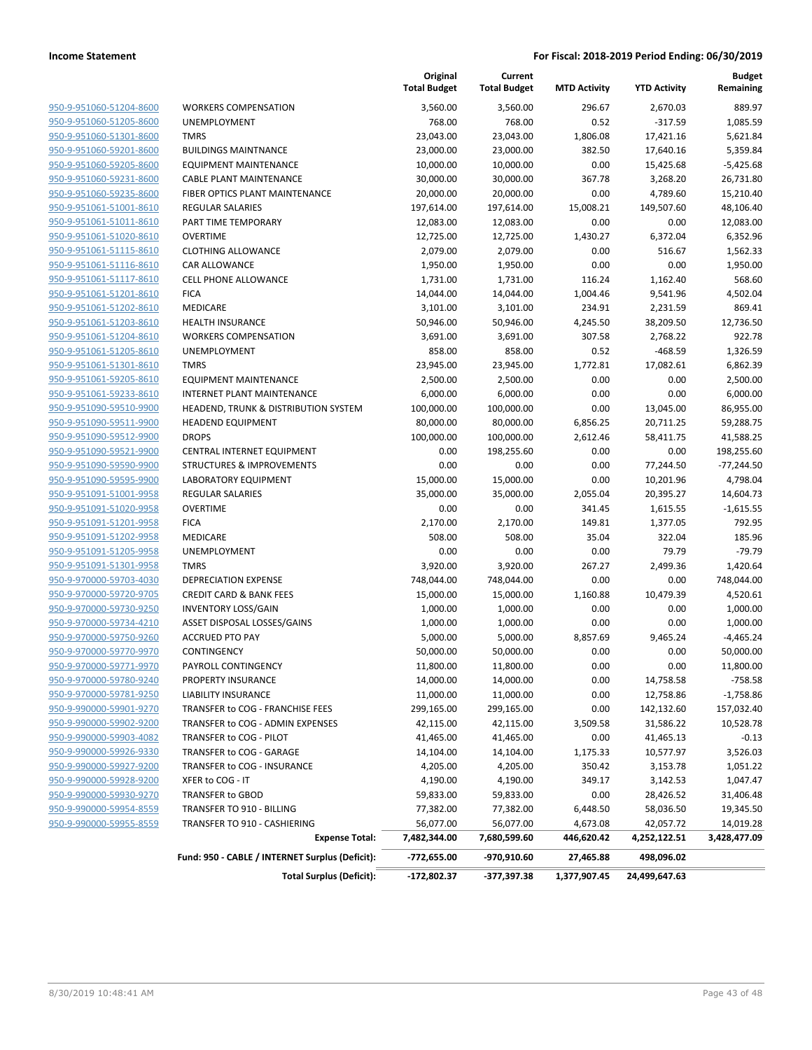**Current**

**Original**

**Budget**

|                                |                                                 | <b>Total Budget</b> | <b>Total Budget</b> | <b>MTD Activity</b> | <b>YTD Activity</b> | Remaining    |
|--------------------------------|-------------------------------------------------|---------------------|---------------------|---------------------|---------------------|--------------|
| 950-9-951060-51204-8600        | <b>WORKERS COMPENSATION</b>                     | 3,560.00            | 3,560.00            | 296.67              | 2,670.03            | 889.97       |
| 950-9-951060-51205-8600        | <b>UNEMPLOYMENT</b>                             | 768.00              | 768.00              | 0.52                | $-317.59$           | 1,085.59     |
| 950-9-951060-51301-8600        | <b>TMRS</b>                                     | 23,043.00           | 23,043.00           | 1,806.08            | 17,421.16           | 5,621.84     |
| 950-9-951060-59201-8600        | <b>BUILDINGS MAINTNANCE</b>                     | 23,000.00           | 23,000.00           | 382.50              | 17,640.16           | 5,359.84     |
| 950-9-951060-59205-8600        | <b>EQUIPMENT MAINTENANCE</b>                    | 10,000.00           | 10,000.00           | 0.00                | 15,425.68           | $-5,425.68$  |
| 950-9-951060-59231-8600        | <b>CABLE PLANT MAINTENANCE</b>                  | 30,000.00           | 30,000.00           | 367.78              | 3,268.20            | 26,731.80    |
| 950-9-951060-59235-8600        | FIBER OPTICS PLANT MAINTENANCE                  | 20,000.00           | 20,000.00           | 0.00                | 4,789.60            | 15,210.40    |
| 950-9-951061-51001-8610        | <b>REGULAR SALARIES</b>                         | 197,614.00          | 197,614.00          | 15,008.21           | 149,507.60          | 48,106.40    |
| 950-9-951061-51011-8610        | PART TIME TEMPORARY                             | 12,083.00           | 12,083.00           | 0.00                | 0.00                | 12,083.00    |
| 950-9-951061-51020-8610        | <b>OVERTIME</b>                                 | 12,725.00           | 12,725.00           | 1,430.27            | 6,372.04            | 6,352.96     |
| 950-9-951061-51115-8610        | <b>CLOTHING ALLOWANCE</b>                       | 2,079.00            | 2,079.00            | 0.00                | 516.67              | 1,562.33     |
| 950-9-951061-51116-8610        | <b>CAR ALLOWANCE</b>                            | 1,950.00            | 1,950.00            | 0.00                | 0.00                | 1,950.00     |
| 950-9-951061-51117-8610        | <b>CELL PHONE ALLOWANCE</b>                     | 1,731.00            | 1,731.00            | 116.24              | 1,162.40            | 568.60       |
| 950-9-951061-51201-8610        | <b>FICA</b>                                     | 14,044.00           | 14,044.00           | 1,004.46            | 9,541.96            | 4,502.04     |
| 950-9-951061-51202-8610        | MEDICARE                                        | 3,101.00            | 3,101.00            | 234.91              | 2,231.59            | 869.41       |
| 950-9-951061-51203-8610        | <b>HEALTH INSURANCE</b>                         | 50,946.00           | 50,946.00           | 4,245.50            | 38,209.50           | 12,736.50    |
| 950-9-951061-51204-8610        | <b>WORKERS COMPENSATION</b>                     | 3,691.00            | 3,691.00            | 307.58              | 2,768.22            | 922.78       |
| 950-9-951061-51205-8610        | UNEMPLOYMENT                                    | 858.00              | 858.00              | 0.52                | $-468.59$           | 1,326.59     |
| 950-9-951061-51301-8610        | <b>TMRS</b>                                     | 23,945.00           | 23,945.00           | 1,772.81            | 17,082.61           | 6,862.39     |
| 950-9-951061-59205-8610        | <b>EQUIPMENT MAINTENANCE</b>                    | 2,500.00            | 2,500.00            | 0.00                | 0.00                | 2,500.00     |
| 950-9-951061-59233-8610        | INTERNET PLANT MAINTENANCE                      | 6,000.00            | 6,000.00            | 0.00                | 0.00                | 6,000.00     |
| 950-9-951090-59510-9900        | HEADEND, TRUNK & DISTRIBUTION SYSTEM            | 100,000.00          | 100,000.00          | 0.00                | 13,045.00           | 86,955.00    |
| 950-9-951090-59511-9900        | <b>HEADEND EQUIPMENT</b>                        | 80,000.00           | 80,000.00           | 6,856.25            | 20,711.25           | 59,288.75    |
| 950-9-951090-59512-9900        | <b>DROPS</b>                                    | 100,000.00          | 100,000.00          | 2,612.46            | 58,411.75           | 41,588.25    |
| 950-9-951090-59521-9900        | CENTRAL INTERNET EQUIPMENT                      | 0.00                | 198,255.60          | 0.00                | 0.00                | 198,255.60   |
| 950-9-951090-59590-9900        | STRUCTURES & IMPROVEMENTS                       | 0.00                | 0.00                | 0.00                | 77,244.50           | $-77,244.50$ |
| 950-9-951090-59595-9900        | LABORATORY EQUIPMENT                            | 15,000.00           | 15,000.00           | 0.00                | 10,201.96           | 4,798.04     |
| 950-9-951091-51001-9958        | <b>REGULAR SALARIES</b>                         | 35,000.00           | 35,000.00           | 2,055.04            | 20,395.27           | 14,604.73    |
| 950-9-951091-51020-9958        | <b>OVERTIME</b>                                 | 0.00                | 0.00                | 341.45              | 1,615.55            | $-1,615.55$  |
| 950-9-951091-51201-9958        | <b>FICA</b>                                     | 2,170.00            | 2,170.00            | 149.81              | 1,377.05            | 792.95       |
| 950-9-951091-51202-9958        | MEDICARE                                        | 508.00              | 508.00              | 35.04               | 322.04              | 185.96       |
| 950-9-951091-51205-9958        | UNEMPLOYMENT                                    | 0.00                | 0.00                | 0.00                | 79.79               | $-79.79$     |
| 950-9-951091-51301-9958        | <b>TMRS</b>                                     | 3,920.00            | 3,920.00            | 267.27              | 2,499.36            | 1,420.64     |
| 950-9-970000-59703-4030        | <b>DEPRECIATION EXPENSE</b>                     | 748,044.00          | 748,044.00          | 0.00                | 0.00                | 748,044.00   |
| 950-9-970000-59720-9705        | <b>CREDIT CARD &amp; BANK FEES</b>              | 15,000.00           | 15,000.00           | 1,160.88            | 10,479.39           | 4,520.61     |
| 950-9-970000-59730-9250        | <b>INVENTORY LOSS/GAIN</b>                      | 1,000.00            | 1,000.00            | 0.00                | 0.00                | 1,000.00     |
| 950-9-970000-59734-4210        | ASSET DISPOSAL LOSSES/GAINS                     | 1,000.00            | 1,000.00            | 0.00                | 0.00                | 1,000.00     |
| 950-9-970000-59750-9260        | <b>ACCRUED PTO PAY</b>                          | 5,000.00            | 5,000.00            | 8,857.69            | 9,465.24            | $-4,465.24$  |
| 950-9-970000-59770-9970        | CONTINGENCY                                     | 50,000.00           | 50,000.00           | 0.00                | 0.00                | 50,000.00    |
| 950-9-970000-59771-9970        | PAYROLL CONTINGENCY                             | 11,800.00           | 11,800.00           | 0.00                | 0.00                | 11,800.00    |
| <u>950-9-970000-59780-9240</u> | <b>PROPERTY INSURANCE</b>                       | 14,000.00           | 14,000.00           | 0.00                | 14,758.58           | -758.58      |
| 950-9-970000-59781-9250        | LIABILITY INSURANCE                             | 11,000.00           | 11,000.00           | 0.00                | 12,758.86           | $-1,758.86$  |
| 950-9-990000-59901-9270        | TRANSFER to COG - FRANCHISE FEES                | 299,165.00          | 299,165.00          | 0.00                | 142,132.60          | 157,032.40   |
| 950-9-990000-59902-9200        | TRANSFER to COG - ADMIN EXPENSES                | 42,115.00           | 42,115.00           | 3,509.58            | 31,586.22           | 10,528.78    |
| 950-9-990000-59903-4082        | TRANSFER to COG - PILOT                         | 41,465.00           | 41,465.00           | 0.00                | 41,465.13           | $-0.13$      |
| 950-9-990000-59926-9330        | TRANSFER to COG - GARAGE                        | 14,104.00           | 14,104.00           | 1,175.33            | 10,577.97           | 3,526.03     |
| 950-9-990000-59927-9200        | TRANSFER to COG - INSURANCE                     | 4,205.00            | 4,205.00            | 350.42              | 3,153.78            | 1,051.22     |
| 950-9-990000-59928-9200        | XFER to COG - IT                                | 4,190.00            | 4,190.00            | 349.17              | 3,142.53            | 1,047.47     |
| 950-9-990000-59930-9270        | TRANSFER to GBOD                                | 59,833.00           | 59,833.00           | 0.00                | 28,426.52           | 31,406.48    |
| 950-9-990000-59954-8559        | TRANSFER TO 910 - BILLING                       | 77,382.00           | 77,382.00           | 6,448.50            | 58,036.50           | 19,345.50    |
| 950-9-990000-59955-8559        | TRANSFER TO 910 - CASHIERING                    | 56,077.00           | 56,077.00           | 4,673.08            | 42,057.72           | 14,019.28    |
|                                | <b>Expense Total:</b>                           | 7,482,344.00        | 7,680,599.60        | 446,620.42          | 4,252,122.51        | 3,428,477.09 |
|                                |                                                 |                     |                     |                     |                     |              |
|                                | Fund: 950 - CABLE / INTERNET Surplus (Deficit): | -772,655.00         | -970,910.60         | 27,465.88           | 498,096.02          |              |
|                                | <b>Total Surplus (Deficit):</b>                 | $-172,802.37$       | -377,397.38         | 1,377,907.45        | 24,499,647.63       |              |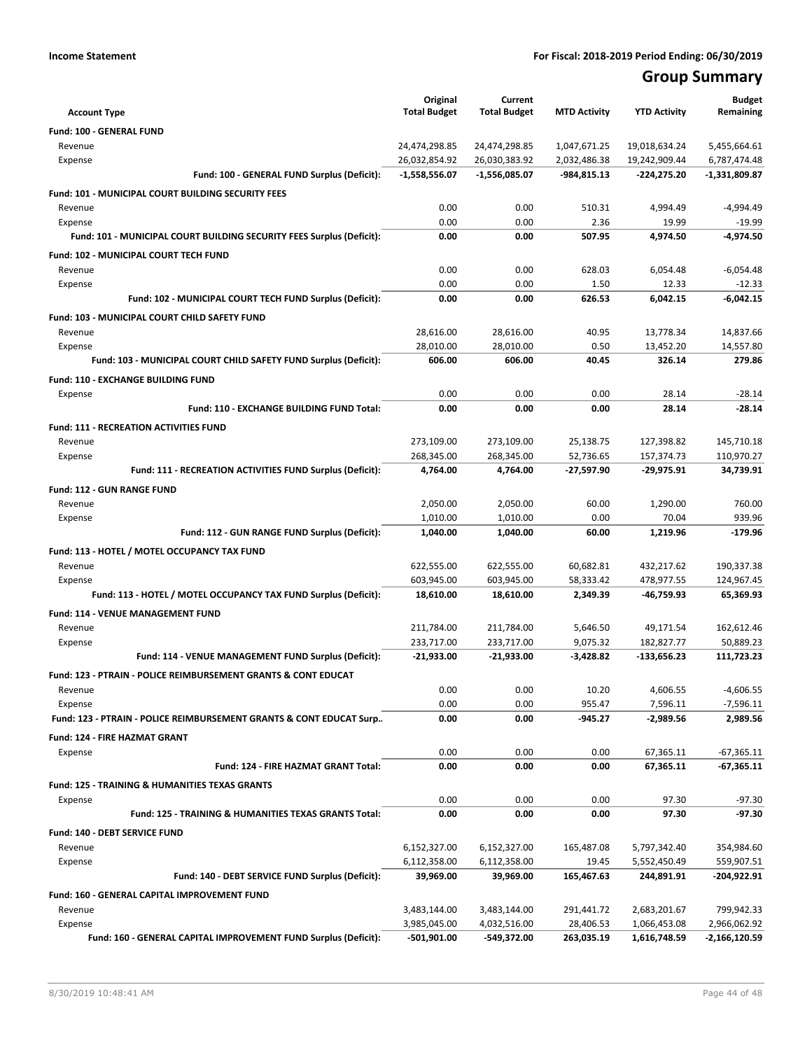## **Group Summary**

| <b>Account Type</b>                                                       | Original<br><b>Total Budget</b> | Current<br><b>Total Budget</b> | <b>MTD Activity</b> | <b>YTD Activity</b> | <b>Budget</b><br>Remaining |
|---------------------------------------------------------------------------|---------------------------------|--------------------------------|---------------------|---------------------|----------------------------|
| Fund: 100 - GENERAL FUND                                                  |                                 |                                |                     |                     |                            |
| Revenue                                                                   | 24,474,298.85                   | 24,474,298.85                  | 1,047,671.25        | 19,018,634.24       | 5,455,664.61               |
| Expense                                                                   | 26,032,854.92                   | 26,030,383.92                  | 2,032,486.38        | 19,242,909.44       | 6,787,474.48               |
| Fund: 100 - GENERAL FUND Surplus (Deficit):                               | $-1,558,556.07$                 | $-1,556,085.07$                | -984,815.13         | $-224,275.20$       | -1,331,809.87              |
| Fund: 101 - MUNICIPAL COURT BUILDING SECURITY FEES                        |                                 |                                |                     |                     |                            |
| Revenue                                                                   | 0.00                            | 0.00                           | 510.31              | 4,994.49            | $-4,994.49$                |
| Expense                                                                   | 0.00                            | 0.00                           | 2.36                | 19.99               | $-19.99$                   |
| Fund: 101 - MUNICIPAL COURT BUILDING SECURITY FEES Surplus (Deficit):     | 0.00                            | 0.00                           | 507.95              | 4,974.50            | $-4.974.50$                |
| Fund: 102 - MUNICIPAL COURT TECH FUND                                     |                                 |                                |                     |                     |                            |
| Revenue                                                                   | 0.00                            | 0.00                           | 628.03              | 6,054.48            | $-6,054.48$                |
| Expense                                                                   | 0.00                            | 0.00                           | 1.50                | 12.33               | $-12.33$                   |
| Fund: 102 - MUNICIPAL COURT TECH FUND Surplus (Deficit):                  | 0.00                            | 0.00                           | 626.53              | 6,042.15            | $-6,042.15$                |
| Fund: 103 - MUNICIPAL COURT CHILD SAFETY FUND                             |                                 |                                |                     |                     |                            |
| Revenue                                                                   | 28,616.00                       | 28,616.00                      | 40.95               | 13,778.34           | 14,837.66                  |
| Expense                                                                   | 28.010.00                       | 28,010.00                      | 0.50                | 13,452.20           | 14,557.80                  |
| Fund: 103 - MUNICIPAL COURT CHILD SAFETY FUND Surplus (Deficit):          | 606.00                          | 606.00                         | 40.45               | 326.14              | 279.86                     |
| Fund: 110 - EXCHANGE BUILDING FUND                                        |                                 |                                |                     |                     |                            |
| Expense                                                                   | 0.00                            | 0.00                           | 0.00                | 28.14               | $-28.14$                   |
| Fund: 110 - EXCHANGE BUILDING FUND Total:                                 | 0.00                            | 0.00                           | 0.00                | 28.14               | -28.14                     |
| <b>Fund: 111 - RECREATION ACTIVITIES FUND</b>                             |                                 |                                |                     |                     |                            |
| Revenue                                                                   | 273,109.00                      | 273,109.00                     | 25,138.75           | 127,398.82          | 145,710.18                 |
| Expense                                                                   | 268,345.00                      | 268,345.00                     | 52,736.65           | 157,374.73          | 110,970.27                 |
| Fund: 111 - RECREATION ACTIVITIES FUND Surplus (Deficit):                 | 4,764.00                        | 4,764.00                       | $-27,597.90$        | $-29,975.91$        | 34,739.91                  |
| Fund: 112 - GUN RANGE FUND                                                |                                 |                                |                     |                     |                            |
| Revenue                                                                   | 2,050.00                        | 2,050.00                       | 60.00               | 1,290.00            | 760.00                     |
| Expense                                                                   | 1,010.00                        | 1,010.00                       | 0.00                | 70.04               | 939.96                     |
| Fund: 112 - GUN RANGE FUND Surplus (Deficit):                             | 1,040.00                        | 1,040.00                       | 60.00               | 1,219.96            | $-179.96$                  |
| Fund: 113 - HOTEL / MOTEL OCCUPANCY TAX FUND                              |                                 |                                |                     |                     |                            |
| Revenue                                                                   | 622,555.00                      | 622,555.00                     | 60,682.81           | 432,217.62          | 190,337.38                 |
| Expense                                                                   | 603,945.00                      | 603,945.00                     | 58,333.42           | 478,977.55          | 124,967.45                 |
| Fund: 113 - HOTEL / MOTEL OCCUPANCY TAX FUND Surplus (Deficit):           | 18,610.00                       | 18,610.00                      | 2,349.39            | -46,759.93          | 65,369.93                  |
| <b>Fund: 114 - VENUE MANAGEMENT FUND</b>                                  |                                 |                                |                     |                     |                            |
| Revenue                                                                   | 211,784.00                      | 211,784.00                     | 5,646.50            | 49,171.54           | 162,612.46                 |
| Expense                                                                   | 233,717.00                      | 233,717.00                     | 9,075.32            | 182,827.77          | 50,889.23                  |
| Fund: 114 - VENUE MANAGEMENT FUND Surplus (Deficit):                      | -21,933.00                      | -21,933.00                     | -3,428.82           | $-133,656.23$       | 111,723.23                 |
| <b>Fund: 123 - PTRAIN - POLICE REIMBURSEMENT GRANTS &amp; CONT EDUCAT</b> |                                 |                                |                     |                     |                            |
| Revenue                                                                   | 0.00                            | 0.00                           | 10.20               | 4,606.55            | $-4,606.55$                |
| Expense                                                                   | 0.00                            | 0.00                           | 955.47              | 7,596.11            | $-7,596.11$                |
| Fund: 123 - PTRAIN - POLICE REIMBURSEMENT GRANTS & CONT EDUCAT Surp       | 0.00                            | 0.00                           | -945.27             | $-2,989.56$         | 2,989.56                   |
| Fund: 124 - FIRE HAZMAT GRANT                                             |                                 |                                |                     |                     |                            |
| Expense                                                                   | 0.00                            | 0.00                           | 0.00                | 67,365.11           | $-67,365.11$               |
| Fund: 124 - FIRE HAZMAT GRANT Total:                                      | 0.00                            | 0.00                           | 0.00                | 67,365.11           | $-67,365.11$               |
| <b>Fund: 125 - TRAINING &amp; HUMANITIES TEXAS GRANTS</b>                 |                                 |                                |                     |                     |                            |
| Expense                                                                   | 0.00                            | 0.00                           | 0.00                | 97.30               | $-97.30$                   |
| Fund: 125 - TRAINING & HUMANITIES TEXAS GRANTS Total:                     | 0.00                            | 0.00                           | 0.00                | 97.30               | $-97.30$                   |
| Fund: 140 - DEBT SERVICE FUND                                             |                                 |                                |                     |                     |                            |
| Revenue                                                                   | 6,152,327.00                    | 6,152,327.00                   | 165,487.08          | 5,797,342.40        | 354,984.60                 |
| Expense                                                                   | 6,112,358.00                    | 6,112,358.00                   | 19.45               | 5,552,450.49        | 559,907.51                 |
| Fund: 140 - DEBT SERVICE FUND Surplus (Deficit):                          | 39,969.00                       | 39,969.00                      | 165,467.63          | 244,891.91          | -204,922.91                |
| Fund: 160 - GENERAL CAPITAL IMPROVEMENT FUND                              |                                 |                                |                     |                     |                            |
| Revenue                                                                   | 3,483,144.00                    | 3,483,144.00                   | 291,441.72          | 2,683,201.67        | 799,942.33                 |
| Expense                                                                   | 3,985,045.00                    | 4,032,516.00                   | 28,406.53           | 1,066,453.08        | 2,966,062.92               |
| Fund: 160 - GENERAL CAPITAL IMPROVEMENT FUND Surplus (Deficit):           | -501,901.00                     | -549,372.00                    | 263,035.19          | 1,616,748.59        | -2,166,120.59              |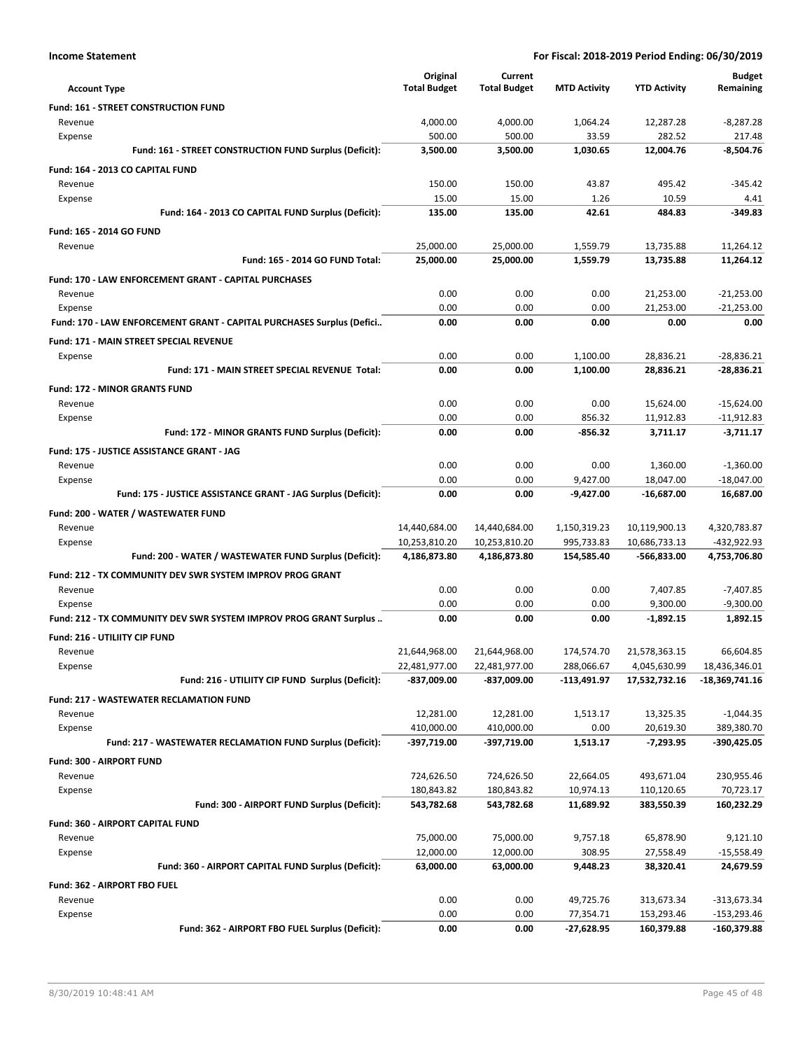| <b>Income Statement</b> |
|-------------------------|
|-------------------------|

| <b>Account Type</b>                                                          | Original<br><b>Total Budget</b> | Current<br><b>Total Budget</b> | <b>MTD Activity</b>         | <b>YTD Activity</b>           | <b>Budget</b><br>Remaining      |
|------------------------------------------------------------------------------|---------------------------------|--------------------------------|-----------------------------|-------------------------------|---------------------------------|
| <b>Fund: 161 - STREET CONSTRUCTION FUND</b>                                  |                                 |                                |                             |                               |                                 |
| Revenue                                                                      | 4,000.00                        | 4,000.00                       | 1,064.24                    | 12,287.28                     | $-8,287.28$                     |
| Expense                                                                      | 500.00                          | 500.00                         | 33.59                       | 282.52                        | 217.48                          |
| Fund: 161 - STREET CONSTRUCTION FUND Surplus (Deficit):                      | 3,500.00                        | 3,500.00                       | 1,030.65                    | 12.004.76                     | $-8,504.76$                     |
| Fund: 164 - 2013 CO CAPITAL FUND                                             |                                 |                                |                             |                               |                                 |
| Revenue                                                                      | 150.00                          | 150.00                         | 43.87                       | 495.42                        | $-345.42$                       |
| Expense                                                                      | 15.00                           | 15.00                          | 1.26                        | 10.59                         | 4.41                            |
| Fund: 164 - 2013 CO CAPITAL FUND Surplus (Deficit):                          | 135.00                          | 135.00                         | 42.61                       | 484.83                        | $-349.83$                       |
| Fund: 165 - 2014 GO FUND                                                     |                                 |                                |                             |                               |                                 |
| Revenue                                                                      | 25,000.00                       | 25,000.00                      | 1,559.79                    | 13,735.88                     | 11,264.12                       |
| Fund: 165 - 2014 GO FUND Total:                                              | 25,000.00                       | 25,000.00                      | 1,559.79                    | 13,735.88                     | 11,264.12                       |
| Fund: 170 - LAW ENFORCEMENT GRANT - CAPITAL PURCHASES                        |                                 |                                |                             |                               |                                 |
| Revenue                                                                      | 0.00                            | 0.00                           | 0.00                        | 21,253.00                     | $-21,253.00$                    |
| Expense                                                                      | 0.00                            | 0.00                           | 0.00                        | 21,253.00                     | $-21,253.00$                    |
| Fund: 170 - LAW ENFORCEMENT GRANT - CAPITAL PURCHASES Surplus (Defici        | 0.00                            | 0.00                           | 0.00                        | 0.00                          | 0.00                            |
| <b>Fund: 171 - MAIN STREET SPECIAL REVENUE</b>                               |                                 |                                |                             |                               |                                 |
| Expense                                                                      | 0.00                            | 0.00                           | 1,100.00                    | 28,836.21                     | $-28,836.21$                    |
| Fund: 171 - MAIN STREET SPECIAL REVENUE Total:                               | 0.00                            | 0.00                           | 1,100.00                    | 28,836.21                     | $-28,836.21$                    |
| <b>Fund: 172 - MINOR GRANTS FUND</b>                                         |                                 |                                |                             |                               |                                 |
| Revenue                                                                      | 0.00                            | 0.00                           | 0.00                        | 15,624.00                     | $-15,624.00$                    |
| Expense                                                                      | 0.00                            | 0.00                           | 856.32                      | 11,912.83                     | $-11,912.83$                    |
| Fund: 172 - MINOR GRANTS FUND Surplus (Deficit):                             | 0.00                            | 0.00                           | -856.32                     | 3,711.17                      | $-3,711.17$                     |
| Fund: 175 - JUSTICE ASSISTANCE GRANT - JAG                                   |                                 |                                |                             |                               |                                 |
| Revenue                                                                      | 0.00                            | 0.00                           | 0.00                        | 1,360.00                      | $-1,360.00$                     |
| Expense                                                                      | 0.00                            | 0.00                           | 9,427.00                    | 18,047.00                     | $-18,047.00$                    |
| Fund: 175 - JUSTICE ASSISTANCE GRANT - JAG Surplus (Deficit):                | 0.00                            | 0.00                           | $-9,427.00$                 | $-16,687.00$                  | 16,687.00                       |
| Fund: 200 - WATER / WASTEWATER FUND                                          |                                 |                                |                             |                               |                                 |
| Revenue                                                                      | 14,440,684.00                   | 14,440,684.00                  | 1,150,319.23                | 10,119,900.13                 | 4,320,783.87                    |
| Expense                                                                      | 10,253,810.20                   | 10,253,810.20                  | 995,733.83                  | 10,686,733.13                 | -432,922.93                     |
| Fund: 200 - WATER / WASTEWATER FUND Surplus (Deficit):                       | 4,186,873.80                    | 4,186,873.80                   | 154,585.40                  | -566,833.00                   | 4,753,706.80                    |
|                                                                              |                                 |                                |                             |                               |                                 |
| Fund: 212 - TX COMMUNITY DEV SWR SYSTEM IMPROV PROG GRANT                    |                                 |                                |                             |                               |                                 |
| Revenue                                                                      | 0.00<br>0.00                    | 0.00<br>0.00                   | 0.00<br>0.00                | 7,407.85<br>9,300.00          | $-7,407.85$<br>$-9,300.00$      |
| Expense<br>Fund: 212 - TX COMMUNITY DEV SWR SYSTEM IMPROV PROG GRANT Surplus | 0.00                            | 0.00                           | 0.00                        | $-1,892.15$                   | 1,892.15                        |
|                                                                              |                                 |                                |                             |                               |                                 |
| <b>Fund: 216 - UTILIITY CIP FUND</b>                                         |                                 |                                |                             |                               |                                 |
| Revenue                                                                      | 21,644,968.00                   | 21,644,968.00                  | 174,574.70                  | 21,578,363.15                 | 66,604.85                       |
| Expense<br>Fund: 216 - UTILIITY CIP FUND Surplus (Deficit):                  | 22,481,977.00<br>-837,009.00    | 22,481,977.00<br>-837,009.00   | 288,066.67<br>$-113,491.97$ | 4,045,630.99<br>17,532,732.16 | 18,436,346.01<br>-18,369,741.16 |
|                                                                              |                                 |                                |                             |                               |                                 |
| <b>Fund: 217 - WASTEWATER RECLAMATION FUND</b>                               |                                 |                                |                             |                               |                                 |
| Revenue                                                                      | 12,281.00                       | 12,281.00                      | 1,513.17                    | 13,325.35                     | $-1,044.35$                     |
| Expense                                                                      | 410,000.00                      | 410,000.00<br>-397,719.00      | 0.00<br>1,513.17            | 20,619.30<br>$-7,293.95$      | 389,380.70                      |
| Fund: 217 - WASTEWATER RECLAMATION FUND Surplus (Deficit):                   | -397,719.00                     |                                |                             |                               | -390,425.05                     |
| Fund: 300 - AIRPORT FUND                                                     |                                 |                                |                             |                               |                                 |
| Revenue                                                                      | 724,626.50                      | 724,626.50                     | 22,664.05                   | 493,671.04                    | 230,955.46                      |
| Expense                                                                      | 180,843.82                      | 180,843.82                     | 10,974.13                   | 110,120.65                    | 70,723.17                       |
| Fund: 300 - AIRPORT FUND Surplus (Deficit):                                  | 543,782.68                      | 543,782.68                     | 11,689.92                   | 383,550.39                    | 160,232.29                      |
| Fund: 360 - AIRPORT CAPITAL FUND                                             |                                 |                                |                             |                               |                                 |
| Revenue                                                                      | 75,000.00                       | 75,000.00                      | 9,757.18                    | 65,878.90                     | 9,121.10                        |
| Expense                                                                      | 12,000.00                       | 12,000.00                      | 308.95                      | 27,558.49                     | -15,558.49                      |
| Fund: 360 - AIRPORT CAPITAL FUND Surplus (Deficit):                          | 63,000.00                       | 63,000.00                      | 9,448.23                    | 38,320.41                     | 24,679.59                       |
| Fund: 362 - AIRPORT FBO FUEL                                                 |                                 |                                |                             |                               |                                 |
| Revenue                                                                      | 0.00                            | 0.00                           | 49,725.76                   | 313,673.34                    | -313,673.34                     |
| Expense                                                                      | 0.00                            | 0.00                           | 77,354.71                   | 153,293.46                    | $-153,293.46$                   |
| Fund: 362 - AIRPORT FBO FUEL Surplus (Deficit):                              | 0.00                            | 0.00                           | -27,628.95                  | 160,379.88                    | -160,379.88                     |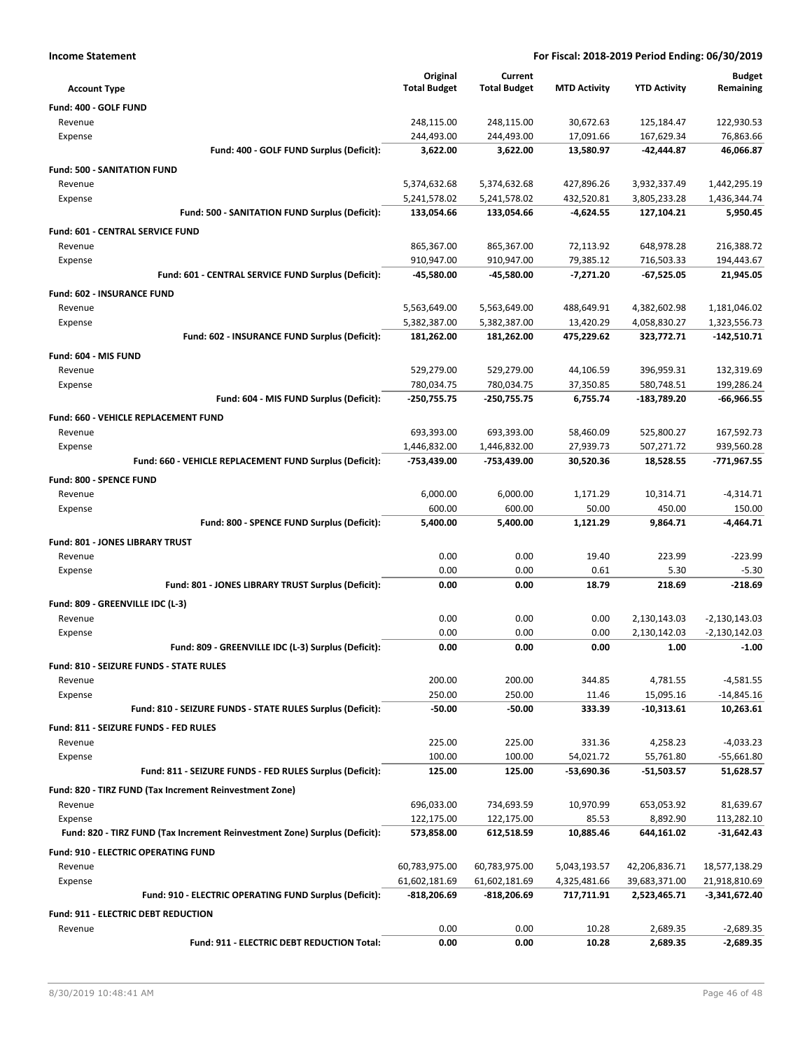| <b>Income Statement</b>                                                    |                            | For Fiscal: 2018-2019 Period Ending: 06/30/2019 |                         |                            |                               |
|----------------------------------------------------------------------------|----------------------------|-------------------------------------------------|-------------------------|----------------------------|-------------------------------|
|                                                                            | Original                   | Current                                         |                         |                            | <b>Budget</b>                 |
| <b>Account Type</b>                                                        | <b>Total Budget</b>        | <b>Total Budget</b>                             | <b>MTD Activity</b>     | <b>YTD Activity</b>        | Remaining                     |
| Fund: 400 - GOLF FUND                                                      |                            |                                                 |                         |                            |                               |
| Revenue                                                                    | 248,115.00                 | 248,115.00                                      | 30,672.63               | 125,184.47                 | 122,930.53                    |
| Expense                                                                    | 244,493.00                 | 244,493.00                                      | 17,091.66               | 167,629.34                 | 76,863.66                     |
| Fund: 400 - GOLF FUND Surplus (Deficit):                                   | 3,622.00                   | 3,622.00                                        | 13,580.97               | -42,444.87                 | 46,066.87                     |
| <b>Fund: 500 - SANITATION FUND</b>                                         |                            |                                                 |                         |                            |                               |
| Revenue                                                                    | 5,374,632.68               | 5,374,632.68                                    | 427,896.26              | 3,932,337.49               | 1,442,295.19                  |
| Expense                                                                    | 5,241,578.02               | 5,241,578.02                                    | 432,520.81              | 3,805,233.28               | 1,436,344.74                  |
| Fund: 500 - SANITATION FUND Surplus (Deficit):                             | 133,054.66                 | 133,054.66                                      | $-4,624.55$             | 127,104.21                 | 5,950.45                      |
| Fund: 601 - CENTRAL SERVICE FUND                                           |                            |                                                 |                         |                            |                               |
| Revenue                                                                    | 865,367.00                 | 865,367.00                                      | 72,113.92               | 648,978.28                 | 216,388.72                    |
| Expense                                                                    | 910,947.00                 | 910,947.00                                      | 79,385.12               | 716,503.33                 | 194,443.67                    |
| Fund: 601 - CENTRAL SERVICE FUND Surplus (Deficit):                        | -45,580.00                 | -45,580.00                                      | $-7,271.20$             | -67,525.05                 | 21,945.05                     |
| Fund: 602 - INSURANCE FUND                                                 |                            |                                                 |                         |                            |                               |
| Revenue                                                                    | 5,563,649.00               | 5,563,649.00                                    | 488,649.91              | 4,382,602.98               | 1,181,046.02                  |
| Expense<br>Fund: 602 - INSURANCE FUND Surplus (Deficit):                   | 5,382,387.00<br>181,262.00 | 5,382,387.00<br>181,262.00                      | 13,420.29<br>475,229.62 | 4,058,830.27<br>323,772.71 | 1,323,556.73<br>$-142,510.71$ |
|                                                                            |                            |                                                 |                         |                            |                               |
| Fund: 604 - MIS FUND                                                       |                            |                                                 |                         |                            |                               |
| Revenue<br>Expense                                                         | 529,279.00<br>780,034.75   | 529,279.00<br>780,034.75                        | 44,106.59<br>37,350.85  | 396,959.31<br>580,748.51   | 132,319.69<br>199,286.24      |
| Fund: 604 - MIS FUND Surplus (Deficit):                                    | -250,755.75                | -250,755.75                                     | 6,755.74                | -183,789.20                | $-66,966.55$                  |
|                                                                            |                            |                                                 |                         |                            |                               |
| Fund: 660 - VEHICLE REPLACEMENT FUND<br>Revenue                            | 693,393.00                 | 693,393.00                                      | 58,460.09               | 525,800.27                 | 167,592.73                    |
| Expense                                                                    | 1,446,832.00               | 1,446,832.00                                    | 27,939.73               | 507,271.72                 | 939,560.28                    |
| Fund: 660 - VEHICLE REPLACEMENT FUND Surplus (Deficit):                    | -753,439.00                | -753,439.00                                     | 30,520.36               | 18,528.55                  | -771,967.55                   |
| Fund: 800 - SPENCE FUND                                                    |                            |                                                 |                         |                            |                               |
| Revenue                                                                    | 6,000.00                   | 6,000.00                                        | 1,171.29                | 10,314.71                  | $-4,314.71$                   |
| Expense                                                                    | 600.00                     | 600.00                                          | 50.00                   | 450.00                     | 150.00                        |
| Fund: 800 - SPENCE FUND Surplus (Deficit):                                 | 5,400.00                   | 5,400.00                                        | 1,121.29                | 9,864.71                   | -4,464.71                     |
| Fund: 801 - JONES LIBRARY TRUST                                            |                            |                                                 |                         |                            |                               |
| Revenue                                                                    | 0.00                       | 0.00                                            | 19.40                   | 223.99                     | $-223.99$                     |
| Expense                                                                    | 0.00                       | 0.00                                            | 0.61                    | 5.30                       | $-5.30$                       |
| Fund: 801 - JONES LIBRARY TRUST Surplus (Deficit):                         | 0.00                       | 0.00                                            | 18.79                   | 218.69                     | $-218.69$                     |
| Fund: 809 - GREENVILLE IDC (L-3)                                           |                            |                                                 |                         |                            |                               |
| Revenue                                                                    | 0.00                       | 0.00                                            | 0.00                    | 2,130,143.03               | $-2,130,143.03$               |
| Expense                                                                    | 0.00                       | 0.00                                            | 0.00                    | 2,130,142.03               | $-2,130,142.03$               |
| Fund: 809 - GREENVILLE IDC (L-3) Surplus (Deficit):                        | 0.00                       | 0.00                                            | 0.00                    | 1.00                       | $-1.00$                       |
| <b>Fund: 810 - SEIZURE FUNDS - STATE RULES</b>                             |                            |                                                 |                         |                            |                               |
| Revenue                                                                    | 200.00                     | 200.00                                          | 344.85                  | 4,781.55                   | $-4,581.55$                   |
| Expense                                                                    | 250.00                     | 250.00                                          | 11.46                   | 15,095.16                  | $-14,845.16$                  |
| Fund: 810 - SEIZURE FUNDS - STATE RULES Surplus (Deficit):                 | $-50.00$                   | $-50.00$                                        | 333.39                  | $-10,313.61$               | 10,263.61                     |
| Fund: 811 - SEIZURE FUNDS - FED RULES                                      |                            |                                                 |                         |                            |                               |
| Revenue                                                                    | 225.00                     | 225.00                                          | 331.36                  | 4,258.23                   | $-4,033.23$                   |
| Expense                                                                    | 100.00                     | 100.00                                          | 54,021.72               | 55,761.80                  | $-55,661.80$                  |
| Fund: 811 - SEIZURE FUNDS - FED RULES Surplus (Deficit):                   | 125.00                     | 125.00                                          | -53,690.36              | -51,503.57                 | 51,628.57                     |
| Fund: 820 - TIRZ FUND (Tax Increment Reinvestment Zone)                    |                            |                                                 |                         |                            |                               |
| Revenue                                                                    | 696,033.00                 | 734,693.59                                      | 10,970.99               | 653,053.92                 | 81,639.67                     |
| Expense                                                                    | 122,175.00                 | 122,175.00                                      | 85.53                   | 8,892.90                   | 113,282.10                    |
| Fund: 820 - TIRZ FUND (Tax Increment Reinvestment Zone) Surplus (Deficit): | 573,858.00                 | 612,518.59                                      | 10,885.46               | 644,161.02                 | -31,642.43                    |
| Fund: 910 - ELECTRIC OPERATING FUND                                        |                            |                                                 |                         |                            |                               |
| Revenue                                                                    | 60,783,975.00              | 60,783,975.00                                   | 5,043,193.57            | 42,206,836.71              | 18,577,138.29                 |
| Expense                                                                    | 61,602,181.69              | 61,602,181.69                                   | 4,325,481.66            | 39,683,371.00              | 21,918,810.69                 |
| Fund: 910 - ELECTRIC OPERATING FUND Surplus (Deficit):                     | $-818,206.69$              | $-818,206.69$                                   | 717,711.91              | 2,523,465.71               | -3,341,672.40                 |
| Fund: 911 - ELECTRIC DEBT REDUCTION                                        |                            |                                                 |                         |                            |                               |
| Revenue                                                                    | 0.00                       | 0.00                                            | 10.28                   | 2,689.35                   | $-2,689.35$                   |
| Fund: 911 - ELECTRIC DEBT REDUCTION Total:                                 | 0.00                       | 0.00                                            | 10.28                   | 2,689.35                   | $-2,689.35$                   |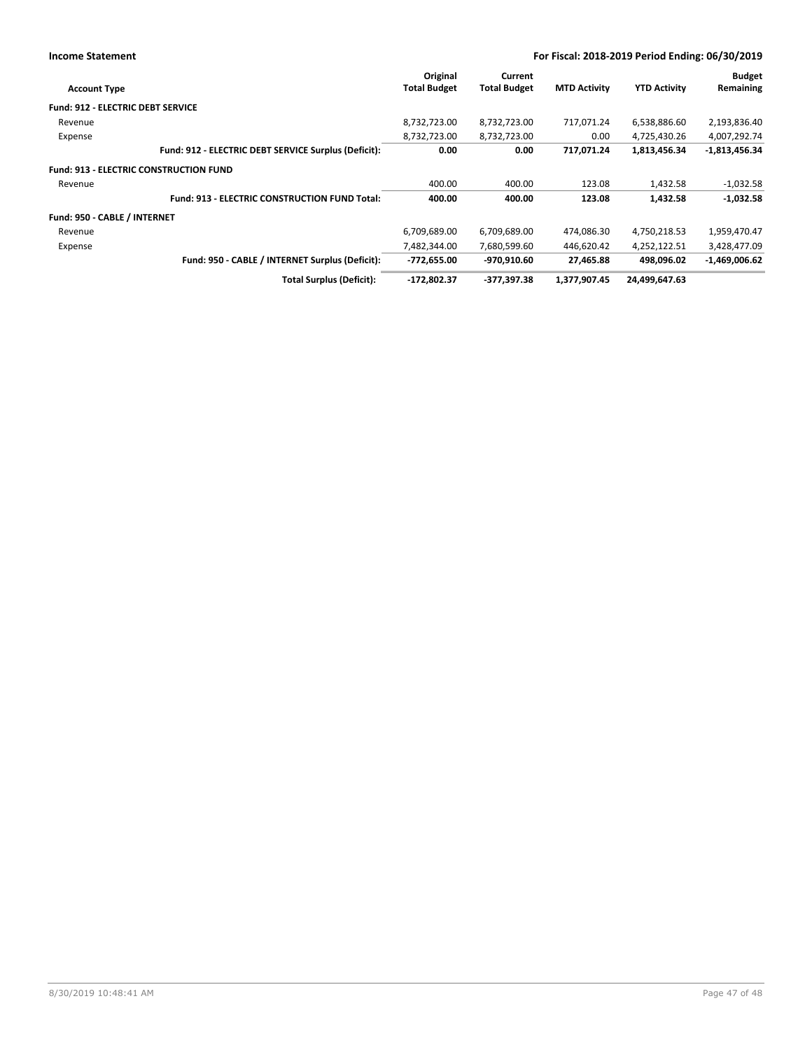| <b>Income Statement</b>                  |                                                      | For Fiscal: 2018-2019 Period Ending: 06/30/2019 |                                |                     |                     |                            |
|------------------------------------------|------------------------------------------------------|-------------------------------------------------|--------------------------------|---------------------|---------------------|----------------------------|
| <b>Account Type</b>                      |                                                      | Original<br><b>Total Budget</b>                 | Current<br><b>Total Budget</b> | <b>MTD Activity</b> | <b>YTD Activity</b> | <b>Budget</b><br>Remaining |
| <b>Fund: 912 - ELECTRIC DEBT SERVICE</b> |                                                      |                                                 |                                |                     |                     |                            |
| Revenue                                  |                                                      | 8,732,723.00                                    | 8,732,723.00                   | 717,071.24          | 6,538,886.60        | 2,193,836.40               |
| Expense                                  |                                                      | 8,732,723.00                                    | 8,732,723.00                   | 0.00                | 4,725,430.26        | 4,007,292.74               |
|                                          | Fund: 912 - ELECTRIC DEBT SERVICE Surplus (Deficit): | 0.00                                            | 0.00                           | 717,071.24          | 1,813,456.34        | $-1,813,456.34$            |
|                                          | <b>Fund: 913 - ELECTRIC CONSTRUCTION FUND</b>        |                                                 |                                |                     |                     |                            |
| Revenue                                  |                                                      | 400.00                                          | 400.00                         | 123.08              | 1,432.58            | $-1,032.58$                |
|                                          | <b>Fund: 913 - ELECTRIC CONSTRUCTION FUND Total:</b> | 400.00                                          | 400.00                         | 123.08              | 1,432.58            | $-1,032.58$                |
| Fund: 950 - CABLE / INTERNET             |                                                      |                                                 |                                |                     |                     |                            |
| Revenue                                  |                                                      | 6,709,689.00                                    | 6,709,689.00                   | 474,086.30          | 4,750,218.53        | 1,959,470.47               |
| Expense                                  |                                                      | 7,482,344.00                                    | 7,680,599.60                   | 446,620.42          | 4,252,122.51        | 3,428,477.09               |
|                                          | Fund: 950 - CABLE / INTERNET Surplus (Deficit):      | $-772,655.00$                                   | -970,910.60                    | 27,465.88           | 498,096.02          | $-1,469,006.62$            |
|                                          | Total Surplus (Deficit):                             | -172,802.37                                     | -377,397.38                    | 1,377,907.45        | 24,499,647.63       |                            |